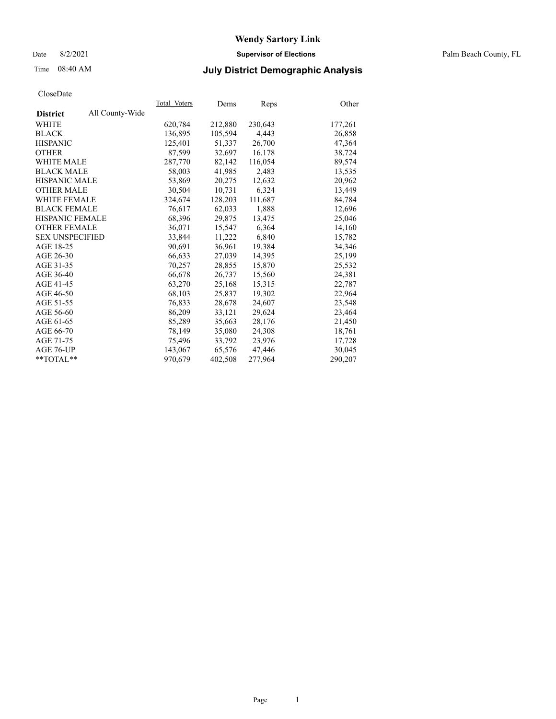### Date 8/2/2021 **Supervisor of Elections** Palm Beach County, FL

## Time 08:40 AM **July District Demographic Analysis**

|                        |                 | Total Voters | Dems    | Reps    | Other   |
|------------------------|-----------------|--------------|---------|---------|---------|
| <b>District</b>        | All County-Wide |              |         |         |         |
| WHITE                  |                 | 620,784      | 212,880 | 230,643 | 177,261 |
| <b>BLACK</b>           |                 | 136,895      | 105,594 | 4,443   | 26,858  |
| <b>HISPANIC</b>        |                 | 125.401      | 51.337  | 26,700  | 47,364  |
| <b>OTHER</b>           |                 | 87,599       | 32,697  | 16,178  | 38,724  |
| <b>WHITE MALE</b>      |                 | 287,770      | 82,142  | 116,054 | 89,574  |
| <b>BLACK MALE</b>      |                 | 58,003       | 41,985  | 2,483   | 13,535  |
| <b>HISPANIC MALE</b>   |                 | 53,869       | 20,275  | 12,632  | 20,962  |
| <b>OTHER MALE</b>      |                 | 30,504       | 10,731  | 6,324   | 13,449  |
| <b>WHITE FEMALE</b>    |                 | 324,674      | 128,203 | 111,687 | 84,784  |
| <b>BLACK FEMALE</b>    |                 | 76,617       | 62,033  | 1,888   | 12,696  |
| <b>HISPANIC FEMALE</b> |                 | 68,396       | 29,875  | 13,475  | 25,046  |
| <b>OTHER FEMALE</b>    |                 | 36,071       | 15,547  | 6,364   | 14,160  |
| <b>SEX UNSPECIFIED</b> |                 | 33,844       | 11,222  | 6,840   | 15,782  |
| AGE 18-25              |                 | 90,691       | 36,961  | 19,384  | 34,346  |
| AGE 26-30              |                 | 66,633       | 27,039  | 14,395  | 25,199  |
| AGE 31-35              |                 | 70,257       | 28,855  | 15,870  | 25,532  |
| AGE 36-40              |                 | 66,678       | 26,737  | 15,560  | 24,381  |
| AGE 41-45              |                 | 63,270       | 25,168  | 15,315  | 22,787  |
| AGE 46-50              |                 | 68,103       | 25,837  | 19,302  | 22,964  |
| AGE 51-55              |                 | 76,833       | 28,678  | 24,607  | 23,548  |
| AGE 56-60              |                 | 86,209       | 33,121  | 29,624  | 23,464  |
| AGE 61-65              |                 | 85,289       | 35,663  | 28,176  | 21,450  |
| AGE 66-70              |                 | 78,149       | 35,080  | 24,308  | 18,761  |
| AGE 71-75              |                 | 75,496       | 33,792  | 23,976  | 17,728  |
| AGE 76-UP              |                 | 143,067      | 65,576  | 47,446  | 30,045  |
| $*$ $TOTAL**$          |                 | 970,679      | 402,508 | 277,964 | 290,207 |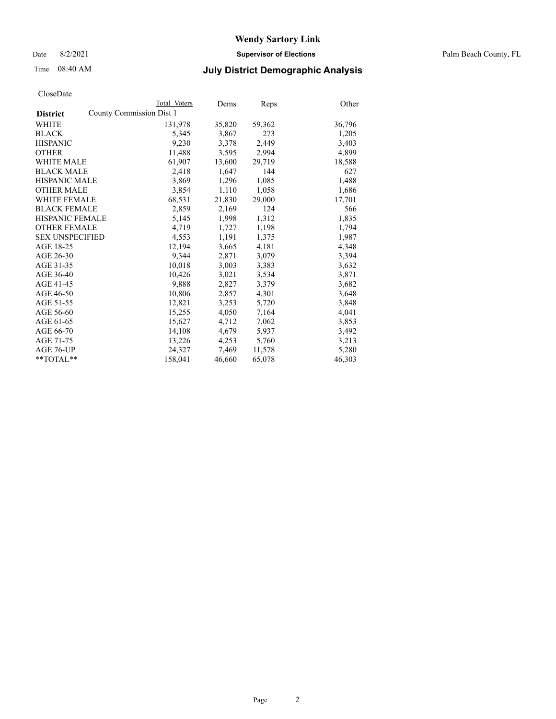Date 8/2/2021 **Supervisor of Elections** Palm Beach County, FL

## Time 08:40 AM **July District Demographic Analysis**

| CloseDate |
|-----------|
|-----------|

|                     |                          | Total Voters | Dems   | Reps   | Other  |
|---------------------|--------------------------|--------------|--------|--------|--------|
| <b>District</b>     | County Commission Dist 1 |              |        |        |        |
| WHITE               |                          | 131,978      | 35,820 | 59,362 | 36,796 |
| BLACK               |                          | 5,345        | 3,867  | 273    | 1,205  |
| HISPANIC            |                          | 9,230        | 3,378  | 2,449  | 3,403  |
| OTHER               |                          | 11,488       | 3,595  | 2,994  | 4,899  |
| WHITE MALE          |                          | 61,907       | 13,600 | 29,719 | 18,588 |
| <b>BLACK MALE</b>   |                          | 2,418        | 1,647  | 144    | 627    |
| HISPANIC MALE       |                          | 3,869        | 1,296  | 1,085  | 1,488  |
| OTHER MALE          |                          | 3,854        | 1,110  | 1,058  | 1,686  |
| WHITE FEMALE        |                          | 68,531       | 21,830 | 29,000 | 17,701 |
| BLACK FEMALE        |                          | 2,859        | 2,169  | 124    | 566    |
| HISPANIC FEMALE     |                          | 5,145        | 1,998  | 1,312  | 1,835  |
| <b>OTHER FEMALE</b> |                          | 4,719        | 1,727  | 1,198  | 1,794  |
| SEX UNSPECIFIED     |                          | 4,553        | 1.191  | 1,375  | 1,987  |
| AGE 18-25           |                          | 12,194       | 3,665  | 4,181  | 4,348  |
| AGE 26-30           |                          | 9,344        | 2,871  | 3,079  | 3,394  |
| AGE 31-35           |                          | 10,018       | 3,003  | 3,383  | 3,632  |
| AGE 36-40           |                          | 10,426       | 3,021  | 3,534  | 3,871  |
| AGE 41-45           |                          | 9,888        | 2,827  | 3,379  | 3,682  |
| AGE 46-50           |                          | 10,806       | 2,857  | 4,301  | 3,648  |
| AGE 51-55           |                          | 12,821       | 3,253  | 5,720  | 3,848  |
| AGE 56-60           |                          | 15,255       | 4,050  | 7,164  | 4,041  |
| AGE 61-65           |                          | 15,627       | 4,712  | 7,062  | 3,853  |
| AGE 66-70           |                          | 14,108       | 4,679  | 5,937  | 3,492  |
| AGE 71-75           |                          | 13,226       | 4,253  | 5,760  | 3,213  |
| AGE 76-UP           |                          | 24,327       | 7,469  | 11,578 | 5,280  |
| $*$ $TOTAL**$       |                          | 158,041      | 46,660 | 65,078 | 46,303 |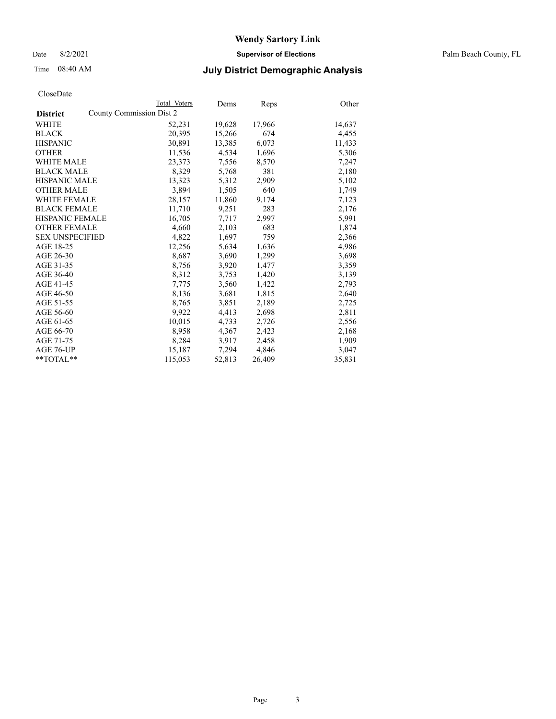Date 8/2/2021 **Supervisor of Elections** Palm Beach County, FL

## Time 08:40 AM **July District Demographic Analysis**

|                        | Total Voters             | Dems   | <b>Reps</b> | Other  |
|------------------------|--------------------------|--------|-------------|--------|
| <b>District</b>        | County Commission Dist 2 |        |             |        |
| WHITE                  | 52,231                   | 19,628 | 17,966      | 14,637 |
| <b>BLACK</b>           | 20,395                   | 15,266 | 674         | 4,455  |
| <b>HISPANIC</b>        | 30,891                   | 13,385 | 6,073       | 11,433 |
| <b>OTHER</b>           | 11,536                   | 4,534  | 1,696       | 5,306  |
| <b>WHITE MALE</b>      | 23,373                   | 7,556  | 8,570       | 7,247  |
| <b>BLACK MALE</b>      | 8,329                    | 5,768  | 381         | 2,180  |
| <b>HISPANIC MALE</b>   | 13,323                   | 5,312  | 2,909       | 5,102  |
| <b>OTHER MALE</b>      | 3,894                    | 1,505  | 640         | 1,749  |
| <b>WHITE FEMALE</b>    | 28,157                   | 11,860 | 9,174       | 7,123  |
| <b>BLACK FEMALE</b>    | 11,710                   | 9,251  | 283         | 2,176  |
| <b>HISPANIC FEMALE</b> | 16,705                   | 7,717  | 2,997       | 5,991  |
| <b>OTHER FEMALE</b>    | 4,660                    | 2,103  | 683         | 1,874  |
| <b>SEX UNSPECIFIED</b> | 4,822                    | 1,697  | 759         | 2,366  |
| AGE 18-25              | 12,256                   | 5,634  | 1,636       | 4,986  |
| AGE 26-30              | 8,687                    | 3,690  | 1,299       | 3,698  |
| AGE 31-35              | 8,756                    | 3,920  | 1,477       | 3,359  |
| AGE 36-40              | 8,312                    | 3,753  | 1,420       | 3,139  |
| AGE 41-45              | 7,775                    | 3,560  | 1,422       | 2,793  |
| AGE 46-50              | 8,136                    | 3,681  | 1,815       | 2,640  |
| AGE 51-55              | 8,765                    | 3,851  | 2,189       | 2,725  |
| AGE 56-60              | 9,922                    | 4,413  | 2,698       | 2,811  |
| AGE 61-65              | 10,015                   | 4,733  | 2,726       | 2,556  |
| AGE 66-70              | 8,958                    | 4,367  | 2,423       | 2,168  |
| AGE 71-75              | 8,284                    | 3,917  | 2,458       | 1,909  |
| AGE 76-UP              | 15,187                   | 7,294  | 4,846       | 3,047  |
| $*$ $TOTAL**$          | 115,053                  | 52,813 | 26,409      | 35,831 |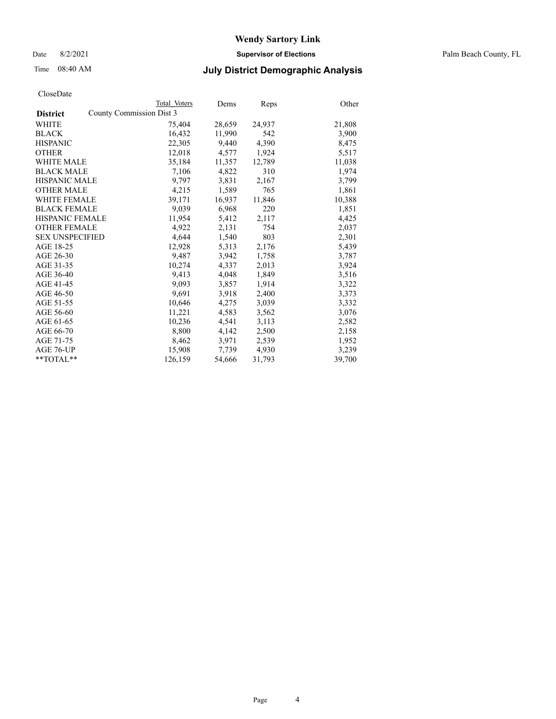Date 8/2/2021 **Supervisor of Elections** Palm Beach County, FL

## Time 08:40 AM **July District Demographic Analysis**

|                                             | Total Voters | Dems   | <b>Reps</b> | Other  |
|---------------------------------------------|--------------|--------|-------------|--------|
| County Commission Dist 3<br><b>District</b> |              |        |             |        |
| WHITE                                       | 75,404       | 28,659 | 24,937      | 21,808 |
| <b>BLACK</b>                                | 16,432       | 11,990 | 542         | 3,900  |
| <b>HISPANIC</b>                             | 22,305       | 9,440  | 4,390       | 8,475  |
| <b>OTHER</b>                                | 12,018       | 4,577  | 1,924       | 5,517  |
| <b>WHITE MALE</b>                           | 35,184       | 11,357 | 12,789      | 11,038 |
| <b>BLACK MALE</b>                           | 7,106        | 4,822  | 310         | 1,974  |
| <b>HISPANIC MALE</b>                        | 9,797        | 3,831  | 2,167       | 3,799  |
| <b>OTHER MALE</b>                           | 4,215        | 1,589  | 765         | 1,861  |
| <b>WHITE FEMALE</b>                         | 39,171       | 16,937 | 11,846      | 10,388 |
| <b>BLACK FEMALE</b>                         | 9,039        | 6,968  | 220         | 1,851  |
| <b>HISPANIC FEMALE</b>                      | 11,954       | 5,412  | 2,117       | 4,425  |
| <b>OTHER FEMALE</b>                         | 4,922        | 2,131  | 754         | 2,037  |
| <b>SEX UNSPECIFIED</b>                      | 4,644        | 1,540  | 803         | 2,301  |
| AGE 18-25                                   | 12,928       | 5,313  | 2,176       | 5,439  |
| AGE 26-30                                   | 9,487        | 3,942  | 1,758       | 3,787  |
| AGE 31-35                                   | 10,274       | 4,337  | 2,013       | 3,924  |
| AGE 36-40                                   | 9,413        | 4,048  | 1,849       | 3,516  |
| AGE 41-45                                   | 9,093        | 3,857  | 1,914       | 3,322  |
| AGE 46-50                                   | 9,691        | 3,918  | 2,400       | 3,373  |
| AGE 51-55                                   | 10,646       | 4,275  | 3,039       | 3,332  |
| AGE 56-60                                   | 11,221       | 4,583  | 3,562       | 3,076  |
| AGE 61-65                                   | 10,236       | 4,541  | 3,113       | 2,582  |
| AGE 66-70                                   | 8,800        | 4,142  | 2,500       | 2,158  |
| AGE 71-75                                   | 8,462        | 3,971  | 2,539       | 1,952  |
| AGE 76-UP                                   | 15,908       | 7,739  | 4,930       | 3,239  |
| $*$ $TOTAL**$                               | 126,159      | 54,666 | 31,793      | 39,700 |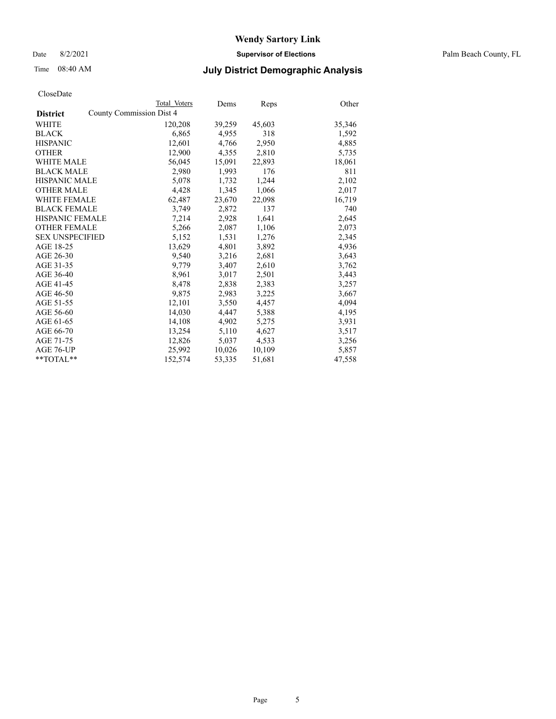Date 8/2/2021 **Supervisor of Elections** Palm Beach County, FL

## Time 08:40 AM **July District Demographic Analysis**

|                        |                          | Total Voters | Dems   | Reps   | Other  |
|------------------------|--------------------------|--------------|--------|--------|--------|
| <b>District</b>        | County Commission Dist 4 |              |        |        |        |
| WHITE                  |                          | 120,208      | 39,259 | 45,603 | 35,346 |
| <b>BLACK</b>           |                          | 6,865        | 4,955  | 318    | 1,592  |
| <b>HISPANIC</b>        |                          | 12,601       | 4,766  | 2,950  | 4,885  |
| <b>OTHER</b>           |                          | 12,900       | 4,355  | 2,810  | 5,735  |
| <b>WHITE MALE</b>      |                          | 56,045       | 15,091 | 22,893 | 18,061 |
| <b>BLACK MALE</b>      |                          | 2,980        | 1,993  | 176    | 811    |
| <b>HISPANIC MALE</b>   |                          | 5,078        | 1,732  | 1,244  | 2,102  |
| <b>OTHER MALE</b>      |                          | 4,428        | 1,345  | 1,066  | 2,017  |
| <b>WHITE FEMALE</b>    |                          | 62,487       | 23,670 | 22,098 | 16,719 |
| <b>BLACK FEMALE</b>    |                          | 3,749        | 2,872  | 137    | 740    |
| <b>HISPANIC FEMALE</b> |                          | 7,214        | 2,928  | 1,641  | 2,645  |
| <b>OTHER FEMALE</b>    |                          | 5,266        | 2,087  | 1,106  | 2,073  |
| <b>SEX UNSPECIFIED</b> |                          | 5,152        | 1,531  | 1,276  | 2,345  |
| AGE 18-25              |                          | 13,629       | 4,801  | 3,892  | 4,936  |
| AGE 26-30              |                          | 9,540        | 3,216  | 2,681  | 3,643  |
| AGE 31-35              |                          | 9,779        | 3,407  | 2,610  | 3,762  |
| AGE 36-40              |                          | 8,961        | 3,017  | 2,501  | 3,443  |
| AGE 41-45              |                          | 8,478        | 2,838  | 2,383  | 3,257  |
| AGE 46-50              |                          | 9,875        | 2,983  | 3,225  | 3,667  |
| AGE 51-55              |                          | 12,101       | 3,550  | 4,457  | 4,094  |
| AGE 56-60              |                          | 14,030       | 4,447  | 5,388  | 4,195  |
| AGE 61-65              |                          | 14,108       | 4,902  | 5,275  | 3,931  |
| AGE 66-70              |                          | 13,254       | 5,110  | 4,627  | 3,517  |
| AGE 71-75              |                          | 12,826       | 5,037  | 4,533  | 3,256  |
| AGE 76-UP              |                          | 25,992       | 10,026 | 10,109 | 5,857  |
| **TOTAL**              |                          | 152,574      | 53,335 | 51,681 | 47,558 |
|                        |                          |              |        |        |        |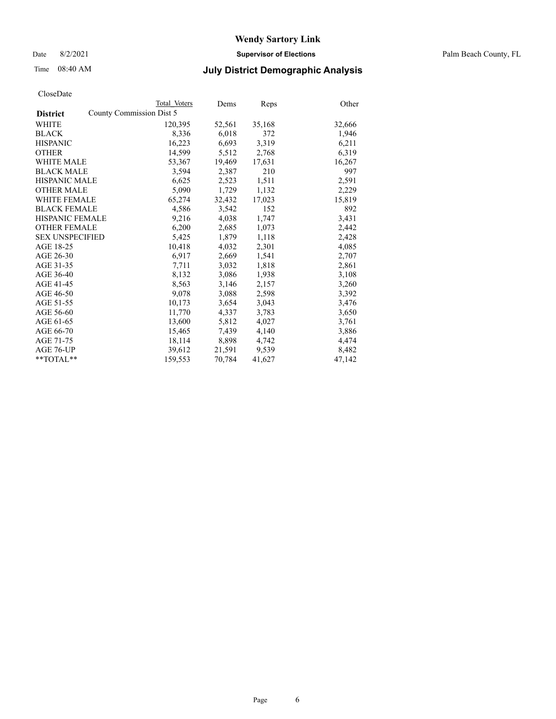Date 8/2/2021 **Supervisor of Elections** Palm Beach County, FL

## Time 08:40 AM **July District Demographic Analysis**

|                        | Total Voters             | Dems   | Reps   | Other  |
|------------------------|--------------------------|--------|--------|--------|
| <b>District</b>        | County Commission Dist 5 |        |        |        |
| WHITE                  | 120,395                  | 52,561 | 35,168 | 32,666 |
| <b>BLACK</b>           | 8,336                    | 6,018  | 372    | 1,946  |
| <b>HISPANIC</b>        | 16,223                   | 6,693  | 3,319  | 6,211  |
| <b>OTHER</b>           | 14,599                   | 5,512  | 2,768  | 6,319  |
| <b>WHITE MALE</b>      | 53,367                   | 19,469 | 17,631 | 16,267 |
| <b>BLACK MALE</b>      | 3,594                    | 2,387  | 210    | 997    |
| <b>HISPANIC MALE</b>   | 6,625                    | 2,523  | 1,511  | 2,591  |
| <b>OTHER MALE</b>      | 5,090                    | 1,729  | 1,132  | 2,229  |
| <b>WHITE FEMALE</b>    | 65,274                   | 32,432 | 17,023 | 15,819 |
| <b>BLACK FEMALE</b>    | 4,586                    | 3.542  | 152    | 892    |
| HISPANIC FEMALE        | 9,216                    | 4,038  | 1,747  | 3,431  |
| <b>OTHER FEMALE</b>    | 6,200                    | 2,685  | 1,073  | 2,442  |
| <b>SEX UNSPECIFIED</b> | 5,425                    | 1,879  | 1,118  | 2,428  |
| AGE 18-25              | 10,418                   | 4,032  | 2,301  | 4,085  |
| AGE 26-30              | 6,917                    | 2,669  | 1,541  | 2,707  |
| AGE 31-35              | 7,711                    | 3,032  | 1,818  | 2,861  |
| AGE 36-40              | 8,132                    | 3,086  | 1,938  | 3,108  |
| AGE 41-45              | 8,563                    | 3,146  | 2,157  | 3,260  |
| AGE 46-50              | 9,078                    | 3,088  | 2,598  | 3,392  |
| AGE 51-55              | 10,173                   | 3,654  | 3,043  | 3,476  |
| AGE 56-60              | 11,770                   | 4,337  | 3,783  | 3,650  |
| AGE 61-65              | 13,600                   | 5,812  | 4,027  | 3,761  |
| AGE 66-70              | 15,465                   | 7,439  | 4,140  | 3,886  |
| AGE 71-75              | 18,114                   | 8,898  | 4,742  | 4,474  |
| AGE 76-UP              | 39,612                   | 21,591 | 9,539  | 8,482  |
| $*$ $TOTAL**$          | 159,553                  | 70,784 | 41,627 | 47,142 |
|                        |                          |        |        |        |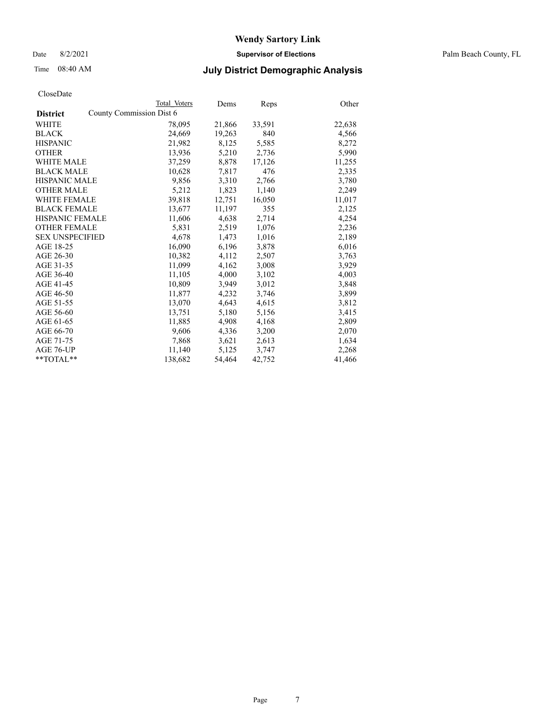Date 8/2/2021 **Supervisor of Elections** Palm Beach County, FL

## Time 08:40 AM **July District Demographic Analysis**

|                        |                          | Total Voters | Dems   | <b>Reps</b> | Other  |
|------------------------|--------------------------|--------------|--------|-------------|--------|
| <b>District</b>        | County Commission Dist 6 |              |        |             |        |
| WHITE                  |                          | 78,095       | 21,866 | 33,591      | 22,638 |
| <b>BLACK</b>           |                          | 24,669       | 19,263 | 840         | 4,566  |
| <b>HISPANIC</b>        |                          | 21,982       | 8,125  | 5,585       | 8,272  |
| <b>OTHER</b>           |                          | 13,936       | 5,210  | 2,736       | 5,990  |
| <b>WHITE MALE</b>      |                          | 37,259       | 8,878  | 17,126      | 11,255 |
| <b>BLACK MALE</b>      |                          | 10,628       | 7,817  | 476         | 2,335  |
| <b>HISPANIC MALE</b>   |                          | 9,856        | 3,310  | 2,766       | 3,780  |
| <b>OTHER MALE</b>      |                          | 5,212        | 1,823  | 1,140       | 2,249  |
| <b>WHITE FEMALE</b>    |                          | 39,818       | 12,751 | 16,050      | 11,017 |
| <b>BLACK FEMALE</b>    |                          | 13,677       | 11,197 | 355         | 2,125  |
| <b>HISPANIC FEMALE</b> |                          | 11,606       | 4,638  | 2,714       | 4,254  |
| <b>OTHER FEMALE</b>    |                          | 5,831        | 2,519  | 1,076       | 2,236  |
| <b>SEX UNSPECIFIED</b> |                          | 4,678        | 1,473  | 1,016       | 2,189  |
| AGE 18-25              |                          | 16,090       | 6,196  | 3,878       | 6,016  |
| AGE 26-30              |                          | 10,382       | 4,112  | 2,507       | 3,763  |
| AGE 31-35              |                          | 11,099       | 4,162  | 3,008       | 3,929  |
| AGE 36-40              |                          | 11,105       | 4,000  | 3,102       | 4,003  |
| AGE 41-45              |                          | 10,809       | 3,949  | 3,012       | 3,848  |
| AGE 46-50              |                          | 11,877       | 4,232  | 3,746       | 3,899  |
| AGE 51-55              |                          | 13,070       | 4,643  | 4,615       | 3,812  |
| AGE 56-60              |                          | 13,751       | 5,180  | 5,156       | 3,415  |
| AGE 61-65              |                          | 11,885       | 4,908  | 4,168       | 2,809  |
| AGE 66-70              |                          | 9,606        | 4,336  | 3,200       | 2,070  |
| AGE 71-75              |                          | 7,868        | 3,621  | 2,613       | 1,634  |
| AGE 76-UP              |                          | 11,140       | 5,125  | 3,747       | 2,268  |
| $*$ $TOTAL**$          |                          | 138,682      | 54,464 | 42,752      | 41,466 |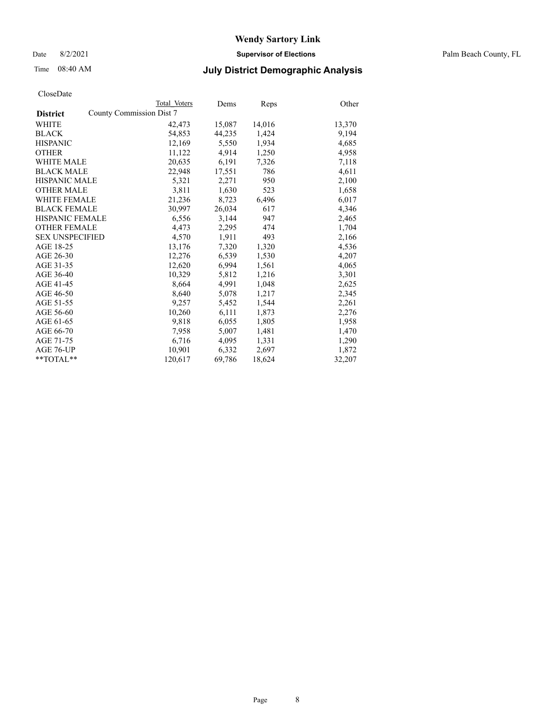Date 8/2/2021 **Supervisor of Elections** Palm Beach County, FL

## Time 08:40 AM **July District Demographic Analysis**

|                                             | Total Voters | Dems   | <b>Reps</b> | Other  |
|---------------------------------------------|--------------|--------|-------------|--------|
| County Commission Dist 7<br><b>District</b> |              |        |             |        |
| WHITE                                       | 42,473       | 15,087 | 14,016      | 13,370 |
| <b>BLACK</b>                                | 54,853       | 44,235 | 1,424       | 9,194  |
| <b>HISPANIC</b>                             | 12,169       | 5,550  | 1,934       | 4,685  |
| <b>OTHER</b>                                | 11,122       | 4,914  | 1,250       | 4,958  |
| <b>WHITE MALE</b>                           | 20,635       | 6,191  | 7,326       | 7,118  |
| <b>BLACK MALE</b>                           | 22,948       | 17,551 | 786         | 4,611  |
| <b>HISPANIC MALE</b>                        | 5,321        | 2,271  | 950         | 2,100  |
| <b>OTHER MALE</b>                           | 3,811        | 1,630  | 523         | 1,658  |
| <b>WHITE FEMALE</b>                         | 21,236       | 8,723  | 6,496       | 6,017  |
| <b>BLACK FEMALE</b>                         | 30,997       | 26,034 | 617         | 4,346  |
| <b>HISPANIC FEMALE</b>                      | 6,556        | 3,144  | 947         | 2,465  |
| <b>OTHER FEMALE</b>                         | 4,473        | 2,295  | 474         | 1,704  |
| <b>SEX UNSPECIFIED</b>                      | 4,570        | 1,911  | 493         | 2,166  |
| AGE 18-25                                   | 13,176       | 7,320  | 1,320       | 4,536  |
| AGE 26-30                                   | 12,276       | 6,539  | 1,530       | 4,207  |
| AGE 31-35                                   | 12,620       | 6,994  | 1,561       | 4,065  |
| AGE 36-40                                   | 10,329       | 5,812  | 1,216       | 3,301  |
| AGE 41-45                                   | 8,664        | 4,991  | 1,048       | 2,625  |
| AGE 46-50                                   | 8,640        | 5,078  | 1,217       | 2,345  |
| AGE 51-55                                   | 9,257        | 5,452  | 1,544       | 2,261  |
| AGE 56-60                                   | 10,260       | 6,111  | 1,873       | 2,276  |
| AGE 61-65                                   | 9,818        | 6,055  | 1,805       | 1,958  |
| AGE 66-70                                   | 7,958        | 5,007  | 1,481       | 1,470  |
| AGE 71-75                                   | 6,716        | 4,095  | 1,331       | 1,290  |
| AGE 76-UP                                   | 10.901       | 6,332  | 2,697       | 1,872  |
| $*$ $TOTAL**$                               | 120,617      | 69,786 | 18,624      | 32,207 |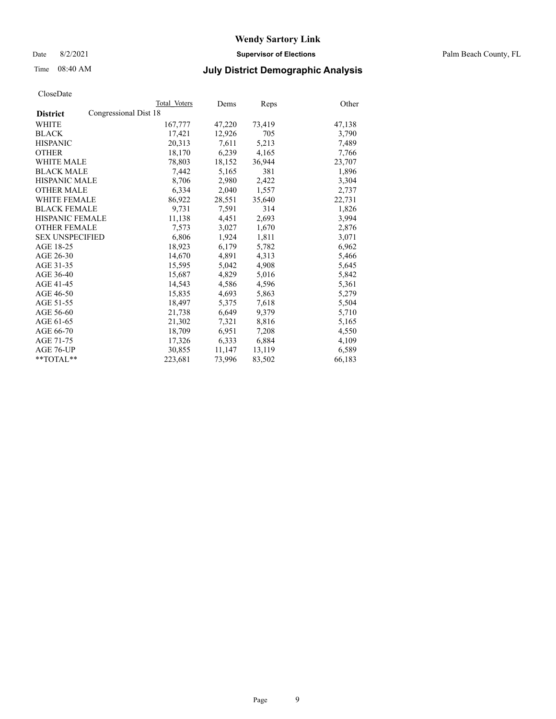Date 8/2/2021 **Supervisor of Elections** Palm Beach County, FL

## Time 08:40 AM **July District Demographic Analysis**

| ClustDate              |                       |              |        |        |        |
|------------------------|-----------------------|--------------|--------|--------|--------|
|                        |                       | Total Voters | Dems   | Reps   | Other  |
| <b>District</b>        | Congressional Dist 18 |              |        |        |        |
| WHITE                  |                       | 167,777      | 47,220 | 73,419 | 47,138 |
| <b>BLACK</b>           |                       | 17,421       | 12,926 | 705    | 3,790  |
| <b>HISPANIC</b>        |                       | 20.313       | 7,611  | 5,213  | 7,489  |
| <b>OTHER</b>           |                       | 18,170       | 6,239  | 4,165  | 7,766  |
| <b>WHITE MALE</b>      |                       | 78,803       | 18,152 | 36,944 | 23,707 |
| <b>BLACK MALE</b>      |                       | 7,442        | 5,165  | 381    | 1,896  |
| <b>HISPANIC MALE</b>   |                       | 8,706        | 2,980  | 2,422  | 3,304  |
| <b>OTHER MALE</b>      |                       | 6,334        | 2,040  | 1,557  | 2,737  |
| <b>WHITE FEMALE</b>    |                       | 86,922       | 28,551 | 35,640 | 22,731 |
| <b>BLACK FEMALE</b>    |                       | 9,731        | 7.591  | 314    | 1.826  |
| HISPANIC FEMALE        |                       | 11,138       | 4,451  | 2,693  | 3,994  |
| <b>OTHER FEMALE</b>    |                       | 7,573        | 3,027  | 1,670  | 2,876  |
| <b>SEX UNSPECIFIED</b> |                       | 6,806        | 1,924  | 1,811  | 3,071  |
| AGE 18-25              |                       | 18,923       | 6,179  | 5,782  | 6,962  |
| AGE 26-30              |                       | 14,670       | 4,891  | 4,313  | 5,466  |
| AGE 31-35              |                       | 15,595       | 5,042  | 4,908  | 5,645  |
| AGE 36-40              |                       | 15,687       | 4,829  | 5,016  | 5,842  |
| AGE 41-45              |                       | 14,543       | 4,586  | 4,596  | 5,361  |
| AGE 46-50              |                       | 15,835       | 4,693  | 5,863  | 5,279  |
| AGE 51-55              |                       | 18,497       | 5,375  | 7,618  | 5,504  |
| AGE 56-60              |                       | 21,738       | 6,649  | 9,379  | 5,710  |
| AGE 61-65              |                       | 21,302       | 7,321  | 8,816  | 5,165  |
| AGE 66-70              |                       | 18,709       | 6,951  | 7,208  | 4,550  |
| AGE 71-75              |                       | 17,326       | 6,333  | 6,884  | 4,109  |
| AGE 76-UP              |                       | 30,855       | 11,147 | 13,119 | 6,589  |
| $*$ $TOTAL**$          |                       | 223,681      | 73,996 | 83,502 | 66,183 |
|                        |                       |              |        |        |        |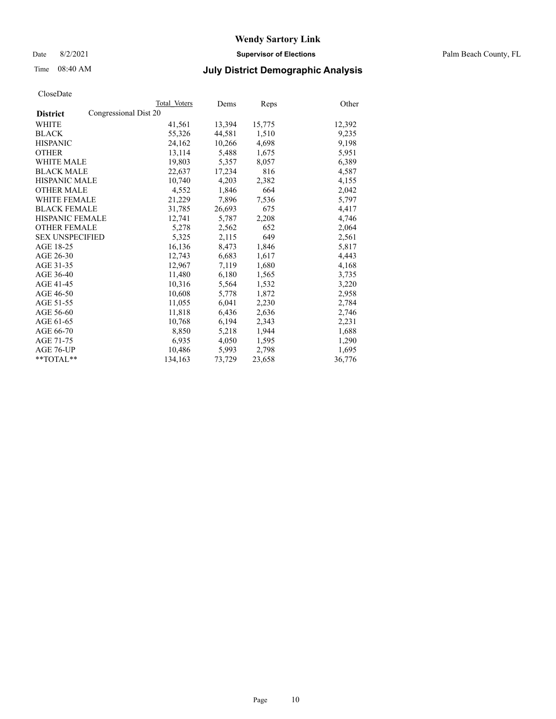Date 8/2/2021 **Supervisor of Elections** Palm Beach County, FL

## Time 08:40 AM **July District Demographic Analysis**

|                                          | Total Voters | Dems   | Reps   | Other  |
|------------------------------------------|--------------|--------|--------|--------|
| Congressional Dist 20<br><b>District</b> |              |        |        |        |
| WHITE                                    | 41,561       | 13,394 | 15,775 | 12,392 |
| <b>BLACK</b>                             | 55,326       | 44,581 | 1,510  | 9,235  |
| <b>HISPANIC</b>                          | 24.162       | 10,266 | 4,698  | 9,198  |
| <b>OTHER</b>                             | 13,114       | 5,488  | 1,675  | 5,951  |
| <b>WHITE MALE</b>                        | 19,803       | 5,357  | 8,057  | 6,389  |
| <b>BLACK MALE</b>                        | 22,637       | 17,234 | 816    | 4,587  |
| <b>HISPANIC MALE</b>                     | 10,740       | 4,203  | 2,382  | 4,155  |
| <b>OTHER MALE</b>                        | 4,552        | 1,846  | 664    | 2,042  |
| <b>WHITE FEMALE</b>                      | 21,229       | 7,896  | 7,536  | 5,797  |
| <b>BLACK FEMALE</b>                      | 31,785       | 26,693 | 675    | 4,417  |
| <b>HISPANIC FEMALE</b>                   | 12,741       | 5,787  | 2,208  | 4,746  |
| <b>OTHER FEMALE</b>                      | 5,278        | 2,562  | 652    | 2,064  |
| <b>SEX UNSPECIFIED</b>                   | 5,325        | 2,115  | 649    | 2,561  |
| AGE 18-25                                | 16,136       | 8,473  | 1,846  | 5,817  |
| AGE 26-30                                | 12,743       | 6,683  | 1,617  | 4,443  |
| AGE 31-35                                | 12,967       | 7,119  | 1,680  | 4,168  |
| AGE 36-40                                | 11,480       | 6,180  | 1,565  | 3,735  |
| AGE 41-45                                | 10,316       | 5,564  | 1,532  | 3,220  |
| AGE 46-50                                | 10,608       | 5,778  | 1,872  | 2,958  |
| AGE 51-55                                | 11,055       | 6,041  | 2,230  | 2,784  |
| AGE 56-60                                | 11,818       | 6,436  | 2,636  | 2,746  |
| AGE 61-65                                | 10,768       | 6,194  | 2,343  | 2,231  |
| AGE 66-70                                | 8,850        | 5,218  | 1,944  | 1,688  |
| AGE 71-75                                | 6,935        | 4,050  | 1,595  | 1,290  |
| AGE 76-UP                                | 10,486       | 5,993  | 2,798  | 1,695  |
| **TOTAL**                                | 134,163      | 73,729 | 23,658 | 36,776 |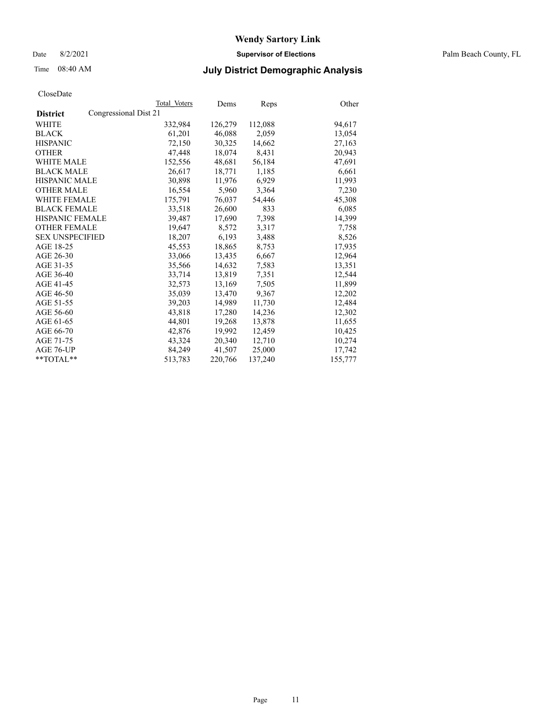Date 8/2/2021 **Supervisor of Elections** Palm Beach County, FL

## Time 08:40 AM **July District Demographic Analysis**

|                                          | Total Voters | Dems    | <b>Reps</b> | Other   |
|------------------------------------------|--------------|---------|-------------|---------|
| Congressional Dist 21<br><b>District</b> |              |         |             |         |
| WHITE                                    | 332,984      | 126,279 | 112,088     | 94,617  |
| <b>BLACK</b>                             | 61,201       | 46,088  | 2,059       | 13,054  |
| <b>HISPANIC</b>                          | 72,150       | 30,325  | 14,662      | 27,163  |
| <b>OTHER</b>                             | 47,448       | 18,074  | 8,431       | 20,943  |
| <b>WHITE MALE</b>                        | 152,556      | 48,681  | 56,184      | 47,691  |
| <b>BLACK MALE</b>                        | 26,617       | 18,771  | 1,185       | 6,661   |
| <b>HISPANIC MALE</b>                     | 30,898       | 11,976  | 6,929       | 11,993  |
| <b>OTHER MALE</b>                        | 16,554       | 5,960   | 3,364       | 7,230   |
| <b>WHITE FEMALE</b>                      | 175,791      | 76,037  | 54,446      | 45,308  |
| <b>BLACK FEMALE</b>                      | 33,518       | 26,600  | 833         | 6,085   |
| <b>HISPANIC FEMALE</b>                   | 39,487       | 17,690  | 7,398       | 14,399  |
| <b>OTHER FEMALE</b>                      | 19,647       | 8.572   | 3,317       | 7,758   |
| <b>SEX UNSPECIFIED</b>                   | 18,207       | 6,193   | 3,488       | 8,526   |
| AGE 18-25                                | 45,553       | 18,865  | 8,753       | 17,935  |
| AGE 26-30                                | 33,066       | 13.435  | 6,667       | 12,964  |
| AGE 31-35                                | 35,566       | 14,632  | 7,583       | 13,351  |
| AGE 36-40                                | 33,714       | 13,819  | 7,351       | 12,544  |
| AGE 41-45                                | 32,573       | 13,169  | 7,505       | 11,899  |
| AGE 46-50                                | 35,039       | 13,470  | 9,367       | 12,202  |
| AGE 51-55                                | 39,203       | 14,989  | 11,730      | 12,484  |
| AGE 56-60                                | 43,818       | 17,280  | 14,236      | 12,302  |
| AGE 61-65                                | 44,801       | 19,268  | 13,878      | 11,655  |
| AGE 66-70                                | 42,876       | 19,992  | 12,459      | 10,425  |
| AGE 71-75                                | 43,324       | 20,340  | 12,710      | 10,274  |
| AGE 76-UP                                | 84,249       | 41,507  | 25,000      | 17,742  |
| $*$ TOTAL $*$                            | 513,783      | 220,766 | 137,240     | 155,777 |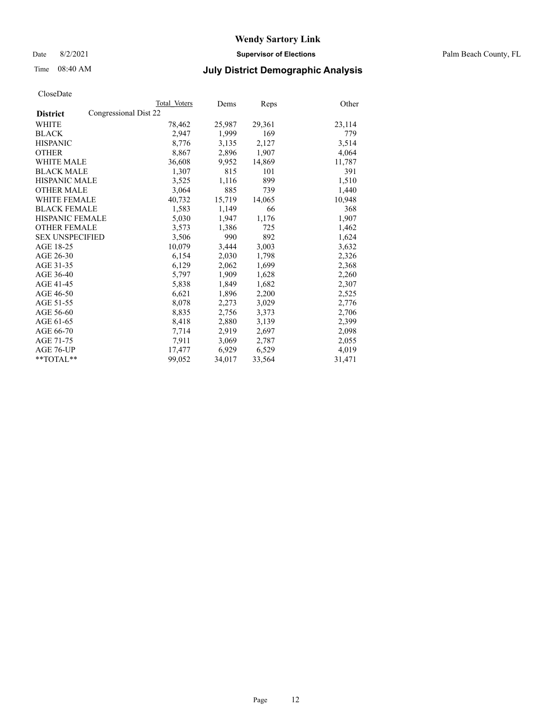Date 8/2/2021 **Supervisor of Elections** Palm Beach County, FL

## Time 08:40 AM **July District Demographic Analysis**

|                                          | Total Voters | Dems   | Reps   | Other  |
|------------------------------------------|--------------|--------|--------|--------|
| Congressional Dist 22<br><b>District</b> |              |        |        |        |
| WHITE                                    | 78,462       | 25,987 | 29,361 | 23,114 |
| <b>BLACK</b>                             | 2.947        | 1,999  | 169    | 779    |
| <b>HISPANIC</b>                          | 8,776        | 3,135  | 2,127  | 3,514  |
| <b>OTHER</b>                             | 8,867        | 2,896  | 1,907  | 4,064  |
| <b>WHITE MALE</b>                        | 36,608       | 9,952  | 14,869 | 11,787 |
| <b>BLACK MALE</b>                        | 1,307        | 815    | 101    | 391    |
| <b>HISPANIC MALE</b>                     | 3,525        | 1,116  | 899    | 1,510  |
| <b>OTHER MALE</b>                        | 3,064        | 885    | 739    | 1,440  |
| <b>WHITE FEMALE</b>                      | 40,732       | 15,719 | 14,065 | 10,948 |
| <b>BLACK FEMALE</b>                      | 1,583        | 1,149  | 66     | 368    |
| <b>HISPANIC FEMALE</b>                   | 5,030        | 1,947  | 1,176  | 1,907  |
| <b>OTHER FEMALE</b>                      | 3,573        | 1,386  | 725    | 1,462  |
| <b>SEX UNSPECIFIED</b>                   | 3,506        | 990    | 892    | 1,624  |
| AGE 18-25                                | 10,079       | 3,444  | 3,003  | 3,632  |
| AGE 26-30                                | 6,154        | 2,030  | 1,798  | 2,326  |
| AGE 31-35                                | 6,129        | 2,062  | 1,699  | 2,368  |
| AGE 36-40                                | 5,797        | 1,909  | 1,628  | 2,260  |
| AGE 41-45                                | 5,838        | 1,849  | 1,682  | 2,307  |
| AGE 46-50                                | 6,621        | 1,896  | 2,200  | 2,525  |
| AGE 51-55                                | 8,078        | 2,273  | 3,029  | 2,776  |
| AGE 56-60                                | 8,835        | 2,756  | 3,373  | 2,706  |
| AGE 61-65                                | 8,418        | 2,880  | 3,139  | 2,399  |
| AGE 66-70                                | 7,714        | 2,919  | 2,697  | 2,098  |
| AGE 71-75                                | 7,911        | 3,069  | 2,787  | 2,055  |
| AGE 76-UP                                | 17,477       | 6,929  | 6,529  | 4,019  |
| **TOTAL**                                | 99,052       | 34,017 | 33,564 | 31,471 |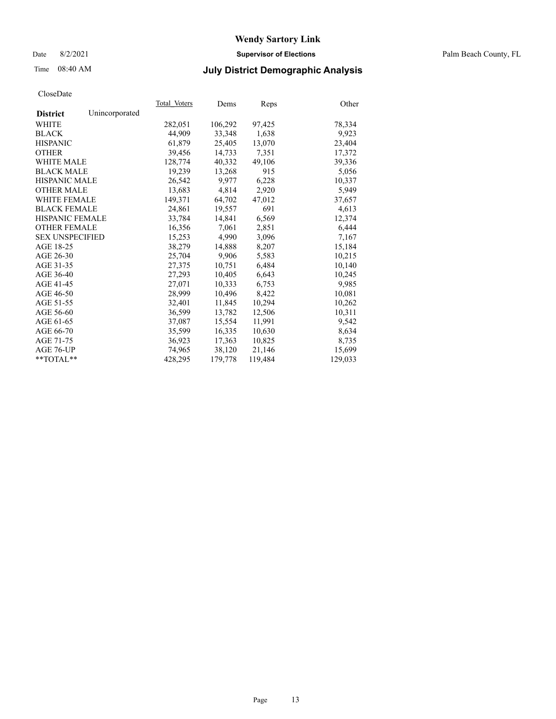### Date 8/2/2021 **Supervisor of Elections** Palm Beach County, FL

## Time 08:40 AM **July District Demographic Analysis**

|                        |                | Total Voters | Dems    | Reps    | Other   |
|------------------------|----------------|--------------|---------|---------|---------|
| <b>District</b>        | Unincorporated |              |         |         |         |
| WHITE                  |                | 282,051      | 106,292 | 97,425  | 78,334  |
| <b>BLACK</b>           |                | 44,909       | 33,348  | 1,638   | 9,923   |
| <b>HISPANIC</b>        |                | 61,879       | 25,405  | 13,070  | 23,404  |
| <b>OTHER</b>           |                | 39,456       | 14,733  | 7,351   | 17,372  |
| <b>WHITE MALE</b>      |                | 128,774      | 40,332  | 49,106  | 39,336  |
| <b>BLACK MALE</b>      |                | 19,239       | 13,268  | 915     | 5,056   |
| <b>HISPANIC MALE</b>   |                | 26,542       | 9,977   | 6,228   | 10,337  |
| <b>OTHER MALE</b>      |                | 13,683       | 4,814   | 2,920   | 5,949   |
| <b>WHITE FEMALE</b>    |                | 149,371      | 64,702  | 47,012  | 37,657  |
| <b>BLACK FEMALE</b>    |                | 24,861       | 19,557  | 691     | 4,613   |
| HISPANIC FEMALE        |                | 33,784       | 14,841  | 6,569   | 12,374  |
| <b>OTHER FEMALE</b>    |                | 16,356       | 7.061   | 2,851   | 6,444   |
| <b>SEX UNSPECIFIED</b> |                | 15,253       | 4,990   | 3,096   | 7,167   |
| AGE 18-25              |                | 38,279       | 14,888  | 8,207   | 15,184  |
| AGE 26-30              |                | 25.704       | 9.906   | 5,583   | 10,215  |
| AGE 31-35              |                | 27,375       | 10,751  | 6,484   | 10,140  |
| AGE 36-40              |                | 27,293       | 10,405  | 6,643   | 10,245  |
| AGE 41-45              |                | 27.071       | 10,333  | 6,753   | 9,985   |
| AGE 46-50              |                | 28,999       | 10,496  | 8,422   | 10,081  |
| AGE 51-55              |                | 32.401       | 11,845  | 10,294  | 10,262  |
| AGE 56-60              |                | 36,599       | 13,782  | 12,506  | 10,311  |
| AGE 61-65              |                | 37,087       | 15,554  | 11,991  | 9,542   |
| AGE 66-70              |                | 35,599       | 16,335  | 10,630  | 8,634   |
| AGE 71-75              |                | 36,923       | 17,363  | 10,825  | 8,735   |
| AGE 76-UP              |                | 74,965       | 38,120  | 21,146  | 15,699  |
| $*$ $TOTAL**$          |                | 428,295      | 179,778 | 119,484 | 129,033 |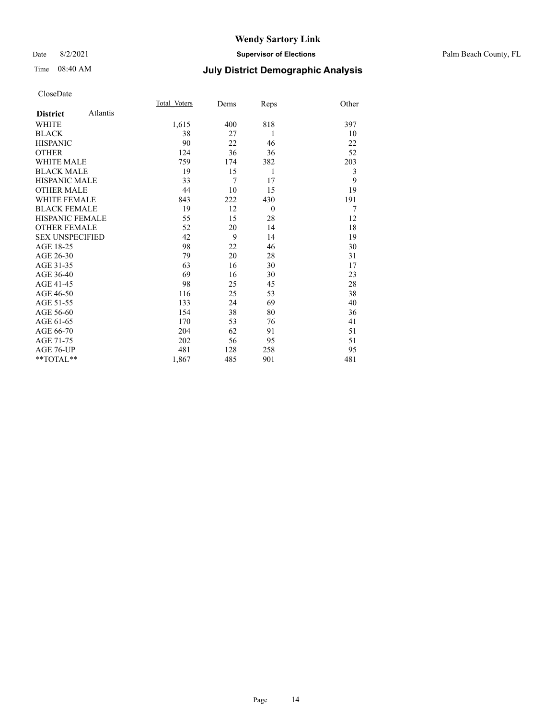### Date 8/2/2021 **Supervisor of Elections** Palm Beach County, FL

## Time 08:40 AM **July District Demographic Analysis**

|                        |          | Total Voters | Dems           | Reps     | Other |
|------------------------|----------|--------------|----------------|----------|-------|
| <b>District</b>        | Atlantis |              |                |          |       |
| <b>WHITE</b>           |          | 1,615        | 400            | 818      | 397   |
| <b>BLACK</b>           |          | 38           | 27             | 1        | 10    |
| <b>HISPANIC</b>        |          | 90           | 22             | 46       | 22    |
| <b>OTHER</b>           |          | 124          | 36             | 36       | 52    |
| <b>WHITE MALE</b>      |          | 759          | 174            | 382      | 203   |
| <b>BLACK MALE</b>      |          | 19           | 15             | 1        | 3     |
| <b>HISPANIC MALE</b>   |          | 33           | $\overline{7}$ | 17       | 9     |
| <b>OTHER MALE</b>      |          | 44           | 10             | 15       | 19    |
| <b>WHITE FEMALE</b>    |          | 843          | 222            | 430      | 191   |
| <b>BLACK FEMALE</b>    |          | 19           | 12             | $\theta$ | 7     |
| <b>HISPANIC FEMALE</b> |          | 55           | 15             | 28       | 12    |
| <b>OTHER FEMALE</b>    |          | 52           | 20             | 14       | 18    |
| <b>SEX UNSPECIFIED</b> |          | 42           | 9              | 14       | 19    |
| AGE 18-25              |          | 98           | 22             | 46       | 30    |
| AGE 26-30              |          | 79           | 20             | 28       | 31    |
| AGE 31-35              |          | 63           | 16             | 30       | 17    |
| AGE 36-40              |          | 69           | 16             | 30       | 23    |
| AGE 41-45              |          | 98           | 25             | 45       | 28    |
| AGE 46-50              |          | 116          | 25             | 53       | 38    |
| AGE 51-55              |          | 133          | 24             | 69       | 40    |
| AGE 56-60              |          | 154          | 38             | 80       | 36    |
| AGE 61-65              |          | 170          | 53             | 76       | 41    |
| AGE 66-70              |          | 204          | 62             | 91       | 51    |
| AGE 71-75              |          | 202          | 56             | 95       | 51    |
| AGE 76-UP              |          | 481          | 128            | 258      | 95    |
| $*$ $TOTAL**$          |          | 1,867        | 485            | 901      | 481   |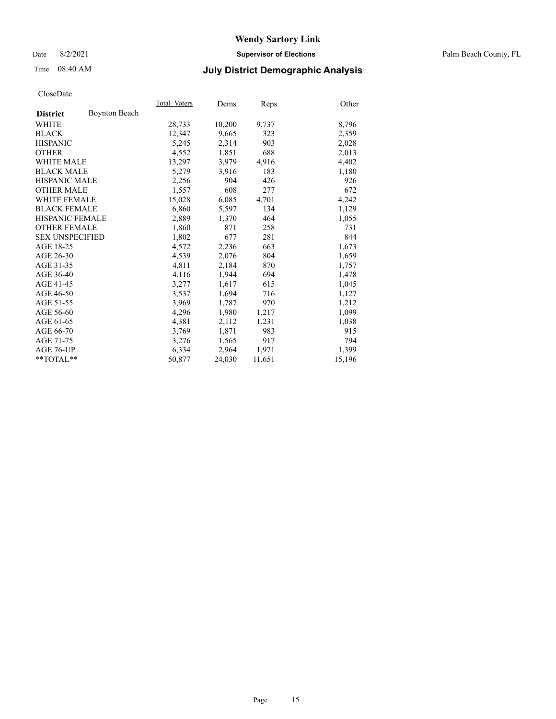### Date 8/2/2021 **Supervisor of Elections** Palm Beach County, FL

## Time 08:40 AM **July District Demographic Analysis**

|                        |                      | Total Voters | Dems   | Reps   | Other  |
|------------------------|----------------------|--------------|--------|--------|--------|
| <b>District</b>        | <b>Boynton Beach</b> |              |        |        |        |
| WHITE                  |                      | 28,733       | 10,200 | 9,737  | 8,796  |
| <b>BLACK</b>           |                      | 12,347       | 9,665  | 323    | 2,359  |
| <b>HISPANIC</b>        |                      | 5,245        | 2,314  | 903    | 2,028  |
| <b>OTHER</b>           |                      | 4,552        | 1,851  | 688    | 2,013  |
| <b>WHITE MALE</b>      |                      | 13,297       | 3,979  | 4,916  | 4,402  |
| <b>BLACK MALE</b>      |                      | 5,279        | 3,916  | 183    | 1,180  |
| <b>HISPANIC MALE</b>   |                      | 2,256        | 904    | 426    | 926    |
| <b>OTHER MALE</b>      |                      | 1,557        | 608    | 277    | 672    |
| <b>WHITE FEMALE</b>    |                      | 15,028       | 6,085  | 4,701  | 4,242  |
| <b>BLACK FEMALE</b>    |                      | 6,860        | 5,597  | 134    | 1,129  |
| <b>HISPANIC FEMALE</b> |                      | 2,889        | 1,370  | 464    | 1,055  |
| <b>OTHER FEMALE</b>    |                      | 1,860        | 871    | 258    | 731    |
| <b>SEX UNSPECIFIED</b> |                      | 1,802        | 677    | 281    | 844    |
| AGE 18-25              |                      | 4,572        | 2,236  | 663    | 1,673  |
| AGE 26-30              |                      | 4,539        | 2,076  | 804    | 1,659  |
| AGE 31-35              |                      | 4,811        | 2,184  | 870    | 1,757  |
| AGE 36-40              |                      | 4,116        | 1,944  | 694    | 1,478  |
| AGE 41-45              |                      | 3,277        | 1,617  | 615    | 1,045  |
| AGE 46-50              |                      | 3,537        | 1,694  | 716    | 1,127  |
| AGE 51-55              |                      | 3,969        | 1,787  | 970    | 1,212  |
| AGE 56-60              |                      | 4,296        | 1,980  | 1,217  | 1,099  |
| AGE 61-65              |                      | 4,381        | 2,112  | 1,231  | 1,038  |
| AGE 66-70              |                      | 3,769        | 1,871  | 983    | 915    |
| AGE 71-75              |                      | 3,276        | 1,565  | 917    | 794    |
| AGE 76-UP              |                      | 6,334        | 2,964  | 1,971  | 1,399  |
| $*$ $TOTAL**$          |                      | 50,877       | 24,030 | 11,651 | 15,196 |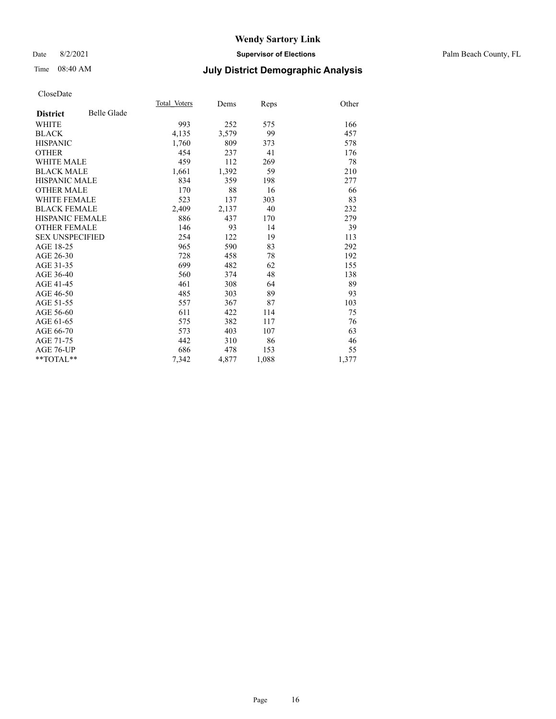### Date 8/2/2021 **Supervisor of Elections** Palm Beach County, FL

## Time 08:40 AM **July District Demographic Analysis**

|                        |             | Total Voters | Dems  | Reps  | Other |
|------------------------|-------------|--------------|-------|-------|-------|
| <b>District</b>        | Belle Glade |              |       |       |       |
| WHITE                  |             | 993          | 252   | 575   | 166   |
| <b>BLACK</b>           |             | 4,135        | 3,579 | 99    | 457   |
| <b>HISPANIC</b>        |             | 1,760        | 809   | 373   | 578   |
| <b>OTHER</b>           |             | 454          | 237   | 41    | 176   |
| <b>WHITE MALE</b>      |             | 459          | 112   | 269   | 78    |
| <b>BLACK MALE</b>      |             | 1,661        | 1,392 | 59    | 210   |
| <b>HISPANIC MALE</b>   |             | 834          | 359   | 198   | 277   |
| <b>OTHER MALE</b>      |             | 170          | 88    | 16    | 66    |
| <b>WHITE FEMALE</b>    |             | 523          | 137   | 303   | 83    |
| <b>BLACK FEMALE</b>    |             | 2,409        | 2,137 | 40    | 232   |
| <b>HISPANIC FEMALE</b> |             | 886          | 437   | 170   | 279   |
| <b>OTHER FEMALE</b>    |             | 146          | 93    | 14    | 39    |
| <b>SEX UNSPECIFIED</b> |             | 254          | 122   | 19    | 113   |
| AGE 18-25              |             | 965          | 590   | 83    | 292   |
| AGE 26-30              |             | 728          | 458   | 78    | 192   |
| AGE 31-35              |             | 699          | 482   | 62    | 155   |
| AGE 36-40              |             | 560          | 374   | 48    | 138   |
| AGE 41-45              |             | 461          | 308   | 64    | 89    |
| AGE 46-50              |             | 485          | 303   | 89    | 93    |
| AGE 51-55              |             | 557          | 367   | 87    | 103   |
| AGE 56-60              |             | 611          | 422   | 114   | 75    |
| AGE 61-65              |             | 575          | 382   | 117   | 76    |
| AGE 66-70              |             | 573          | 403   | 107   | 63    |
| AGE 71-75              |             | 442          | 310   | 86    | 46    |
| AGE 76-UP              |             | 686          | 478   | 153   | 55    |
| $*$ $TOTAL**$          |             | 7,342        | 4,877 | 1,088 | 1,377 |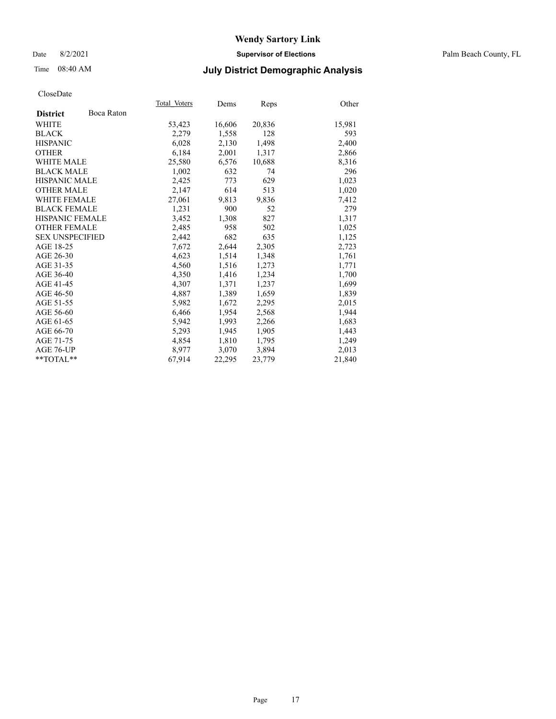Date 8/2/2021 **Supervisor of Elections** Palm Beach County, FL

## Time 08:40 AM **July District Demographic Analysis**

|                        |            | Total Voters | Dems   | <b>Reps</b> | Other  |
|------------------------|------------|--------------|--------|-------------|--------|
| <b>District</b>        | Boca Raton |              |        |             |        |
| WHITE                  |            | 53,423       | 16,606 | 20,836      | 15,981 |
| <b>BLACK</b>           |            | 2,279        | 1,558  | 128         | 593    |
| <b>HISPANIC</b>        |            | 6,028        | 2,130  | 1,498       | 2,400  |
| <b>OTHER</b>           |            | 6,184        | 2,001  | 1,317       | 2,866  |
| <b>WHITE MALE</b>      |            | 25,580       | 6,576  | 10,688      | 8,316  |
| <b>BLACK MALE</b>      |            | 1,002        | 632    | 74          | 296    |
| <b>HISPANIC MALE</b>   |            | 2,425        | 773    | 629         | 1,023  |
| <b>OTHER MALE</b>      |            | 2,147        | 614    | 513         | 1,020  |
| <b>WHITE FEMALE</b>    |            | 27,061       | 9,813  | 9,836       | 7,412  |
| <b>BLACK FEMALE</b>    |            | 1,231        | 900    | 52          | 279    |
| <b>HISPANIC FEMALE</b> |            | 3,452        | 1,308  | 827         | 1,317  |
| <b>OTHER FEMALE</b>    |            | 2,485        | 958    | 502         | 1,025  |
| <b>SEX UNSPECIFIED</b> |            | 2,442        | 682    | 635         | 1,125  |
| AGE 18-25              |            | 7,672        | 2,644  | 2,305       | 2,723  |
| AGE 26-30              |            | 4,623        | 1,514  | 1,348       | 1,761  |
| AGE 31-35              |            | 4,560        | 1,516  | 1,273       | 1,771  |
| AGE 36-40              |            | 4,350        | 1,416  | 1,234       | 1,700  |
| AGE 41-45              |            | 4,307        | 1,371  | 1,237       | 1,699  |
| AGE 46-50              |            | 4,887        | 1,389  | 1,659       | 1,839  |
| AGE 51-55              |            | 5,982        | 1,672  | 2,295       | 2,015  |
| AGE 56-60              |            | 6,466        | 1,954  | 2,568       | 1,944  |
| AGE 61-65              |            | 5,942        | 1,993  | 2,266       | 1,683  |
| AGE 66-70              |            | 5,293        | 1,945  | 1,905       | 1,443  |
| AGE 71-75              |            | 4,854        | 1,810  | 1,795       | 1,249  |
| AGE 76-UP              |            | 8.977        | 3,070  | 3,894       | 2,013  |
| $*$ $TOTAL**$          |            | 67,914       | 22,295 | 23,779      | 21,840 |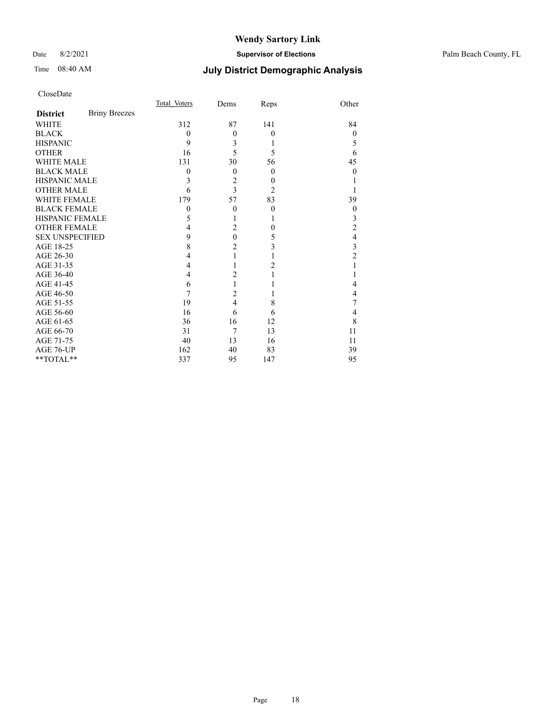### Date 8/2/2021 **Supervisor of Elections** Palm Beach County, FL

## Time 08:40 AM **July District Demographic Analysis**

|                        |                      | Total Voters | Dems             | Reps             | Other            |
|------------------------|----------------------|--------------|------------------|------------------|------------------|
| <b>District</b>        | <b>Briny Breezes</b> |              |                  |                  |                  |
| <b>WHITE</b>           |                      | 312          | 87               | 141              | 84               |
| <b>BLACK</b>           |                      | $\theta$     | $\theta$         | $\mathbf{0}$     | $\theta$         |
| <b>HISPANIC</b>        |                      | 9            | 3                | 1                | 5                |
| <b>OTHER</b>           |                      | 16           | 5                | 5                | 6                |
| <b>WHITE MALE</b>      |                      | 131          | 30               | 56               | 45               |
| <b>BLACK MALE</b>      |                      | $\theta$     | $\theta$         | $\theta$         | 0                |
| <b>HISPANIC MALE</b>   |                      | 3            | $\overline{c}$   | $\boldsymbol{0}$ |                  |
| <b>OTHER MALE</b>      |                      | 6            | $\overline{3}$   | $\overline{2}$   |                  |
| <b>WHITE FEMALE</b>    |                      | 179          | 57               | 83               | 39               |
| <b>BLACK FEMALE</b>    |                      | $\theta$     | $\theta$         | $\mathbf{0}$     | $\boldsymbol{0}$ |
| HISPANIC FEMALE        |                      | 5            | 1                | 1                | 3                |
| <b>OTHER FEMALE</b>    |                      | 4            | $\overline{2}$   | $\theta$         | $\overline{c}$   |
| <b>SEX UNSPECIFIED</b> |                      | 9            | $\boldsymbol{0}$ | 5                | $\overline{4}$   |
| AGE 18-25              |                      | 8            | $\overline{c}$   | 3                | 3                |
| AGE 26-30              |                      | 4            | 1                | 1                | $\overline{c}$   |
| AGE 31-35              |                      | 4            | 1                | $\overline{2}$   |                  |
| AGE 36-40              |                      | 4            | $\overline{2}$   | 1                |                  |
| AGE 41-45              |                      | 6            | 1                |                  | 4                |
| AGE 46-50              |                      | 7            | $\overline{2}$   |                  | 4                |
| AGE 51-55              |                      | 19           | $\overline{4}$   | 8                | 7                |
| AGE 56-60              |                      | 16           | 6                | 6                | 4                |
| AGE 61-65              |                      | 36           | 16               | 12               | 8                |
| AGE 66-70              |                      | 31           | 7                | 13               | 11               |
| AGE 71-75              |                      | 40           | 13               | 16               | 11               |
| AGE 76-UP              |                      | 162          | 40               | 83               | 39               |
| **TOTAL**              |                      | 337          | 95               | 147              | 95               |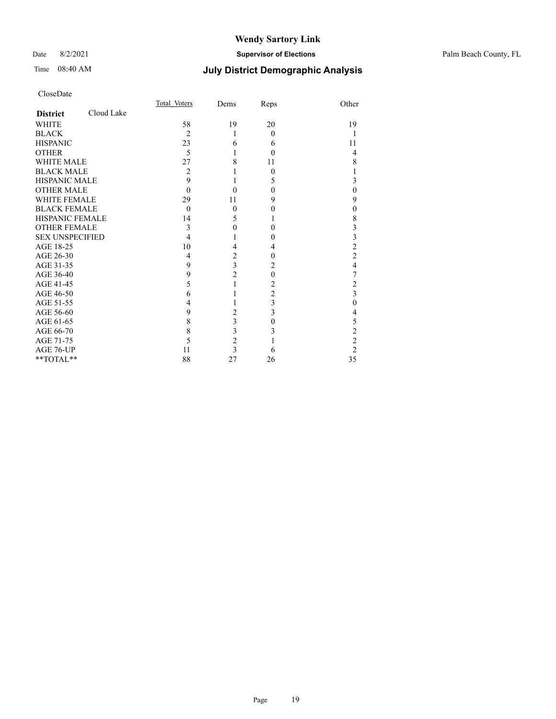### Date 8/2/2021 **Supervisor of Elections** Palm Beach County, FL

## Time 08:40 AM **July District Demographic Analysis**

|                        |            | Total Voters   | Dems                    | Reps           | Other                   |
|------------------------|------------|----------------|-------------------------|----------------|-------------------------|
| <b>District</b>        | Cloud Lake |                |                         |                |                         |
| <b>WHITE</b>           |            | 58             | 19                      | 20             | 19                      |
| <b>BLACK</b>           |            | $\overline{c}$ | 1                       | $\theta$       |                         |
| <b>HISPANIC</b>        |            | 23             | 6                       | 6              | 11                      |
| <b>OTHER</b>           |            | 5              | 1                       | $\theta$       | 4                       |
| WHITE MALE             |            | 27             | 8                       | 11             | 8                       |
| <b>BLACK MALE</b>      |            | 2              |                         | $\theta$       | 1                       |
| <b>HISPANIC MALE</b>   |            | 9              | 1                       | 5              | 3                       |
| <b>OTHER MALE</b>      |            | $\theta$       | 0                       | $\theta$       | $\mathbf{0}$            |
| <b>WHITE FEMALE</b>    |            | 29             | 11                      | 9              | 9                       |
| <b>BLACK FEMALE</b>    |            | $\mathbf{0}$   | $\mathbf{0}$            | 0              | $\mathbf{0}$            |
| <b>HISPANIC FEMALE</b> |            | 14             | 5                       | 1              | 8                       |
| <b>OTHER FEMALE</b>    |            | 3              | 0                       | $\Omega$       | 3                       |
| <b>SEX UNSPECIFIED</b> |            | 4              | 1                       | 0              | 3                       |
| AGE 18-25              |            | 10             | 4                       | 4              | $\overline{c}$          |
| AGE 26-30              |            | 4              | $\overline{c}$          | $\theta$       | $\overline{c}$          |
| AGE 31-35              |            | 9              | $\overline{\mathbf{3}}$ | 2              | $\overline{4}$          |
| AGE 36-40              |            | 9              | $\overline{2}$          | $\theta$       | 7                       |
| AGE 41-45              |            | 5              | 1                       | 2              | $\overline{\mathbf{c}}$ |
| AGE 46-50              |            | 6              | 1                       | $\overline{c}$ | $\overline{\mathbf{3}}$ |
| AGE 51-55              |            | 4              |                         | 3              | $\overline{0}$          |
| AGE 56-60              |            | 9              | $\overline{c}$          | 3              | 4                       |
| AGE 61-65              |            | 8              | 3                       | $\theta$       | 5                       |
| AGE 66-70              |            | 8              | 3                       | 3              | $\overline{c}$          |
| AGE 71-75              |            | 5              | $\overline{c}$          |                | $\overline{c}$          |
| AGE 76-UP              |            | 11             | $\overline{3}$          | 6              | $\overline{2}$          |
| **TOTAL**              |            | 88             | 27                      | 26             | 35                      |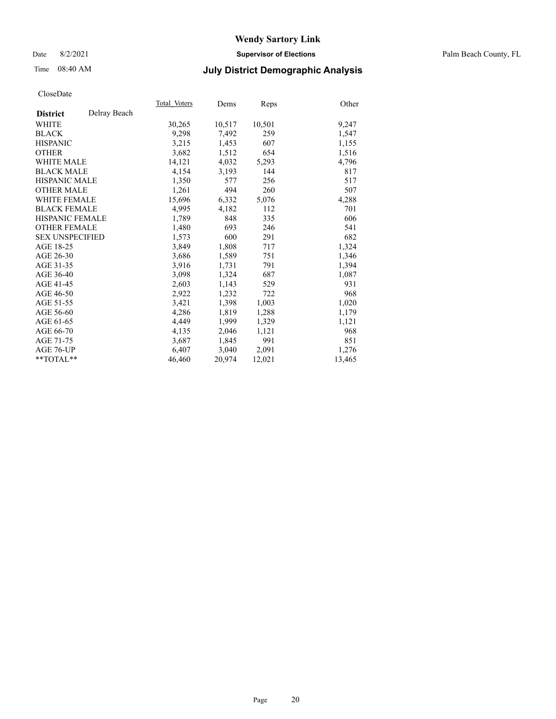### Date 8/2/2021 **Supervisor of Elections** Palm Beach County, FL

## Time 08:40 AM **July District Demographic Analysis**

|                        |              | Total Voters | Dems   | <b>Reps</b> | Other  |
|------------------------|--------------|--------------|--------|-------------|--------|
| <b>District</b>        | Delray Beach |              |        |             |        |
| WHITE                  |              | 30,265       | 10,517 | 10,501      | 9,247  |
| <b>BLACK</b>           |              | 9,298        | 7,492  | 259         | 1,547  |
| <b>HISPANIC</b>        |              | 3,215        | 1,453  | 607         | 1,155  |
| <b>OTHER</b>           |              | 3,682        | 1,512  | 654         | 1,516  |
| <b>WHITE MALE</b>      |              | 14,121       | 4,032  | 5,293       | 4,796  |
| <b>BLACK MALE</b>      |              | 4,154        | 3,193  | 144         | 817    |
| <b>HISPANIC MALE</b>   |              | 1,350        | 577    | 256         | 517    |
| <b>OTHER MALE</b>      |              | 1,261        | 494    | 260         | 507    |
| <b>WHITE FEMALE</b>    |              | 15,696       | 6,332  | 5,076       | 4,288  |
| <b>BLACK FEMALE</b>    |              | 4,995        | 4,182  | 112         | 701    |
| <b>HISPANIC FEMALE</b> |              | 1,789        | 848    | 335         | 606    |
| <b>OTHER FEMALE</b>    |              | 1,480        | 693    | 246         | 541    |
| <b>SEX UNSPECIFIED</b> |              | 1,573        | 600    | 291         | 682    |
| AGE 18-25              |              | 3,849        | 1,808  | 717         | 1,324  |
| AGE 26-30              |              | 3,686        | 1,589  | 751         | 1,346  |
| AGE 31-35              |              | 3,916        | 1,731  | 791         | 1,394  |
| AGE 36-40              |              | 3,098        | 1,324  | 687         | 1,087  |
| AGE 41-45              |              | 2,603        | 1,143  | 529         | 931    |
| AGE 46-50              |              | 2,922        | 1,232  | 722         | 968    |
| AGE 51-55              |              | 3,421        | 1,398  | 1,003       | 1,020  |
| AGE 56-60              |              | 4,286        | 1,819  | 1,288       | 1,179  |
| AGE 61-65              |              | 4,449        | 1,999  | 1,329       | 1,121  |
| AGE 66-70              |              | 4,135        | 2,046  | 1,121       | 968    |
| AGE 71-75              |              | 3,687        | 1,845  | 991         | 851    |
| AGE 76-UP              |              | 6,407        | 3,040  | 2,091       | 1,276  |
| $*$ $TOTAL**$          |              | 46,460       | 20,974 | 12,021      | 13,465 |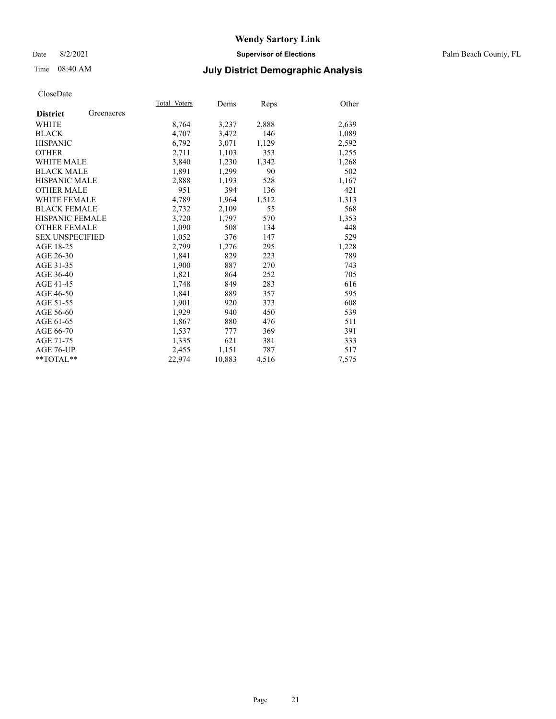### Date 8/2/2021 **Supervisor of Elections** Palm Beach County, FL

## Time 08:40 AM **July District Demographic Analysis**

|                        |            | Total Voters | Dems   | <b>Reps</b> | Other |
|------------------------|------------|--------------|--------|-------------|-------|
| <b>District</b>        | Greenacres |              |        |             |       |
| WHITE                  |            | 8,764        | 3,237  | 2,888       | 2,639 |
| <b>BLACK</b>           |            | 4,707        | 3,472  | 146         | 1,089 |
| <b>HISPANIC</b>        |            | 6,792        | 3.071  | 1,129       | 2,592 |
| <b>OTHER</b>           |            | 2,711        | 1,103  | 353         | 1,255 |
| <b>WHITE MALE</b>      |            | 3,840        | 1,230  | 1,342       | 1,268 |
| <b>BLACK MALE</b>      |            | 1,891        | 1,299  | 90          | 502   |
| <b>HISPANIC MALE</b>   |            | 2,888        | 1,193  | 528         | 1,167 |
| <b>OTHER MALE</b>      |            | 951          | 394    | 136         | 421   |
| <b>WHITE FEMALE</b>    |            | 4,789        | 1,964  | 1,512       | 1,313 |
| <b>BLACK FEMALE</b>    |            | 2,732        | 2,109  | 55          | 568   |
| <b>HISPANIC FEMALE</b> |            | 3,720        | 1,797  | 570         | 1,353 |
| <b>OTHER FEMALE</b>    |            | 1,090        | 508    | 134         | 448   |
| <b>SEX UNSPECIFIED</b> |            | 1,052        | 376    | 147         | 529   |
| AGE 18-25              |            | 2,799        | 1,276  | 295         | 1,228 |
| AGE 26-30              |            | 1,841        | 829    | 223         | 789   |
| AGE 31-35              |            | 1,900        | 887    | 270         | 743   |
| AGE 36-40              |            | 1,821        | 864    | 252         | 705   |
| AGE 41-45              |            | 1,748        | 849    | 283         | 616   |
| AGE 46-50              |            | 1,841        | 889    | 357         | 595   |
| AGE 51-55              |            | 1,901        | 920    | 373         | 608   |
| AGE 56-60              |            | 1,929        | 940    | 450         | 539   |
| AGE 61-65              |            | 1,867        | 880    | 476         | 511   |
| AGE 66-70              |            | 1,537        | 777    | 369         | 391   |
| AGE 71-75              |            | 1,335        | 621    | 381         | 333   |
| AGE 76-UP              |            | 2,455        | 1,151  | 787         | 517   |
| $*$ $TOTAL**$          |            | 22,974       | 10,883 | 4,516       | 7,575 |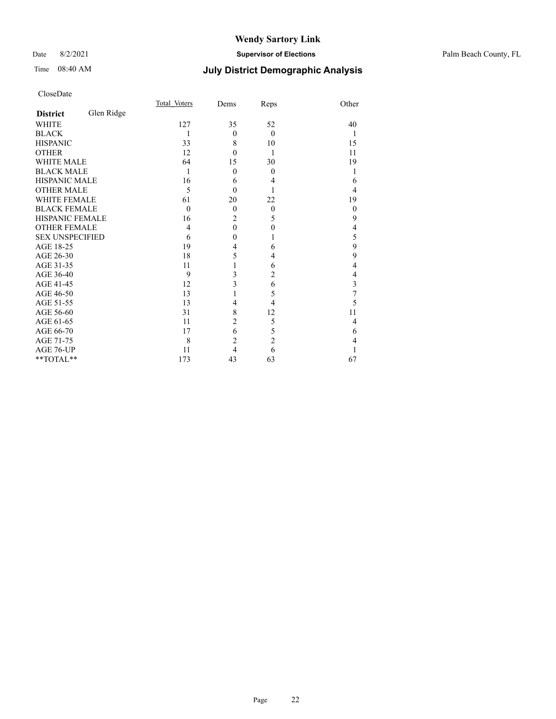### Date 8/2/2021 **Supervisor of Elections** Palm Beach County, FL

## Time 08:40 AM **July District Demographic Analysis**

|                        |            | <b>Total Voters</b> | Dems           | Reps           | Other        |
|------------------------|------------|---------------------|----------------|----------------|--------------|
| <b>District</b>        | Glen Ridge |                     |                |                |              |
| <b>WHITE</b>           |            | 127                 | 35             | 52             | 40           |
| <b>BLACK</b>           |            | 1                   | $\theta$       | $\theta$       | 1            |
| <b>HISPANIC</b>        |            | 33                  | 8              | 10             | 15           |
| <b>OTHER</b>           |            | 12                  | $\theta$       | 1              | 11           |
| WHITE MALE             |            | 64                  | 15             | 30             | 19           |
| <b>BLACK MALE</b>      |            | 1                   | $\theta$       | $\theta$       |              |
| <b>HISPANIC MALE</b>   |            | 16                  | 6              | 4              | 6            |
| <b>OTHER MALE</b>      |            | 5                   | $\theta$       |                | 4            |
| <b>WHITE FEMALE</b>    |            | 61                  | 20             | 22             | 19           |
| <b>BLACK FEMALE</b>    |            | $\theta$            | $\theta$       | $\theta$       | $\mathbf{0}$ |
| <b>HISPANIC FEMALE</b> |            | 16                  | $\overline{c}$ | 5              | 9            |
| <b>OTHER FEMALE</b>    |            | 4                   | $\mathbf{0}$   | $\mathbf{0}$   | 4            |
| <b>SEX UNSPECIFIED</b> |            | 6                   | $\mathbf{0}$   | 1              | 5            |
| AGE 18-25              |            | 19                  | $\overline{4}$ | 6              | 9            |
| AGE 26-30              |            | 18                  | 5              | 4              | 9            |
| AGE 31-35              |            | 11                  | 1              | 6              | 4            |
| AGE 36-40              |            | 9                   | 3              | $\overline{2}$ | 4            |
| AGE 41-45              |            | 12                  | 3              | 6              | 3            |
| AGE 46-50              |            | 13                  | 1              | 5              | 7            |
| AGE 51-55              |            | 13                  | 4              | 4              | 5            |
| AGE 56-60              |            | 31                  | 8              | 12             | 11           |
| AGE 61-65              |            | 11                  | $\overline{c}$ | 5              | 4            |
| AGE 66-70              |            | 17                  | 6              | 5              | 6            |
| AGE 71-75              |            | 8                   | $\overline{c}$ | $\overline{c}$ | 4            |
| AGE 76-UP              |            | 11                  | $\overline{4}$ | 6              |              |
| **TOTAL**              |            | 173                 | 43             | 63             | 67           |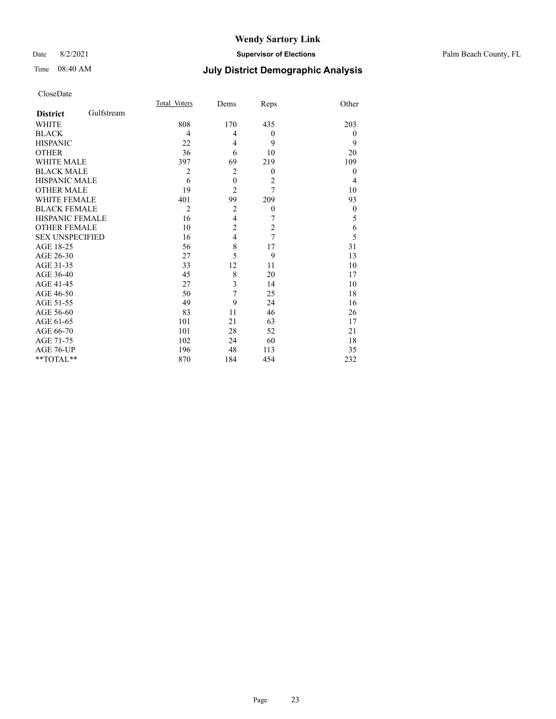### Date 8/2/2021 **Supervisor of Elections** Palm Beach County, FL

## Time 08:40 AM **July District Demographic Analysis**

|                        |            | Total Voters   | Dems                    | Reps             | Other          |
|------------------------|------------|----------------|-------------------------|------------------|----------------|
| <b>District</b>        | Gulfstream |                |                         |                  |                |
| <b>WHITE</b>           |            | 808            | 170                     | 435              | 203            |
| <b>BLACK</b>           |            | 4              | 4                       | $\boldsymbol{0}$ | $\theta$       |
| <b>HISPANIC</b>        |            | 22             | 4                       | 9                | 9              |
| <b>OTHER</b>           |            | 36             | 6                       | 10               | 20             |
| WHITE MALE             |            | 397            | 69                      | 219              | 109            |
| <b>BLACK MALE</b>      |            | $\overline{2}$ | $\overline{c}$          | $\theta$         | $\theta$       |
| <b>HISPANIC MALE</b>   |            | 6              | $\boldsymbol{0}$        | $\overline{2}$   | $\overline{4}$ |
| <b>OTHER MALE</b>      |            | 19             | $\overline{2}$          | 7                | 10             |
| WHITE FEMALE           |            | 401            | 99                      | 209              | 93             |
| <b>BLACK FEMALE</b>    |            | $\overline{2}$ | $\overline{2}$          | $\theta$         | $\theta$       |
| <b>HISPANIC FEMALE</b> |            | 16             | $\overline{\mathbf{4}}$ | 7                | 5              |
| <b>OTHER FEMALE</b>    |            | 10             | $\overline{c}$          | $\overline{c}$   | 6              |
| <b>SEX UNSPECIFIED</b> |            | 16             | $\overline{4}$          | 7                | 5              |
| AGE 18-25              |            | 56             | 8                       | 17               | 31             |
| AGE 26-30              |            | 27             | 5                       | 9                | 13             |
| AGE 31-35              |            | 33             | 12                      | 11               | 10             |
| AGE 36-40              |            | 45             | 8                       | 20               | 17             |
| AGE 41-45              |            | 27             | 3                       | 14               | 10             |
| AGE 46-50              |            | 50             | 7                       | 25               | 18             |
| AGE 51-55              |            | 49             | 9                       | 24               | 16             |
| AGE 56-60              |            | 83             | 11                      | 46               | 26             |
| AGE 61-65              |            | 101            | 21                      | 63               | 17             |
| AGE 66-70              |            | 101            | 28                      | 52               | 21             |
| AGE 71-75              |            | 102            | 24                      | 60               | 18             |
| AGE 76-UP              |            | 196            | 48                      | 113              | 35             |
| **TOTAL**              |            | 870            | 184                     | 454              | 232            |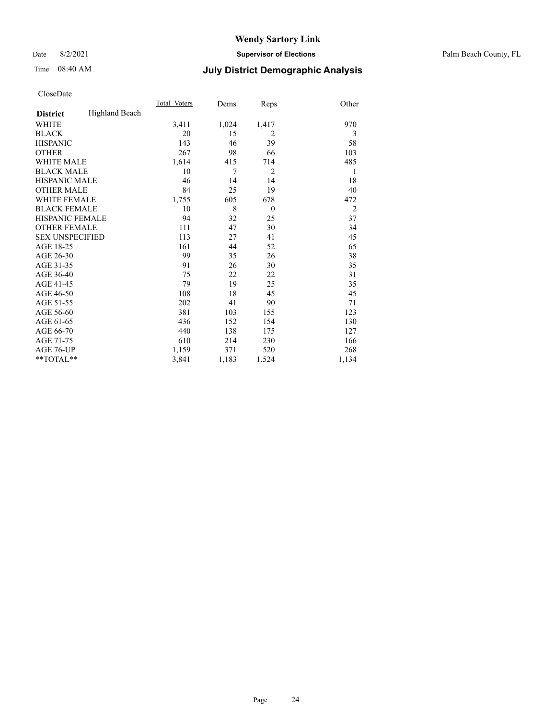### Date 8/2/2021 **Supervisor of Elections** Palm Beach County, FL

## Time 08:40 AM **July District Demographic Analysis**

|                        |                       | Total Voters | Dems  | Reps           | Other          |
|------------------------|-----------------------|--------------|-------|----------------|----------------|
| <b>District</b>        | <b>Highland Beach</b> |              |       |                |                |
| WHITE                  |                       | 3,411        | 1,024 | 1,417          | 970            |
| <b>BLACK</b>           |                       | 20           | 15    | $\overline{2}$ | 3              |
| <b>HISPANIC</b>        |                       | 143          | 46    | 39             | 58             |
| <b>OTHER</b>           |                       | 267          | 98    | 66             | 103            |
| <b>WHITE MALE</b>      |                       | 1,614        | 415   | 714            | 485            |
| <b>BLACK MALE</b>      |                       | 10           | 7     | $\overline{c}$ | 1              |
| <b>HISPANIC MALE</b>   |                       | 46           | 14    | 14             | 18             |
| <b>OTHER MALE</b>      |                       | 84           | 25    | 19             | 40             |
| <b>WHITE FEMALE</b>    |                       | 1,755        | 605   | 678            | 472            |
| <b>BLACK FEMALE</b>    |                       | 10           | 8     | $\mathbf{0}$   | $\overline{2}$ |
| HISPANIC FEMALE        |                       | 94           | 32    | 25             | 37             |
| <b>OTHER FEMALE</b>    |                       | 111          | 47    | 30             | 34             |
| <b>SEX UNSPECIFIED</b> |                       | 113          | 27    | 41             | 45             |
| AGE 18-25              |                       | 161          | 44    | 52             | 65             |
| AGE 26-30              |                       | 99           | 35    | 26             | 38             |
| AGE 31-35              |                       | 91           | 26    | 30             | 35             |
| AGE 36-40              |                       | 75           | 22    | 22             | 31             |
| AGE 41-45              |                       | 79           | 19    | 25             | 35             |
| AGE 46-50              |                       | 108          | 18    | 45             | 45             |
| AGE 51-55              |                       | 202          | 41    | 90             | 71             |
| AGE 56-60              |                       | 381          | 103   | 155            | 123            |
| AGE 61-65              |                       | 436          | 152   | 154            | 130            |
| AGE 66-70              |                       | 440          | 138   | 175            | 127            |
| AGE 71-75              |                       | 610          | 214   | 230            | 166            |
| AGE 76-UP              |                       | 1,159        | 371   | 520            | 268            |
| $*$ $TOTAL**$          |                       | 3,841        | 1,183 | 1,524          | 1,134          |
|                        |                       |              |       |                |                |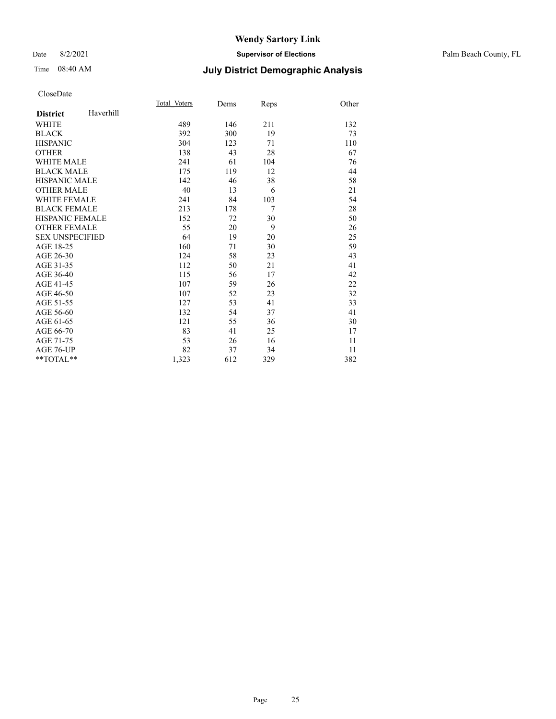### Date 8/2/2021 **Supervisor of Elections** Palm Beach County, FL

## Time 08:40 AM **July District Demographic Analysis**

|                        |           | Total Voters | Dems | Reps | Other |
|------------------------|-----------|--------------|------|------|-------|
| <b>District</b>        | Haverhill |              |      |      |       |
| <b>WHITE</b>           |           | 489          | 146  | 211  | 132   |
| <b>BLACK</b>           |           | 392          | 300  | 19   | 73    |
| <b>HISPANIC</b>        |           | 304          | 123  | 71   | 110   |
| <b>OTHER</b>           |           | 138          | 43   | 28   | 67    |
| WHITE MALE             |           | 241          | 61   | 104  | 76    |
| <b>BLACK MALE</b>      |           | 175          | 119  | 12   | 44    |
| <b>HISPANIC MALE</b>   |           | 142          | 46   | 38   | 58    |
| <b>OTHER MALE</b>      |           | 40           | 13   | 6    | 21    |
| <b>WHITE FEMALE</b>    |           | 241          | 84   | 103  | 54    |
| <b>BLACK FEMALE</b>    |           | 213          | 178  | 7    | 28    |
| <b>HISPANIC FEMALE</b> |           | 152          | 72   | 30   | 50    |
| <b>OTHER FEMALE</b>    |           | 55           | 20   | 9    | 26    |
| <b>SEX UNSPECIFIED</b> |           | 64           | 19   | 20   | 25    |
| AGE 18-25              |           | 160          | 71   | 30   | 59    |
| AGE 26-30              |           | 124          | 58   | 23   | 43    |
| AGE 31-35              |           | 112          | 50   | 21   | 41    |
| AGE 36-40              |           | 115          | 56   | 17   | 42    |
| AGE 41-45              |           | 107          | 59   | 26   | 22    |
| AGE 46-50              |           | 107          | 52   | 23   | 32    |
| AGE 51-55              |           | 127          | 53   | 41   | 33    |
| AGE 56-60              |           | 132          | 54   | 37   | 41    |
| AGE 61-65              |           | 121          | 55   | 36   | 30    |
| AGE 66-70              |           | 83           | 41   | 25   | 17    |
| AGE 71-75              |           | 53           | 26   | 16   | 11    |
| AGE 76-UP              |           | 82           | 37   | 34   | 11    |
| $*$ $TOTAL**$          |           | 1,323        | 612  | 329  | 382   |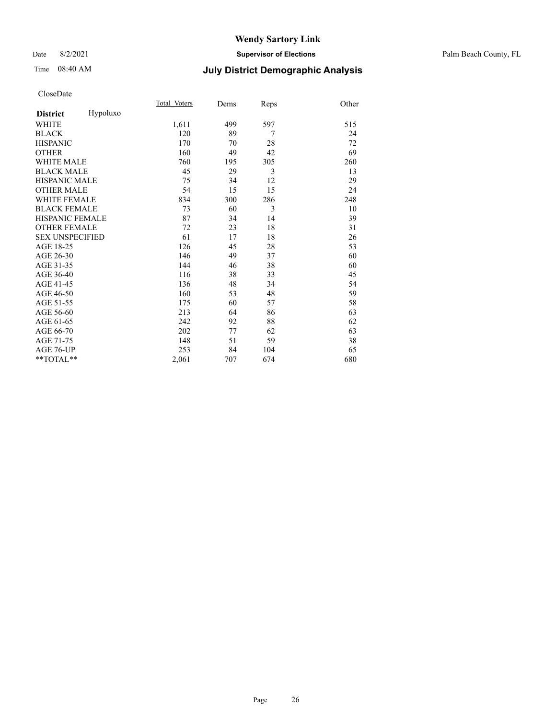### Date 8/2/2021 **Supervisor of Elections** Palm Beach County, FL

## Time 08:40 AM **July District Demographic Analysis**

|                        |          | Total Voters | Dems | Reps | Other |
|------------------------|----------|--------------|------|------|-------|
| <b>District</b>        | Hypoluxo |              |      |      |       |
| WHITE                  |          | 1,611        | 499  | 597  | 515   |
| <b>BLACK</b>           |          | 120          | 89   | 7    | 24    |
| <b>HISPANIC</b>        |          | 170          | 70   | 28   | 72    |
| <b>OTHER</b>           |          | 160          | 49   | 42   | 69    |
| <b>WHITE MALE</b>      |          | 760          | 195  | 305  | 260   |
| <b>BLACK MALE</b>      |          | 45           | 29   | 3    | 13    |
| <b>HISPANIC MALE</b>   |          | 75           | 34   | 12   | 29    |
| <b>OTHER MALE</b>      |          | 54           | 15   | 15   | 24    |
| <b>WHITE FEMALE</b>    |          | 834          | 300  | 286  | 248   |
| <b>BLACK FEMALE</b>    |          | 73           | 60   | 3    | 10    |
| <b>HISPANIC FEMALE</b> |          | 87           | 34   | 14   | 39    |
| <b>OTHER FEMALE</b>    |          | 72           | 23   | 18   | 31    |
| <b>SEX UNSPECIFIED</b> |          | 61           | 17   | 18   | 26    |
| AGE 18-25              |          | 126          | 45   | 28   | 53    |
| AGE 26-30              |          | 146          | 49   | 37   | 60    |
| AGE 31-35              |          | 144          | 46   | 38   | 60    |
| AGE 36-40              |          | 116          | 38   | 33   | 45    |
| AGE 41-45              |          | 136          | 48   | 34   | 54    |
| AGE 46-50              |          | 160          | 53   | 48   | 59    |
| AGE 51-55              |          | 175          | 60   | 57   | 58    |
| AGE 56-60              |          | 213          | 64   | 86   | 63    |
| AGE 61-65              |          | 242          | 92   | 88   | 62    |
| AGE 66-70              |          | 202          | 77   | 62   | 63    |
| AGE 71-75              |          | 148          | 51   | 59   | 38    |
| AGE 76-UP              |          | 253          | 84   | 104  | 65    |
| **TOTAL**              |          | 2,061        | 707  | 674  | 680   |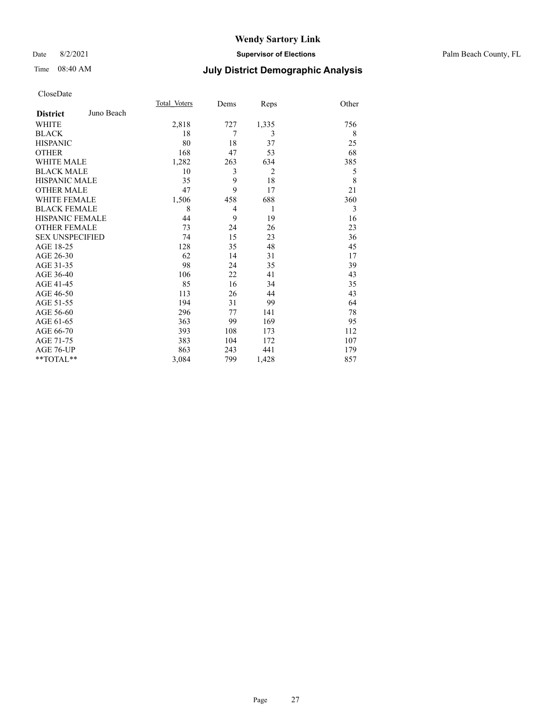## Date 8/2/2021 **Supervisor of Elections** Palm Beach County, FL

## Time 08:40 AM **July District Demographic Analysis**

|                        |            | Total Voters | Dems | Reps           | Other |
|------------------------|------------|--------------|------|----------------|-------|
| <b>District</b>        | Juno Beach |              |      |                |       |
| <b>WHITE</b>           |            | 2,818        | 727  | 1,335          | 756   |
| <b>BLACK</b>           |            | 18           | 7    | 3              | 8     |
| <b>HISPANIC</b>        |            | 80           | 18   | 37             | 25    |
| <b>OTHER</b>           |            | 168          | 47   | 53             | 68    |
| <b>WHITE MALE</b>      |            | 1,282        | 263  | 634            | 385   |
| <b>BLACK MALE</b>      |            | 10           | 3    | $\overline{2}$ | 5     |
| <b>HISPANIC MALE</b>   |            | 35           | 9    | 18             | 8     |
| <b>OTHER MALE</b>      |            | 47           | 9    | 17             | 21    |
| <b>WHITE FEMALE</b>    |            | 1,506        | 458  | 688            | 360   |
| <b>BLACK FEMALE</b>    |            | 8            | 4    | 1              | 3     |
| <b>HISPANIC FEMALE</b> |            | 44           | 9    | 19             | 16    |
| <b>OTHER FEMALE</b>    |            | 73           | 24   | 26             | 23    |
| <b>SEX UNSPECIFIED</b> |            | 74           | 15   | 23             | 36    |
| AGE 18-25              |            | 128          | 35   | 48             | 45    |
| AGE 26-30              |            | 62           | 14   | 31             | 17    |
| AGE 31-35              |            | 98           | 24   | 35             | 39    |
| AGE 36-40              |            | 106          | 22   | 41             | 43    |
| AGE 41-45              |            | 85           | 16   | 34             | 35    |
| AGE 46-50              |            | 113          | 26   | 44             | 43    |
| AGE 51-55              |            | 194          | 31   | 99             | 64    |
| AGE 56-60              |            | 296          | 77   | 141            | 78    |
| AGE 61-65              |            | 363          | 99   | 169            | 95    |
| AGE 66-70              |            | 393          | 108  | 173            | 112   |
| AGE 71-75              |            | 383          | 104  | 172            | 107   |
| AGE 76-UP              |            | 863          | 243  | 441            | 179   |
| **TOTAL**              |            | 3,084        | 799  | 1,428          | 857   |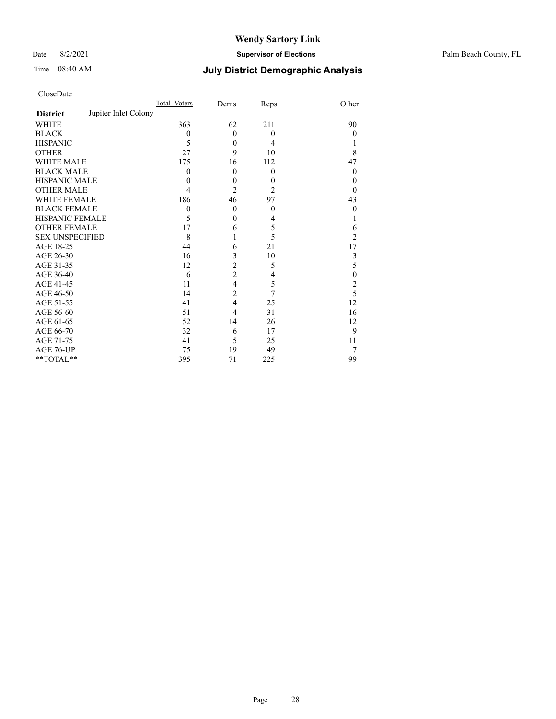Date 8/2/2021 **Supervisor of Elections** Palm Beach County, FL

## Time 08:40 AM **July District Demographic Analysis**

|                                         | Total Voters | Dems           | Reps           | Other                   |
|-----------------------------------------|--------------|----------------|----------------|-------------------------|
| Jupiter Inlet Colony<br><b>District</b> |              |                |                |                         |
| <b>WHITE</b>                            | 363          | 62             | 211            | 90                      |
| <b>BLACK</b>                            | $\theta$     | $\theta$       | $\theta$       | 0                       |
| <b>HISPANIC</b>                         | 5            | $\theta$       | 4              |                         |
| <b>OTHER</b>                            | 27           | 9              | 10             | 8                       |
| WHITE MALE                              | 175          | 16             | 112            | 47                      |
| <b>BLACK MALE</b>                       | 0            | $\theta$       | $\theta$       | $\theta$                |
| <b>HISPANIC MALE</b>                    | 0            | $\mathbf{0}$   | $\theta$       | 0                       |
| <b>OTHER MALE</b>                       | 4            | $\overline{c}$ | $\overline{2}$ | 0                       |
| WHITE FEMALE                            | 186          | 46             | 97             | 43                      |
| <b>BLACK FEMALE</b>                     | $\mathbf{0}$ | $\theta$       | $\theta$       | $\theta$                |
| <b>HISPANIC FEMALE</b>                  | 5            | $\mathbf{0}$   | 4              |                         |
| <b>OTHER FEMALE</b>                     | 17           | 6              | 5              | 6                       |
| <b>SEX UNSPECIFIED</b>                  | 8            |                | 5              | 2                       |
| AGE 18-25                               | 44           | 6              | 21             | 17                      |
| AGE 26-30                               | 16           | 3              | 10             | 3                       |
| AGE 31-35                               | 12           | $\overline{c}$ | 5              | 5                       |
| AGE 36-40                               | 6            | $\overline{2}$ | 4              | $\mathbf{0}$            |
| AGE 41-45                               | 11           | $\overline{4}$ | 5              | $\overline{\mathbf{c}}$ |
| AGE 46-50                               | 14           | $\overline{2}$ | 7              | 5                       |
| AGE 51-55                               | 41           | 4              | 25             | 12                      |
| AGE 56-60                               | 51           | 4              | 31             | 16                      |
| AGE 61-65                               | 52           | 14             | 26             | 12                      |
| AGE 66-70                               | 32           | 6              | 17             | 9                       |
| AGE 71-75                               | 41           | 5              | 25             | 11                      |
| AGE 76-UP                               | 75           | 19             | 49             | 7                       |
| **TOTAL**                               | 395          | 71             | 225            | 99                      |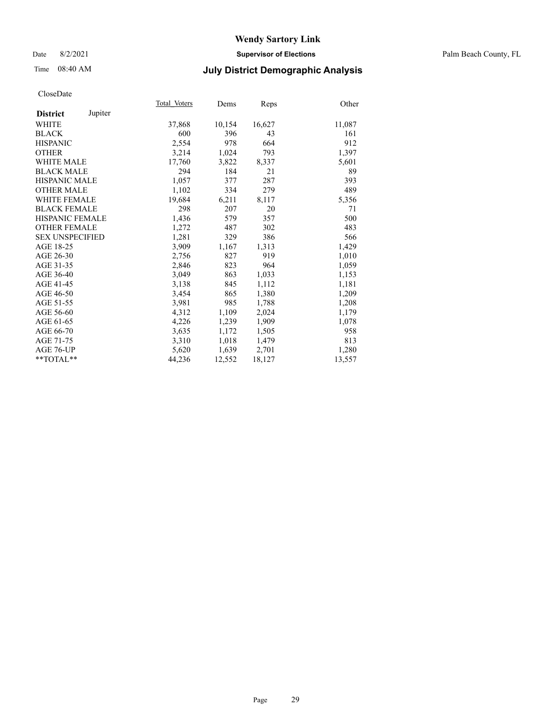### Date 8/2/2021 **Supervisor of Elections** Palm Beach County, FL

## Time 08:40 AM **July District Demographic Analysis**

|                            | Total Voters | Dems   | Reps   | Other  |
|----------------------------|--------------|--------|--------|--------|
| Jupiter<br><b>District</b> |              |        |        |        |
| WHITE                      | 37,868       | 10,154 | 16,627 | 11,087 |
| <b>BLACK</b>               | 600          | 396    | 43     | 161    |
| <b>HISPANIC</b>            | 2,554        | 978    | 664    | 912    |
| <b>OTHER</b>               | 3,214        | 1,024  | 793    | 1,397  |
| <b>WHITE MALE</b>          | 17,760       | 3,822  | 8,337  | 5,601  |
| <b>BLACK MALE</b>          | 294          | 184    | 21     | 89     |
| <b>HISPANIC MALE</b>       | 1,057        | 377    | 287    | 393    |
| <b>OTHER MALE</b>          | 1,102        | 334    | 279    | 489    |
| <b>WHITE FEMALE</b>        | 19,684       | 6,211  | 8,117  | 5,356  |
| <b>BLACK FEMALE</b>        | 298          | 207    | 20     | 71     |
| HISPANIC FEMALE            | 1,436        | 579    | 357    | 500    |
| <b>OTHER FEMALE</b>        | 1,272        | 487    | 302    | 483    |
| <b>SEX UNSPECIFIED</b>     | 1,281        | 329    | 386    | 566    |
| AGE 18-25                  | 3.909        | 1,167  | 1,313  | 1,429  |
| AGE 26-30                  | 2,756        | 827    | 919    | 1,010  |
| AGE 31-35                  | 2,846        | 823    | 964    | 1,059  |
| AGE 36-40                  | 3,049        | 863    | 1,033  | 1,153  |
| AGE 41-45                  | 3,138        | 845    | 1,112  | 1,181  |
| AGE 46-50                  | 3,454        | 865    | 1,380  | 1,209  |
| AGE 51-55                  | 3,981        | 985    | 1,788  | 1,208  |
| AGE 56-60                  | 4,312        | 1,109  | 2,024  | 1,179  |
| AGE 61-65                  | 4,226        | 1,239  | 1,909  | 1,078  |
| AGE 66-70                  | 3,635        | 1,172  | 1,505  | 958    |
| AGE 71-75                  | 3,310        | 1,018  | 1,479  | 813    |
| AGE 76-UP                  | 5,620        | 1,639  | 2,701  | 1,280  |
| $*$ $TOTAL**$              | 44,236       | 12,552 | 18,127 | 13,557 |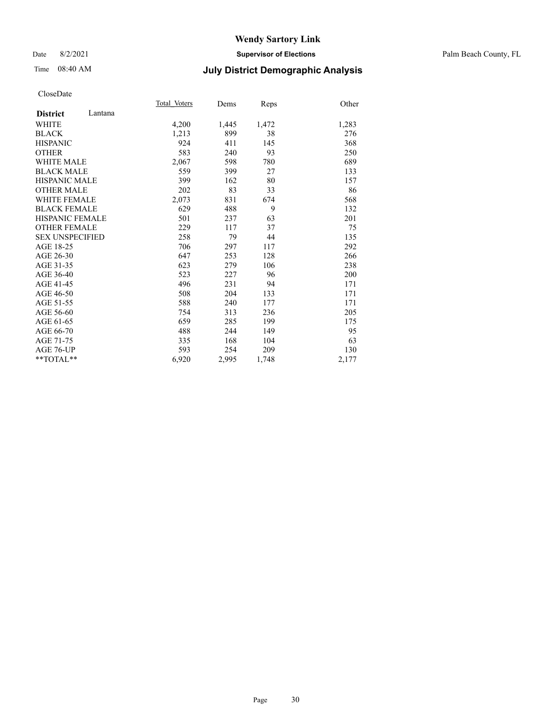### Date 8/2/2021 **Supervisor of Elections** Palm Beach County, FL

## Time 08:40 AM **July District Demographic Analysis**

|                            | Total Voters | Dems  | Reps  | Other |
|----------------------------|--------------|-------|-------|-------|
| Lantana<br><b>District</b> |              |       |       |       |
| WHITE                      | 4,200        | 1,445 | 1,472 | 1,283 |
| <b>BLACK</b>               | 1,213        | 899   | 38    | 276   |
| <b>HISPANIC</b>            | 924          | 411   | 145   | 368   |
| <b>OTHER</b>               | 583          | 240   | 93    | 250   |
| <b>WHITE MALE</b>          | 2,067        | 598   | 780   | 689   |
| <b>BLACK MALE</b>          | 559          | 399   | 27    | 133   |
| <b>HISPANIC MALE</b>       | 399          | 162   | 80    | 157   |
| <b>OTHER MALE</b>          | 202          | 83    | 33    | 86    |
| <b>WHITE FEMALE</b>        | 2,073        | 831   | 674   | 568   |
| <b>BLACK FEMALE</b>        | 629          | 488   | 9     | 132   |
| <b>HISPANIC FEMALE</b>     | 501          | 237   | 63    | 201   |
| <b>OTHER FEMALE</b>        | 229          | 117   | 37    | 75    |
| <b>SEX UNSPECIFIED</b>     | 258          | 79    | 44    | 135   |
| AGE 18-25                  | 706          | 297   | 117   | 292   |
| AGE 26-30                  | 647          | 253   | 128   | 266   |
| AGE 31-35                  | 623          | 279   | 106   | 238   |
| AGE 36-40                  | 523          | 227   | 96    | 200   |
| AGE 41-45                  | 496          | 231   | 94    | 171   |
| AGE 46-50                  | 508          | 204   | 133   | 171   |
| AGE 51-55                  | 588          | 240   | 177   | 171   |
| AGE 56-60                  | 754          | 313   | 236   | 205   |
| AGE 61-65                  | 659          | 285   | 199   | 175   |
| AGE 66-70                  | 488          | 244   | 149   | 95    |
| AGE 71-75                  | 335          | 168   | 104   | 63    |
| AGE 76-UP                  | 593          | 254   | 209   | 130   |
| $*$ $TOTAL**$              | 6,920        | 2,995 | 1,748 | 2,177 |
|                            |              |       |       |       |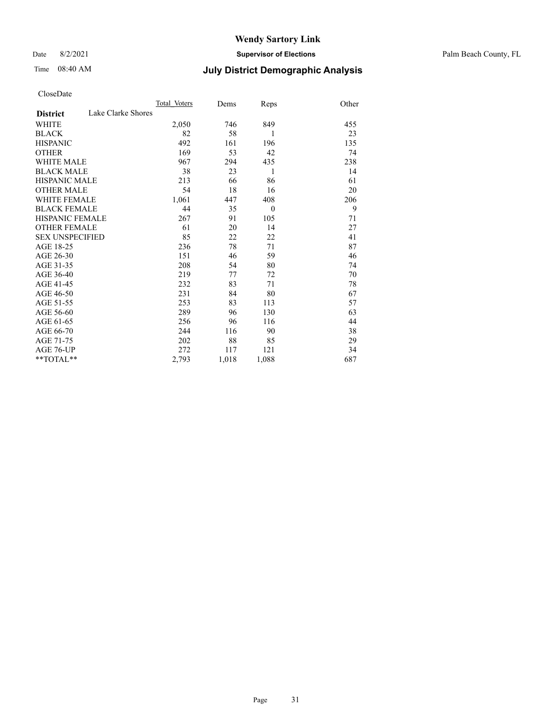Date 8/2/2021 **Supervisor of Elections** Palm Beach County, FL

## Time 08:40 AM **July District Demographic Analysis**

|                                       | Total Voters | Dems  | Reps     | Other |
|---------------------------------------|--------------|-------|----------|-------|
| Lake Clarke Shores<br><b>District</b> |              |       |          |       |
| <b>WHITE</b>                          | 2,050        | 746   | 849      | 455   |
| <b>BLACK</b>                          | 82           | 58    | 1        | 23    |
| <b>HISPANIC</b>                       | 492          | 161   | 196      | 135   |
| <b>OTHER</b>                          | 169          | 53    | 42       | 74    |
| <b>WHITE MALE</b>                     | 967          | 294   | 435      | 238   |
| <b>BLACK MALE</b>                     | 38           | 23    | 1        | 14    |
| <b>HISPANIC MALE</b>                  | 213          | 66    | 86       | 61    |
| <b>OTHER MALE</b>                     | 54           | 18    | 16       | 20    |
| <b>WHITE FEMALE</b>                   | 1,061        | 447   | 408      | 206   |
| <b>BLACK FEMALE</b>                   | 44           | 35    | $\theta$ | 9     |
| <b>HISPANIC FEMALE</b>                | 267          | 91    | 105      | 71    |
| <b>OTHER FEMALE</b>                   | 61           | 20    | 14       | 27    |
| <b>SEX UNSPECIFIED</b>                | 85           | 22    | 22       | 41    |
| AGE 18-25                             | 236          | 78    | 71       | 87    |
| AGE 26-30                             | 151          | 46    | 59       | 46    |
| AGE 31-35                             | 208          | 54    | 80       | 74    |
| AGE 36-40                             | 219          | 77    | 72       | 70    |
| AGE 41-45                             | 232          | 83    | 71       | 78    |
| AGE 46-50                             | 231          | 84    | 80       | 67    |
| AGE 51-55                             | 253          | 83    | 113      | 57    |
| AGE 56-60                             | 289          | 96    | 130      | 63    |
| AGE 61-65                             | 256          | 96    | 116      | 44    |
| AGE 66-70                             | 244          | 116   | 90       | 38    |
| AGE 71-75                             | 202          | 88    | 85       | 29    |
| AGE 76-UP                             | 272          | 117   | 121      | 34    |
| $*$ $TOTAL**$                         | 2,793        | 1,018 | 1,088    | 687   |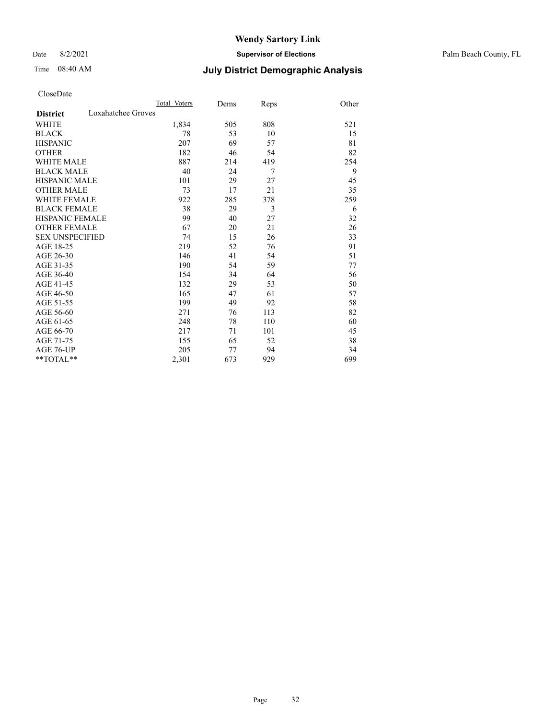Date 8/2/2021 **Supervisor of Elections** Palm Beach County, FL

## Time 08:40 AM **July District Demographic Analysis**

|                                       | Total Voters | Dems | Reps | Other |
|---------------------------------------|--------------|------|------|-------|
| Loxahatchee Groves<br><b>District</b> |              |      |      |       |
| <b>WHITE</b>                          | 1,834        | 505  | 808  | 521   |
| <b>BLACK</b>                          | 78           | 53   | 10   | 15    |
| <b>HISPANIC</b>                       | 207          | 69   | 57   | 81    |
| <b>OTHER</b>                          | 182          | 46   | 54   | 82    |
| WHITE MALE                            | 887          | 214  | 419  | 254   |
| <b>BLACK MALE</b>                     | 40           | 24   | 7    | 9     |
| <b>HISPANIC MALE</b>                  | 101          | 29   | 27   | 45    |
| <b>OTHER MALE</b>                     | 73           | 17   | 21   | 35    |
| WHITE FEMALE                          | 922          | 285  | 378  | 259   |
| <b>BLACK FEMALE</b>                   | 38           | 29   | 3    | 6     |
| <b>HISPANIC FEMALE</b>                | 99           | 40   | 27   | 32    |
| <b>OTHER FEMALE</b>                   | 67           | 20   | 21   | 26    |
| <b>SEX UNSPECIFIED</b>                | 74           | 15   | 26   | 33    |
| AGE 18-25                             | 219          | 52   | 76   | 91    |
| AGE 26-30                             | 146          | 41   | 54   | 51    |
| AGE 31-35                             | 190          | 54   | 59   | 77    |
| AGE 36-40                             | 154          | 34   | 64   | 56    |
| AGE 41-45                             | 132          | 29   | 53   | 50    |
| AGE 46-50                             | 165          | 47   | 61   | 57    |
| AGE 51-55                             | 199          | 49   | 92   | 58    |
| AGE 56-60                             | 271          | 76   | 113  | 82    |
| AGE 61-65                             | 248          | 78   | 110  | 60    |
| AGE 66-70                             | 217          | 71   | 101  | 45    |
| AGE 71-75                             | 155          | 65   | 52   | 38    |
| AGE 76-UP                             | 205          | 77   | 94   | 34    |
| $*$ $TOTAL**$                         | 2,301        | 673  | 929  | 699   |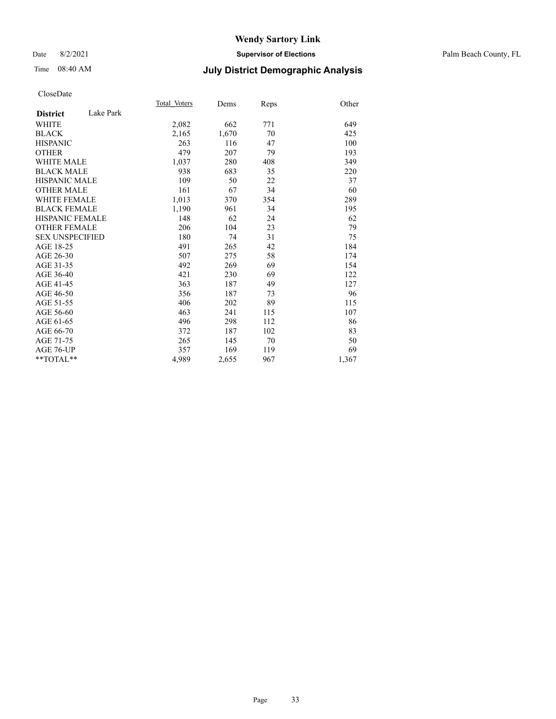### Date 8/2/2021 **Supervisor of Elections** Palm Beach County, FL

## Time 08:40 AM **July District Demographic Analysis**

|                              | Total Voters | Dems  | Reps | Other |
|------------------------------|--------------|-------|------|-------|
| Lake Park<br><b>District</b> |              |       |      |       |
| WHITE                        | 2,082        | 662   | 771  | 649   |
| <b>BLACK</b>                 | 2,165        | 1,670 | 70   | 425   |
| <b>HISPANIC</b>              | 263          | 116   | 47   | 100   |
| <b>OTHER</b>                 | 479          | 207   | 79   | 193   |
| <b>WHITE MALE</b>            | 1,037        | 280   | 408  | 349   |
| <b>BLACK MALE</b>            | 938          | 683   | 35   | 220   |
| <b>HISPANIC MALE</b>         | 109          | 50    | 22   | 37    |
| <b>OTHER MALE</b>            | 161          | 67    | 34   | 60    |
| <b>WHITE FEMALE</b>          | 1,013        | 370   | 354  | 289   |
| <b>BLACK FEMALE</b>          | 1,190        | 961   | 34   | 195   |
| <b>HISPANIC FEMALE</b>       | 148          | 62    | 24   | 62    |
| <b>OTHER FEMALE</b>          | 206          | 104   | 23   | 79    |
| <b>SEX UNSPECIFIED</b>       | 180          | 74    | 31   | 75    |
| AGE 18-25                    | 491          | 265   | 42   | 184   |
| AGE 26-30                    | 507          | 275   | 58   | 174   |
| AGE 31-35                    | 492          | 269   | 69   | 154   |
| AGE 36-40                    | 421          | 230   | 69   | 122   |
| AGE 41-45                    | 363          | 187   | 49   | 127   |
| AGE 46-50                    | 356          | 187   | 73   | 96    |
| AGE 51-55                    | 406          | 202   | 89   | 115   |
| AGE 56-60                    | 463          | 241   | 115  | 107   |
| AGE 61-65                    | 496          | 298   | 112  | 86    |
| AGE 66-70                    | 372          | 187   | 102  | 83    |
| AGE 71-75                    | 265          | 145   | 70   | 50    |
| AGE 76-UP                    | 357          | 169   | 119  | 69    |
| $*$ $TOTAL**$                | 4,989        | 2,655 | 967  | 1,367 |
|                              |              |       |      |       |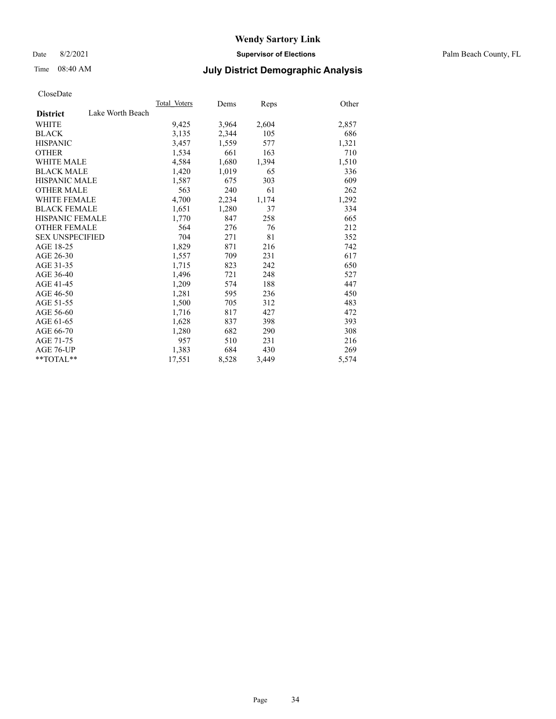Date 8/2/2021 **Supervisor of Elections** Palm Beach County, FL

## Time 08:40 AM **July District Demographic Analysis**

|                        |                  | Total Voters | Dems  | <b>Reps</b> | Other |
|------------------------|------------------|--------------|-------|-------------|-------|
| <b>District</b>        | Lake Worth Beach |              |       |             |       |
| WHITE                  |                  | 9,425        | 3,964 | 2,604       | 2,857 |
| <b>BLACK</b>           |                  | 3,135        | 2,344 | 105         | 686   |
| <b>HISPANIC</b>        |                  | 3,457        | 1,559 | 577         | 1,321 |
| <b>OTHER</b>           |                  | 1,534        | 661   | 163         | 710   |
| <b>WHITE MALE</b>      |                  | 4,584        | 1,680 | 1,394       | 1,510 |
| <b>BLACK MALE</b>      |                  | 1,420        | 1,019 | 65          | 336   |
| <b>HISPANIC MALE</b>   |                  | 1,587        | 675   | 303         | 609   |
| <b>OTHER MALE</b>      |                  | 563          | 240   | 61          | 262   |
| <b>WHITE FEMALE</b>    |                  | 4,700        | 2,234 | 1,174       | 1,292 |
| <b>BLACK FEMALE</b>    |                  | 1,651        | 1,280 | 37          | 334   |
| <b>HISPANIC FEMALE</b> |                  | 1,770        | 847   | 258         | 665   |
| <b>OTHER FEMALE</b>    |                  | 564          | 276   | 76          | 212   |
| <b>SEX UNSPECIFIED</b> |                  | 704          | 271   | 81          | 352   |
| AGE 18-25              |                  | 1,829        | 871   | 216         | 742   |
| AGE 26-30              |                  | 1,557        | 709   | 231         | 617   |
| AGE 31-35              |                  | 1,715        | 823   | 242         | 650   |
| AGE 36-40              |                  | 1,496        | 721   | 248         | 527   |
| AGE 41-45              |                  | 1,209        | 574   | 188         | 447   |
| AGE 46-50              |                  | 1,281        | 595   | 236         | 450   |
| AGE 51-55              |                  | 1,500        | 705   | 312         | 483   |
| AGE 56-60              |                  | 1,716        | 817   | 427         | 472   |
| AGE 61-65              |                  | 1,628        | 837   | 398         | 393   |
| AGE 66-70              |                  | 1,280        | 682   | 290         | 308   |
| AGE 71-75              |                  | 957          | 510   | 231         | 216   |
| AGE 76-UP              |                  | 1,383        | 684   | 430         | 269   |
| $*$ $TOTAL**$          |                  | 17,551       | 8,528 | 3,449       | 5,574 |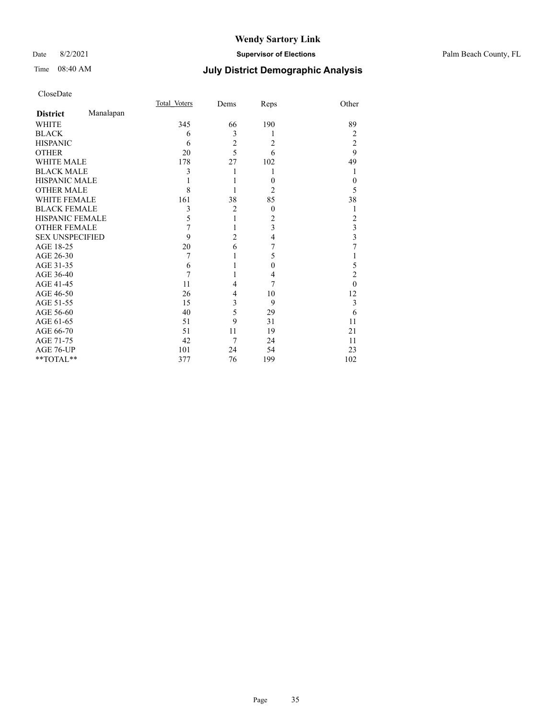### Date 8/2/2021 **Supervisor of Elections** Palm Beach County, FL

## Time 08:40 AM **July District Demographic Analysis**

|                        |           | <b>Total Voters</b> | Dems           | Reps           | Other                   |
|------------------------|-----------|---------------------|----------------|----------------|-------------------------|
| <b>District</b>        | Manalapan |                     |                |                |                         |
| <b>WHITE</b>           |           | 345                 | 66             | 190            | 89                      |
| <b>BLACK</b>           |           | 6                   | 3              | 1              | 2                       |
| <b>HISPANIC</b>        |           | 6                   | $\overline{c}$ | $\overline{c}$ | $\overline{2}$          |
| <b>OTHER</b>           |           | 20                  | $\overline{5}$ | 6              | 9                       |
| WHITE MALE             |           | 178                 | 27             | 102            | 49                      |
| <b>BLACK MALE</b>      |           | 3                   |                | 1              | 1                       |
| <b>HISPANIC MALE</b>   |           |                     |                | $\theta$       | $\theta$                |
| <b>OTHER MALE</b>      |           | 8                   |                | $\overline{c}$ | 5                       |
| <b>WHITE FEMALE</b>    |           | 161                 | 38             | 85             | 38                      |
| <b>BLACK FEMALE</b>    |           | 3                   | $\overline{2}$ | $\theta$       | 1                       |
| <b>HISPANIC FEMALE</b> |           | 5                   | 1              | 2              | 2                       |
| <b>OTHER FEMALE</b>    |           | 7                   | 1              | 3              | 3                       |
| <b>SEX UNSPECIFIED</b> |           | 9                   | $\overline{2}$ | 4              | $\overline{\mathbf{3}}$ |
| AGE 18-25              |           | 20                  | 6              | 7              | 7                       |
| AGE 26-30              |           | 7                   |                | 5              | 1                       |
| AGE 31-35              |           | 6                   |                | $\theta$       | 5                       |
| AGE 36-40              |           | 7                   |                | 4              | $\overline{2}$          |
| AGE 41-45              |           | 11                  | 4              | 7              | $\theta$                |
| AGE 46-50              |           | 26                  | 4              | 10             | 12                      |
| AGE 51-55              |           | 15                  | 3              | 9              | 3                       |
| AGE 56-60              |           | 40                  | 5              | 29             | 6                       |
| AGE 61-65              |           | 51                  | 9              | 31             | 11                      |
| AGE 66-70              |           | 51                  | 11             | 19             | 21                      |
| AGE 71-75              |           | 42                  | 7              | 24             | 11                      |
| AGE 76-UP              |           | 101                 | 24             | 54             | 23                      |
| **TOTAL**              |           | 377                 | 76             | 199            | 102                     |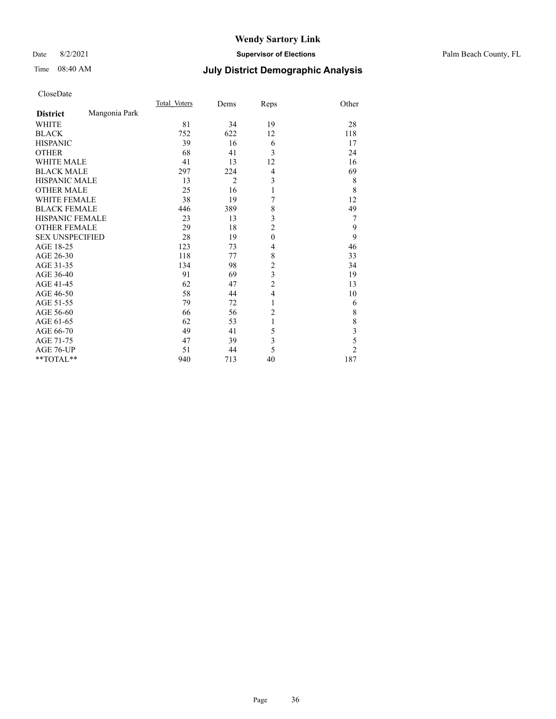### Date 8/2/2021 **Supervisor of Elections** Palm Beach County, FL

## Time 08:40 AM **July District Demographic Analysis**

|                        |               | Total Voters | Dems           | Reps           | Other                   |
|------------------------|---------------|--------------|----------------|----------------|-------------------------|
| <b>District</b>        | Mangonia Park |              |                |                |                         |
| <b>WHITE</b>           |               | 81           | 34             | 19             | 28                      |
| <b>BLACK</b>           |               | 752          | 622            | 12             | 118                     |
| <b>HISPANIC</b>        |               | 39           | 16             | 6              | 17                      |
| <b>OTHER</b>           |               | 68           | 41             | 3              | 24                      |
| WHITE MALE             |               | 41           | 13             | 12             | 16                      |
| <b>BLACK MALE</b>      |               | 297          | 224            | 4              | 69                      |
| <b>HISPANIC MALE</b>   |               | 13           | $\overline{2}$ | 3              | 8                       |
| <b>OTHER MALE</b>      |               | 25           | 16             | 1              | 8                       |
| WHITE FEMALE           |               | 38           | 19             | 7              | 12                      |
| <b>BLACK FEMALE</b>    |               | 446          | 389            | 8              | 49                      |
| <b>HISPANIC FEMALE</b> |               | 23           | 13             | 3              | 7                       |
| <b>OTHER FEMALE</b>    |               | 29           | 18             | $\overline{c}$ | 9                       |
| <b>SEX UNSPECIFIED</b> |               | 28           | 19             | $\mathbf{0}$   | 9                       |
| AGE 18-25              |               | 123          | 73             | 4              | 46                      |
| AGE 26-30              |               | 118          | 77             | 8              | 33                      |
| AGE 31-35              |               | 134          | 98             | 2              | 34                      |
| AGE 36-40              |               | 91           | 69             | 3              | 19                      |
| AGE 41-45              |               | 62           | 47             | $\overline{c}$ | 13                      |
| AGE 46-50              |               | 58           | 44             | 4              | 10                      |
| AGE 51-55              |               | 79           | 72             | 1              | 6                       |
| AGE 56-60              |               | 66           | 56             | 2              | 8                       |
| AGE 61-65              |               | 62           | 53             | 1              | 8                       |
| AGE 66-70              |               | 49           | 41             | 5              | $\overline{\mathbf{3}}$ |
| AGE 71-75              |               | 47           | 39             | 3              | 5                       |
| AGE 76-UP              |               | 51           | 44             | 5              | $\overline{2}$          |
| **TOTAL**              |               | 940          | 713            | 40             | 187                     |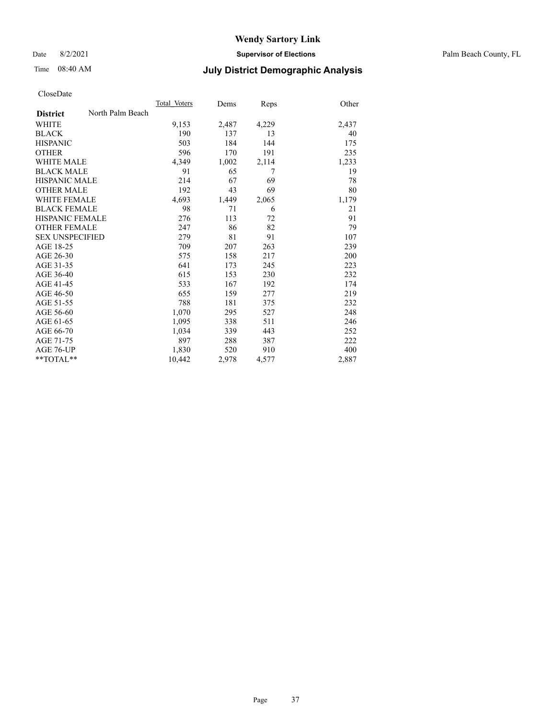Date 8/2/2021 **Supervisor of Elections** Palm Beach County, FL

## Time 08:40 AM **July District Demographic Analysis**

|                        |                  | Total Voters | Dems  | Reps  | Other |
|------------------------|------------------|--------------|-------|-------|-------|
| <b>District</b>        | North Palm Beach |              |       |       |       |
| <b>WHITE</b>           |                  | 9,153        | 2,487 | 4,229 | 2,437 |
| <b>BLACK</b>           |                  | 190          | 137   | 13    | 40    |
| <b>HISPANIC</b>        |                  | 503          | 184   | 144   | 175   |
| <b>OTHER</b>           |                  | 596          | 170   | 191   | 235   |
| WHITE MALE             |                  | 4,349        | 1,002 | 2,114 | 1,233 |
| <b>BLACK MALE</b>      |                  | 91           | 65    | 7     | 19    |
| <b>HISPANIC MALE</b>   |                  | 214          | 67    | 69    | 78    |
| <b>OTHER MALE</b>      |                  | 192          | 43    | 69    | 80    |
| <b>WHITE FEMALE</b>    |                  | 4,693        | 1,449 | 2,065 | 1,179 |
| <b>BLACK FEMALE</b>    |                  | 98           | 71    | 6     | 21    |
| <b>HISPANIC FEMALE</b> |                  | 276          | 113   | 72    | 91    |
| <b>OTHER FEMALE</b>    |                  | 247          | 86    | 82    | 79    |
| <b>SEX UNSPECIFIED</b> |                  | 279          | 81    | 91    | 107   |
| AGE 18-25              |                  | 709          | 207   | 263   | 239   |
| AGE 26-30              |                  | 575          | 158   | 217   | 200   |
| AGE 31-35              |                  | 641          | 173   | 245   | 223   |
| AGE 36-40              |                  | 615          | 153   | 230   | 232   |
| AGE 41-45              |                  | 533          | 167   | 192   | 174   |
| AGE 46-50              |                  | 655          | 159   | 277   | 219   |
| AGE 51-55              |                  | 788          | 181   | 375   | 232   |
| AGE 56-60              |                  | 1,070        | 295   | 527   | 248   |
| AGE 61-65              |                  | 1,095        | 338   | 511   | 246   |
| AGE 66-70              |                  | 1,034        | 339   | 443   | 252   |
| AGE 71-75              |                  | 897          | 288   | 387   | 222   |
| AGE 76-UP              |                  | 1,830        | 520   | 910   | 400   |
| $*$ $TOTAL**$          |                  | 10,442       | 2,978 | 4,577 | 2,887 |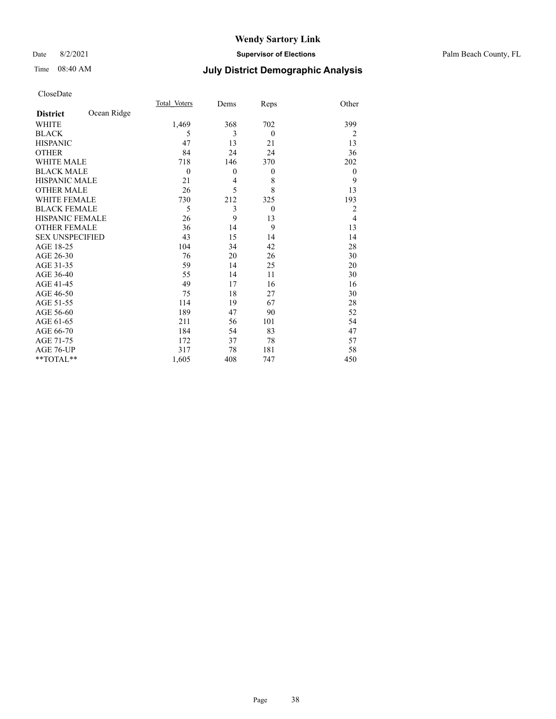#### Date 8/2/2021 **Supervisor of Elections** Palm Beach County, FL

## Time 08:40 AM **July District Demographic Analysis**

|                        |             | Total Voters   | Dems         | Reps         | Other          |
|------------------------|-------------|----------------|--------------|--------------|----------------|
| <b>District</b>        | Ocean Ridge |                |              |              |                |
| <b>WHITE</b>           |             | 1,469          | 368          | 702          | 399            |
| <b>BLACK</b>           |             | 5              | 3            | $\theta$     | $\overline{2}$ |
| <b>HISPANIC</b>        |             | 47             | 13           | 21           | 13             |
| <b>OTHER</b>           |             | 84             | 24           | 24           | 36             |
| <b>WHITE MALE</b>      |             | 718            | 146          | 370          | 202            |
| <b>BLACK MALE</b>      |             | $\overline{0}$ | $\mathbf{0}$ | $\mathbf{0}$ | $\mathbf{0}$   |
| HISPANIC MALE          |             | 21             | 4            | 8            | 9              |
| <b>OTHER MALE</b>      |             | 26             | 5            | 8            | 13             |
| <b>WHITE FEMALE</b>    |             | 730            | 212          | 325          | 193            |
| <b>BLACK FEMALE</b>    |             | 5              | 3            | $\theta$     | 2              |
| <b>HISPANIC FEMALE</b> |             | 26             | 9            | 13           | $\overline{4}$ |
| <b>OTHER FEMALE</b>    |             | 36             | 14           | 9            | 13             |
| <b>SEX UNSPECIFIED</b> |             | 43             | 15           | 14           | 14             |
| AGE 18-25              |             | 104            | 34           | 42           | 28             |
| AGE 26-30              |             | 76             | 20           | 26           | 30             |
| AGE 31-35              |             | 59             | 14           | 25           | 20             |
| AGE 36-40              |             | 55             | 14           | 11           | 30             |
| AGE 41-45              |             | 49             | 17           | 16           | 16             |
| AGE 46-50              |             | 75             | 18           | 27           | 30             |
| AGE 51-55              |             | 114            | 19           | 67           | 28             |
| AGE 56-60              |             | 189            | 47           | 90           | 52             |
| AGE 61-65              |             | 211            | 56           | 101          | 54             |
| AGE 66-70              |             | 184            | 54           | 83           | 47             |
| AGE 71-75              |             | 172            | 37           | 78           | 57             |
| AGE 76-UP              |             | 317            | 78           | 181          | 58             |
| **TOTAL**              |             | 1,605          | 408          | 747          | 450            |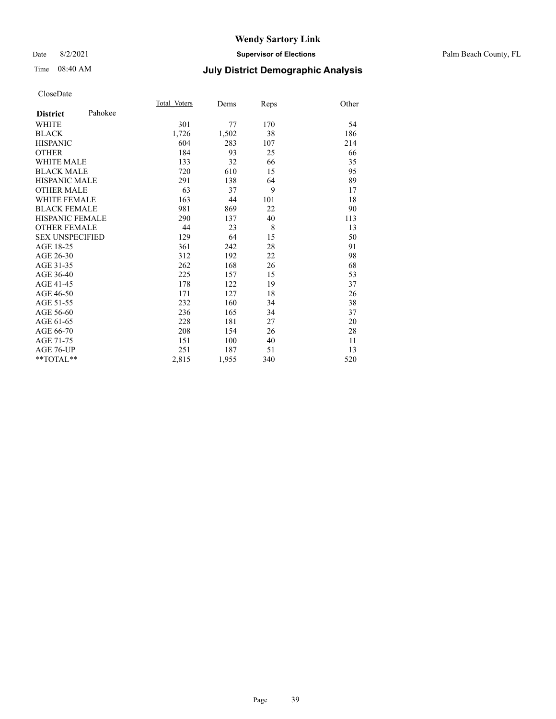#### Date 8/2/2021 **Supervisor of Elections** Palm Beach County, FL

## Time 08:40 AM **July District Demographic Analysis**

|                            | Total Voters | Dems  | Reps | Other |
|----------------------------|--------------|-------|------|-------|
| Pahokee<br><b>District</b> |              |       |      |       |
| WHITE                      | 301          | 77    | 170  | 54    |
| <b>BLACK</b>               | 1,726        | 1,502 | 38   | 186   |
| <b>HISPANIC</b>            | 604          | 283   | 107  | 214   |
| <b>OTHER</b>               | 184          | 93    | 25   | 66    |
| <b>WHITE MALE</b>          | 133          | 32    | 66   | 35    |
| <b>BLACK MALE</b>          | 720          | 610   | 15   | 95    |
| <b>HISPANIC MALE</b>       | 291          | 138   | 64   | 89    |
| <b>OTHER MALE</b>          | 63           | 37    | 9    | 17    |
| <b>WHITE FEMALE</b>        | 163          | 44    | 101  | 18    |
| <b>BLACK FEMALE</b>        | 981          | 869   | 22   | 90    |
| <b>HISPANIC FEMALE</b>     | 290          | 137   | 40   | 113   |
| <b>OTHER FEMALE</b>        | 44           | 23    | 8    | 13    |
| <b>SEX UNSPECIFIED</b>     | 129          | 64    | 15   | 50    |
| AGE 18-25                  | 361          | 242   | 28   | 91    |
| AGE 26-30                  | 312          | 192   | 22   | 98    |
| AGE 31-35                  | 262          | 168   | 26   | 68    |
| AGE 36-40                  | 225          | 157   | 15   | 53    |
| AGE 41-45                  | 178          | 122   | 19   | 37    |
| AGE 46-50                  | 171          | 127   | 18   | 26    |
| AGE 51-55                  | 232          | 160   | 34   | 38    |
| AGE 56-60                  | 236          | 165   | 34   | 37    |
| AGE 61-65                  | 228          | 181   | 27   | 20    |
| AGE 66-70                  | 208          | 154   | 26   | 28    |
| AGE 71-75                  | 151          | 100   | 40   | 11    |
| AGE 76-UP                  | 251          | 187   | 51   | 13    |
| $*$ $TOTAL**$              | 2,815        | 1,955 | 340  | 520   |
|                            |              |       |      |       |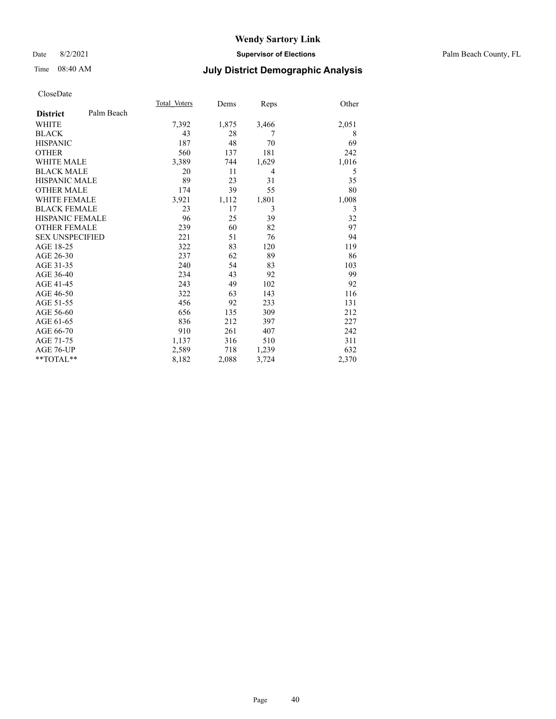#### Date 8/2/2021 **Supervisor of Elections** Palm Beach County, FL

## Time 08:40 AM **July District Demographic Analysis**

|                        |            | Total Voters | Dems  | Reps           | Other |
|------------------------|------------|--------------|-------|----------------|-------|
| <b>District</b>        | Palm Beach |              |       |                |       |
| <b>WHITE</b>           |            | 7,392        | 1,875 | 3,466          | 2,051 |
| <b>BLACK</b>           |            | 43           | 28    | 7              | 8     |
| <b>HISPANIC</b>        |            | 187          | 48    | 70             | 69    |
| <b>OTHER</b>           |            | 560          | 137   | 181            | 242   |
| <b>WHITE MALE</b>      |            | 3,389        | 744   | 1,629          | 1,016 |
| <b>BLACK MALE</b>      |            | 20           | 11    | $\overline{4}$ | 5     |
| <b>HISPANIC MALE</b>   |            | 89           | 23    | 31             | 35    |
| <b>OTHER MALE</b>      |            | 174          | 39    | 55             | 80    |
| <b>WHITE FEMALE</b>    |            | 3,921        | 1,112 | 1,801          | 1,008 |
| <b>BLACK FEMALE</b>    |            | 23           | 17    | 3              | 3     |
| <b>HISPANIC FEMALE</b> |            | 96           | 25    | 39             | 32    |
| <b>OTHER FEMALE</b>    |            | 239          | 60    | 82             | 97    |
| <b>SEX UNSPECIFIED</b> |            | 221          | 51    | 76             | 94    |
| AGE 18-25              |            | 322          | 83    | 120            | 119   |
| AGE 26-30              |            | 237          | 62    | 89             | 86    |
| AGE 31-35              |            | 240          | 54    | 83             | 103   |
| AGE 36-40              |            | 234          | 43    | 92             | 99    |
| AGE 41-45              |            | 243          | 49    | 102            | 92    |
| AGE 46-50              |            | 322          | 63    | 143            | 116   |
| AGE 51-55              |            | 456          | 92    | 233            | 131   |
| AGE 56-60              |            | 656          | 135   | 309            | 212   |
| AGE 61-65              |            | 836          | 212   | 397            | 227   |
| AGE 66-70              |            | 910          | 261   | 407            | 242   |
| AGE 71-75              |            | 1,137        | 316   | 510            | 311   |
| AGE 76-UP              |            | 2,589        | 718   | 1,239          | 632   |
| $*$ $TOTAL**$          |            | 8,182        | 2,088 | 3,724          | 2,370 |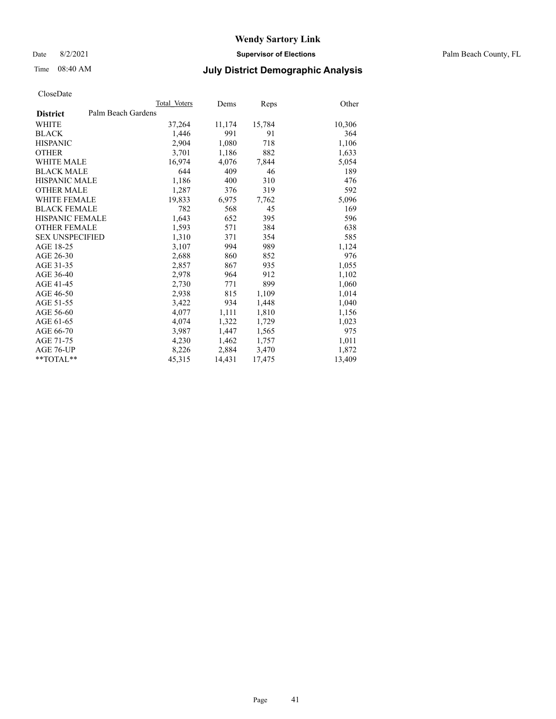Date 8/2/2021 **Supervisor of Elections** Palm Beach County, FL

## Time 08:40 AM **July District Demographic Analysis**

|                        |                    | Total Voters | Dems   | Reps   | Other  |
|------------------------|--------------------|--------------|--------|--------|--------|
| <b>District</b>        | Palm Beach Gardens |              |        |        |        |
| WHITE                  |                    | 37,264       | 11,174 | 15,784 | 10,306 |
| <b>BLACK</b>           |                    | 1,446        | 991    | 91     | 364    |
| <b>HISPANIC</b>        |                    | 2,904        | 1,080  | 718    | 1,106  |
| <b>OTHER</b>           |                    | 3,701        | 1,186  | 882    | 1,633  |
| <b>WHITE MALE</b>      |                    | 16,974       | 4,076  | 7,844  | 5,054  |
| <b>BLACK MALE</b>      |                    | 644          | 409    | 46     | 189    |
| <b>HISPANIC MALE</b>   |                    | 1,186        | 400    | 310    | 476    |
| <b>OTHER MALE</b>      |                    | 1,287        | 376    | 319    | 592    |
| <b>WHITE FEMALE</b>    |                    | 19,833       | 6,975  | 7,762  | 5,096  |
| <b>BLACK FEMALE</b>    |                    | 782          | 568    | 45     | 169    |
| <b>HISPANIC FEMALE</b> |                    | 1,643        | 652    | 395    | 596    |
| <b>OTHER FEMALE</b>    |                    | 1,593        | 571    | 384    | 638    |
| <b>SEX UNSPECIFIED</b> |                    | 1,310        | 371    | 354    | 585    |
| AGE 18-25              |                    | 3,107        | 994    | 989    | 1,124  |
| AGE 26-30              |                    | 2,688        | 860    | 852    | 976    |
| AGE 31-35              |                    | 2,857        | 867    | 935    | 1,055  |
| AGE 36-40              |                    | 2,978        | 964    | 912    | 1,102  |
| AGE 41-45              |                    | 2,730        | 771    | 899    | 1,060  |
| AGE 46-50              |                    | 2,938        | 815    | 1,109  | 1,014  |
| AGE 51-55              |                    | 3,422        | 934    | 1,448  | 1,040  |
| AGE 56-60              |                    | 4,077        | 1,111  | 1,810  | 1,156  |
| AGE 61-65              |                    | 4,074        | 1,322  | 1,729  | 1,023  |
| AGE 66-70              |                    | 3,987        | 1,447  | 1,565  | 975    |
| AGE 71-75              |                    | 4,230        | 1,462  | 1,757  | 1,011  |
| AGE 76-UP              |                    | 8,226        | 2,884  | 3,470  | 1,872  |
| **TOTAL**              |                    | 45,315       | 14,431 | 17,475 | 13,409 |
|                        |                    |              |        |        |        |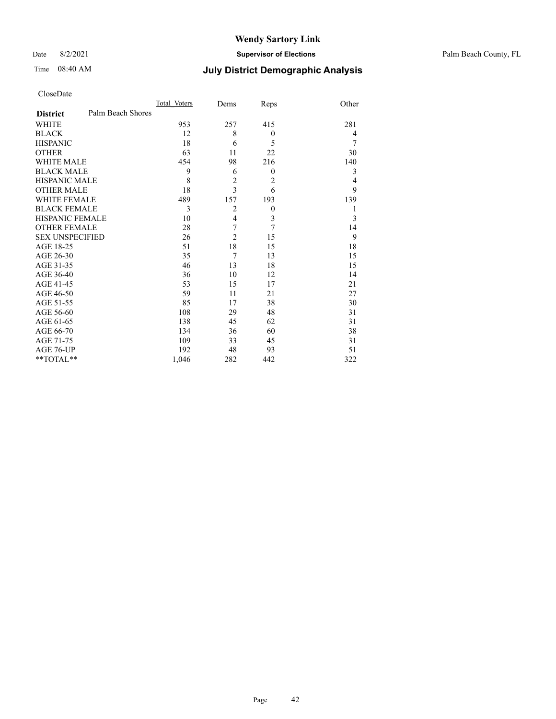Date 8/2/2021 **Supervisor of Elections** Palm Beach County, FL

## Time 08:40 AM **July District Demographic Analysis**

|                        |                   | Total Voters | Dems           | Reps           | Other |
|------------------------|-------------------|--------------|----------------|----------------|-------|
| <b>District</b>        | Palm Beach Shores |              |                |                |       |
| <b>WHITE</b>           |                   | 953          | 257            | 415            | 281   |
| <b>BLACK</b>           |                   | 12           | 8              | $\theta$       | 4     |
| <b>HISPANIC</b>        |                   | 18           | 6              | 5              | 7     |
| <b>OTHER</b>           |                   | 63           | 11             | 22             | 30    |
| <b>WHITE MALE</b>      |                   | 454          | 98             | 216            | 140   |
| <b>BLACK MALE</b>      |                   | 9            | 6              | $\mathbf{0}$   | 3     |
| <b>HISPANIC MALE</b>   |                   | 8            | $\overline{c}$ | $\overline{2}$ | 4     |
| <b>OTHER MALE</b>      |                   | 18           | $\overline{3}$ | 6              | 9     |
| WHITE FEMALE           |                   | 489          | 157            | 193            | 139   |
| <b>BLACK FEMALE</b>    |                   | 3            | $\overline{2}$ | $\theta$       | 1     |
| <b>HISPANIC FEMALE</b> |                   | 10           | $\overline{4}$ | 3              | 3     |
| <b>OTHER FEMALE</b>    |                   | 28           | 7              | 7              | 14    |
| <b>SEX UNSPECIFIED</b> |                   | 26           | $\overline{2}$ | 15             | 9     |
| AGE 18-25              |                   | 51           | 18             | 15             | 18    |
| AGE 26-30              |                   | 35           | $\overline{7}$ | 13             | 15    |
| AGE 31-35              |                   | 46           | 13             | 18             | 15    |
| AGE 36-40              |                   | 36           | 10             | 12             | 14    |
| AGE 41-45              |                   | 53           | 15             | 17             | 21    |
| AGE 46-50              |                   | 59           | 11             | 21             | 27    |
| AGE 51-55              |                   | 85           | 17             | 38             | 30    |
| AGE 56-60              |                   | 108          | 29             | 48             | 31    |
| AGE 61-65              |                   | 138          | 45             | 62             | 31    |
| AGE 66-70              |                   | 134          | 36             | 60             | 38    |
| AGE 71-75              |                   | 109          | 33             | 45             | 31    |
| AGE 76-UP              |                   | 192          | 48             | 93             | 51    |
| **TOTAL**              |                   | 1,046        | 282            | 442            | 322   |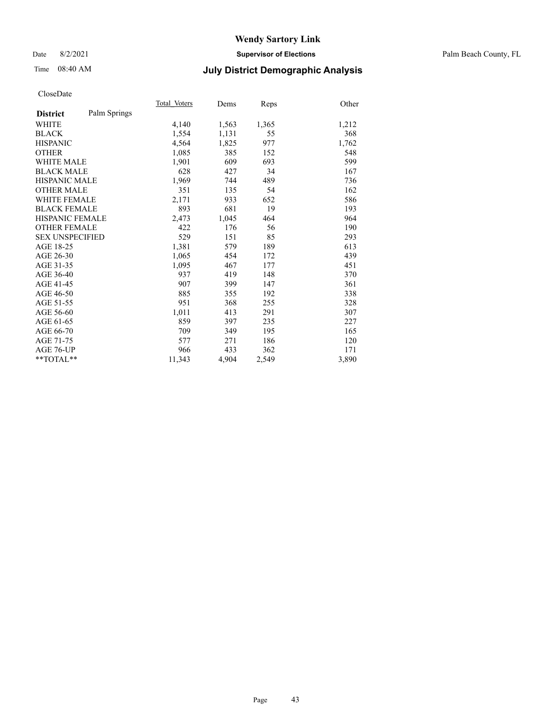#### Date 8/2/2021 **Supervisor of Elections** Palm Beach County, FL

## Time 08:40 AM **July District Demographic Analysis**

|                        |              | Total Voters | Dems  | Reps  | Other |
|------------------------|--------------|--------------|-------|-------|-------|
| <b>District</b>        | Palm Springs |              |       |       |       |
| <b>WHITE</b>           |              | 4,140        | 1,563 | 1,365 | 1,212 |
| <b>BLACK</b>           |              | 1,554        | 1,131 | 55    | 368   |
| <b>HISPANIC</b>        |              | 4,564        | 1,825 | 977   | 1,762 |
| <b>OTHER</b>           |              | 1,085        | 385   | 152   | 548   |
| WHITE MALE             |              | 1,901        | 609   | 693   | 599   |
| <b>BLACK MALE</b>      |              | 628          | 427   | 34    | 167   |
| <b>HISPANIC MALE</b>   |              | 1,969        | 744   | 489   | 736   |
| <b>OTHER MALE</b>      |              | 351          | 135   | 54    | 162   |
| <b>WHITE FEMALE</b>    |              | 2,171        | 933   | 652   | 586   |
| <b>BLACK FEMALE</b>    |              | 893          | 681   | 19    | 193   |
| <b>HISPANIC FEMALE</b> |              | 2,473        | 1,045 | 464   | 964   |
| <b>OTHER FEMALE</b>    |              | 422          | 176   | 56    | 190   |
| <b>SEX UNSPECIFIED</b> |              | 529          | 151   | 85    | 293   |
| AGE 18-25              |              | 1,381        | 579   | 189   | 613   |
| AGE 26-30              |              | 1,065        | 454   | 172   | 439   |
| AGE 31-35              |              | 1,095        | 467   | 177   | 451   |
| AGE 36-40              |              | 937          | 419   | 148   | 370   |
| AGE 41-45              |              | 907          | 399   | 147   | 361   |
| AGE 46-50              |              | 885          | 355   | 192   | 338   |
| AGE 51-55              |              | 951          | 368   | 255   | 328   |
| AGE 56-60              |              | 1,011        | 413   | 291   | 307   |
| AGE 61-65              |              | 859          | 397   | 235   | 227   |
| AGE 66-70              |              | 709          | 349   | 195   | 165   |
| AGE 71-75              |              | 577          | 271   | 186   | 120   |
| AGE 76-UP              |              | 966          | 433   | 362   | 171   |
| $*$ $TOTAL**$          |              | 11,343       | 4,904 | 2,549 | 3,890 |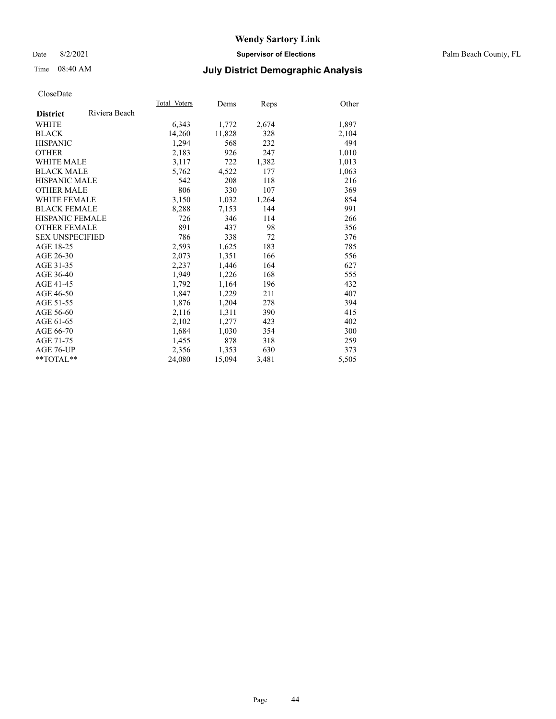#### Date 8/2/2021 **Supervisor of Elections** Palm Beach County, FL

## Time 08:40 AM **July District Demographic Analysis**

|                        |               | Total Voters | Dems   | <b>Reps</b> | Other |
|------------------------|---------------|--------------|--------|-------------|-------|
| <b>District</b>        | Riviera Beach |              |        |             |       |
| WHITE                  |               | 6,343        | 1,772  | 2,674       | 1,897 |
| <b>BLACK</b>           |               | 14,260       | 11,828 | 328         | 2,104 |
| <b>HISPANIC</b>        |               | 1,294        | 568    | 232         | 494   |
| <b>OTHER</b>           |               | 2,183        | 926    | 247         | 1,010 |
| <b>WHITE MALE</b>      |               | 3,117        | 722    | 1,382       | 1,013 |
| <b>BLACK MALE</b>      |               | 5,762        | 4,522  | 177         | 1,063 |
| <b>HISPANIC MALE</b>   |               | 542          | 208    | 118         | 216   |
| <b>OTHER MALE</b>      |               | 806          | 330    | 107         | 369   |
| <b>WHITE FEMALE</b>    |               | 3,150        | 1,032  | 1,264       | 854   |
| <b>BLACK FEMALE</b>    |               | 8,288        | 7,153  | 144         | 991   |
| HISPANIC FEMALE        |               | 726          | 346    | 114         | 266   |
| <b>OTHER FEMALE</b>    |               | 891          | 437    | 98          | 356   |
| <b>SEX UNSPECIFIED</b> |               | 786          | 338    | 72          | 376   |
| AGE 18-25              |               | 2,593        | 1,625  | 183         | 785   |
| AGE 26-30              |               | 2,073        | 1,351  | 166         | 556   |
| AGE 31-35              |               | 2,237        | 1,446  | 164         | 627   |
| AGE 36-40              |               | 1,949        | 1,226  | 168         | 555   |
| AGE 41-45              |               | 1,792        | 1,164  | 196         | 432   |
| AGE 46-50              |               | 1,847        | 1,229  | 211         | 407   |
| AGE 51-55              |               | 1,876        | 1,204  | 278         | 394   |
| AGE 56-60              |               | 2,116        | 1,311  | 390         | 415   |
| AGE 61-65              |               | 2,102        | 1,277  | 423         | 402   |
| AGE 66-70              |               | 1,684        | 1,030  | 354         | 300   |
| AGE 71-75              |               | 1,455        | 878    | 318         | 259   |
| AGE 76-UP              |               | 2,356        | 1,353  | 630         | 373   |
| $*$ $TOTAL**$          |               | 24,080       | 15,094 | 3,481       | 5,505 |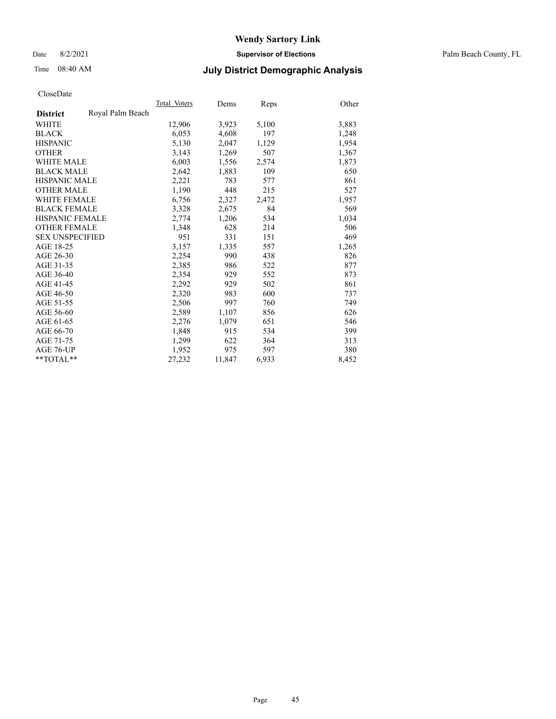Date 8/2/2021 **Supervisor of Elections** Palm Beach County, FL

## Time 08:40 AM **July District Demographic Analysis**

|                        |                  | Total Voters | Dems   | <b>Reps</b> | Other |
|------------------------|------------------|--------------|--------|-------------|-------|
| <b>District</b>        | Royal Palm Beach |              |        |             |       |
| WHITE                  |                  | 12,906       | 3,923  | 5,100       | 3,883 |
| <b>BLACK</b>           |                  | 6,053        | 4,608  | 197         | 1,248 |
| <b>HISPANIC</b>        |                  | 5,130        | 2,047  | 1,129       | 1,954 |
| <b>OTHER</b>           |                  | 3,143        | 1,269  | 507         | 1,367 |
| <b>WHITE MALE</b>      |                  | 6,003        | 1,556  | 2,574       | 1,873 |
| <b>BLACK MALE</b>      |                  | 2,642        | 1,883  | 109         | 650   |
| <b>HISPANIC MALE</b>   |                  | 2,221        | 783    | 577         | 861   |
| <b>OTHER MALE</b>      |                  | 1,190        | 448    | 215         | 527   |
| <b>WHITE FEMALE</b>    |                  | 6,756        | 2,327  | 2,472       | 1,957 |
| <b>BLACK FEMALE</b>    |                  | 3,328        | 2,675  | 84          | 569   |
| <b>HISPANIC FEMALE</b> |                  | 2,774        | 1,206  | 534         | 1,034 |
| <b>OTHER FEMALE</b>    |                  | 1,348        | 628    | 214         | 506   |
| <b>SEX UNSPECIFIED</b> |                  | 951          | 331    | 151         | 469   |
| AGE 18-25              |                  | 3,157        | 1,335  | 557         | 1,265 |
| AGE 26-30              |                  | 2,254        | 990    | 438         | 826   |
| AGE 31-35              |                  | 2,385        | 986    | 522         | 877   |
| AGE 36-40              |                  | 2,354        | 929    | 552         | 873   |
| AGE 41-45              |                  | 2,292        | 929    | 502         | 861   |
| AGE 46-50              |                  | 2,320        | 983    | 600         | 737   |
| AGE 51-55              |                  | 2,506        | 997    | 760         | 749   |
| AGE 56-60              |                  | 2,589        | 1,107  | 856         | 626   |
| AGE 61-65              |                  | 2,276        | 1,079  | 651         | 546   |
| AGE 66-70              |                  | 1,848        | 915    | 534         | 399   |
| AGE 71-75              |                  | 1,299        | 622    | 364         | 313   |
| AGE 76-UP              |                  | 1,952        | 975    | 597         | 380   |
| $*$ $TOTAL**$          |                  | 27,232       | 11,847 | 6,933       | 8,452 |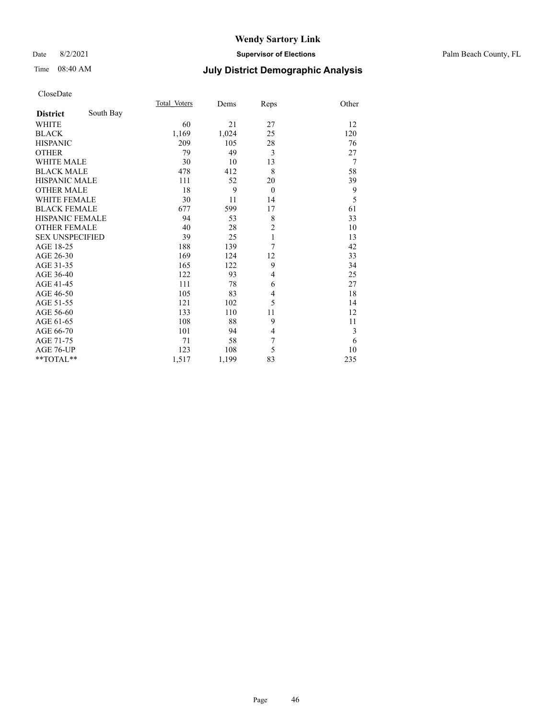#### Date 8/2/2021 **Supervisor of Elections** Palm Beach County, FL

## Time 08:40 AM **July District Demographic Analysis**

|                        |           | Total Voters | Dems  | Reps           | Other          |
|------------------------|-----------|--------------|-------|----------------|----------------|
| <b>District</b>        | South Bay |              |       |                |                |
| <b>WHITE</b>           |           | 60           | 21    | 27             | 12             |
| <b>BLACK</b>           |           | 1,169        | 1,024 | 25             | 120            |
| <b>HISPANIC</b>        |           | 209          | 105   | 28             | 76             |
| <b>OTHER</b>           |           | 79           | 49    | 3              | 27             |
| WHITE MALE             |           | 30           | 10    | 13             | $\overline{7}$ |
| <b>BLACK MALE</b>      |           | 478          | 412   | 8              | 58             |
| <b>HISPANIC MALE</b>   |           | 111          | 52    | 20             | 39             |
| <b>OTHER MALE</b>      |           | 18           | 9     | $\theta$       | 9              |
| <b>WHITE FEMALE</b>    |           | 30           | 11    | 14             | 5              |
| <b>BLACK FEMALE</b>    |           | 677          | 599   | 17             | 61             |
| <b>HISPANIC FEMALE</b> |           | 94           | 53    | 8              | 33             |
| <b>OTHER FEMALE</b>    |           | 40           | 28    | $\overline{c}$ | 10             |
| <b>SEX UNSPECIFIED</b> |           | 39           | 25    | $\mathbf{1}$   | 13             |
| AGE 18-25              |           | 188          | 139   | 7              | 42             |
| AGE 26-30              |           | 169          | 124   | 12             | 33             |
| AGE 31-35              |           | 165          | 122   | 9              | 34             |
| AGE 36-40              |           | 122          | 93    | 4              | 25             |
| AGE 41-45              |           | 111          | 78    | 6              | 27             |
| AGE 46-50              |           | 105          | 83    | 4              | 18             |
| AGE 51-55              |           | 121          | 102   | 5              | 14             |
| AGE 56-60              |           | 133          | 110   | 11             | 12             |
| AGE 61-65              |           | 108          | 88    | 9              | 11             |
| AGE 66-70              |           | 101          | 94    | 4              | 3              |
| AGE 71-75              |           | 71           | 58    | 7              | 6              |
| AGE 76-UP              |           | 123          | 108   | 5              | 10             |
| $*$ $TOTAL**$          |           | 1,517        | 1,199 | 83             | 235            |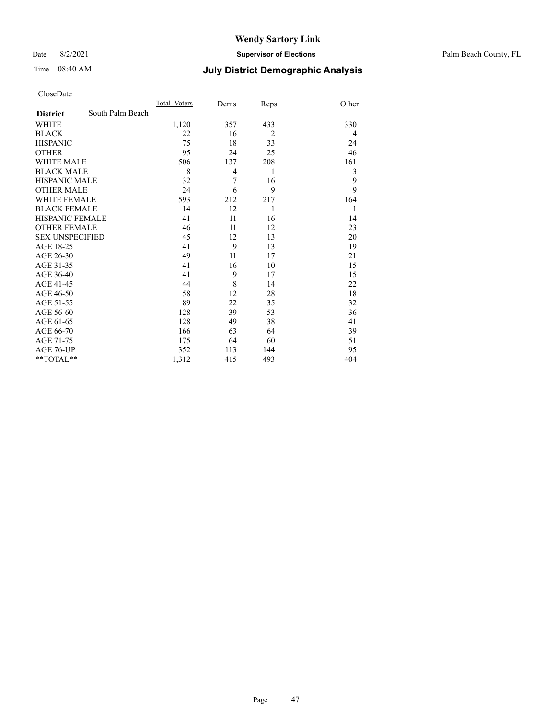Date 8/2/2021 **Supervisor of Elections** Palm Beach County, FL

## Time 08:40 AM **July District Demographic Analysis**

|                        |                  | Total Voters | Dems           | Reps           | Other |
|------------------------|------------------|--------------|----------------|----------------|-------|
| <b>District</b>        | South Palm Beach |              |                |                |       |
| <b>WHITE</b>           |                  | 1,120        | 357            | 433            | 330   |
| <b>BLACK</b>           |                  | 22           | 16             | $\overline{2}$ | 4     |
| <b>HISPANIC</b>        |                  | 75           | 18             | 33             | 24    |
| <b>OTHER</b>           |                  | 95           | 24             | 25             | 46    |
| <b>WHITE MALE</b>      |                  | 506          | 137            | 208            | 161   |
| <b>BLACK MALE</b>      |                  | 8            | $\overline{4}$ | 1              | 3     |
| <b>HISPANIC MALE</b>   |                  | 32           | 7              | 16             | 9     |
| <b>OTHER MALE</b>      |                  | 24           | 6              | 9              | 9     |
| <b>WHITE FEMALE</b>    |                  | 593          | 212            | 217            | 164   |
| <b>BLACK FEMALE</b>    |                  | 14           | 12             | 1              | 1     |
| <b>HISPANIC FEMALE</b> |                  | 41           | 11             | 16             | 14    |
| <b>OTHER FEMALE</b>    |                  | 46           | 11             | 12             | 23    |
| <b>SEX UNSPECIFIED</b> |                  | 45           | 12             | 13             | 20    |
| AGE 18-25              |                  | 41           | 9              | 13             | 19    |
| AGE 26-30              |                  | 49           | 11             | 17             | 21    |
| AGE 31-35              |                  | 41           | 16             | 10             | 15    |
| AGE 36-40              |                  | 41           | 9              | 17             | 15    |
| AGE 41-45              |                  | 44           | 8              | 14             | 22    |
| AGE 46-50              |                  | 58           | 12             | 28             | 18    |
| AGE 51-55              |                  | 89           | 22             | 35             | 32    |
| AGE 56-60              |                  | 128          | 39             | 53             | 36    |
| AGE 61-65              |                  | 128          | 49             | 38             | 41    |
| AGE 66-70              |                  | 166          | 63             | 64             | 39    |
| AGE 71-75              |                  | 175          | 64             | 60             | 51    |
| AGE 76-UP              |                  | 352          | 113            | 144            | 95    |
| $*$ $TOTAL**$          |                  | 1,312        | 415            | 493            | 404   |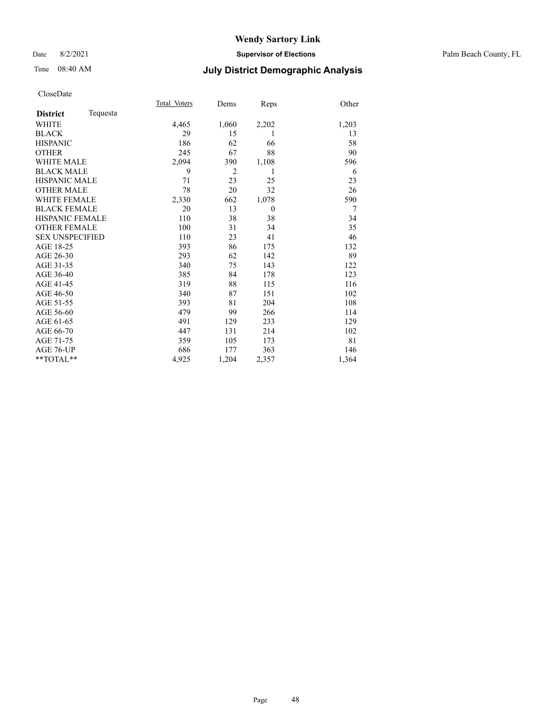#### Date 8/2/2021 **Supervisor of Elections** Palm Beach County, FL

## Time 08:40 AM **July District Demographic Analysis**

|                        |          | Total Voters | Dems           | Reps         | Other |
|------------------------|----------|--------------|----------------|--------------|-------|
| <b>District</b>        | Tequesta |              |                |              |       |
| <b>WHITE</b>           |          | 4,465        | 1,060          | 2,202        | 1,203 |
| <b>BLACK</b>           |          | 29           | 15             | 1            | 13    |
| <b>HISPANIC</b>        |          | 186          | 62             | 66           | 58    |
| <b>OTHER</b>           |          | 245          | 67             | 88           | 90    |
| <b>WHITE MALE</b>      |          | 2,094        | 390            | 1,108        | 596   |
| <b>BLACK MALE</b>      |          | 9            | $\overline{2}$ | 1            | 6     |
| <b>HISPANIC MALE</b>   |          | 71           | 23             | 25           | 23    |
| <b>OTHER MALE</b>      |          | 78           | 20             | 32           | 26    |
| <b>WHITE FEMALE</b>    |          | 2,330        | 662            | 1,078        | 590   |
| <b>BLACK FEMALE</b>    |          | 20           | 13             | $\mathbf{0}$ | 7     |
| <b>HISPANIC FEMALE</b> |          | 110          | 38             | 38           | 34    |
| <b>OTHER FEMALE</b>    |          | 100          | 31             | 34           | 35    |
| <b>SEX UNSPECIFIED</b> |          | 110          | 23             | 41           | 46    |
| AGE 18-25              |          | 393          | 86             | 175          | 132   |
| AGE 26-30              |          | 293          | 62             | 142          | 89    |
| AGE 31-35              |          | 340          | 75             | 143          | 122   |
| AGE 36-40              |          | 385          | 84             | 178          | 123   |
| AGE 41-45              |          | 319          | 88             | 115          | 116   |
| AGE 46-50              |          | 340          | 87             | 151          | 102   |
| AGE 51-55              |          | 393          | 81             | 204          | 108   |
| AGE 56-60              |          | 479          | 99             | 266          | 114   |
| AGE 61-65              |          | 491          | 129            | 233          | 129   |
| AGE 66-70              |          | 447          | 131            | 214          | 102   |
| AGE 71-75              |          | 359          | 105            | 173          | 81    |
| AGE 76-UP              |          | 686          | 177            | 363          | 146   |
| $*$ $TOTAL**$          |          | 4,925        | 1,204          | 2,357        | 1,364 |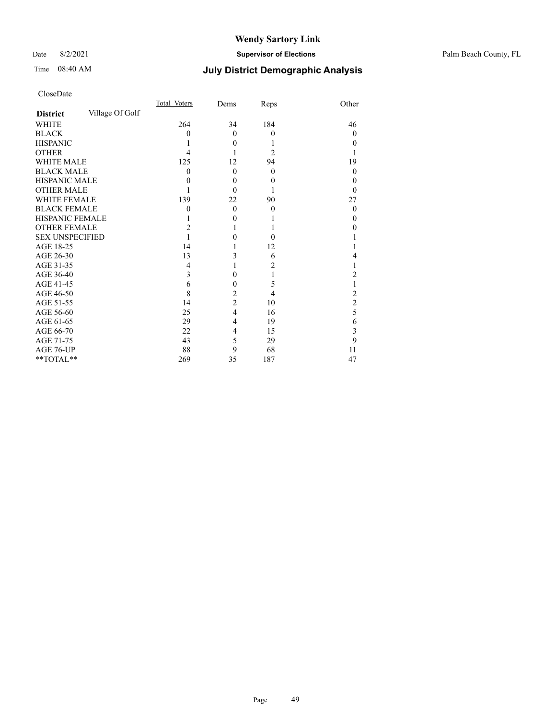#### Date 8/2/2021 **Supervisor of Elections** Palm Beach County, FL

## Time 08:40 AM **July District Demographic Analysis**

|                        |                 | Total Voters | Dems             | Reps             | Other            |
|------------------------|-----------------|--------------|------------------|------------------|------------------|
| <b>District</b>        | Village Of Golf |              |                  |                  |                  |
| <b>WHITE</b>           |                 | 264          | 34               | 184              | 46               |
| <b>BLACK</b>           |                 | 0            | $\theta$         | $\mathbf{0}$     | $\theta$         |
| <b>HISPANIC</b>        |                 |              | $\theta$         |                  | $\theta$         |
| <b>OTHER</b>           |                 | 4            |                  | $\overline{c}$   |                  |
| WHITE MALE             |                 | 125          | 12               | 94               | 19               |
| <b>BLACK MALE</b>      |                 | $\theta$     | $\theta$         | $\mathbf{0}$     | $\boldsymbol{0}$ |
| <b>HISPANIC MALE</b>   |                 | 0            | $\boldsymbol{0}$ | $\boldsymbol{0}$ | 0                |
| <b>OTHER MALE</b>      |                 |              | $\Omega$         |                  | 0                |
| WHITE FEMALE           |                 | 139          | 22               | 90               | 27               |
| <b>BLACK FEMALE</b>    |                 | $\theta$     | $\Omega$         | $\theta$         | $\theta$         |
| <b>HISPANIC FEMALE</b> |                 |              | $\theta$         |                  | $_{0}$           |
| <b>OTHER FEMALE</b>    |                 | 2            | 1                |                  | 0                |
| <b>SEX UNSPECIFIED</b> |                 |              | 0                | $\theta$         |                  |
| AGE 18-25              |                 | 14           | 1                | 12               |                  |
| AGE 26-30              |                 | 13           | 3                | 6                | 4                |
| AGE 31-35              |                 | 4            | 1                | 2                |                  |
| AGE 36-40              |                 | 3            | $\theta$         |                  | 2                |
| AGE 41-45              |                 | 6            | 0                | 5                |                  |
| AGE 46-50              |                 | 8            | $\overline{c}$   | 4                | $\overline{c}$   |
| AGE 51-55              |                 | 14           | $\overline{c}$   | 10               | $\overline{c}$   |
| AGE 56-60              |                 | 25           | $\overline{4}$   | 16               | 5                |
| AGE 61-65              |                 | 29           | 4                | 19               | 6                |
| AGE 66-70              |                 | 22           | 4                | 15               | 3                |
| AGE 71-75              |                 | 43           | 5                | 29               | 9                |
| AGE 76-UP              |                 | 88           | 9                | 68               | 11               |
| **TOTAL**              |                 | 269          | 35               | 187              | 47               |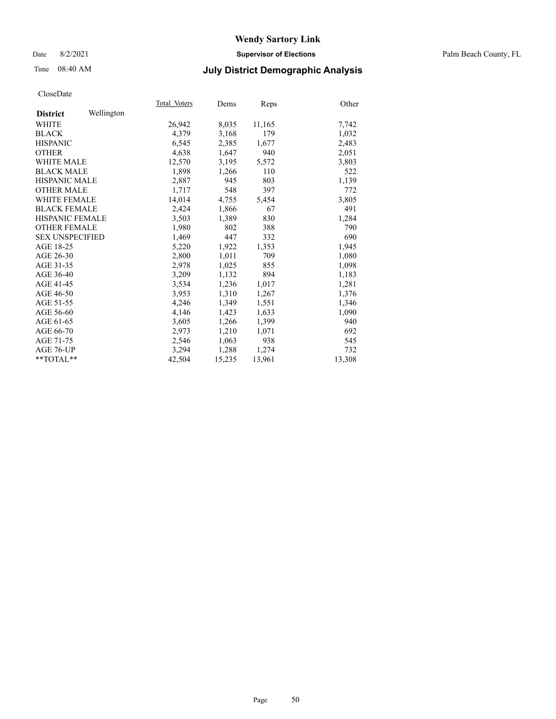#### Date 8/2/2021 **Supervisor of Elections** Palm Beach County, FL

## Time 08:40 AM **July District Demographic Analysis**

|                        |            | Total Voters | Dems   | Reps   | Other  |
|------------------------|------------|--------------|--------|--------|--------|
| <b>District</b>        | Wellington |              |        |        |        |
| WHITE                  |            | 26,942       | 8,035  | 11,165 | 7,742  |
| <b>BLACK</b>           |            | 4,379        | 3,168  | 179    | 1,032  |
| <b>HISPANIC</b>        |            | 6,545        | 2,385  | 1,677  | 2,483  |
| <b>OTHER</b>           |            | 4,638        | 1,647  | 940    | 2,051  |
| WHITE MALE             |            | 12,570       | 3,195  | 5,572  | 3,803  |
| <b>BLACK MALE</b>      |            | 1,898        | 1,266  | 110    | 522    |
| <b>HISPANIC MALE</b>   |            | 2,887        | 945    | 803    | 1,139  |
| <b>OTHER MALE</b>      |            | 1,717        | 548    | 397    | 772    |
| <b>WHITE FEMALE</b>    |            | 14,014       | 4,755  | 5,454  | 3,805  |
| <b>BLACK FEMALE</b>    |            | 2,424        | 1,866  | 67     | 491    |
| HISPANIC FEMALE        |            | 3,503        | 1,389  | 830    | 1,284  |
| <b>OTHER FEMALE</b>    |            | 1,980        | 802    | 388    | 790    |
| <b>SEX UNSPECIFIED</b> |            | 1,469        | 447    | 332    | 690    |
| AGE 18-25              |            | 5,220        | 1,922  | 1,353  | 1,945  |
| AGE 26-30              |            | 2,800        | 1,011  | 709    | 1,080  |
| AGE 31-35              |            | 2,978        | 1,025  | 855    | 1,098  |
| AGE 36-40              |            | 3,209        | 1,132  | 894    | 1,183  |
| AGE 41-45              |            | 3,534        | 1,236  | 1,017  | 1,281  |
| AGE 46-50              |            | 3,953        | 1,310  | 1,267  | 1,376  |
| AGE 51-55              |            | 4,246        | 1,349  | 1,551  | 1,346  |
| AGE 56-60              |            | 4,146        | 1,423  | 1,633  | 1,090  |
| AGE 61-65              |            | 3,605        | 1,266  | 1,399  | 940    |
| AGE 66-70              |            | 2.973        | 1,210  | 1,071  | 692    |
| AGE 71-75              |            | 2,546        | 1,063  | 938    | 545    |
| AGE 76-UP              |            | 3,294        | 1,288  | 1,274  | 732    |
| $*$ $TOTAL**$          |            | 42,504       | 15,235 | 13,961 | 13,308 |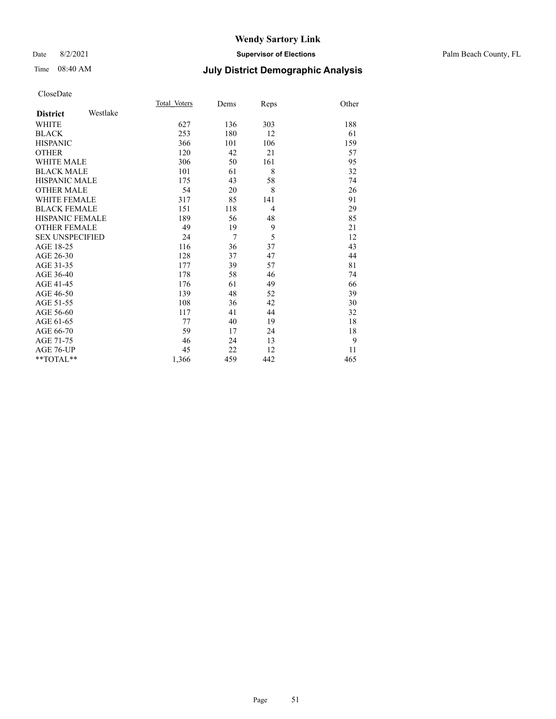#### Date 8/2/2021 **Supervisor of Elections** Palm Beach County, FL

## Time 08:40 AM **July District Demographic Analysis**

|                        |          | Total Voters | Dems | Reps           | Other |
|------------------------|----------|--------------|------|----------------|-------|
| <b>District</b>        | Westlake |              |      |                |       |
| <b>WHITE</b>           |          | 627          | 136  | 303            | 188   |
| <b>BLACK</b>           |          | 253          | 180  | 12             | 61    |
| <b>HISPANIC</b>        |          | 366          | 101  | 106            | 159   |
| <b>OTHER</b>           |          | 120          | 42   | 21             | 57    |
| <b>WHITE MALE</b>      |          | 306          | 50   | 161            | 95    |
| <b>BLACK MALE</b>      |          | 101          | 61   | 8              | 32    |
| <b>HISPANIC MALE</b>   |          | 175          | 43   | 58             | 74    |
| <b>OTHER MALE</b>      |          | 54           | 20   | 8              | 26    |
| <b>WHITE FEMALE</b>    |          | 317          | 85   | 141            | 91    |
| <b>BLACK FEMALE</b>    |          | 151          | 118  | $\overline{4}$ | 29    |
| HISPANIC FEMALE        |          | 189          | 56   | 48             | 85    |
| <b>OTHER FEMALE</b>    |          | 49           | 19   | 9              | 21    |
| <b>SEX UNSPECIFIED</b> |          | 24           | 7    | 5              | 12    |
| AGE 18-25              |          | 116          | 36   | 37             | 43    |
| AGE 26-30              |          | 128          | 37   | 47             | 44    |
| AGE 31-35              |          | 177          | 39   | 57             | 81    |
| AGE 36-40              |          | 178          | 58   | 46             | 74    |
| AGE 41-45              |          | 176          | 61   | 49             | 66    |
| AGE 46-50              |          | 139          | 48   | 52             | 39    |
| AGE 51-55              |          | 108          | 36   | 42             | 30    |
| AGE 56-60              |          | 117          | 41   | 44             | 32    |
| AGE 61-65              |          | 77           | 40   | 19             | 18    |
| AGE 66-70              |          | 59           | 17   | 24             | 18    |
| AGE 71-75              |          | 46           | 24   | 13             | 9     |
| AGE 76-UP              |          | 45           | 22   | 12             | 11    |
| **TOTAL**              |          | 1,366        | 459  | 442            | 465   |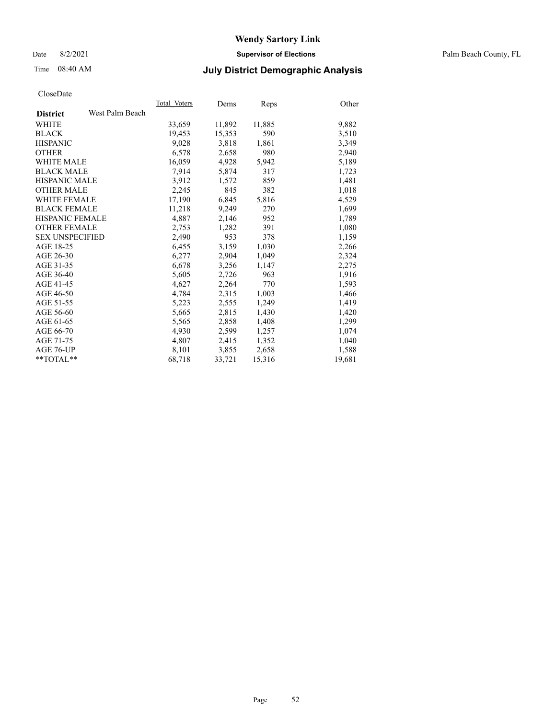#### Date 8/2/2021 **Supervisor of Elections** Palm Beach County, FL

## Time 08:40 AM **July District Demographic Analysis**

|                        |                 | Total Voters | Dems   | <b>Reps</b> | Other  |
|------------------------|-----------------|--------------|--------|-------------|--------|
| <b>District</b>        | West Palm Beach |              |        |             |        |
| WHITE                  |                 | 33,659       | 11,892 | 11,885      | 9,882  |
| <b>BLACK</b>           |                 | 19,453       | 15,353 | 590         | 3,510  |
| <b>HISPANIC</b>        |                 | 9,028        | 3,818  | 1,861       | 3,349  |
| <b>OTHER</b>           |                 | 6,578        | 2,658  | 980         | 2,940  |
| <b>WHITE MALE</b>      |                 | 16,059       | 4,928  | 5,942       | 5,189  |
| <b>BLACK MALE</b>      |                 | 7,914        | 5,874  | 317         | 1,723  |
| <b>HISPANIC MALE</b>   |                 | 3,912        | 1,572  | 859         | 1,481  |
| <b>OTHER MALE</b>      |                 | 2,245        | 845    | 382         | 1,018  |
| <b>WHITE FEMALE</b>    |                 | 17,190       | 6,845  | 5,816       | 4,529  |
| <b>BLACK FEMALE</b>    |                 | 11,218       | 9,249  | 270         | 1,699  |
| <b>HISPANIC FEMALE</b> |                 | 4,887        | 2,146  | 952         | 1,789  |
| <b>OTHER FEMALE</b>    |                 | 2,753        | 1,282  | 391         | 1,080  |
| <b>SEX UNSPECIFIED</b> |                 | 2,490        | 953    | 378         | 1,159  |
| AGE 18-25              |                 | 6,455        | 3,159  | 1,030       | 2,266  |
| AGE 26-30              |                 | 6,277        | 2,904  | 1,049       | 2,324  |
| AGE 31-35              |                 | 6,678        | 3,256  | 1,147       | 2,275  |
| AGE 36-40              |                 | 5,605        | 2,726  | 963         | 1,916  |
| AGE 41-45              |                 | 4,627        | 2,264  | 770         | 1,593  |
| AGE 46-50              |                 | 4,784        | 2,315  | 1,003       | 1,466  |
| AGE 51-55              |                 | 5,223        | 2,555  | 1,249       | 1,419  |
| AGE 56-60              |                 | 5,665        | 2,815  | 1,430       | 1,420  |
| AGE 61-65              |                 | 5,565        | 2,858  | 1,408       | 1,299  |
| AGE 66-70              |                 | 4,930        | 2,599  | 1,257       | 1,074  |
| AGE 71-75              |                 | 4,807        | 2,415  | 1,352       | 1,040  |
| AGE 76-UP              |                 | 8,101        | 3,855  | 2,658       | 1,588  |
| **TOTAL**              |                 | 68,718       | 33,721 | 15,316      | 19,681 |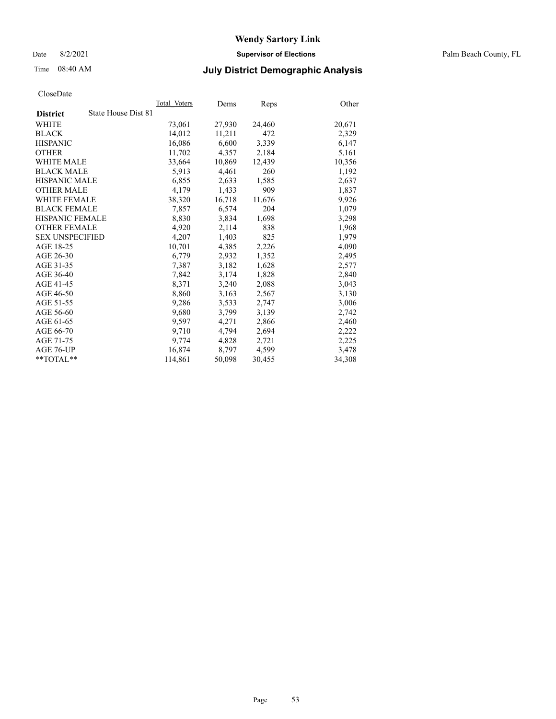Date 8/2/2021 **Supervisor of Elections** Palm Beach County, FL

## Time 08:40 AM **July District Demographic Analysis**

| CloseDate              |                     |              |        |             |        |
|------------------------|---------------------|--------------|--------|-------------|--------|
|                        |                     | Total Voters | Dems   | <b>Reps</b> | Other  |
| <b>District</b>        | State House Dist 81 |              |        |             |        |
| WHITE                  |                     | 73,061       | 27,930 | 24,460      | 20,671 |
| <b>BLACK</b>           |                     | 14.012       | 11,211 | 472         | 2,329  |
| <b>HISPANIC</b>        |                     | 16,086       | 6,600  | 3,339       | 6,147  |
| <b>OTHER</b>           |                     | 11,702       | 4,357  | 2,184       | 5,161  |
| <b>WHITE MALE</b>      |                     | 33,664       | 10,869 | 12,439      | 10,356 |
| <b>BLACK MALE</b>      |                     | 5,913        | 4,461  | 260         | 1,192  |
| <b>HISPANIC MALE</b>   |                     | 6,855        | 2,633  | 1,585       | 2,637  |
| <b>OTHER MALE</b>      |                     | 4,179        | 1,433  | 909         | 1,837  |
| <b>WHITE FEMALE</b>    |                     | 38,320       | 16,718 | 11,676      | 9,926  |
| <b>BLACK FEMALE</b>    |                     | 7,857        | 6,574  | 204         | 1,079  |
| <b>HISPANIC FEMALE</b> |                     | 8,830        | 3,834  | 1,698       | 3,298  |
| <b>OTHER FEMALE</b>    |                     | 4,920        | 2,114  | 838         | 1,968  |
| <b>SEX UNSPECIFIED</b> |                     | 4,207        | 1,403  | 825         | 1,979  |
| AGE 18-25              |                     | 10,701       | 4,385  | 2,226       | 4,090  |
| AGE 26-30              |                     | 6,779        | 2,932  | 1,352       | 2,495  |
| AGE 31-35              |                     | 7,387        | 3,182  | 1,628       | 2,577  |
| AGE 36-40              |                     | 7,842        | 3,174  | 1,828       | 2,840  |
| AGE 41-45              |                     | 8,371        | 3,240  | 2,088       | 3,043  |
| AGE 46-50              |                     | 8,860        | 3,163  | 2,567       | 3,130  |
| AGE 51-55              |                     | 9,286        | 3,533  | 2,747       | 3,006  |
| AGE 56-60              |                     | 9,680        | 3,799  | 3,139       | 2,742  |
| AGE 61-65              |                     | 9,597        | 4,271  | 2,866       | 2,460  |
| AGE 66-70              |                     | 9,710        | 4,794  | 2,694       | 2,222  |
| AGE 71-75              |                     | 9,774        | 4,828  | 2,721       | 2,225  |
| AGE 76-UP              |                     | 16,874       | 8,797  | 4,599       | 3,478  |
| $*$ $TOTAL**$          |                     | 114,861      | 50,098 | 30,455      | 34,308 |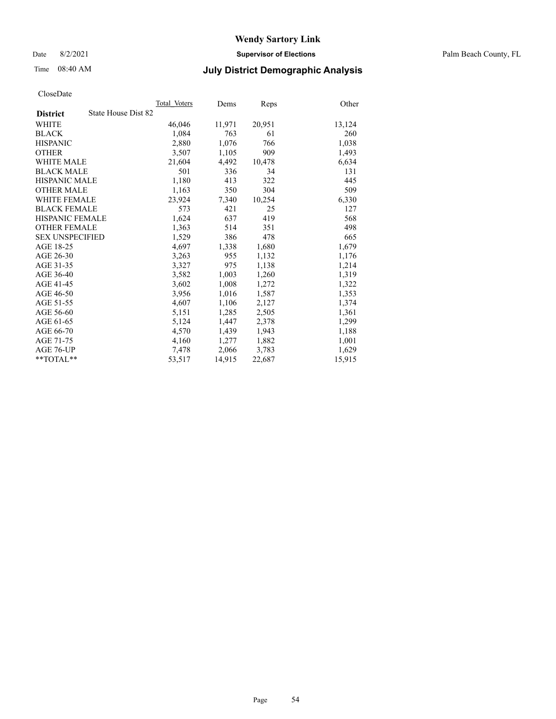Date 8/2/2021 **Supervisor of Elections** Palm Beach County, FL

## Time 08:40 AM **July District Demographic Analysis**

|                                        | Total Voters | Dems   | Reps   | Other  |
|----------------------------------------|--------------|--------|--------|--------|
| State House Dist 82<br><b>District</b> |              |        |        |        |
| WHITE                                  | 46,046       | 11,971 | 20,951 | 13,124 |
| <b>BLACK</b>                           | 1,084        | 763    | 61     | 260    |
| <b>HISPANIC</b>                        | 2,880        | 1,076  | 766    | 1,038  |
| <b>OTHER</b>                           | 3,507        | 1,105  | 909    | 1,493  |
| <b>WHITE MALE</b>                      | 21,604       | 4,492  | 10,478 | 6,634  |
| <b>BLACK MALE</b>                      | 501          | 336    | 34     | 131    |
| <b>HISPANIC MALE</b>                   | 1,180        | 413    | 322    | 445    |
| <b>OTHER MALE</b>                      | 1,163        | 350    | 304    | 509    |
| <b>WHITE FEMALE</b>                    | 23,924       | 7,340  | 10,254 | 6,330  |
| <b>BLACK FEMALE</b>                    | 573          | 421    | 25     | 127    |
| HISPANIC FEMALE                        | 1,624        | 637    | 419    | 568    |
| <b>OTHER FEMALE</b>                    | 1,363        | 514    | 351    | 498    |
| <b>SEX UNSPECIFIED</b>                 | 1,529        | 386    | 478    | 665    |
| AGE 18-25                              | 4,697        | 1,338  | 1,680  | 1,679  |
| AGE 26-30                              | 3,263        | 955    | 1,132  | 1,176  |
| AGE 31-35                              | 3,327        | 975    | 1,138  | 1,214  |
| AGE 36-40                              | 3,582        | 1,003  | 1,260  | 1,319  |
| AGE 41-45                              | 3,602        | 1,008  | 1,272  | 1,322  |
| AGE 46-50                              | 3,956        | 1,016  | 1,587  | 1,353  |
| AGE 51-55                              | 4,607        | 1,106  | 2,127  | 1,374  |
| AGE 56-60                              | 5,151        | 1,285  | 2,505  | 1,361  |
| AGE 61-65                              | 5,124        | 1,447  | 2,378  | 1,299  |
| AGE 66-70                              | 4,570        | 1,439  | 1,943  | 1,188  |
| AGE 71-75                              | 4,160        | 1,277  | 1,882  | 1,001  |
| AGE 76-UP                              | 7,478        | 2,066  | 3,783  | 1,629  |
| $*$ $TOTAL**$                          | 53,517       | 14,915 | 22,687 | 15,915 |
|                                        |              |        |        |        |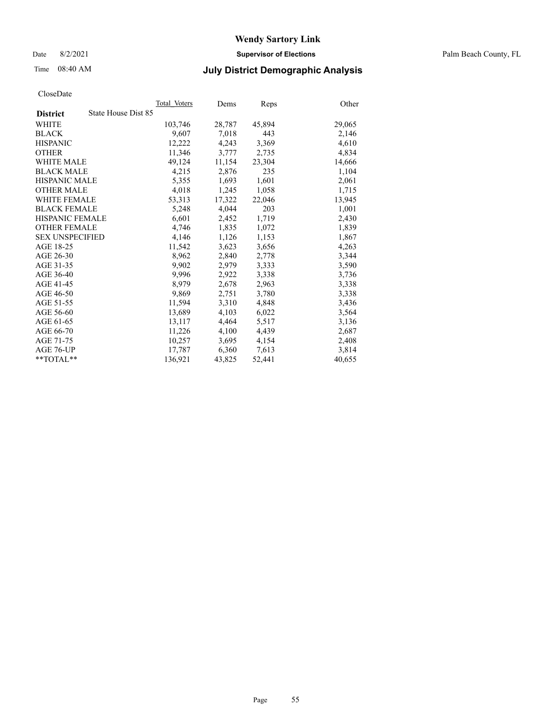Date 8/2/2021 **Supervisor of Elections** Palm Beach County, FL

## Time 08:40 AM **July District Demographic Analysis**

|                        | Total Voters        | Dems   | Reps   | Other  |
|------------------------|---------------------|--------|--------|--------|
| <b>District</b>        | State House Dist 85 |        |        |        |
| WHITE                  | 103,746             | 28,787 | 45,894 | 29,065 |
| <b>BLACK</b>           | 9,607               | 7,018  | 443    | 2,146  |
| <b>HISPANIC</b>        | 12,222              | 4,243  | 3,369  | 4,610  |
| <b>OTHER</b>           | 11,346              | 3,777  | 2,735  | 4,834  |
| <b>WHITE MALE</b>      | 49,124              | 11,154 | 23,304 | 14,666 |
| <b>BLACK MALE</b>      | 4,215               | 2,876  | 235    | 1,104  |
| <b>HISPANIC MALE</b>   | 5,355               | 1,693  | 1,601  | 2,061  |
| <b>OTHER MALE</b>      | 4,018               | 1,245  | 1,058  | 1,715  |
| <b>WHITE FEMALE</b>    | 53,313              | 17,322 | 22,046 | 13,945 |
| <b>BLACK FEMALE</b>    | 5,248               | 4,044  | 203    | 1,001  |
| <b>HISPANIC FEMALE</b> | 6,601               | 2,452  | 1,719  | 2,430  |
| <b>OTHER FEMALE</b>    | 4,746               | 1,835  | 1,072  | 1,839  |
| <b>SEX UNSPECIFIED</b> | 4,146               | 1,126  | 1,153  | 1,867  |
| AGE 18-25              | 11,542              | 3,623  | 3,656  | 4,263  |
| AGE 26-30              | 8,962               | 2,840  | 2,778  | 3,344  |
| AGE 31-35              | 9,902               | 2,979  | 3,333  | 3,590  |
| AGE 36-40              | 9.996               | 2,922  | 3,338  | 3,736  |
| AGE 41-45              | 8,979               | 2,678  | 2,963  | 3,338  |
| AGE 46-50              | 9,869               | 2,751  | 3,780  | 3,338  |
| AGE 51-55              | 11,594              | 3,310  | 4,848  | 3,436  |
| AGE 56-60              | 13,689              | 4,103  | 6,022  | 3,564  |
| AGE 61-65              | 13,117              | 4,464  | 5,517  | 3,136  |
| AGE 66-70              | 11,226              | 4,100  | 4,439  | 2,687  |
| AGE 71-75              | 10,257              | 3,695  | 4,154  | 2,408  |
| AGE 76-UP              | 17.787              | 6,360  | 7,613  | 3,814  |
| **TOTAL**              | 136.921             | 43,825 | 52,441 | 40,655 |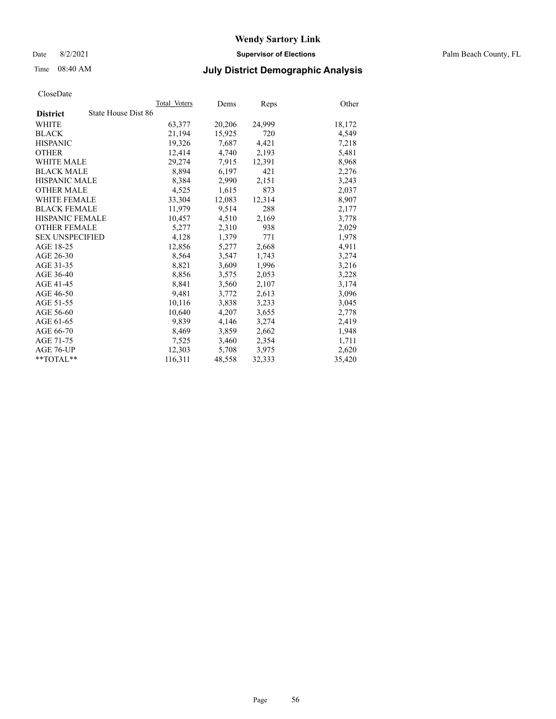Date 8/2/2021 **Supervisor of Elections** Palm Beach County, FL

## Time 08:40 AM **July District Demographic Analysis**

|                                        | Total Voters | Dems   | <b>Reps</b> | Other  |
|----------------------------------------|--------------|--------|-------------|--------|
| State House Dist 86<br><b>District</b> |              |        |             |        |
| WHITE                                  | 63,377       | 20,206 | 24,999      | 18,172 |
| <b>BLACK</b>                           | 21,194       | 15,925 | 720         | 4,549  |
| <b>HISPANIC</b>                        | 19,326       | 7,687  | 4,421       | 7,218  |
| <b>OTHER</b>                           | 12,414       | 4,740  | 2,193       | 5,481  |
| <b>WHITE MALE</b>                      | 29,274       | 7,915  | 12,391      | 8,968  |
| <b>BLACK MALE</b>                      | 8,894        | 6,197  | 421         | 2,276  |
| <b>HISPANIC MALE</b>                   | 8,384        | 2,990  | 2,151       | 3,243  |
| <b>OTHER MALE</b>                      | 4,525        | 1,615  | 873         | 2,037  |
| <b>WHITE FEMALE</b>                    | 33,304       | 12,083 | 12,314      | 8,907  |
| <b>BLACK FEMALE</b>                    | 11,979       | 9,514  | 288         | 2,177  |
| <b>HISPANIC FEMALE</b>                 | 10,457       | 4,510  | 2,169       | 3,778  |
| <b>OTHER FEMALE</b>                    | 5,277        | 2,310  | 938         | 2,029  |
| <b>SEX UNSPECIFIED</b>                 | 4,128        | 1,379  | 771         | 1,978  |
| AGE 18-25                              | 12,856       | 5,277  | 2,668       | 4,911  |
| AGE 26-30                              | 8,564        | 3.547  | 1,743       | 3,274  |
| AGE 31-35                              | 8,821        | 3,609  | 1,996       | 3,216  |
| AGE 36-40                              | 8,856        | 3,575  | 2,053       | 3,228  |
| AGE 41-45                              | 8,841        | 3,560  | 2,107       | 3,174  |
| AGE 46-50                              | 9,481        | 3,772  | 2,613       | 3,096  |
| AGE 51-55                              | 10,116       | 3,838  | 3,233       | 3,045  |
| AGE 56-60                              | 10,640       | 4,207  | 3,655       | 2,778  |
| AGE 61-65                              | 9,839        | 4,146  | 3,274       | 2,419  |
| AGE 66-70                              | 8,469        | 3,859  | 2,662       | 1,948  |
| AGE 71-75                              | 7,525        | 3,460  | 2,354       | 1,711  |
| AGE 76-UP                              | 12,303       | 5,708  | 3,975       | 2,620  |
| $*$ TOTAL $*$                          | 116,311      | 48,558 | 32,333      | 35,420 |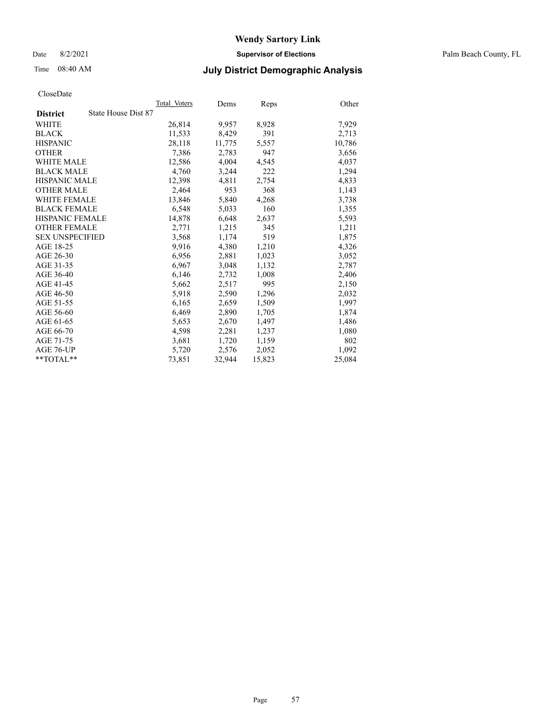Date 8/2/2021 **Supervisor of Elections** Palm Beach County, FL

## Time 08:40 AM **July District Demographic Analysis**

|                        | Total Voters        | Dems   | <b>Reps</b> | Other  |
|------------------------|---------------------|--------|-------------|--------|
| <b>District</b>        | State House Dist 87 |        |             |        |
| WHITE                  | 26,814              | 9,957  | 8,928       | 7,929  |
| <b>BLACK</b>           | 11,533              | 8,429  | 391         | 2,713  |
| <b>HISPANIC</b>        | 28,118              | 11,775 | 5,557       | 10,786 |
| <b>OTHER</b>           | 7,386               | 2,783  | 947         | 3,656  |
| <b>WHITE MALE</b>      | 12,586              | 4,004  | 4,545       | 4,037  |
| <b>BLACK MALE</b>      | 4.760               | 3,244  | 222         | 1,294  |
| <b>HISPANIC MALE</b>   | 12,398              | 4,811  | 2,754       | 4,833  |
| <b>OTHER MALE</b>      | 2,464               | 953    | 368         | 1,143  |
| <b>WHITE FEMALE</b>    | 13,846              | 5,840  | 4,268       | 3,738  |
| <b>BLACK FEMALE</b>    | 6,548               | 5,033  | 160         | 1,355  |
| <b>HISPANIC FEMALE</b> | 14,878              | 6,648  | 2,637       | 5,593  |
| <b>OTHER FEMALE</b>    | 2,771               | 1,215  | 345         | 1,211  |
| <b>SEX UNSPECIFIED</b> | 3,568               | 1,174  | 519         | 1,875  |
| AGE 18-25              | 9,916               | 4,380  | 1,210       | 4,326  |
| AGE 26-30              | 6,956               | 2,881  | 1,023       | 3,052  |
| AGE 31-35              | 6,967               | 3,048  | 1,132       | 2,787  |
| AGE 36-40              | 6,146               | 2,732  | 1,008       | 2,406  |
| AGE 41-45              | 5,662               | 2,517  | 995         | 2,150  |
| AGE 46-50              | 5,918               | 2,590  | 1,296       | 2,032  |
| AGE 51-55              | 6,165               | 2,659  | 1,509       | 1,997  |
| AGE 56-60              | 6,469               | 2,890  | 1,705       | 1,874  |
| AGE 61-65              | 5,653               | 2,670  | 1,497       | 1,486  |
| AGE 66-70              | 4,598               | 2,281  | 1,237       | 1,080  |
| AGE 71-75              | 3,681               | 1,720  | 1,159       | 802    |
| AGE 76-UP              | 5,720               | 2,576  | 2,052       | 1,092  |
| $*$ $TOTAL**$          | 73,851              | 32,944 | 15,823      | 25,084 |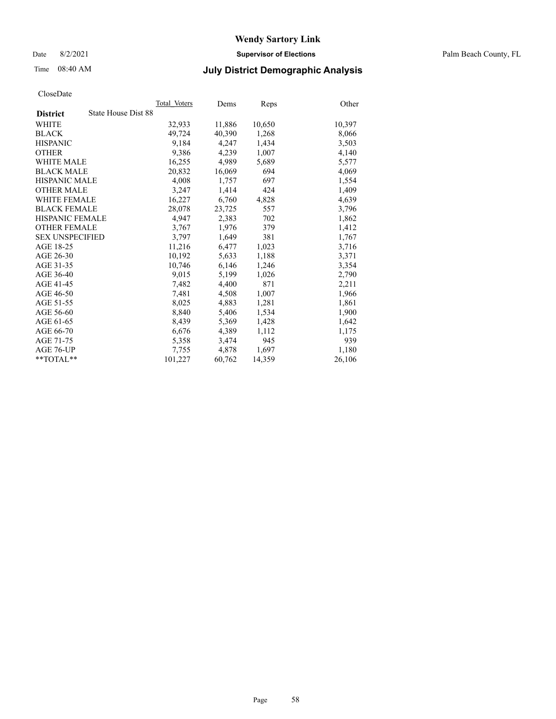Date 8/2/2021 **Supervisor of Elections** Palm Beach County, FL

## Time 08:40 AM **July District Demographic Analysis**

|                                        | Total Voters | Dems   | <b>Reps</b> | Other  |
|----------------------------------------|--------------|--------|-------------|--------|
| State House Dist 88<br><b>District</b> |              |        |             |        |
| WHITE                                  | 32,933       | 11,886 | 10,650      | 10,397 |
| <b>BLACK</b>                           | 49,724       | 40.390 | 1,268       | 8,066  |
| <b>HISPANIC</b>                        | 9.184        | 4.247  | 1,434       | 3,503  |
| <b>OTHER</b>                           | 9,386        | 4,239  | 1,007       | 4,140  |
| <b>WHITE MALE</b>                      | 16,255       | 4,989  | 5,689       | 5,577  |
| <b>BLACK MALE</b>                      | 20,832       | 16,069 | 694         | 4,069  |
| <b>HISPANIC MALE</b>                   | 4,008        | 1,757  | 697         | 1,554  |
| <b>OTHER MALE</b>                      | 3,247        | 1,414  | 424         | 1,409  |
| <b>WHITE FEMALE</b>                    | 16,227       | 6,760  | 4,828       | 4,639  |
| <b>BLACK FEMALE</b>                    | 28,078       | 23,725 | 557         | 3,796  |
| <b>HISPANIC FEMALE</b>                 | 4,947        | 2,383  | 702         | 1,862  |
| <b>OTHER FEMALE</b>                    | 3,767        | 1,976  | 379         | 1,412  |
| <b>SEX UNSPECIFIED</b>                 | 3,797        | 1,649  | 381         | 1,767  |
| AGE 18-25                              | 11,216       | 6,477  | 1,023       | 3,716  |
| AGE 26-30                              | 10,192       | 5,633  | 1,188       | 3,371  |
| AGE 31-35                              | 10,746       | 6,146  | 1,246       | 3,354  |
| AGE 36-40                              | 9,015        | 5,199  | 1,026       | 2,790  |
| AGE 41-45                              | 7,482        | 4,400  | 871         | 2,211  |
| AGE 46-50                              | 7,481        | 4,508  | 1,007       | 1,966  |
| AGE 51-55                              | 8,025        | 4,883  | 1,281       | 1,861  |
| AGE 56-60                              | 8,840        | 5,406  | 1,534       | 1,900  |
| AGE 61-65                              | 8,439        | 5,369  | 1,428       | 1,642  |
| AGE 66-70                              | 6,676        | 4,389  | 1,112       | 1,175  |
| AGE 71-75                              | 5,358        | 3,474  | 945         | 939    |
| AGE 76-UP                              | 7,755        | 4,878  | 1,697       | 1,180  |
| $*$ $TOTAL**$                          | 101,227      | 60,762 | 14,359      | 26,106 |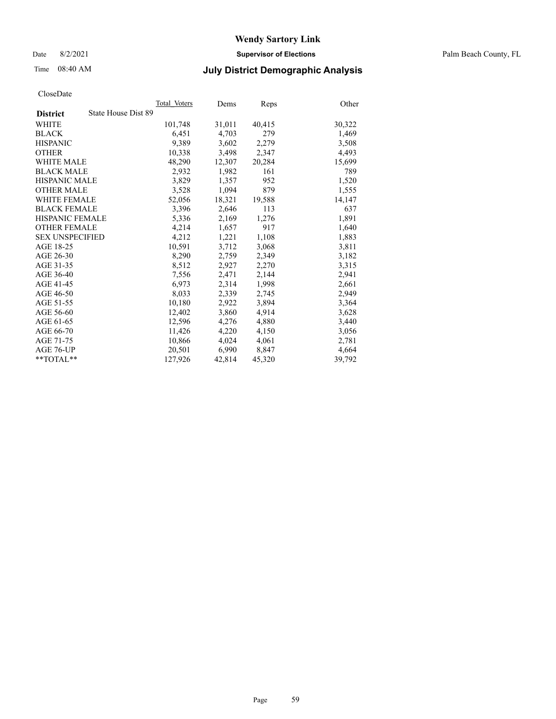Date 8/2/2021 **Supervisor of Elections** Palm Beach County, FL

## Time 08:40 AM **July District Demographic Analysis**

|                                        | Total Voters | Dems   | Reps   | Other  |
|----------------------------------------|--------------|--------|--------|--------|
| State House Dist 89<br><b>District</b> |              |        |        |        |
| WHITE                                  | 101,748      | 31,011 | 40,415 | 30,322 |
| <b>BLACK</b>                           | 6.451        | 4,703  | 279    | 1,469  |
| <b>HISPANIC</b>                        | 9.389        | 3,602  | 2,279  | 3,508  |
| <b>OTHER</b>                           | 10,338       | 3,498  | 2,347  | 4,493  |
| <b>WHITE MALE</b>                      | 48,290       | 12,307 | 20,284 | 15,699 |
| <b>BLACK MALE</b>                      | 2,932        | 1,982  | 161    | 789    |
| <b>HISPANIC MALE</b>                   | 3,829        | 1,357  | 952    | 1,520  |
| <b>OTHER MALE</b>                      | 3,528        | 1,094  | 879    | 1,555  |
| <b>WHITE FEMALE</b>                    | 52,056       | 18,321 | 19,588 | 14,147 |
| <b>BLACK FEMALE</b>                    | 3,396        | 2,646  | 113    | 637    |
| <b>HISPANIC FEMALE</b>                 | 5,336        | 2,169  | 1,276  | 1,891  |
| <b>OTHER FEMALE</b>                    | 4,214        | 1,657  | 917    | 1,640  |
| <b>SEX UNSPECIFIED</b>                 | 4,212        | 1,221  | 1,108  | 1,883  |
| AGE 18-25                              | 10,591       | 3,712  | 3,068  | 3,811  |
| AGE 26-30                              | 8,290        | 2,759  | 2,349  | 3,182  |
| AGE 31-35                              | 8,512        | 2,927  | 2,270  | 3,315  |
| AGE 36-40                              | 7,556        | 2,471  | 2,144  | 2,941  |
| AGE 41-45                              | 6,973        | 2,314  | 1,998  | 2,661  |
| AGE 46-50                              | 8,033        | 2,339  | 2,745  | 2,949  |
| AGE 51-55                              | 10,180       | 2,922  | 3,894  | 3,364  |
| AGE 56-60                              | 12,402       | 3,860  | 4,914  | 3,628  |
| AGE 61-65                              | 12,596       | 4,276  | 4,880  | 3,440  |
| AGE 66-70                              | 11,426       | 4,220  | 4,150  | 3,056  |
| AGE 71-75                              | 10,866       | 4,024  | 4,061  | 2,781  |
| AGE 76-UP                              | 20,501       | 6,990  | 8,847  | 4,664  |
| $*$ $TOTAL**$                          | 127,926      | 42,814 | 45,320 | 39,792 |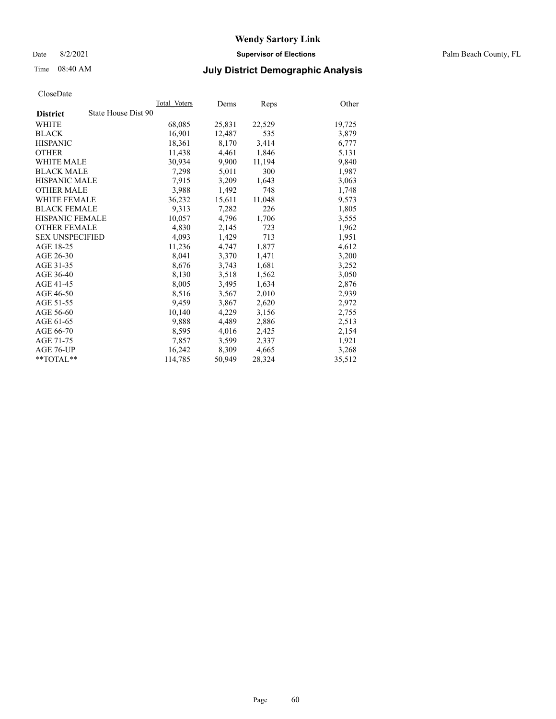Date 8/2/2021 **Supervisor of Elections** Palm Beach County, FL

## Time 08:40 AM **July District Demographic Analysis**

|                                        | Total Voters | Dems   | <b>Reps</b> | Other  |
|----------------------------------------|--------------|--------|-------------|--------|
| State House Dist 90<br><b>District</b> |              |        |             |        |
| WHITE                                  | 68,085       | 25,831 | 22,529      | 19,725 |
| <b>BLACK</b>                           | 16,901       | 12,487 | 535         | 3,879  |
| <b>HISPANIC</b>                        | 18,361       | 8,170  | 3,414       | 6,777  |
| <b>OTHER</b>                           | 11,438       | 4,461  | 1,846       | 5,131  |
| <b>WHITE MALE</b>                      | 30,934       | 9,900  | 11,194      | 9,840  |
| <b>BLACK MALE</b>                      | 7,298        | 5,011  | 300         | 1,987  |
| HISPANIC MALE                          | 7,915        | 3,209  | 1,643       | 3,063  |
| <b>OTHER MALE</b>                      | 3,988        | 1,492  | 748         | 1,748  |
| <b>WHITE FEMALE</b>                    | 36,232       | 15,611 | 11,048      | 9,573  |
| <b>BLACK FEMALE</b>                    | 9,313        | 7,282  | 226         | 1,805  |
| <b>HISPANIC FEMALE</b>                 | 10,057       | 4,796  | 1,706       | 3,555  |
| <b>OTHER FEMALE</b>                    | 4,830        | 2,145  | 723         | 1,962  |
| <b>SEX UNSPECIFIED</b>                 | 4,093        | 1,429  | 713         | 1,951  |
| AGE 18-25                              | 11,236       | 4,747  | 1,877       | 4,612  |
| AGE 26-30                              | 8.041        | 3,370  | 1,471       | 3,200  |
| AGE 31-35                              | 8,676        | 3,743  | 1,681       | 3,252  |
| AGE 36-40                              | 8,130        | 3,518  | 1,562       | 3,050  |
| AGE 41-45                              | 8,005        | 3,495  | 1,634       | 2,876  |
| AGE 46-50                              | 8,516        | 3,567  | 2,010       | 2,939  |
| AGE 51-55                              | 9,459        | 3,867  | 2,620       | 2,972  |
| AGE 56-60                              | 10,140       | 4,229  | 3,156       | 2,755  |
| AGE 61-65                              | 9,888        | 4,489  | 2,886       | 2,513  |
| AGE 66-70                              | 8,595        | 4,016  | 2,425       | 2,154  |
| AGE 71-75                              | 7,857        | 3,599  | 2,337       | 1,921  |
| AGE 76-UP                              | 16,242       | 8,309  | 4,665       | 3,268  |
| $*$ TOTAL $*$                          | 114,785      | 50,949 | 28,324      | 35,512 |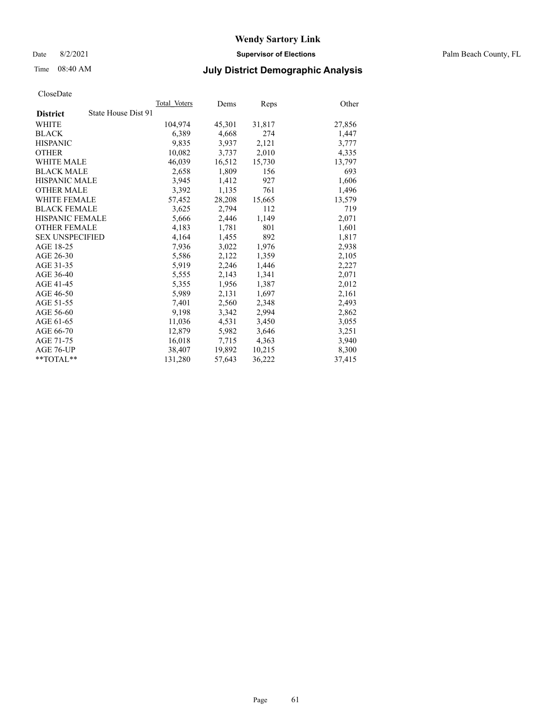Date 8/2/2021 **Supervisor of Elections** Palm Beach County, FL

## Time 08:40 AM **July District Demographic Analysis**

|                                        | Total Voters | Dems   | Reps   | Other  |
|----------------------------------------|--------------|--------|--------|--------|
| State House Dist 91<br><b>District</b> |              |        |        |        |
| WHITE                                  | 104,974      | 45,301 | 31,817 | 27,856 |
| <b>BLACK</b>                           | 6,389        | 4,668  | 274    | 1,447  |
| <b>HISPANIC</b>                        | 9.835        | 3,937  | 2,121  | 3,777  |
| <b>OTHER</b>                           | 10,082       | 3,737  | 2,010  | 4,335  |
| WHITE MALE                             | 46,039       | 16,512 | 15,730 | 13,797 |
| <b>BLACK MALE</b>                      | 2,658        | 1,809  | 156    | 693    |
| <b>HISPANIC MALE</b>                   | 3,945        | 1,412  | 927    | 1,606  |
| <b>OTHER MALE</b>                      | 3,392        | 1,135  | 761    | 1,496  |
| <b>WHITE FEMALE</b>                    | 57,452       | 28,208 | 15,665 | 13,579 |
| <b>BLACK FEMALE</b>                    | 3,625        | 2,794  | 112    | 719    |
| <b>HISPANIC FEMALE</b>                 | 5,666        | 2,446  | 1,149  | 2,071  |
| <b>OTHER FEMALE</b>                    | 4,183        | 1,781  | 801    | 1,601  |
| <b>SEX UNSPECIFIED</b>                 | 4,164        | 1,455  | 892    | 1,817  |
| AGE 18-25                              | 7,936        | 3,022  | 1,976  | 2,938  |
| AGE 26-30                              | 5,586        | 2,122  | 1,359  | 2,105  |
| AGE 31-35                              | 5,919        | 2,246  | 1,446  | 2,227  |
| AGE 36-40                              | 5,555        | 2,143  | 1,341  | 2,071  |
| AGE 41-45                              | 5,355        | 1,956  | 1,387  | 2,012  |
| AGE 46-50                              | 5,989        | 2,131  | 1,697  | 2,161  |
| AGE 51-55                              | 7,401        | 2,560  | 2,348  | 2,493  |
| AGE 56-60                              | 9,198        | 3,342  | 2,994  | 2,862  |
| AGE 61-65                              | 11,036       | 4,531  | 3,450  | 3,055  |
| AGE 66-70                              | 12,879       | 5,982  | 3,646  | 3,251  |
| AGE 71-75                              | 16,018       | 7,715  | 4,363  | 3,940  |
| AGE 76-UP                              | 38,407       | 19,892 | 10,215 | 8,300  |
| $*$ TOTAL $*$                          | 131,280      | 57,643 | 36,222 | 37,415 |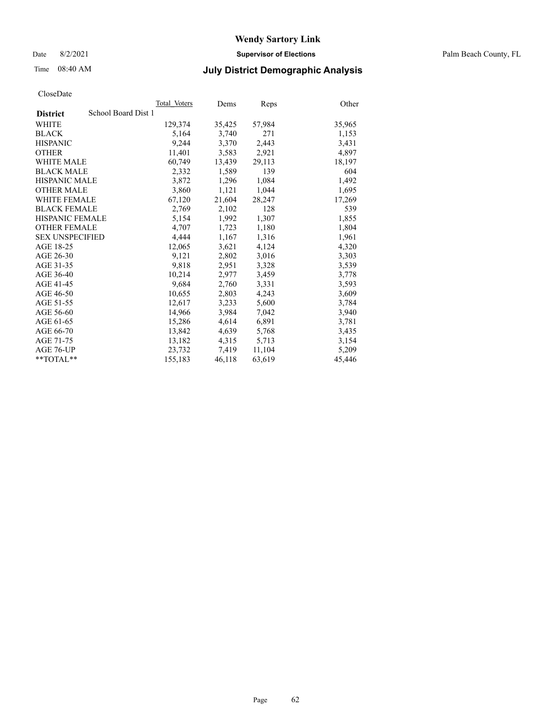Date 8/2/2021 **Supervisor of Elections** Palm Beach County, FL

## Time 08:40 AM **July District Demographic Analysis**

|                                        | Total Voters | Dems   | Reps   | Other  |
|----------------------------------------|--------------|--------|--------|--------|
| School Board Dist 1<br><b>District</b> |              |        |        |        |
| WHITE                                  | 129,374      | 35,425 | 57,984 | 35,965 |
| <b>BLACK</b>                           | 5,164        | 3,740  | 271    | 1,153  |
| <b>HISPANIC</b>                        | 9,244        | 3,370  | 2,443  | 3,431  |
| <b>OTHER</b>                           | 11,401       | 3,583  | 2,921  | 4,897  |
| <b>WHITE MALE</b>                      | 60,749       | 13,439 | 29,113 | 18,197 |
| <b>BLACK MALE</b>                      | 2,332        | 1,589  | 139    | 604    |
| <b>HISPANIC MALE</b>                   | 3,872        | 1,296  | 1,084  | 1,492  |
| <b>OTHER MALE</b>                      | 3,860        | 1,121  | 1,044  | 1,695  |
| <b>WHITE FEMALE</b>                    | 67,120       | 21,604 | 28,247 | 17,269 |
| <b>BLACK FEMALE</b>                    | 2.769        | 2.102  | 128    | 539    |
| <b>HISPANIC FEMALE</b>                 | 5,154        | 1,992  | 1,307  | 1,855  |
| <b>OTHER FEMALE</b>                    | 4,707        | 1,723  | 1,180  | 1,804  |
| <b>SEX UNSPECIFIED</b>                 | 4.444        | 1,167  | 1,316  | 1,961  |
| AGE 18-25                              | 12,065       | 3,621  | 4,124  | 4,320  |
| AGE 26-30                              | 9,121        | 2,802  | 3,016  | 3,303  |
| AGE 31-35                              | 9,818        | 2,951  | 3,328  | 3,539  |
| AGE 36-40                              | 10,214       | 2,977  | 3,459  | 3,778  |
| AGE 41-45                              | 9,684        | 2,760  | 3,331  | 3,593  |
| AGE 46-50                              | 10,655       | 2,803  | 4,243  | 3,609  |
| AGE 51-55                              | 12,617       | 3,233  | 5,600  | 3,784  |
| AGE 56-60                              | 14,966       | 3,984  | 7,042  | 3,940  |
| AGE 61-65                              | 15,286       | 4,614  | 6,891  | 3,781  |
| AGE 66-70                              | 13.842       | 4,639  | 5,768  | 3,435  |
| AGE 71-75                              | 13,182       | 4,315  | 5,713  | 3,154  |
| AGE 76-UP                              | 23,732       | 7,419  | 11,104 | 5,209  |
| $*$ TOTAL $*$                          | 155,183      | 46,118 | 63,619 | 45,446 |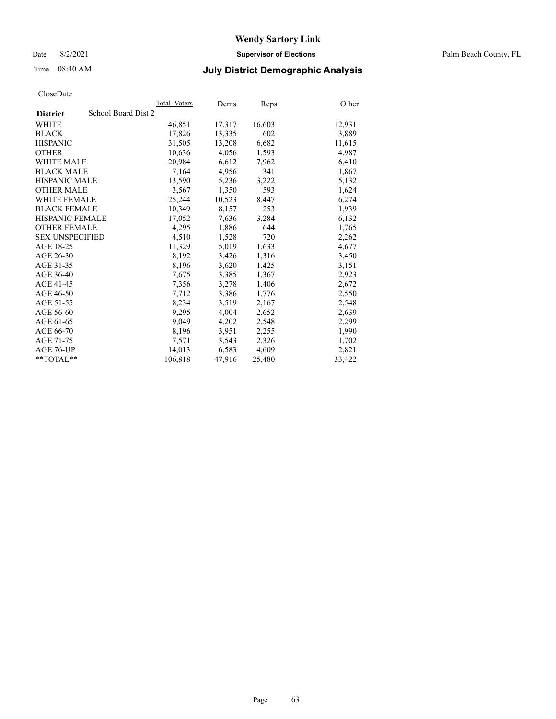Date 8/2/2021 **Supervisor of Elections** Palm Beach County, FL

## Time 08:40 AM **July District Demographic Analysis**

|                                        | Total Voters | Dems   | <b>Reps</b> | Other  |
|----------------------------------------|--------------|--------|-------------|--------|
| School Board Dist 2<br><b>District</b> |              |        |             |        |
| WHITE                                  | 46,851       | 17,317 | 16,603      | 12,931 |
| <b>BLACK</b>                           | 17,826       | 13,335 | 602         | 3,889  |
| <b>HISPANIC</b>                        | 31,505       | 13,208 | 6,682       | 11,615 |
| <b>OTHER</b>                           | 10,636       | 4,056  | 1,593       | 4,987  |
| <b>WHITE MALE</b>                      | 20,984       | 6,612  | 7,962       | 6,410  |
| <b>BLACK MALE</b>                      | 7,164        | 4,956  | 341         | 1,867  |
| <b>HISPANIC MALE</b>                   | 13,590       | 5,236  | 3,222       | 5,132  |
| <b>OTHER MALE</b>                      | 3.567        | 1,350  | 593         | 1,624  |
| <b>WHITE FEMALE</b>                    | 25,244       | 10,523 | 8,447       | 6,274  |
| <b>BLACK FEMALE</b>                    | 10,349       | 8,157  | 253         | 1,939  |
| HISPANIC FEMALE                        | 17,052       | 7,636  | 3,284       | 6,132  |
| <b>OTHER FEMALE</b>                    | 4,295        | 1,886  | 644         | 1,765  |
| <b>SEX UNSPECIFIED</b>                 | 4,510        | 1,528  | 720         | 2,262  |
| AGE 18-25                              | 11,329       | 5,019  | 1,633       | 4,677  |
| AGE 26-30                              | 8,192        | 3,426  | 1,316       | 3,450  |
| AGE 31-35                              | 8,196        | 3,620  | 1,425       | 3,151  |
| AGE 36-40                              | 7,675        | 3,385  | 1,367       | 2,923  |
| AGE 41-45                              | 7,356        | 3,278  | 1,406       | 2,672  |
| AGE 46-50                              | 7,712        | 3,386  | 1,776       | 2,550  |
| AGE 51-55                              | 8,234        | 3,519  | 2,167       | 2,548  |
| AGE 56-60                              | 9,295        | 4,004  | 2,652       | 2,639  |
| AGE 61-65                              | 9,049        | 4,202  | 2,548       | 2,299  |
| AGE 66-70                              | 8,196        | 3,951  | 2,255       | 1,990  |
| AGE 71-75                              | 7,571        | 3,543  | 2,326       | 1,702  |
| AGE 76-UP                              | 14,013       | 6,583  | 4,609       | 2,821  |
| $*$ $TOTAL**$                          | 106,818      | 47,916 | 25,480      | 33,422 |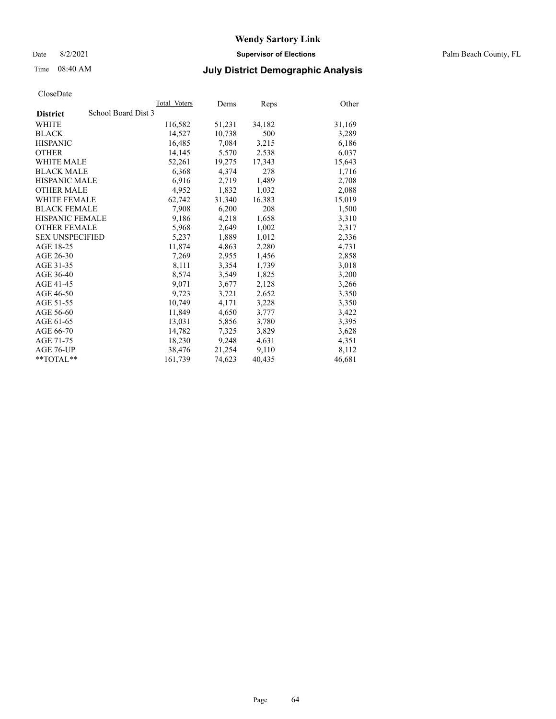Date 8/2/2021 **Supervisor of Elections** Palm Beach County, FL

## Time 08:40 AM **July District Demographic Analysis**

|                                        | Total Voters | Dems   | Reps   | Other  |
|----------------------------------------|--------------|--------|--------|--------|
| School Board Dist 3<br><b>District</b> |              |        |        |        |
| WHITE                                  | 116,582      | 51,231 | 34,182 | 31,169 |
| <b>BLACK</b>                           | 14,527       | 10,738 | 500    | 3,289  |
| <b>HISPANIC</b>                        | 16,485       | 7,084  | 3,215  | 6,186  |
| <b>OTHER</b>                           | 14,145       | 5,570  | 2,538  | 6,037  |
| <b>WHITE MALE</b>                      | 52,261       | 19,275 | 17,343 | 15,643 |
| <b>BLACK MALE</b>                      | 6,368        | 4,374  | 278    | 1,716  |
| <b>HISPANIC MALE</b>                   | 6,916        | 2,719  | 1,489  | 2,708  |
| <b>OTHER MALE</b>                      | 4,952        | 1,832  | 1,032  | 2,088  |
| <b>WHITE FEMALE</b>                    | 62,742       | 31,340 | 16,383 | 15,019 |
| <b>BLACK FEMALE</b>                    | 7.908        | 6,200  | 208    | 1,500  |
| <b>HISPANIC FEMALE</b>                 | 9,186        | 4,218  | 1,658  | 3,310  |
| <b>OTHER FEMALE</b>                    | 5,968        | 2,649  | 1,002  | 2,317  |
| <b>SEX UNSPECIFIED</b>                 | 5,237        | 1,889  | 1,012  | 2,336  |
| AGE 18-25                              | 11,874       | 4,863  | 2,280  | 4,731  |
| AGE 26-30                              | 7,269        | 2,955  | 1,456  | 2,858  |
| AGE 31-35                              | 8,111        | 3,354  | 1,739  | 3,018  |
| AGE 36-40                              | 8,574        | 3,549  | 1,825  | 3,200  |
| AGE 41-45                              | 9,071        | 3,677  | 2,128  | 3,266  |
| AGE 46-50                              | 9,723        | 3,721  | 2,652  | 3,350  |
| AGE 51-55                              | 10.749       | 4,171  | 3,228  | 3,350  |
| AGE 56-60                              | 11,849       | 4,650  | 3,777  | 3,422  |
| AGE 61-65                              | 13,031       | 5,856  | 3,780  | 3,395  |
| AGE 66-70                              | 14,782       | 7,325  | 3,829  | 3,628  |
| AGE 71-75                              | 18,230       | 9,248  | 4,631  | 4,351  |
| AGE 76-UP                              | 38,476       | 21,254 | 9,110  | 8,112  |
| **TOTAL**                              | 161,739      | 74,623 | 40,435 | 46,681 |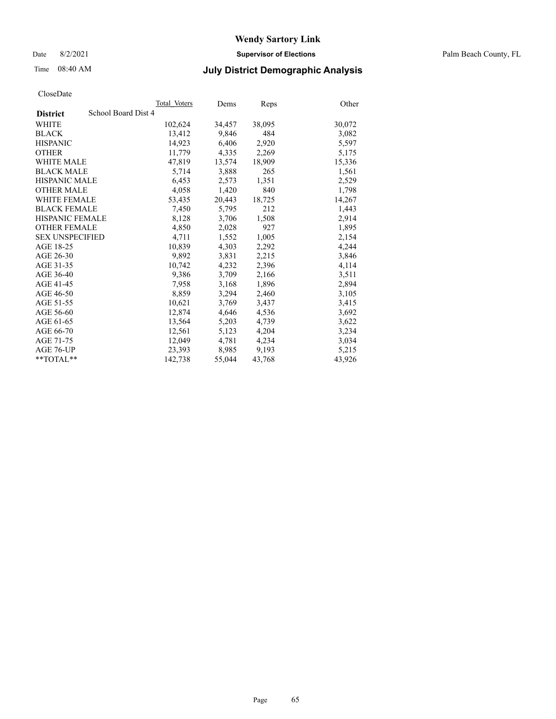Date 8/2/2021 **Supervisor of Elections** Palm Beach County, FL

## Time 08:40 AM **July District Demographic Analysis**

|                                        | Total Voters | Dems   | Reps   | Other  |
|----------------------------------------|--------------|--------|--------|--------|
| School Board Dist 4<br><b>District</b> |              |        |        |        |
| WHITE                                  | 102,624      | 34,457 | 38,095 | 30,072 |
| <b>BLACK</b>                           | 13,412       | 9,846  | 484    | 3,082  |
| <b>HISPANIC</b>                        | 14,923       | 6,406  | 2,920  | 5,597  |
| <b>OTHER</b>                           | 11,779       | 4,335  | 2,269  | 5,175  |
| <b>WHITE MALE</b>                      | 47,819       | 13,574 | 18,909 | 15,336 |
| <b>BLACK MALE</b>                      | 5,714        | 3,888  | 265    | 1,561  |
| <b>HISPANIC MALE</b>                   | 6,453        | 2,573  | 1,351  | 2,529  |
| <b>OTHER MALE</b>                      | 4,058        | 1,420  | 840    | 1,798  |
| <b>WHITE FEMALE</b>                    | 53,435       | 20,443 | 18,725 | 14,267 |
| <b>BLACK FEMALE</b>                    | 7.450        | 5.795  | 212    | 1.443  |
| HISPANIC FEMALE                        | 8,128        | 3,706  | 1,508  | 2,914  |
| <b>OTHER FEMALE</b>                    | 4,850        | 2,028  | 927    | 1,895  |
| <b>SEX UNSPECIFIED</b>                 | 4,711        | 1,552  | 1.005  | 2,154  |
| AGE 18-25                              | 10,839       | 4,303  | 2,292  | 4,244  |
| AGE 26-30                              | 9,892        | 3,831  | 2,215  | 3,846  |
| AGE 31-35                              | 10,742       | 4,232  | 2,396  | 4,114  |
| AGE 36-40                              | 9.386        | 3,709  | 2,166  | 3,511  |
| AGE 41-45                              | 7,958        | 3,168  | 1,896  | 2,894  |
| AGE 46-50                              | 8,859        | 3,294  | 2,460  | 3,105  |
| AGE 51-55                              | 10,621       | 3,769  | 3,437  | 3,415  |
| AGE 56-60                              | 12,874       | 4,646  | 4,536  | 3,692  |
| AGE 61-65                              | 13,564       | 5,203  | 4,739  | 3,622  |
| AGE 66-70                              | 12,561       | 5,123  | 4,204  | 3,234  |
| AGE 71-75                              | 12,049       | 4,781  | 4,234  | 3,034  |
| AGE 76-UP                              | 23,393       | 8,985  | 9,193  | 5,215  |
| $*$ $TOTAL**$                          | 142,738      | 55,044 | 43,768 | 43,926 |
|                                        |              |        |        |        |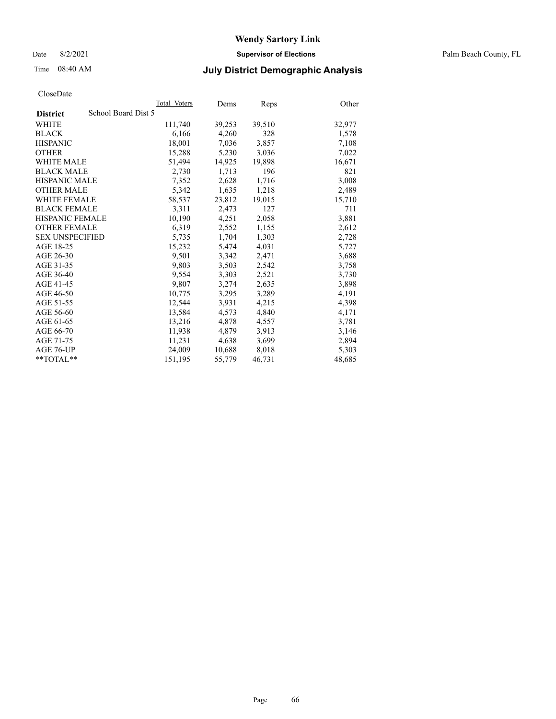Date 8/2/2021 **Supervisor of Elections** Palm Beach County, FL

## Time 08:40 AM **July District Demographic Analysis**

|                        |                     | Total Voters | Dems   | Reps   | Other  |
|------------------------|---------------------|--------------|--------|--------|--------|
| <b>District</b>        | School Board Dist 5 |              |        |        |        |
| WHITE                  |                     | 111,740      | 39,253 | 39,510 | 32,977 |
| <b>BLACK</b>           |                     | 6,166        | 4,260  | 328    | 1,578  |
| <b>HISPANIC</b>        |                     | 18,001       | 7,036  | 3,857  | 7,108  |
| <b>OTHER</b>           |                     | 15,288       | 5,230  | 3,036  | 7,022  |
| <b>WHITE MALE</b>      |                     | 51,494       | 14,925 | 19,898 | 16,671 |
| <b>BLACK MALE</b>      |                     | 2,730        | 1,713  | 196    | 821    |
| <b>HISPANIC MALE</b>   |                     | 7,352        | 2,628  | 1,716  | 3,008  |
| <b>OTHER MALE</b>      |                     | 5,342        | 1,635  | 1,218  | 2,489  |
| <b>WHITE FEMALE</b>    |                     | 58,537       | 23,812 | 19,015 | 15,710 |
| <b>BLACK FEMALE</b>    |                     | 3,311        | 2.473  | 127    | 711    |
| <b>HISPANIC FEMALE</b> |                     | 10,190       | 4,251  | 2,058  | 3,881  |
| <b>OTHER FEMALE</b>    |                     | 6,319        | 2,552  | 1,155  | 2,612  |
| <b>SEX UNSPECIFIED</b> |                     | 5,735        | 1,704  | 1,303  | 2,728  |
| AGE 18-25              |                     | 15,232       | 5,474  | 4,031  | 5,727  |
| AGE 26-30              |                     | 9,501        | 3,342  | 2,471  | 3,688  |
| AGE 31-35              |                     | 9,803        | 3,503  | 2,542  | 3,758  |
| AGE 36-40              |                     | 9,554        | 3,303  | 2,521  | 3,730  |
| AGE 41-45              |                     | 9,807        | 3,274  | 2,635  | 3,898  |
| AGE 46-50              |                     | 10,775       | 3,295  | 3,289  | 4,191  |
| AGE 51-55              |                     | 12,544       | 3,931  | 4,215  | 4,398  |
| AGE 56-60              |                     | 13,584       | 4,573  | 4,840  | 4,171  |
| AGE 61-65              |                     | 13,216       | 4,878  | 4,557  | 3,781  |
| AGE 66-70              |                     | 11,938       | 4,879  | 3,913  | 3,146  |
| AGE 71-75              |                     | 11,231       | 4,638  | 3,699  | 2,894  |
| AGE 76-UP              |                     | 24,009       | 10,688 | 8,018  | 5,303  |
| $*$ TOTAL $*$          |                     | 151,195      | 55,779 | 46,731 | 48,685 |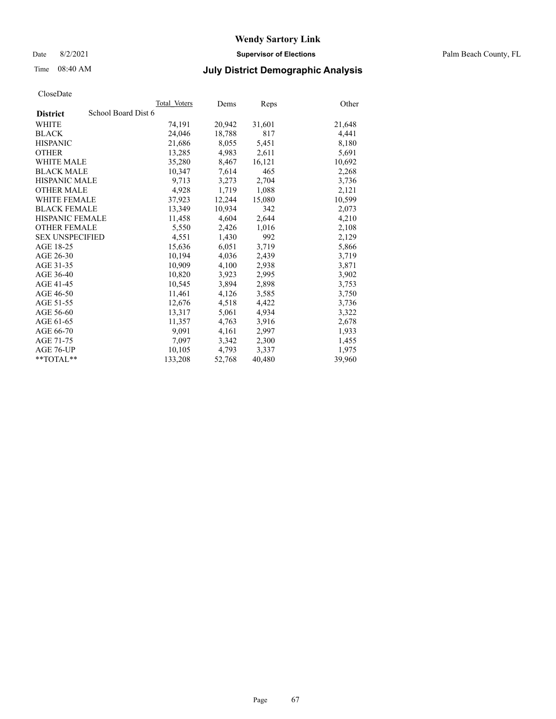Date 8/2/2021 **Supervisor of Elections** Palm Beach County, FL

## Time 08:40 AM **July District Demographic Analysis**

| ClustDate              |                     |              |        |        |        |
|------------------------|---------------------|--------------|--------|--------|--------|
|                        |                     | Total Voters | Dems   | Reps   | Other  |
| <b>District</b>        | School Board Dist 6 |              |        |        |        |
| WHITE                  |                     | 74,191       | 20,942 | 31,601 | 21,648 |
| <b>BLACK</b>           |                     | 24,046       | 18,788 | 817    | 4,441  |
| <b>HISPANIC</b>        |                     | 21.686       | 8.055  | 5,451  | 8,180  |
| <b>OTHER</b>           |                     | 13,285       | 4,983  | 2,611  | 5,691  |
| <b>WHITE MALE</b>      |                     | 35,280       | 8,467  | 16,121 | 10,692 |
| <b>BLACK MALE</b>      |                     | 10,347       | 7,614  | 465    | 2,268  |
| <b>HISPANIC MALE</b>   |                     | 9,713        | 3,273  | 2,704  | 3,736  |
| <b>OTHER MALE</b>      |                     | 4,928        | 1,719  | 1,088  | 2,121  |
| <b>WHITE FEMALE</b>    |                     | 37,923       | 12,244 | 15,080 | 10,599 |
| <b>BLACK FEMALE</b>    |                     | 13.349       | 10,934 | 342    | 2,073  |
| <b>HISPANIC FEMALE</b> |                     | 11,458       | 4,604  | 2,644  | 4,210  |
| <b>OTHER FEMALE</b>    |                     | 5,550        | 2,426  | 1,016  | 2,108  |
| <b>SEX UNSPECIFIED</b> |                     | 4,551        | 1,430  | 992    | 2,129  |
| AGE 18-25              |                     | 15,636       | 6,051  | 3,719  | 5,866  |
| AGE 26-30              |                     | 10,194       | 4,036  | 2,439  | 3,719  |
| AGE 31-35              |                     | 10,909       | 4,100  | 2,938  | 3,871  |
| AGE 36-40              |                     | 10,820       | 3.923  | 2,995  | 3,902  |
| AGE 41-45              |                     | 10,545       | 3,894  | 2,898  | 3,753  |
| AGE 46-50              |                     | 11,461       | 4,126  | 3,585  | 3,750  |
| AGE 51-55              |                     | 12,676       | 4,518  | 4,422  | 3,736  |
| AGE 56-60              |                     | 13,317       | 5,061  | 4,934  | 3,322  |
| AGE 61-65              |                     | 11,357       | 4,763  | 3,916  | 2,678  |
| AGE 66-70              |                     | 9,091        | 4,161  | 2,997  | 1,933  |
| AGE 71-75              |                     | 7,097        | 3,342  | 2,300  | 1,455  |
| AGE 76-UP              |                     | 10,105       | 4,793  | 3,337  | 1.975  |
| $*$ $TOTAL**$          |                     | 133,208      | 52,768 | 40,480 | 39,960 |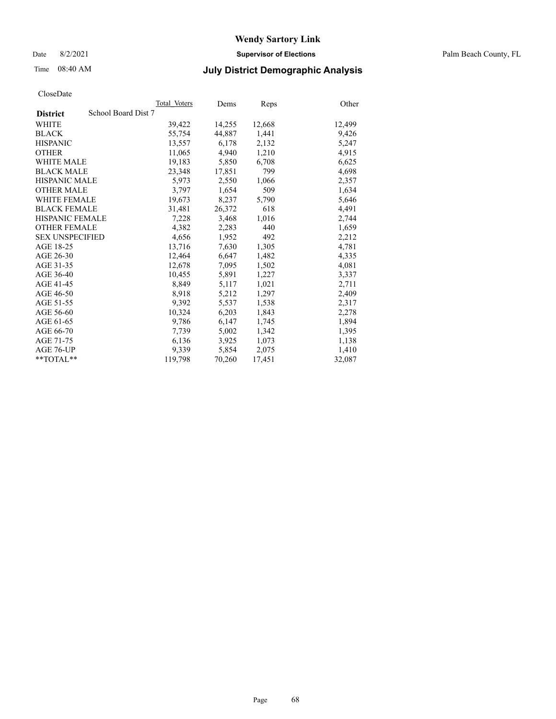Date 8/2/2021 **Supervisor of Elections** Palm Beach County, FL

## Time 08:40 AM **July District Demographic Analysis**

|                                        | Total Voters | Dems   | <b>Reps</b> | Other  |
|----------------------------------------|--------------|--------|-------------|--------|
| School Board Dist 7<br><b>District</b> |              |        |             |        |
| WHITE                                  | 39,422       | 14,255 | 12,668      | 12,499 |
| <b>BLACK</b>                           | 55,754       | 44,887 | 1,441       | 9,426  |
| <b>HISPANIC</b>                        | 13,557       | 6,178  | 2,132       | 5,247  |
| <b>OTHER</b>                           | 11,065       | 4,940  | 1,210       | 4,915  |
| <b>WHITE MALE</b>                      | 19,183       | 5,850  | 6,708       | 6,625  |
| <b>BLACK MALE</b>                      | 23,348       | 17,851 | 799         | 4,698  |
| <b>HISPANIC MALE</b>                   | 5,973        | 2,550  | 1,066       | 2,357  |
| <b>OTHER MALE</b>                      | 3,797        | 1,654  | 509         | 1,634  |
| <b>WHITE FEMALE</b>                    | 19,673       | 8,237  | 5,790       | 5,646  |
| <b>BLACK FEMALE</b>                    | 31,481       | 26,372 | 618         | 4,491  |
| <b>HISPANIC FEMALE</b>                 | 7,228        | 3,468  | 1,016       | 2,744  |
| <b>OTHER FEMALE</b>                    | 4,382        | 2,283  | 440         | 1,659  |
| <b>SEX UNSPECIFIED</b>                 | 4,656        | 1,952  | 492         | 2,212  |
| AGE 18-25                              | 13,716       | 7,630  | 1,305       | 4,781  |
| AGE 26-30                              | 12,464       | 6,647  | 1,482       | 4,335  |
| AGE 31-35                              | 12,678       | 7,095  | 1,502       | 4,081  |
| AGE 36-40                              | 10,455       | 5,891  | 1,227       | 3,337  |
| AGE 41-45                              | 8,849        | 5,117  | 1,021       | 2,711  |
| AGE 46-50                              | 8,918        | 5,212  | 1,297       | 2,409  |
| AGE 51-55                              | 9,392        | 5,537  | 1,538       | 2,317  |
| AGE 56-60                              | 10,324       | 6,203  | 1,843       | 2,278  |
| AGE 61-65                              | 9,786        | 6,147  | 1,745       | 1,894  |
| AGE 66-70                              | 7,739        | 5,002  | 1,342       | 1,395  |
| AGE 71-75                              | 6,136        | 3,925  | 1,073       | 1,138  |
| AGE 76-UP                              | 9,339        | 5,854  | 2,075       | 1,410  |
| **TOTAL**                              | 119,798      | 70,260 | 17,451      | 32,087 |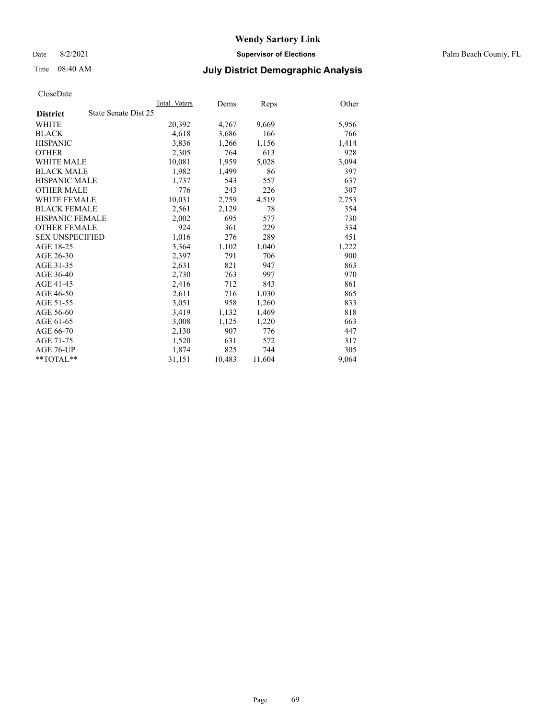Date 8/2/2021 **Supervisor of Elections** Palm Beach County, FL

## Time 08:40 AM **July District Demographic Analysis**

|                        |                      | Total Voters | Dems   | <b>Reps</b> | Other |
|------------------------|----------------------|--------------|--------|-------------|-------|
| <b>District</b>        | State Senate Dist 25 |              |        |             |       |
| WHITE                  |                      | 20,392       | 4,767  | 9,669       | 5,956 |
| <b>BLACK</b>           |                      | 4,618        | 3,686  | 166         | 766   |
| <b>HISPANIC</b>        |                      | 3,836        | 1,266  | 1,156       | 1,414 |
| <b>OTHER</b>           |                      | 2,305        | 764    | 613         | 928   |
| <b>WHITE MALE</b>      |                      | 10,081       | 1,959  | 5,028       | 3,094 |
| <b>BLACK MALE</b>      |                      | 1,982        | 1,499  | 86          | 397   |
| <b>HISPANIC MALE</b>   |                      | 1,737        | 543    | 557         | 637   |
| <b>OTHER MALE</b>      |                      | 776          | 243    | 226         | 307   |
| <b>WHITE FEMALE</b>    |                      | 10,031       | 2,759  | 4,519       | 2,753 |
| <b>BLACK FEMALE</b>    |                      | 2,561        | 2,129  | 78          | 354   |
| <b>HISPANIC FEMALE</b> |                      | 2,002        | 695    | 577         | 730   |
| <b>OTHER FEMALE</b>    |                      | 924          | 361    | 229         | 334   |
| <b>SEX UNSPECIFIED</b> |                      | 1,016        | 276    | 289         | 451   |
| AGE 18-25              |                      | 3,364        | 1,102  | 1,040       | 1,222 |
| AGE 26-30              |                      | 2,397        | 791    | 706         | 900   |
| AGE 31-35              |                      | 2,631        | 821    | 947         | 863   |
| AGE 36-40              |                      | 2,730        | 763    | 997         | 970   |
| AGE 41-45              |                      | 2,416        | 712    | 843         | 861   |
| AGE 46-50              |                      | 2,611        | 716    | 1,030       | 865   |
| AGE 51-55              |                      | 3,051        | 958    | 1,260       | 833   |
| AGE 56-60              |                      | 3,419        | 1,132  | 1,469       | 818   |
| AGE 61-65              |                      | 3,008        | 1,125  | 1,220       | 663   |
| AGE 66-70              |                      | 2,130        | 907    | 776         | 447   |
| AGE 71-75              |                      | 1,520        | 631    | 572         | 317   |
| AGE 76-UP              |                      | 1,874        | 825    | 744         | 305   |
| $*$ $TOTAL**$          |                      | 31,151       | 10,483 | 11,604      | 9,064 |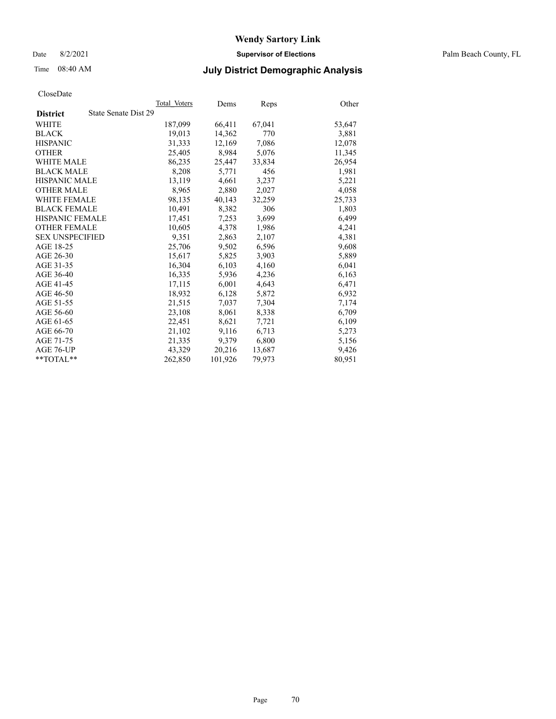Date 8/2/2021 **Supervisor of Elections** Palm Beach County, FL

## Time 08:40 AM **July District Demographic Analysis**

|                                         | Total Voters | Dems    | <b>Reps</b> | Other  |
|-----------------------------------------|--------------|---------|-------------|--------|
| State Senate Dist 29<br><b>District</b> |              |         |             |        |
| WHITE                                   | 187,099      | 66,411  | 67,041      | 53,647 |
| <b>BLACK</b>                            | 19,013       | 14,362  | 770         | 3,881  |
| <b>HISPANIC</b>                         | 31,333       | 12,169  | 7,086       | 12,078 |
| <b>OTHER</b>                            | 25,405       | 8,984   | 5,076       | 11,345 |
| <b>WHITE MALE</b>                       | 86,235       | 25,447  | 33,834      | 26,954 |
| <b>BLACK MALE</b>                       | 8,208        | 5,771   | 456         | 1,981  |
| <b>HISPANIC MALE</b>                    | 13,119       | 4,661   | 3,237       | 5,221  |
| <b>OTHER MALE</b>                       | 8.965        | 2,880   | 2,027       | 4,058  |
| <b>WHITE FEMALE</b>                     | 98,135       | 40,143  | 32,259      | 25,733 |
| <b>BLACK FEMALE</b>                     | 10.491       | 8,382   | 306         | 1,803  |
| <b>HISPANIC FEMALE</b>                  | 17,451       | 7,253   | 3,699       | 6,499  |
| <b>OTHER FEMALE</b>                     | 10.605       | 4,378   | 1,986       | 4,241  |
| <b>SEX UNSPECIFIED</b>                  | 9,351        | 2,863   | 2,107       | 4,381  |
| AGE 18-25                               | 25,706       | 9,502   | 6,596       | 9,608  |
| AGE 26-30                               | 15,617       | 5,825   | 3,903       | 5,889  |
| AGE 31-35                               | 16,304       | 6,103   | 4,160       | 6,041  |
| AGE 36-40                               | 16,335       | 5,936   | 4,236       | 6,163  |
| AGE 41-45                               | 17,115       | 6,001   | 4,643       | 6,471  |
| AGE 46-50                               | 18,932       | 6,128   | 5,872       | 6,932  |
| AGE 51-55                               | 21,515       | 7,037   | 7,304       | 7,174  |
| AGE 56-60                               | 23,108       | 8,061   | 8,338       | 6,709  |
| AGE 61-65                               | 22,451       | 8,621   | 7,721       | 6,109  |
| AGE 66-70                               | 21,102       | 9,116   | 6,713       | 5,273  |
| AGE 71-75                               | 21,335       | 9,379   | 6,800       | 5,156  |
| AGE 76-UP                               | 43,329       | 20,216  | 13,687      | 9,426  |
| **TOTAL**                               | 262,850      | 101,926 | 79,973      | 80,951 |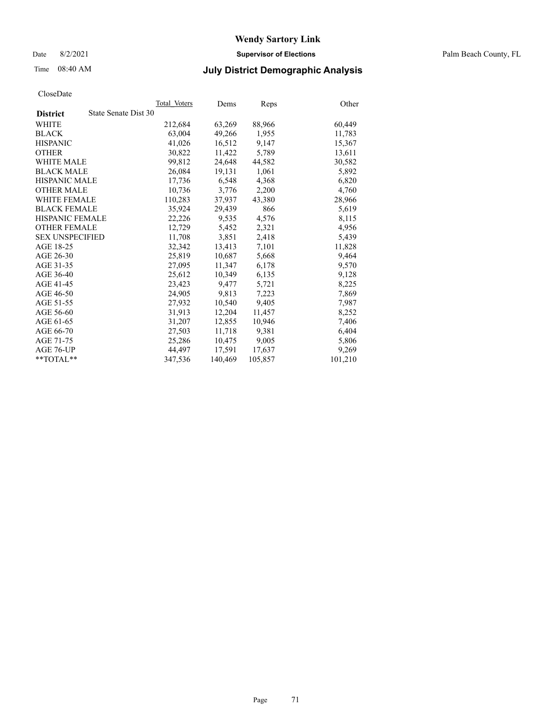Date 8/2/2021 **Supervisor of Elections** Palm Beach County, FL

## Time 08:40 AM **July District Demographic Analysis**

|                                         | Total Voters | Dems    | <b>Reps</b> | Other   |
|-----------------------------------------|--------------|---------|-------------|---------|
| State Senate Dist 30<br><b>District</b> |              |         |             |         |
| WHITE                                   | 212,684      | 63,269  | 88,966      | 60,449  |
| <b>BLACK</b>                            | 63,004       | 49,266  | 1,955       | 11,783  |
| <b>HISPANIC</b>                         | 41.026       | 16,512  | 9,147       | 15,367  |
| <b>OTHER</b>                            | 30,822       | 11,422  | 5,789       | 13,611  |
| <b>WHITE MALE</b>                       | 99,812       | 24,648  | 44,582      | 30,582  |
| <b>BLACK MALE</b>                       | 26,084       | 19,131  | 1,061       | 5,892   |
| <b>HISPANIC MALE</b>                    | 17,736       | 6,548   | 4,368       | 6,820   |
| <b>OTHER MALE</b>                       | 10.736       | 3,776   | 2,200       | 4,760   |
| <b>WHITE FEMALE</b>                     | 110,283      | 37,937  | 43,380      | 28,966  |
| <b>BLACK FEMALE</b>                     | 35.924       | 29,439  | 866         | 5,619   |
| <b>HISPANIC FEMALE</b>                  | 22,226       | 9,535   | 4,576       | 8,115   |
| <b>OTHER FEMALE</b>                     | 12,729       | 5,452   | 2,321       | 4,956   |
| <b>SEX UNSPECIFIED</b>                  | 11,708       | 3,851   | 2,418       | 5,439   |
| AGE 18-25                               | 32,342       | 13,413  | 7,101       | 11,828  |
| AGE 26-30                               | 25,819       | 10.687  | 5,668       | 9,464   |
| AGE 31-35                               | 27,095       | 11,347  | 6,178       | 9,570   |
| AGE 36-40                               | 25,612       | 10,349  | 6,135       | 9,128   |
| AGE 41-45                               | 23,423       | 9,477   | 5,721       | 8,225   |
| AGE 46-50                               | 24,905       | 9,813   | 7,223       | 7,869   |
| AGE 51-55                               | 27,932       | 10,540  | 9,405       | 7,987   |
| AGE 56-60                               | 31,913       | 12,204  | 11,457      | 8,252   |
| AGE 61-65                               | 31,207       | 12,855  | 10,946      | 7,406   |
| AGE 66-70                               | 27,503       | 11,718  | 9,381       | 6,404   |
| AGE 71-75                               | 25,286       | 10,475  | 9,005       | 5,806   |
| AGE 76-UP                               | 44.497       | 17,591  | 17,637      | 9,269   |
| **TOTAL**                               | 347,536      | 140,469 | 105,857     | 101,210 |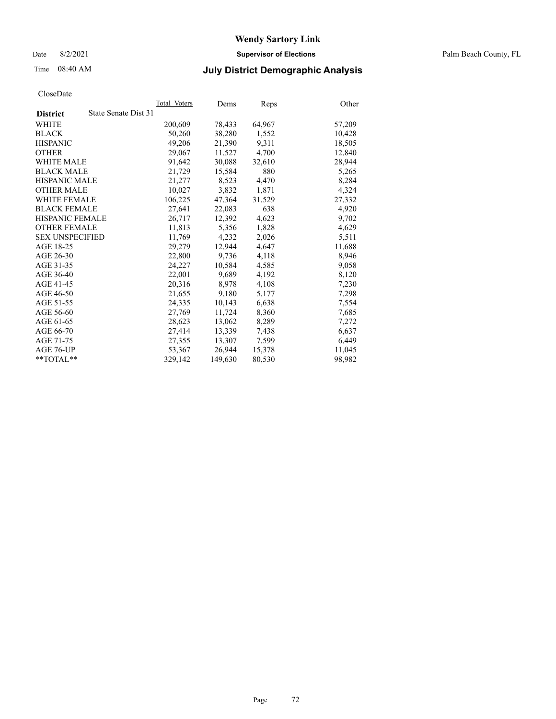Date 8/2/2021 **Supervisor of Elections** Palm Beach County, FL

## Time 08:40 AM **July District Demographic Analysis**

|                                         | Total Voters | Dems    | Reps   | Other  |
|-----------------------------------------|--------------|---------|--------|--------|
| State Senate Dist 31<br><b>District</b> |              |         |        |        |
| WHITE                                   | 200,609      | 78,433  | 64,967 | 57,209 |
| <b>BLACK</b>                            | 50,260       | 38,280  | 1,552  | 10,428 |
| <b>HISPANIC</b>                         | 49,206       | 21,390  | 9,311  | 18,505 |
| <b>OTHER</b>                            | 29,067       | 11,527  | 4,700  | 12,840 |
| <b>WHITE MALE</b>                       | 91,642       | 30,088  | 32,610 | 28,944 |
| <b>BLACK MALE</b>                       | 21,729       | 15,584  | 880    | 5,265  |
| <b>HISPANIC MALE</b>                    | 21,277       | 8,523   | 4,470  | 8,284  |
| <b>OTHER MALE</b>                       | 10,027       | 3,832   | 1,871  | 4,324  |
| <b>WHITE FEMALE</b>                     | 106,225      | 47,364  | 31,529 | 27,332 |
| <b>BLACK FEMALE</b>                     | 27,641       | 22,083  | 638    | 4,920  |
| HISPANIC FEMALE                         | 26,717       | 12,392  | 4,623  | 9,702  |
| <b>OTHER FEMALE</b>                     | 11,813       | 5,356   | 1,828  | 4,629  |
| <b>SEX UNSPECIFIED</b>                  | 11.769       | 4,232   | 2,026  | 5,511  |
| AGE 18-25                               | 29,279       | 12,944  | 4,647  | 11,688 |
| AGE 26-30                               | 22,800       | 9,736   | 4,118  | 8,946  |
| AGE 31-35                               | 24,227       | 10,584  | 4,585  | 9,058  |
| AGE 36-40                               | 22,001       | 9,689   | 4,192  | 8,120  |
| AGE 41-45                               | 20,316       | 8,978   | 4,108  | 7,230  |
| AGE 46-50                               | 21,655       | 9,180   | 5,177  | 7,298  |
| AGE 51-55                               | 24,335       | 10,143  | 6,638  | 7,554  |
| AGE 56-60                               | 27,769       | 11,724  | 8,360  | 7,685  |
| AGE 61-65                               | 28,623       | 13,062  | 8,289  | 7,272  |
| AGE 66-70                               | 27,414       | 13,339  | 7,438  | 6,637  |
| AGE 71-75                               | 27,355       | 13,307  | 7,599  | 6,449  |
| AGE 76-UP                               | 53,367       | 26,944  | 15,378 | 11,045 |
| $*$ $TOTAL**$                           | 329,142      | 149,630 | 80,530 | 98,982 |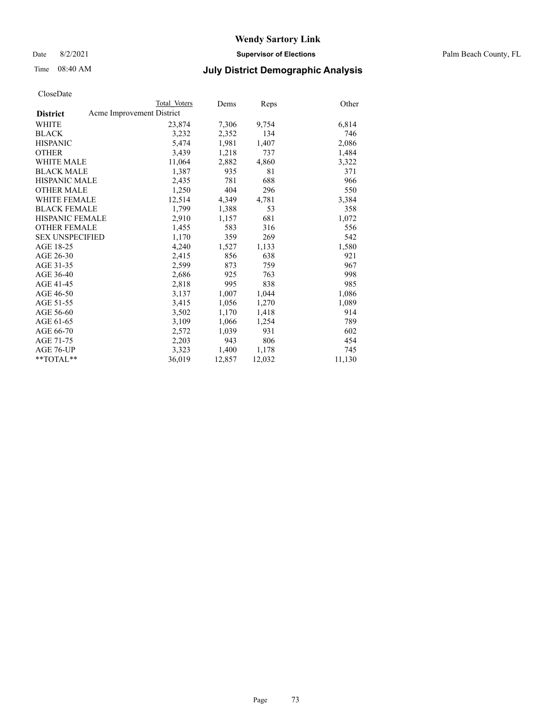Date 8/2/2021 **Supervisor of Elections** Palm Beach County, FL

## Time 08:40 AM **July District Demographic Analysis**

|                                              | Total Voters | Dems   | Reps   | Other  |
|----------------------------------------------|--------------|--------|--------|--------|
| Acme Improvement District<br><b>District</b> |              |        |        |        |
| WHITE                                        | 23,874       | 7,306  | 9,754  | 6,814  |
| <b>BLACK</b>                                 | 3,232        | 2,352  | 134    | 746    |
| <b>HISPANIC</b>                              | 5.474        | 1,981  | 1,407  | 2,086  |
| <b>OTHER</b>                                 | 3,439        | 1,218  | 737    | 1,484  |
| <b>WHITE MALE</b>                            | 11,064       | 2,882  | 4,860  | 3,322  |
| <b>BLACK MALE</b>                            | 1,387        | 935    | 81     | 371    |
| <b>HISPANIC MALE</b>                         | 2,435        | 781    | 688    | 966    |
| <b>OTHER MALE</b>                            | 1,250        | 404    | 296    | 550    |
| <b>WHITE FEMALE</b>                          | 12,514       | 4,349  | 4,781  | 3,384  |
| <b>BLACK FEMALE</b>                          | 1,799        | 1,388  | 53     | 358    |
| <b>HISPANIC FEMALE</b>                       | 2,910        | 1,157  | 681    | 1,072  |
| <b>OTHER FEMALE</b>                          | 1,455        | 583    | 316    | 556    |
| <b>SEX UNSPECIFIED</b>                       | 1,170        | 359    | 269    | 542    |
| AGE 18-25                                    | 4,240        | 1,527  | 1,133  | 1,580  |
| AGE 26-30                                    | 2,415        | 856    | 638    | 921    |
| AGE 31-35                                    | 2,599        | 873    | 759    | 967    |
| AGE 36-40                                    | 2,686        | 925    | 763    | 998    |
| AGE 41-45                                    | 2,818        | 995    | 838    | 985    |
| AGE 46-50                                    | 3,137        | 1,007  | 1,044  | 1,086  |
| AGE 51-55                                    | 3,415        | 1,056  | 1,270  | 1,089  |
| AGE 56-60                                    | 3,502        | 1,170  | 1,418  | 914    |
| AGE 61-65                                    | 3,109        | 1,066  | 1,254  | 789    |
| AGE 66-70                                    | 2,572        | 1,039  | 931    | 602    |
| AGE 71-75                                    | 2,203        | 943    | 806    | 454    |
| AGE 76-UP                                    | 3,323        | 1,400  | 1,178  | 745    |
| $*$ $TOTAL**$                                | 36,019       | 12,857 | 12,032 | 11,130 |
|                                              |              |        |        |        |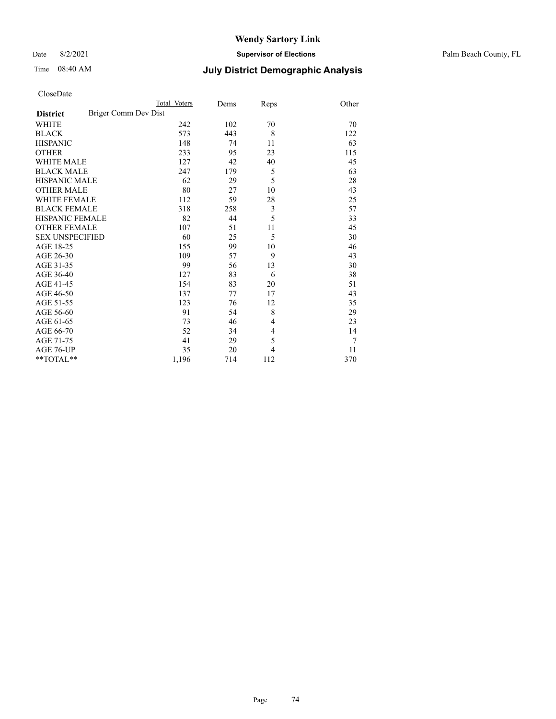Date 8/2/2021 **Supervisor of Elections** Palm Beach County, FL

## Time 08:40 AM **July District Demographic Analysis**

|                                         | Total Voters | Dems | Reps | Other |
|-----------------------------------------|--------------|------|------|-------|
| Briger Comm Dev Dist<br><b>District</b> |              |      |      |       |
| WHITE                                   | 242          | 102  | 70   | 70    |
| <b>BLACK</b>                            | 573          | 443  | 8    | 122   |
| <b>HISPANIC</b>                         | 148          | 74   | 11   | 63    |
| <b>OTHER</b>                            | 233          | 95   | 23   | 115   |
| <b>WHITE MALE</b>                       | 127          | 42   | 40   | 45    |
| <b>BLACK MALE</b>                       | 247          | 179  | 5    | 63    |
| <b>HISPANIC MALE</b>                    | 62           | 29   | 5    | 28    |
| <b>OTHER MALE</b>                       | 80           | 27   | 10   | 43    |
| WHITE FEMALE                            | 112          | 59   | 28   | 25    |
| <b>BLACK FEMALE</b>                     | 318          | 258  | 3    | 57    |
| HISPANIC FEMALE                         | 82           | 44   | 5    | 33    |
| <b>OTHER FEMALE</b>                     | 107          | 51   | 11   | 45    |
| <b>SEX UNSPECIFIED</b>                  | 60           | 25   | 5    | 30    |
| AGE 18-25                               | 155          | 99   | 10   | 46    |
| AGE 26-30                               | 109          | 57   | 9    | 43    |
| AGE 31-35                               | 99           | 56   | 13   | 30    |
| AGE 36-40                               | 127          | 83   | 6    | 38    |
| AGE 41-45                               | 154          | 83   | 20   | 51    |
| AGE 46-50                               | 137          | 77   | 17   | 43    |
| AGE 51-55                               | 123          | 76   | 12   | 35    |
| AGE 56-60                               | 91           | 54   | 8    | 29    |
| AGE 61-65                               | 73           | 46   | 4    | 23    |
| AGE 66-70                               | 52           | 34   | 4    | 14    |
| AGE 71-75                               | 41           | 29   | 5    | 7     |
| AGE 76-UP                               | 35           | 20   | 4    | 11    |
| $*$ $TOTAL**$                           | 1,196        | 714  | 112  | 370   |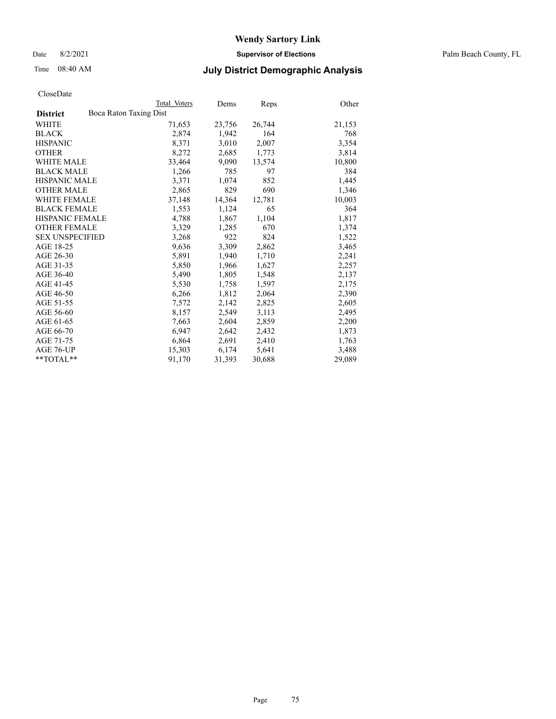Date 8/2/2021 **Supervisor of Elections** Palm Beach County, FL

## Time 08:40 AM **July District Demographic Analysis**

|                                           | Total Voters | Dems   | Reps   | Other  |
|-------------------------------------------|--------------|--------|--------|--------|
| Boca Raton Taxing Dist<br><b>District</b> |              |        |        |        |
| WHITE                                     | 71,653       | 23,756 | 26,744 | 21,153 |
| <b>BLACK</b>                              | 2,874        | 1,942  | 164    | 768    |
| <b>HISPANIC</b>                           | 8,371        | 3,010  | 2,007  | 3,354  |
| <b>OTHER</b>                              | 8,272        | 2,685  | 1,773  | 3,814  |
| <b>WHITE MALE</b>                         | 33,464       | 9,090  | 13,574 | 10,800 |
| <b>BLACK MALE</b>                         | 1,266        | 785    | 97     | 384    |
| <b>HISPANIC MALE</b>                      | 3,371        | 1,074  | 852    | 1,445  |
| <b>OTHER MALE</b>                         | 2,865        | 829    | 690    | 1,346  |
| <b>WHITE FEMALE</b>                       | 37,148       | 14,364 | 12,781 | 10,003 |
| <b>BLACK FEMALE</b>                       | 1,553        | 1,124  | 65     | 364    |
| HISPANIC FEMALE                           | 4,788        | 1,867  | 1,104  | 1,817  |
| <b>OTHER FEMALE</b>                       | 3,329        | 1,285  | 670    | 1,374  |
| <b>SEX UNSPECIFIED</b>                    | 3,268        | 922    | 824    | 1,522  |
| AGE 18-25                                 | 9,636        | 3,309  | 2,862  | 3,465  |
| AGE 26-30                                 | 5,891        | 1,940  | 1,710  | 2,241  |
| AGE 31-35                                 | 5,850        | 1,966  | 1,627  | 2,257  |
| AGE 36-40                                 | 5,490        | 1,805  | 1,548  | 2,137  |
| AGE 41-45                                 | 5,530        | 1,758  | 1,597  | 2,175  |
| AGE 46-50                                 | 6,266        | 1,812  | 2,064  | 2,390  |
| AGE 51-55                                 | 7,572        | 2,142  | 2,825  | 2,605  |
| AGE 56-60                                 | 8,157        | 2,549  | 3,113  | 2,495  |
| AGE 61-65                                 | 7,663        | 2,604  | 2,859  | 2,200  |
| AGE 66-70                                 | 6,947        | 2,642  | 2,432  | 1,873  |
| AGE 71-75                                 | 6,864        | 2,691  | 2,410  | 1,763  |
| AGE 76-UP                                 | 15,303       | 6,174  | 5,641  | 3,488  |
| $*$ TOTAL $*$                             | 91,170       | 31,393 | 30,688 | 29,089 |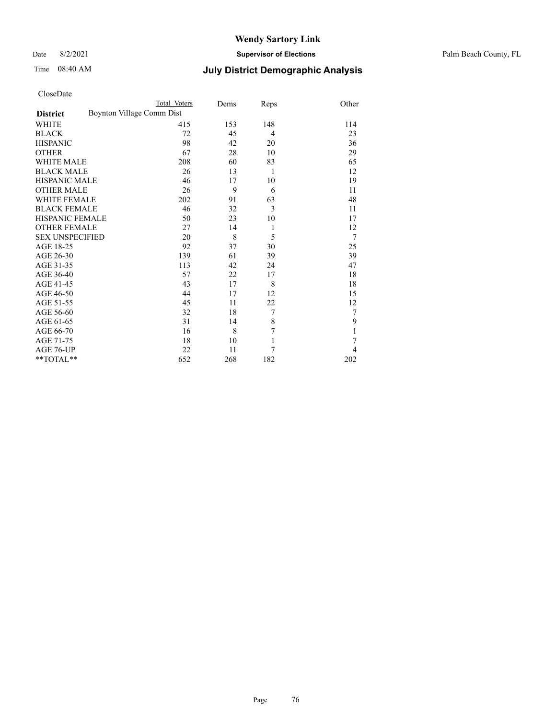Date 8/2/2021 **Supervisor of Elections** Palm Beach County, FL

|                     | Total Voters              | Dems | Reps           | Other |
|---------------------|---------------------------|------|----------------|-------|
| <b>District</b>     | Boynton Village Comm Dist |      |                |       |
| WHITE               | 415                       | 153  | 148            | 114   |
| BLACK               | 72                        | 45   | $\overline{4}$ | 23    |
| HISPANIC            | 98                        | 42   | 20             | 36    |
| OTHER               | 67                        | 28   | 10             | 29    |
| WHITE MALE          | 208                       | 60   | 83             | 65    |
| <b>BLACK MALE</b>   | 26                        | 13   | 1              | 12    |
| HISPANIC MALE       | 46                        | 17   | 10             | 19    |
| OTHER MALE          | 26                        | 9    | 6              | 11    |
| WHITE FEMALE        | 202                       | 91   | 63             | 48    |
| <b>BLACK FEMALE</b> | 46                        | 32   | 3              | 11    |
| HISPANIC FEMALE     | 50                        | 23   | 10             | 17    |
| <b>OTHER FEMALE</b> | 27                        | 14   | 1              | 12    |
| SEX UNSPECIFIED     | 20                        | 8    | 5              | 7     |
| AGE 18-25           | 92                        | 37   | 30             | 25    |
| AGE 26-30           | 139                       | 61   | 39             | 39    |
| AGE 31-35           | 113                       | 42   | 24             | 47    |
| AGE 36-40           | 57                        | 22   | 17             | 18    |
| AGE 41-45           | 43                        | 17   | 8              | 18    |
| AGE 46-50           | 44                        | 17   | 12             | 15    |
| AGE 51-55           | 45                        | 11   | 22             | 12    |
| AGE 56-60           | 32                        | 18   | 7              | 7     |
| AGE 61-65           | 31                        | 14   | $\,$ $\,$      | 9     |
| AGE 66-70           | 16                        | 8    | 7              |       |
| AGE 71-75           | 18                        | 10   | $\mathbf{1}$   | 7     |
| AGE 76-UP           | 22                        | 11   | 7              | 4     |
| **TOTAL**           | 652                       | 268  | 182            | 202   |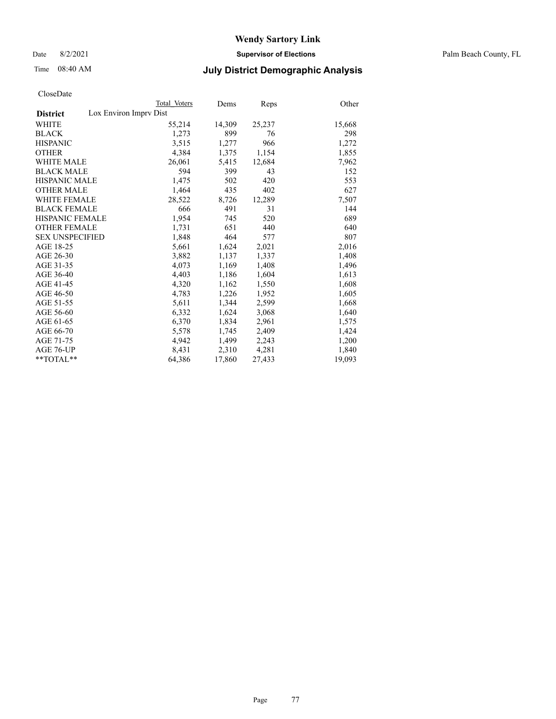Date 8/2/2021 **Supervisor of Elections** Palm Beach County, FL

## Time 08:40 AM **July District Demographic Analysis**

|                                           | Total Voters | Dems   | Reps   | Other  |
|-------------------------------------------|--------------|--------|--------|--------|
| Lox Environ Imprv Dist<br><b>District</b> |              |        |        |        |
| <b>WHITE</b>                              | 55,214       | 14,309 | 25,237 | 15,668 |
| <b>BLACK</b>                              | 1,273        | 899    | 76     | 298    |
| <b>HISPANIC</b>                           | 3,515        | 1,277  | 966    | 1,272  |
| <b>OTHER</b>                              | 4,384        | 1,375  | 1,154  | 1,855  |
| <b>WHITE MALE</b>                         | 26,061       | 5,415  | 12,684 | 7,962  |
| <b>BLACK MALE</b>                         | 594          | 399    | 43     | 152    |
| <b>HISPANIC MALE</b>                      | 1,475        | 502    | 420    | 553    |
| <b>OTHER MALE</b>                         | 1,464        | 435    | 402    | 627    |
| <b>WHITE FEMALE</b>                       | 28,522       | 8,726  | 12,289 | 7,507  |
| <b>BLACK FEMALE</b>                       | 666          | 491    | 31     | 144    |
| HISPANIC FEMALE                           | 1,954        | 745    | 520    | 689    |
| <b>OTHER FEMALE</b>                       | 1,731        | 651    | 440    | 640    |
| <b>SEX UNSPECIFIED</b>                    | 1,848        | 464    | 577    | 807    |
| AGE 18-25                                 | 5,661        | 1,624  | 2,021  | 2,016  |
| AGE 26-30                                 | 3,882        | 1,137  | 1,337  | 1,408  |
| AGE 31-35                                 | 4,073        | 1,169  | 1,408  | 1,496  |
| AGE 36-40                                 | 4,403        | 1,186  | 1,604  | 1,613  |
| AGE 41-45                                 | 4,320        | 1,162  | 1,550  | 1,608  |
| AGE 46-50                                 | 4,783        | 1,226  | 1,952  | 1,605  |
| AGE 51-55                                 | 5,611        | 1,344  | 2,599  | 1,668  |
| AGE 56-60                                 | 6,332        | 1,624  | 3,068  | 1,640  |
| AGE 61-65                                 | 6,370        | 1,834  | 2,961  | 1,575  |
| AGE 66-70                                 | 5,578        | 1,745  | 2,409  | 1,424  |
| AGE 71-75                                 | 4,942        | 1,499  | 2,243  | 1,200  |
| AGE 76-UP                                 | 8.431        | 2,310  | 4,281  | 1,840  |
| $*$ $TOTAL**$                             | 64,386       | 17,860 | 27,433 | 19,093 |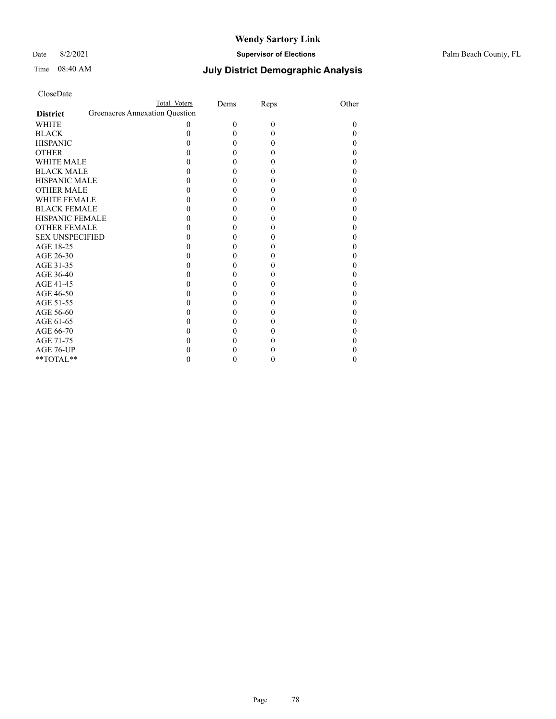#### Date 8/2/2021 **Supervisor of Elections** Palm Beach County, FL

| CloseDate |
|-----------|
|-----------|

|                        |                                | Total Voters | Dems     | Reps     | Other    |
|------------------------|--------------------------------|--------------|----------|----------|----------|
| <b>District</b>        | Greenacres Annexation Question |              |          |          |          |
| <b>WHITE</b>           |                                | $\theta$     | $\theta$ | $\theta$ | $\theta$ |
| <b>BLACK</b>           |                                |              | 0        | 0        |          |
| <b>HISPANIC</b>        |                                |              | 0        | 0        |          |
| <b>OTHER</b>           |                                |              | 0        | 0        |          |
| <b>WHITE MALE</b>      |                                |              | 0        | 0        |          |
| <b>BLACK MALE</b>      |                                |              | 0        |          |          |
| <b>HISPANIC MALE</b>   |                                |              | 0        |          |          |
| <b>OTHER MALE</b>      |                                |              | 0        | 0        |          |
| <b>WHITE FEMALE</b>    |                                |              | 0        |          |          |
| <b>BLACK FEMALE</b>    |                                |              | 0        |          |          |
| <b>HISPANIC FEMALE</b> |                                |              | 0        | 0        |          |
| <b>OTHER FEMALE</b>    |                                |              | 0        | 0        |          |
| <b>SEX UNSPECIFIED</b> |                                |              | 0        |          |          |
| AGE 18-25              |                                |              | 0        | 0        |          |
| AGE 26-30              |                                |              | 0        | 0        |          |
| AGE 31-35              |                                |              | 0        |          |          |
| AGE 36-40              |                                |              | 0        | 0        |          |
| AGE 41-45              |                                |              | 0        | 0        |          |
| AGE 46-50              |                                |              | 0        |          |          |
| AGE 51-55              |                                |              | 0        | 0        |          |
| AGE 56-60              |                                |              | 0        |          |          |
| AGE 61-65              |                                |              | 0        | 0        |          |
| AGE 66-70              |                                |              | 0        |          |          |
| AGE 71-75              |                                |              |          |          |          |
| AGE 76-UP              |                                |              |          |          |          |
| $*$ $TOTAL**$          |                                |              | 0        |          |          |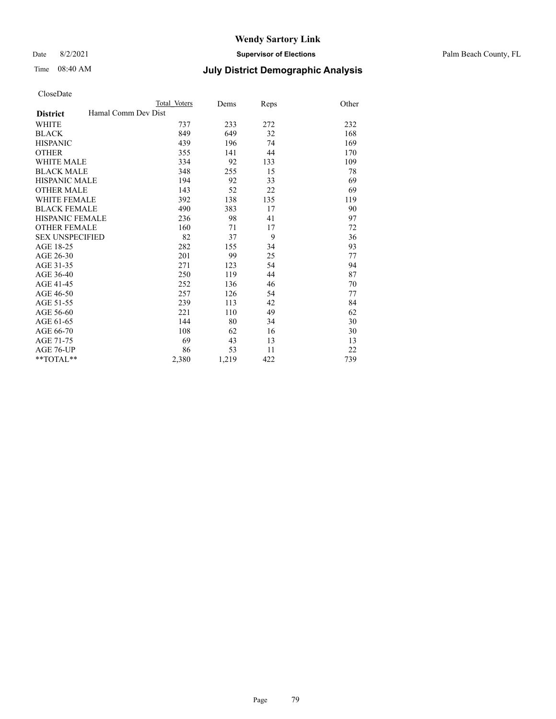Date 8/2/2021 **Supervisor of Elections** Palm Beach County, FL

## Time 08:40 AM **July District Demographic Analysis**

| Total Voters | Dems                | Reps | Other |
|--------------|---------------------|------|-------|
|              |                     |      |       |
| 737          | 233                 | 272  | 232   |
| 849          | 649                 | 32   | 168   |
| 439          | 196                 | 74   | 169   |
| 355          | 141                 | 44   | 170   |
| 334          | 92                  | 133  | 109   |
| 348          | 255                 | 15   | 78    |
| 194          | 92                  | 33   | 69    |
| 143          | 52                  | 22   | 69    |
| 392          | 138                 | 135  | 119   |
| 490          | 383                 | 17   | 90    |
| 236          | 98                  | 41   | 97    |
| 160          | 71                  | 17   | 72    |
| 82           | 37                  | 9    | 36    |
| 282          | 155                 | 34   | 93    |
| 201          | 99                  | 25   | 77    |
| 271          | 123                 | 54   | 94    |
| 250          | 119                 | 44   | 87    |
| 252          | 136                 | 46   | 70    |
| 257          | 126                 | 54   | 77    |
| 239          | 113                 | 42   | 84    |
| 221          | 110                 | 49   | 62    |
| 144          | 80                  | 34   | 30    |
| 108          | 62                  | 16   | 30    |
| 69           | 43                  | 13   | 13    |
| 86           | 53                  | 11   | 22    |
| 2,380        | 1,219               | 422  | 739   |
|              | Hamal Comm Dev Dist |      |       |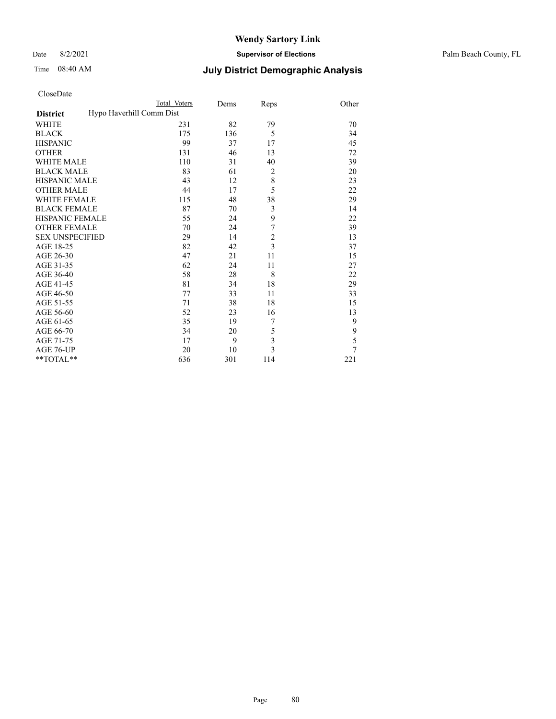#### Date 8/2/2021 **Supervisor of Elections** Palm Beach County, FL

| CloseDate |  |
|-----------|--|
|-----------|--|

|                                             | <b>Total Voters</b> | Dems | Reps                    | Other |
|---------------------------------------------|---------------------|------|-------------------------|-------|
| Hypo Haverhill Comm Dist<br><b>District</b> |                     |      |                         |       |
| WHITE                                       | 231                 | 82   | 79                      | 70    |
| <b>BLACK</b>                                | 175                 | 136  | 5                       | 34    |
| <b>HISPANIC</b>                             | 99                  | 37   | 17                      | 45    |
| <b>OTHER</b>                                | 131                 | 46   | 13                      | 72    |
| <b>WHITE MALE</b>                           | 110                 | 31   | 40                      | 39    |
| <b>BLACK MALE</b>                           | 83                  | 61   | $\overline{c}$          | 20    |
| <b>HISPANIC MALE</b>                        | 43                  | 12   | 8                       | 23    |
| <b>OTHER MALE</b>                           | 44                  | 17   | 5                       | 22    |
| <b>WHITE FEMALE</b>                         | 115                 | 48   | 38                      | 29    |
| <b>BLACK FEMALE</b>                         | 87                  | 70   | 3                       | 14    |
| <b>HISPANIC FEMALE</b>                      | 55                  | 24   | 9                       | 22    |
| <b>OTHER FEMALE</b>                         | 70                  | 24   | $\sqrt{ }$              | 39    |
| <b>SEX UNSPECIFIED</b>                      | 29                  | 14   | $\frac{2}{3}$           | 13    |
| AGE 18-25                                   | 82                  | 42   |                         | 37    |
| AGE 26-30                                   | 47                  | 21   | 11                      | 15    |
| AGE 31-35                                   | 62                  | 24   | 11                      | 27    |
| AGE 36-40                                   | 58                  | 28   | 8                       | 22    |
| AGE 41-45                                   | 81                  | 34   | 18                      | 29    |
| AGE 46-50                                   | 77                  | 33   | 11                      | 33    |
| AGE 51-55                                   | 71                  | 38   | 18                      | 15    |
| AGE 56-60                                   | 52                  | 23   | 16                      | 13    |
| AGE 61-65                                   | 35                  | 19   | 7                       | 9     |
| AGE 66-70                                   | 34                  | 20   | 5                       | 9     |
| AGE 71-75                                   | 17                  | 9    | 3                       | 5     |
| AGE 76-UP                                   | 20                  | 10   | $\overline{\mathbf{3}}$ | 7     |
| **TOTAL**                                   | 636                 | 301  | 114                     | 221   |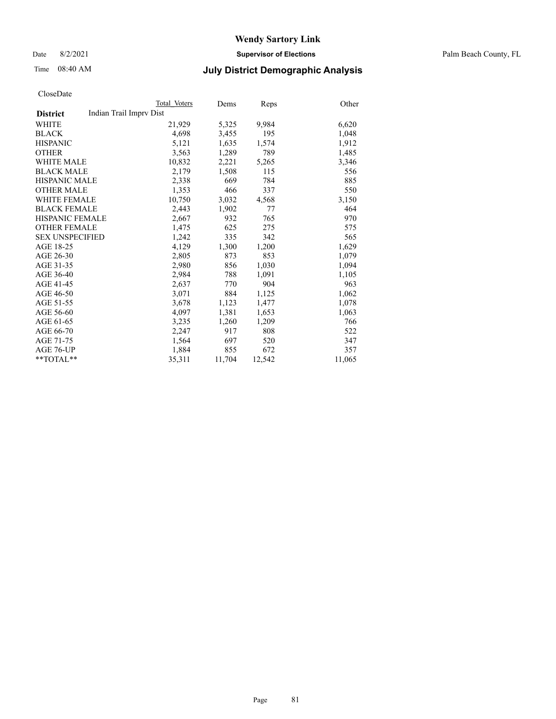Date 8/2/2021 **Supervisor of Elections** Palm Beach County, FL

## Time 08:40 AM **July District Demographic Analysis**

|                                            | Total Voters | Dems   | Reps   | Other  |
|--------------------------------------------|--------------|--------|--------|--------|
| Indian Trail Imprv Dist<br><b>District</b> |              |        |        |        |
| WHITE                                      | 21,929       | 5,325  | 9.984  | 6,620  |
| <b>BLACK</b>                               | 4,698        | 3,455  | 195    | 1,048  |
| <b>HISPANIC</b>                            | 5,121        | 1,635  | 1,574  | 1,912  |
| <b>OTHER</b>                               | 3,563        | 1,289  | 789    | 1,485  |
| <b>WHITE MALE</b>                          | 10,832       | 2,221  | 5,265  | 3,346  |
| <b>BLACK MALE</b>                          | 2,179        | 1,508  | 115    | 556    |
| <b>HISPANIC MALE</b>                       | 2,338        | 669    | 784    | 885    |
| <b>OTHER MALE</b>                          | 1,353        | 466    | 337    | 550    |
| <b>WHITE FEMALE</b>                        | 10,750       | 3,032  | 4,568  | 3,150  |
| <b>BLACK FEMALE</b>                        | 2,443        | 1,902  | 77     | 464    |
| <b>HISPANIC FEMALE</b>                     | 2,667        | 932    | 765    | 970    |
| <b>OTHER FEMALE</b>                        | 1,475        | 625    | 275    | 575    |
| <b>SEX UNSPECIFIED</b>                     | 1,242        | 335    | 342    | 565    |
| AGE 18-25                                  | 4,129        | 1,300  | 1,200  | 1,629  |
| AGE 26-30                                  | 2,805        | 873    | 853    | 1,079  |
| AGE 31-35                                  | 2,980        | 856    | 1,030  | 1,094  |
| AGE 36-40                                  | 2,984        | 788    | 1,091  | 1,105  |
| AGE 41-45                                  | 2,637        | 770    | 904    | 963    |
| AGE 46-50                                  | 3,071        | 884    | 1,125  | 1,062  |
| AGE 51-55                                  | 3,678        | 1,123  | 1,477  | 1,078  |
| AGE 56-60                                  | 4,097        | 1,381  | 1,653  | 1,063  |
| AGE 61-65                                  | 3,235        | 1,260  | 1,209  | 766    |
| AGE 66-70                                  | 2,247        | 917    | 808    | 522    |
| AGE 71-75                                  | 1,564        | 697    | 520    | 347    |
| AGE 76-UP                                  | 1,884        | 855    | 672    | 357    |
| $*$ TOTAL $*$                              | 35,311       | 11,704 | 12,542 | 11,065 |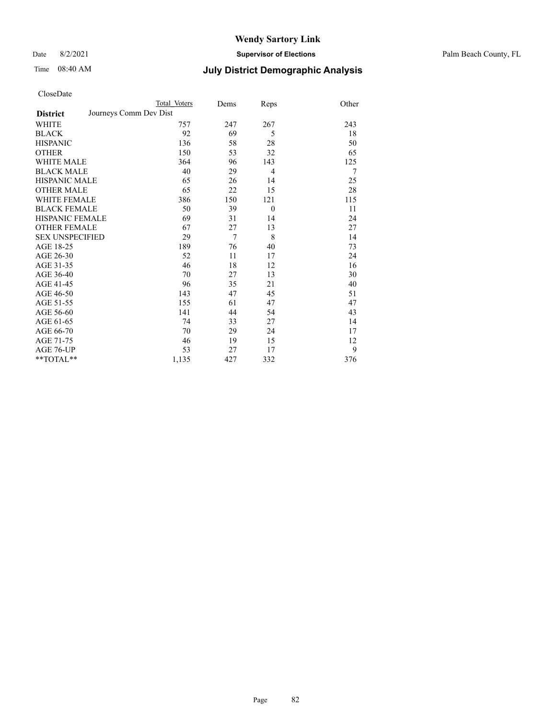Date 8/2/2021 **Supervisor of Elections** Palm Beach County, FL

|                        |                        | Total Voters | Dems           | Reps           | Other |
|------------------------|------------------------|--------------|----------------|----------------|-------|
| <b>District</b>        | Journeys Comm Dev Dist |              |                |                |       |
| WHITE                  |                        | 757          | 247            | 267            | 243   |
| BLACK                  |                        | 92           | 69             | 5              | 18    |
| <b>HISPANIC</b>        |                        | 136          | 58             | 28             | 50    |
| <b>OTHER</b>           |                        | 150          | 53             | 32             | 65    |
| WHITE MALE             |                        | 364          | 96             | 143            | 125   |
| <b>BLACK MALE</b>      |                        | 40           | 29             | $\overline{4}$ | 7     |
| HISPANIC MALE          |                        | 65           | 26             | 14             | 25    |
| OTHER MALE             |                        | 65           | 22             | 15             | 28    |
| WHITE FEMALE           |                        | 386          | 150            | 121            | 115   |
| <b>BLACK FEMALE</b>    |                        | 50           | 39             | $\theta$       | 11    |
| HISPANIC FEMALE        |                        | 69           | 31             | 14             | 24    |
| <b>OTHER FEMALE</b>    |                        | 67           | 27             | 13             | 27    |
| <b>SEX UNSPECIFIED</b> |                        | 29           | $\overline{7}$ | 8              | 14    |
| AGE 18-25              |                        | 189          | 76             | 40             | 73    |
| AGE 26-30              |                        | 52           | 11             | 17             | 24    |
| AGE 31-35              |                        | 46           | 18             | 12             | 16    |
| AGE 36-40              |                        | 70           | 27             | 13             | 30    |
| AGE 41-45              |                        | 96           | 35             | 21             | 40    |
| AGE 46-50              |                        | 143          | 47             | 45             | 51    |
| AGE 51-55              |                        | 155          | 61             | 47             | 47    |
| AGE 56-60              |                        | 141          | 44             | 54             | 43    |
| AGE 61-65              |                        | 74           | 33             | 27             | 14    |
| AGE 66-70              |                        | 70           | 29             | 24             | 17    |
| AGE 71-75              |                        | 46           | 19             | 15             | 12    |
| AGE 76-UP              |                        | 53           | 27             | 17             | 9     |
| $*$ $TOTAL**$          |                        | 1,135        | 427            | 332            | 376   |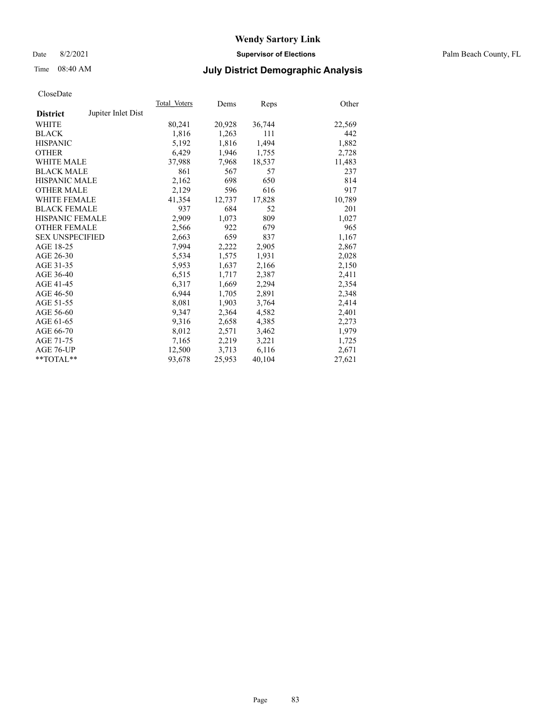Date 8/2/2021 **Supervisor of Elections** Palm Beach County, FL

## Time 08:40 AM **July District Demographic Analysis**

|                        |                    | Total Voters | Dems   | Reps   | Other  |
|------------------------|--------------------|--------------|--------|--------|--------|
| <b>District</b>        | Jupiter Inlet Dist |              |        |        |        |
| WHITE                  |                    | 80,241       | 20,928 | 36,744 | 22,569 |
| <b>BLACK</b>           |                    | 1,816        | 1,263  | 111    | 442    |
| <b>HISPANIC</b>        |                    | 5,192        | 1,816  | 1,494  | 1,882  |
| <b>OTHER</b>           |                    | 6,429        | 1,946  | 1,755  | 2,728  |
| <b>WHITE MALE</b>      |                    | 37,988       | 7,968  | 18,537 | 11,483 |
| <b>BLACK MALE</b>      |                    | 861          | 567    | 57     | 237    |
| <b>HISPANIC MALE</b>   |                    | 2,162        | 698    | 650    | 814    |
| <b>OTHER MALE</b>      |                    | 2,129        | 596    | 616    | 917    |
| <b>WHITE FEMALE</b>    |                    | 41,354       | 12,737 | 17,828 | 10,789 |
| <b>BLACK FEMALE</b>    |                    | 937          | 684    | 52     | 201    |
| HISPANIC FEMALE        |                    | 2.909        | 1,073  | 809    | 1,027  |
| <b>OTHER FEMALE</b>    |                    | 2,566        | 922    | 679    | 965    |
| <b>SEX UNSPECIFIED</b> |                    | 2,663        | 659    | 837    | 1,167  |
| AGE 18-25              |                    | 7,994        | 2,222  | 2,905  | 2,867  |
| AGE 26-30              |                    | 5,534        | 1,575  | 1,931  | 2,028  |
| AGE 31-35              |                    | 5,953        | 1,637  | 2,166  | 2,150  |
| AGE 36-40              |                    | 6,515        | 1,717  | 2,387  | 2,411  |
| AGE 41-45              |                    | 6,317        | 1,669  | 2,294  | 2,354  |
| AGE 46-50              |                    | 6,944        | 1,705  | 2,891  | 2,348  |
| AGE 51-55              |                    | 8,081        | 1,903  | 3,764  | 2,414  |
| AGE 56-60              |                    | 9,347        | 2,364  | 4,582  | 2,401  |
| AGE 61-65              |                    | 9,316        | 2,658  | 4,385  | 2,273  |
| AGE 66-70              |                    | 8,012        | 2,571  | 3,462  | 1,979  |
| AGE 71-75              |                    | 7,165        | 2,219  | 3,221  | 1,725  |
| AGE 76-UP              |                    | 12,500       | 3,713  | 6,116  | 2,671  |
| $*$ $TOTAL**$          |                    | 93,678       | 25,953 | 40,104 | 27,621 |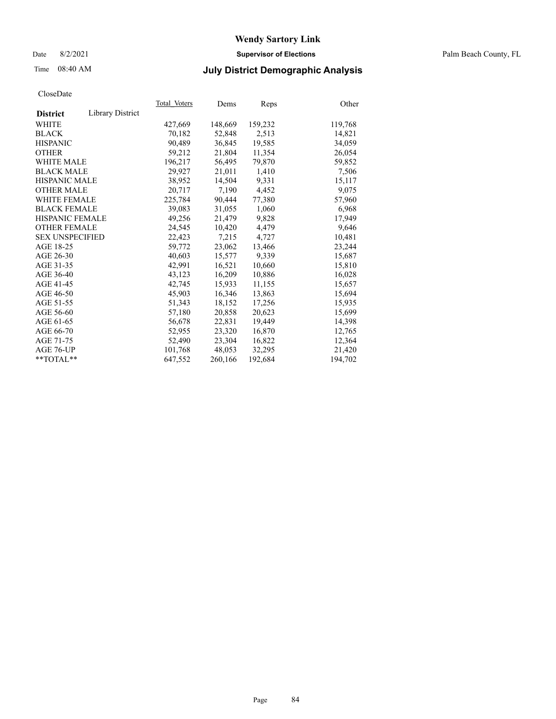#### Date 8/2/2021 **Supervisor of Elections** Palm Beach County, FL

## Time 08:40 AM **July District Demographic Analysis**

|                        |                  | Total Voters | Dems    | <b>Reps</b> | Other   |
|------------------------|------------------|--------------|---------|-------------|---------|
| <b>District</b>        | Library District |              |         |             |         |
| WHITE                  |                  | 427,669      | 148,669 | 159,232     | 119,768 |
| <b>BLACK</b>           |                  | 70,182       | 52,848  | 2,513       | 14,821  |
| <b>HISPANIC</b>        |                  | 90,489       | 36,845  | 19,585      | 34,059  |
| <b>OTHER</b>           |                  | 59,212       | 21,804  | 11,354      | 26,054  |
| <b>WHITE MALE</b>      |                  | 196,217      | 56,495  | 79,870      | 59,852  |
| <b>BLACK MALE</b>      |                  | 29,927       | 21,011  | 1,410       | 7,506   |
| <b>HISPANIC MALE</b>   |                  | 38,952       | 14,504  | 9,331       | 15,117  |
| <b>OTHER MALE</b>      |                  | 20,717       | 7,190   | 4,452       | 9,075   |
| <b>WHITE FEMALE</b>    |                  | 225,784      | 90,444  | 77,380      | 57,960  |
| <b>BLACK FEMALE</b>    |                  | 39,083       | 31,055  | 1,060       | 6,968   |
| <b>HISPANIC FEMALE</b> |                  | 49,256       | 21,479  | 9,828       | 17,949  |
| <b>OTHER FEMALE</b>    |                  | 24,545       | 10,420  | 4,479       | 9,646   |
| <b>SEX UNSPECIFIED</b> |                  | 22,423       | 7,215   | 4.727       | 10,481  |
| AGE 18-25              |                  | 59,772       | 23,062  | 13,466      | 23,244  |
| AGE 26-30              |                  | 40.603       | 15,577  | 9,339       | 15,687  |
| AGE 31-35              |                  | 42,991       | 16,521  | 10,660      | 15,810  |
| AGE 36-40              |                  | 43,123       | 16,209  | 10,886      | 16,028  |
| AGE 41-45              |                  | 42.745       | 15,933  | 11,155      | 15,657  |
| AGE 46-50              |                  | 45,903       | 16,346  | 13,863      | 15,694  |
| AGE 51-55              |                  | 51,343       | 18,152  | 17,256      | 15,935  |
| AGE 56-60              |                  | 57,180       | 20,858  | 20,623      | 15,699  |
| AGE 61-65              |                  | 56,678       | 22,831  | 19,449      | 14,398  |
| AGE 66-70              |                  | 52,955       | 23,320  | 16,870      | 12,765  |
| AGE 71-75              |                  | 52,490       | 23,304  | 16,822      | 12,364  |
| AGE 76-UP              |                  | 101,768      | 48,053  | 32,295      | 21,420  |
| $*$ TOTAL $*$          |                  | 647,552      | 260,166 | 192,684     | 194,702 |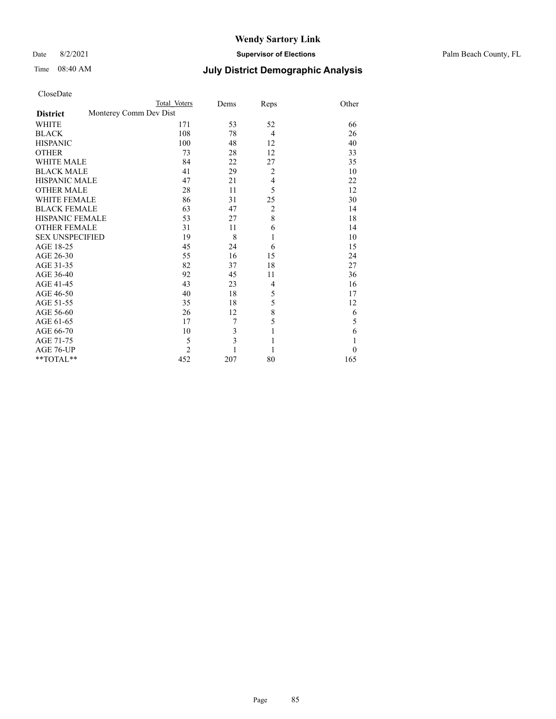Date 8/2/2021 **Supervisor of Elections** Palm Beach County, FL

| CloseDate |  |
|-----------|--|
|-----------|--|

|                        |                        | Total Voters   | Dems           | Reps           | Other    |
|------------------------|------------------------|----------------|----------------|----------------|----------|
| <b>District</b>        | Monterey Comm Dev Dist |                |                |                |          |
| WHITE                  |                        | 171            | 53             | 52             | 66       |
| BLACK                  |                        | 108            | 78             | $\overline{4}$ | 26       |
| <b>HISPANIC</b>        |                        | 100            | 48             | 12             | 40       |
| <b>OTHER</b>           |                        | 73             | 28             | 12             | 33       |
| WHITE MALE             |                        | 84             | 22             | 27             | 35       |
| <b>BLACK MALE</b>      |                        | 41             | 29             | $\overline{2}$ | 10       |
| HISPANIC MALE          |                        | 47             | 21             | $\overline{4}$ | 22       |
| OTHER MALE             |                        | 28             | 11             | 5              | 12       |
| WHITE FEMALE           |                        | 86             | 31             | 25             | 30       |
| <b>BLACK FEMALE</b>    |                        | 63             | 47             | $\overline{c}$ | 14       |
| HISPANIC FEMALE        |                        | 53             | 27             | 8              | 18       |
| <b>OTHER FEMALE</b>    |                        | 31             | 11             | 6              | 14       |
| <b>SEX UNSPECIFIED</b> |                        | 19             | 8              | 1              | 10       |
| AGE 18-25              |                        | 45             | 24             | 6              | 15       |
| AGE 26-30              |                        | 55             | 16             | 15             | 24       |
| AGE 31-35              |                        | 82             | 37             | 18             | 27       |
| AGE 36-40              |                        | 92             | 45             | 11             | 36       |
| AGE 41-45              |                        | 43             | 23             | $\overline{4}$ | 16       |
| AGE 46-50              |                        | 40             | 18             | 5              | 17       |
| AGE 51-55              |                        | 35             | 18             | 5              | 12       |
| AGE 56-60              |                        | 26             | 12             | 8              | 6        |
| AGE 61-65              |                        | 17             | 7              | 5              | 5        |
| AGE 66-70              |                        | 10             | 3              | 1              | 6        |
| AGE 71-75              |                        | 5              | $\overline{3}$ |                | 1        |
| AGE 76-UP              |                        | $\overline{2}$ |                |                | $\theta$ |
| $*$ TOTAL $*$          |                        | 452            | 207            | 80             | 165      |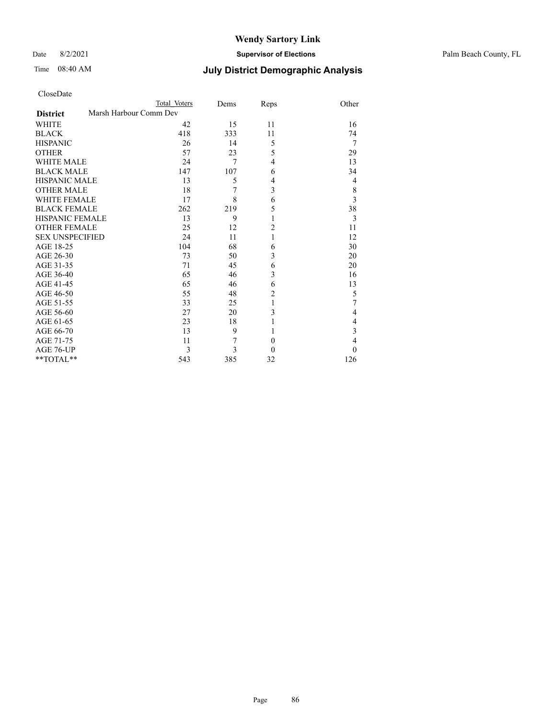Date 8/2/2021 **Supervisor of Elections** Palm Beach County, FL

| CloseDate |
|-----------|
|-----------|

|                     |                        | Total Voters | Dems | Reps           | Other          |
|---------------------|------------------------|--------------|------|----------------|----------------|
| <b>District</b>     | Marsh Harbour Comm Dev |              |      |                |                |
| WHITE               |                        | 42           | 15   | 11             | 16             |
| BLACK               |                        | 418          | 333  | 11             | 74             |
| HISPANIC            |                        | 26           | 14   | 5              | 7              |
| OTHER               |                        | 57           | 23   | 5              | 29             |
| WHITE MALE          |                        | 24           | 7    | 4              | 13             |
| <b>BLACK MALE</b>   |                        | 147          | 107  | 6              | 34             |
| HISPANIC MALE       |                        | 13           | 5    | 4              | 4              |
| OTHER MALE          |                        | 18           | 7    | 3              | 8              |
| WHITE FEMALE        |                        | 17           | 8    | 6              | 3              |
| <b>BLACK FEMALE</b> |                        | 262          | 219  | 5              | 38             |
| HISPANIC FEMALE     |                        | 13           | 9    | 1              | 3              |
| <b>OTHER FEMALE</b> |                        | 25           | 12   | $\overline{c}$ | 11             |
| SEX UNSPECIFIED     |                        | 24           | 11   | 1              | 12             |
| AGE 18-25           |                        | 104          | 68   | 6              | 30             |
| AGE 26-30           |                        | 73           | 50   | 3              | 20             |
| AGE 31-35           |                        | 71           | 45   | 6              | 20             |
| AGE 36-40           |                        | 65           | 46   | 3              | 16             |
| AGE 41-45           |                        | 65           | 46   | 6              | 13             |
| AGE 46-50           |                        | 55           | 48   | $\overline{2}$ | 5              |
| AGE 51-55           |                        | 33           | 25   | 1              | 7              |
| AGE 56-60           |                        | 27           | 20   | 3              | 4              |
| AGE 61-65           |                        | 23           | 18   |                | 4              |
| AGE 66-70           |                        | 13           | 9    | 1              | 3              |
| AGE 71-75           |                        | 11           | 7    | $\theta$       | $\overline{4}$ |
| AGE 76-UP           |                        | 3            | 3    | $\theta$       | $\Omega$       |
| $*$ $TOTAL**$       |                        | 543          | 385  | 32             | 126            |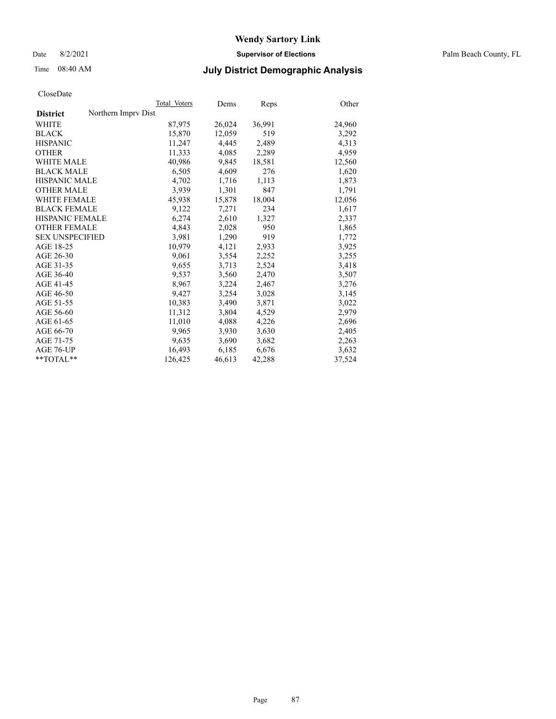Date 8/2/2021 **Supervisor of Elections** Palm Beach County, FL

## Time 08:40 AM **July District Demographic Analysis**

|                                        | Total Voters | Dems   | Reps   | Other  |
|----------------------------------------|--------------|--------|--------|--------|
| Northern Imprv Dist<br><b>District</b> |              |        |        |        |
| WHITE                                  | 87,975       | 26,024 | 36,991 | 24,960 |
| <b>BLACK</b>                           | 15,870       | 12,059 | 519    | 3,292  |
| <b>HISPANIC</b>                        | 11,247       | 4,445  | 2,489  | 4,313  |
| <b>OTHER</b>                           | 11,333       | 4,085  | 2,289  | 4,959  |
| <b>WHITE MALE</b>                      | 40,986       | 9,845  | 18,581 | 12,560 |
| <b>BLACK MALE</b>                      | 6,505        | 4,609  | 276    | 1,620  |
| <b>HISPANIC MALE</b>                   | 4,702        | 1,716  | 1,113  | 1,873  |
| <b>OTHER MALE</b>                      | 3,939        | 1,301  | 847    | 1,791  |
| <b>WHITE FEMALE</b>                    | 45,938       | 15,878 | 18,004 | 12,056 |
| <b>BLACK FEMALE</b>                    | 9,122        | 7,271  | 234    | 1,617  |
| <b>HISPANIC FEMALE</b>                 | 6,274        | 2,610  | 1,327  | 2,337  |
| <b>OTHER FEMALE</b>                    | 4,843        | 2,028  | 950    | 1,865  |
| <b>SEX UNSPECIFIED</b>                 | 3.981        | 1,290  | 919    | 1,772  |
| AGE 18-25                              | 10,979       | 4,121  | 2,933  | 3,925  |
| AGE 26-30                              | 9,061        | 3,554  | 2,252  | 3,255  |
| AGE 31-35                              | 9,655        | 3,713  | 2,524  | 3,418  |
| AGE 36-40                              | 9,537        | 3,560  | 2,470  | 3,507  |
| AGE 41-45                              | 8,967        | 3,224  | 2,467  | 3,276  |
| AGE 46-50                              | 9,427        | 3,254  | 3,028  | 3,145  |
| AGE 51-55                              | 10,383       | 3,490  | 3,871  | 3,022  |
| AGE 56-60                              | 11,312       | 3,804  | 4,529  | 2,979  |
| AGE 61-65                              | 11,010       | 4,088  | 4,226  | 2,696  |
| AGE 66-70                              | 9,965        | 3,930  | 3,630  | 2,405  |
| AGE 71-75                              | 9,635        | 3,690  | 3,682  | 2,263  |
| AGE 76-UP                              | 16,493       | 6,185  | 6,676  | 3,632  |
| **TOTAL**                              | 126,425      | 46,613 | 42,288 | 37,524 |
|                                        |              |        |        |        |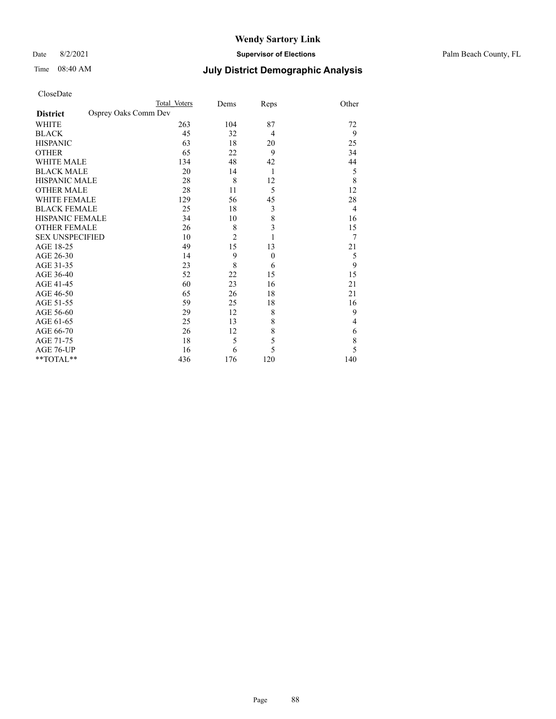Date 8/2/2021 **Supervisor of Elections** Palm Beach County, FL

|                                         | Total Voters | Dems           | Reps             | Other          |
|-----------------------------------------|--------------|----------------|------------------|----------------|
| Osprey Oaks Comm Dev<br><b>District</b> |              |                |                  |                |
| <b>WHITE</b>                            | 263          | 104            | 87               | 72             |
| <b>BLACK</b>                            | 45           | 32             | $\overline{4}$   | 9              |
| <b>HISPANIC</b>                         | 63           | 18             | 20               | 25             |
| <b>OTHER</b>                            | 65           | 22             | 9                | 34             |
| <b>WHITE MALE</b>                       | 134          | 48             | 42               | 44             |
| <b>BLACK MALE</b>                       | 20           | 14             | 1                | 5              |
| <b>HISPANIC MALE</b>                    | 28           | 8              | 12               | 8              |
| <b>OTHER MALE</b>                       | 28           | 11             | 5                | 12             |
| <b>WHITE FEMALE</b>                     | 129          | 56             | 45               | 28             |
| <b>BLACK FEMALE</b>                     | 25           | 18             | 3                | $\overline{4}$ |
| <b>HISPANIC FEMALE</b>                  | 34           | 10             | 8                | 16             |
| <b>OTHER FEMALE</b>                     | 26           | 8              | 3                | 15             |
| <b>SEX UNSPECIFIED</b>                  | 10           | $\overline{c}$ | 1                | 7              |
| AGE 18-25                               | 49           | 15             | 13               | 21             |
| AGE 26-30                               | 14           | 9              | $\boldsymbol{0}$ | 5              |
| AGE 31-35                               | 23           | 8              | 6                | 9              |
| AGE 36-40                               | 52           | 22             | 15               | 15             |
| AGE 41-45                               | 60           | 23             | 16               | 21             |
| AGE 46-50                               | 65           | 26             | 18               | 21             |
| AGE 51-55                               | 59           | 25             | 18               | 16             |
| AGE 56-60                               | 29           | 12             | 8                | 9              |
| AGE 61-65                               | 25           | 13             | 8                | 4              |
| AGE 66-70                               | 26           | 12             | 8                | 6              |
| AGE 71-75                               | 18           | 5              | 5                | 8              |
| AGE 76-UP                               | 16           | 6              | 5                | 5              |
| **TOTAL**                               | 436          | 176            | 120              | 140            |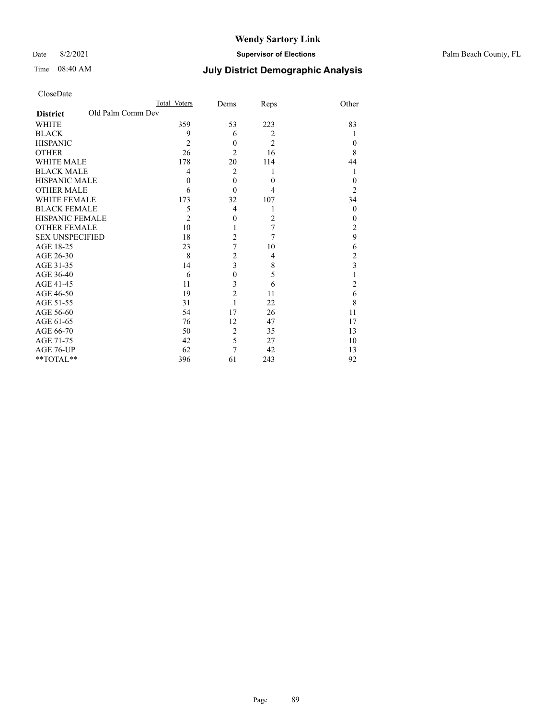#### Date 8/2/2021 **Supervisor of Elections** Palm Beach County, FL

| CloseDate |
|-----------|
|-----------|

|                                      | Total Voters   | Dems             | Reps           | Other          |
|--------------------------------------|----------------|------------------|----------------|----------------|
| Old Palm Comm Dev<br><b>District</b> |                |                  |                |                |
| <b>WHITE</b>                         | 359            | 53               | 223            | 83             |
| <b>BLACK</b>                         | 9              | 6                | $\overline{2}$ |                |
| <b>HISPANIC</b>                      | 2              | $\mathbf{0}$     | $\overline{2}$ | 0              |
| <b>OTHER</b>                         | 26             | 2                | 16             | 8              |
| <b>WHITE MALE</b>                    | 178            | 20               | 114            | 44             |
| <b>BLACK MALE</b>                    | 4              | $\overline{2}$   | 1              | 1              |
| <b>HISPANIC MALE</b>                 | $\theta$       | $\theta$         | $\theta$       | $\theta$       |
| <b>OTHER MALE</b>                    | 6              | $\theta$         | 4              | $\overline{2}$ |
| <b>WHITE FEMALE</b>                  | 173            | 32               | 107            | 34             |
| <b>BLACK FEMALE</b>                  | 5              | 4                | 1              | $\theta$       |
| <b>HISPANIC FEMALE</b>               | $\overline{2}$ | $\mathbf{0}$     | 2              | $\theta$       |
| <b>OTHER FEMALE</b>                  | 10             |                  | 7              | $\overline{2}$ |
| <b>SEX UNSPECIFIED</b>               | 18             | $\overline{2}$   | 7              | 9              |
| AGE 18-25                            | 23             | 7                | 10             | 6              |
| AGE 26-30                            | 8              | $\overline{c}$   | $\overline{4}$ | $\overline{c}$ |
| AGE 31-35                            | 14             | 3                | 8              | 3              |
| AGE 36-40                            | 6              | $\boldsymbol{0}$ | 5              |                |
| AGE 41-45                            | 11             | 3                | 6              | $\overline{2}$ |
| AGE 46-50                            | 19             | $\overline{c}$   | 11             | 6              |
| AGE 51-55                            | 31             | 1                | 22             | 8              |
| AGE 56-60                            | 54             | 17               | 26             | 11             |
| AGE 61-65                            | 76             | 12               | 47             | 17             |
| AGE 66-70                            | 50             | $\overline{2}$   | 35             | 13             |
| AGE 71-75                            | 42             | 5                | 27             | 10             |
| AGE 76-UP                            | 62             | $\overline{7}$   | 42             | 13             |
| **TOTAL**                            | 396            | 61               | 243            | 92             |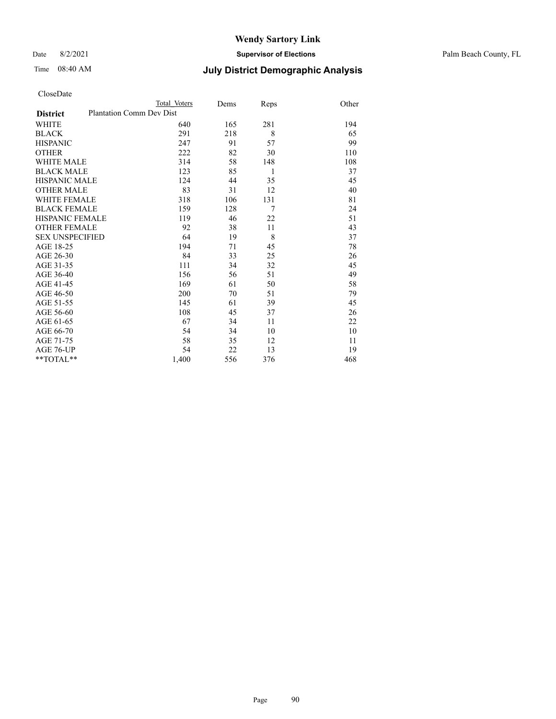Date 8/2/2021 **Supervisor of Elections** Palm Beach County, FL

|                        |                                 | Total Voters | Dems | Reps | Other |
|------------------------|---------------------------------|--------------|------|------|-------|
| <b>District</b>        | <b>Plantation Comm Dev Dist</b> |              |      |      |       |
| WHITE                  |                                 | 640          | 165  | 281  | 194   |
| BLACK                  |                                 | 291          | 218  | 8    | 65    |
| <b>HISPANIC</b>        |                                 | 247          | 91   | 57   | 99    |
| OTHER                  |                                 | 222          | 82   | 30   | 110   |
| WHITE MALE             |                                 | 314          | 58   | 148  | 108   |
| <b>BLACK MALE</b>      |                                 | 123          | 85   | 1    | 37    |
| HISPANIC MALE          |                                 | 124          | 44   | 35   | 45    |
| OTHER MALE             |                                 | 83           | 31   | 12   | 40    |
| WHITE FEMALE           |                                 | 318          | 106  | 131  | 81    |
| <b>BLACK FEMALE</b>    |                                 | 159          | 128  | 7    | 24    |
| HISPANIC FEMALE        |                                 | 119          | 46   | 22   | 51    |
| <b>OTHER FEMALE</b>    |                                 | 92           | 38   | 11   | 43    |
| <b>SEX UNSPECIFIED</b> |                                 | 64           | 19   | 8    | 37    |
| AGE 18-25              |                                 | 194          | 71   | 45   | 78    |
| AGE 26-30              |                                 | 84           | 33   | 25   | 26    |
| AGE 31-35              |                                 | 111          | 34   | 32   | 45    |
| AGE 36-40              |                                 | 156          | 56   | 51   | 49    |
| AGE 41-45              |                                 | 169          | 61   | 50   | 58    |
| AGE 46-50              |                                 | 200          | 70   | 51   | 79    |
| AGE 51-55              |                                 | 145          | 61   | 39   | 45    |
| AGE 56-60              |                                 | 108          | 45   | 37   | 26    |
| AGE 61-65              |                                 | 67           | 34   | 11   | 22    |
| AGE 66-70              |                                 | 54           | 34   | 10   | 10    |
| AGE 71-75              |                                 | 58           | 35   | 12   | 11    |
| AGE 76-UP              |                                 | 54           | 22   | 13   | 19    |
| $*$ $TOTAL**$          |                                 | 1,400        | 556  | 376  | 468   |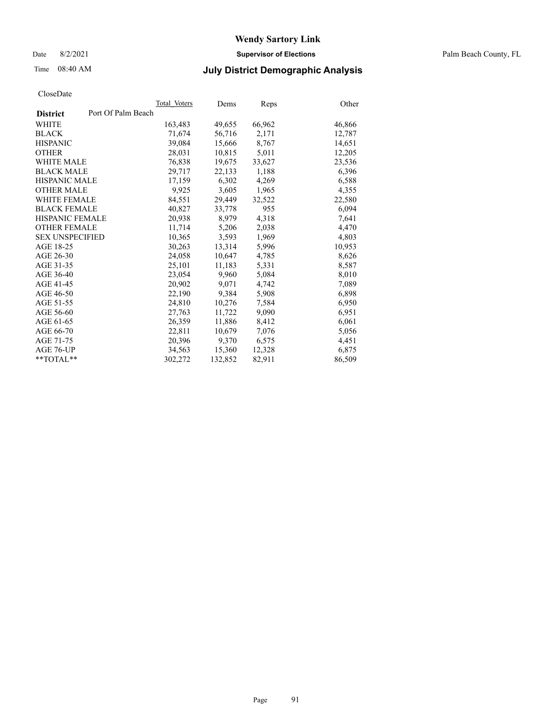Date 8/2/2021 **Supervisor of Elections** Palm Beach County, FL

#### Time 08:40 AM **July District Demographic Analysis**

| Total Voters       | Dems    | <b>Reps</b> | Other  |
|--------------------|---------|-------------|--------|
| Port Of Palm Beach |         |             |        |
| 163,483            | 49,655  | 66,962      | 46,866 |
| 71,674             | 56,716  | 2,171       | 12,787 |
| 39.084             | 15,666  | 8,767       | 14,651 |
| 28,031             | 10,815  | 5,011       | 12,205 |
| 76,838             | 19,675  | 33,627      | 23,536 |
| 29,717             | 22,133  | 1,188       | 6,396  |
| 17,159             | 6,302   | 4,269       | 6,588  |
| 9,925              | 3,605   | 1,965       | 4,355  |
| 84.551             | 29,449  | 32,522      | 22,580 |
| 40,827             | 33,778  | 955         | 6,094  |
| 20,938             | 8,979   | 4,318       | 7,641  |
| 11,714             | 5,206   | 2,038       | 4,470  |
| 10,365             | 3,593   | 1,969       | 4,803  |
| 30,263             | 13,314  | 5,996       | 10,953 |
| 24,058             | 10,647  | 4,785       | 8,626  |
| 25,101             | 11,183  | 5,331       | 8,587  |
| 23,054             | 9.960   | 5,084       | 8,010  |
| 20,902             | 9,071   | 4,742       | 7,089  |
| 22,190             | 9,384   | 5,908       | 6,898  |
| 24,810             | 10,276  | 7,584       | 6,950  |
| 27,763             | 11,722  | 9,090       | 6,951  |
| 26,359             | 11,886  | 8,412       | 6,061  |
| 22,811             | 10,679  | 7,076       | 5,056  |
| 20,396             | 9,370   | 6,575       | 4,451  |
| 34.563             | 15,360  | 12,328      | 6,875  |
| 302,272            | 132,852 | 82,911      | 86,509 |
|                    |         |             |        |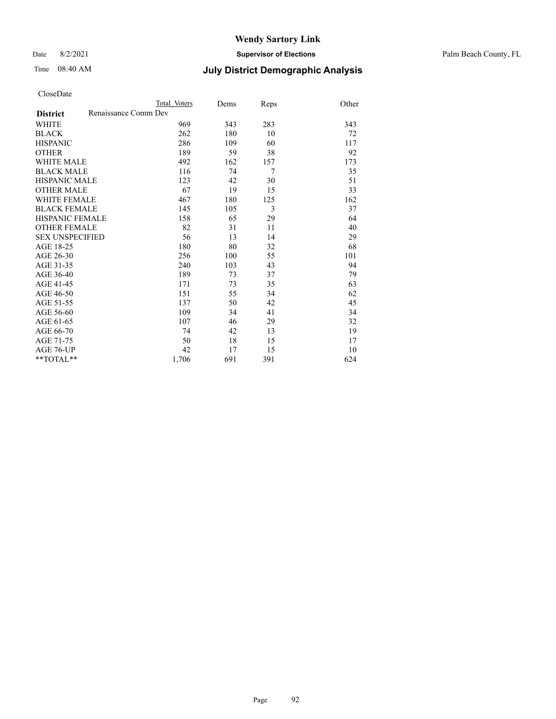Date 8/2/2021 **Supervisor of Elections** Palm Beach County, FL

#### Time 08:40 AM **July District Demographic Analysis**

|                        | Total Voters         | Dems | Reps | Other |
|------------------------|----------------------|------|------|-------|
| <b>District</b>        | Renaissance Comm Dev |      |      |       |
| <b>WHITE</b>           | 969                  | 343  | 283  | 343   |
| <b>BLACK</b>           | 262                  | 180  | 10   | 72    |
| <b>HISPANIC</b>        | 286                  | 109  | 60   | 117   |
| <b>OTHER</b>           | 189                  | 59   | 38   | 92    |
| <b>WHITE MALE</b>      | 492                  | 162  | 157  | 173   |
| <b>BLACK MALE</b>      | 116                  | 74   | 7    | 35    |
| <b>HISPANIC MALE</b>   | 123                  | 42   | 30   | 51    |
| <b>OTHER MALE</b>      | 67                   | 19   | 15   | 33    |
| WHITE FEMALE           | 467                  | 180  | 125  | 162   |
| <b>BLACK FEMALE</b>    | 145                  | 105  | 3    | 37    |
| HISPANIC FEMALE        | 158                  | 65   | 29   | 64    |
| <b>OTHER FEMALE</b>    | 82                   | 31   | 11   | 40    |
| <b>SEX UNSPECIFIED</b> | 56                   | 13   | 14   | 29    |
| AGE 18-25              | 180                  | 80   | 32   | 68    |
| AGE 26-30              | 256                  | 100  | 55   | 101   |
| AGE 31-35              | 240                  | 103  | 43   | 94    |
| AGE 36-40              | 189                  | 73   | 37   | 79    |
| AGE 41-45              | 171                  | 73   | 35   | 63    |
| AGE 46-50              | 151                  | 55   | 34   | 62    |
| AGE 51-55              | 137                  | 50   | 42   | 45    |
| AGE 56-60              | 109                  | 34   | 41   | 34    |
| AGE 61-65              | 107                  | 46   | 29   | 32    |
| AGE 66-70              | 74                   | 42   | 13   | 19    |
| AGE 71-75              | 50                   | 18   | 15   | 17    |
| AGE 76-UP              | 42                   | 17   | 15   | 10    |
| $*$ $TOTAL**$          | 1,706                | 691  | 391  | 624   |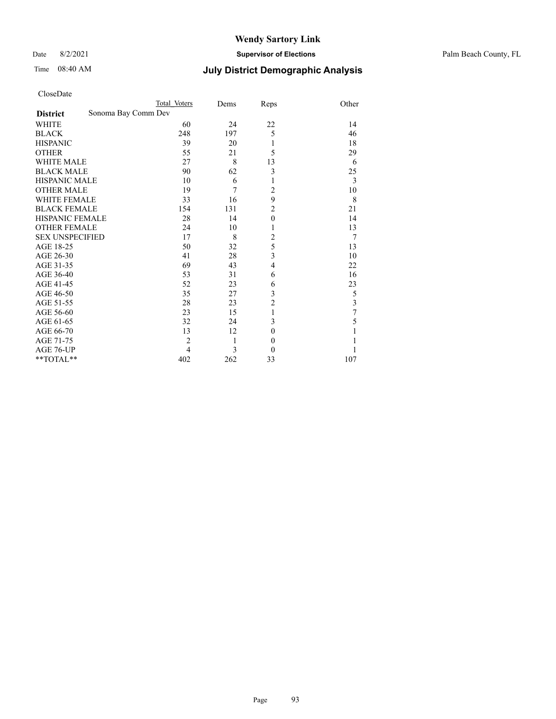Date 8/2/2021 **Supervisor of Elections** Palm Beach County, FL

| CloseDate |  |
|-----------|--|
|-----------|--|

|                                        | Total Voters   | Dems | Reps             | Other |
|----------------------------------------|----------------|------|------------------|-------|
| Sonoma Bay Comm Dev<br><b>District</b> |                |      |                  |       |
| WHITE                                  | 60             | 24   | 22               | 14    |
| <b>BLACK</b>                           | 248            | 197  | 5                | 46    |
| <b>HISPANIC</b>                        | 39             | 20   | 1                | 18    |
| <b>OTHER</b>                           | 55             | 21   | 5                | 29    |
| <b>WHITE MALE</b>                      | 27             | 8    | 13               | 6     |
| <b>BLACK MALE</b>                      | 90             | 62   | 3                | 25    |
| <b>HISPANIC MALE</b>                   | 10             | 6    | 1                | 3     |
| <b>OTHER MALE</b>                      | 19             | 7    | $\overline{c}$   | 10    |
| <b>WHITE FEMALE</b>                    | 33             | 16   | 9                | 8     |
| <b>BLACK FEMALE</b>                    | 154            | 131  | $\overline{2}$   | 21    |
| HISPANIC FEMALE                        | 28             | 14   | $\boldsymbol{0}$ | 14    |
| <b>OTHER FEMALE</b>                    | 24             | 10   | 1                | 13    |
| <b>SEX UNSPECIFIED</b>                 | 17             | 8    | $\overline{c}$   | 7     |
| AGE 18-25                              | 50             | 32   | 5                | 13    |
| AGE 26-30                              | 41             | 28   | 3                | 10    |
| AGE 31-35                              | 69             | 43   | $\overline{4}$   | 22    |
| AGE 36-40                              | 53             | 31   | 6                | 16    |
| AGE 41-45                              | 52             | 23   | 6                | 23    |
| AGE 46-50                              | 35             | 27   | 3                | 5     |
| AGE 51-55                              | 28             | 23   | $\overline{c}$   | 3     |
| AGE 56-60                              | 23             | 15   | $\mathbf{1}$     | 7     |
| AGE 61-65                              | 32             | 24   | 3                | 5     |
| AGE 66-70                              | 13             | 12   | $\boldsymbol{0}$ | 1     |
| AGE 71-75                              | $\overline{2}$ | 1    | $\boldsymbol{0}$ |       |
| AGE 76-UP                              | $\overline{4}$ | 3    | $\theta$         |       |
| **TOTAL**                              | 402            | 262  | 33               | 107   |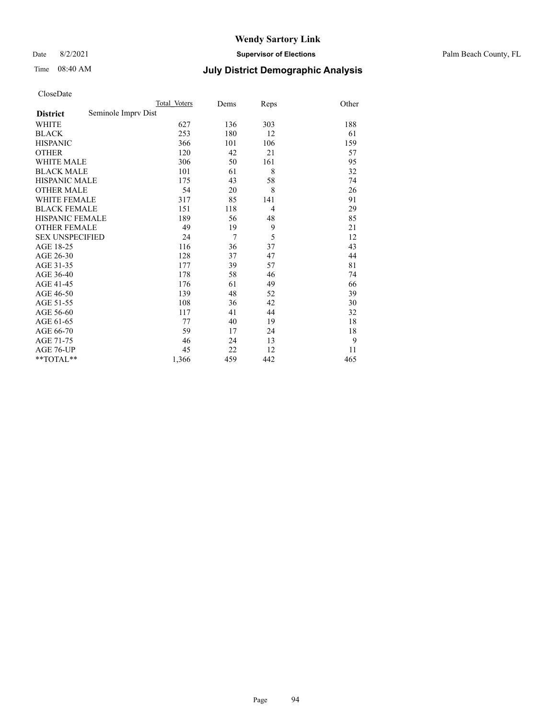Date 8/2/2021 **Supervisor of Elections** Palm Beach County, FL

## Time 08:40 AM **July District Demographic Analysis**

|                                        | Total Voters | Dems | Reps           | Other |
|----------------------------------------|--------------|------|----------------|-------|
| Seminole Imprv Dist<br><b>District</b> |              |      |                |       |
| WHITE                                  | 627          | 136  | 303            | 188   |
| <b>BLACK</b>                           | 253          | 180  | 12             | 61    |
| <b>HISPANIC</b>                        | 366          | 101  | 106            | 159   |
| <b>OTHER</b>                           | 120          | 42   | 21             | 57    |
| <b>WHITE MALE</b>                      | 306          | 50   | 161            | 95    |
| <b>BLACK MALE</b>                      | 101          | 61   | 8              | 32    |
| <b>HISPANIC MALE</b>                   | 175          | 43   | 58             | 74    |
| <b>OTHER MALE</b>                      | 54           | 20   | 8              | 26    |
| <b>WHITE FEMALE</b>                    | 317          | 85   | 141            | 91    |
| <b>BLACK FEMALE</b>                    | 151          | 118  | $\overline{4}$ | 29    |
| HISPANIC FEMALE                        | 189          | 56   | 48             | 85    |
| <b>OTHER FEMALE</b>                    | 49           | 19   | 9              | 21    |
| <b>SEX UNSPECIFIED</b>                 | 24           | 7    | 5              | 12    |
| AGE 18-25                              | 116          | 36   | 37             | 43    |
| AGE 26-30                              | 128          | 37   | 47             | 44    |
| AGE 31-35                              | 177          | 39   | 57             | 81    |
| AGE 36-40                              | 178          | 58   | 46             | 74    |
| AGE 41-45                              | 176          | 61   | 49             | 66    |
| AGE 46-50                              | 139          | 48   | 52             | 39    |
| AGE 51-55                              | 108          | 36   | 42             | 30    |
| AGE 56-60                              | 117          | 41   | 44             | 32    |
| AGE 61-65                              | 77           | 40   | 19             | 18    |
| AGE 66-70                              | 59           | 17   | 24             | 18    |
| AGE 71-75                              | 46           | 24   | 13             | 9     |
| AGE 76-UP                              | 45           | 22   | 12             | 11    |
| $*$ $TOTAL**$                          | 1,366        | 459  | 442            | 465   |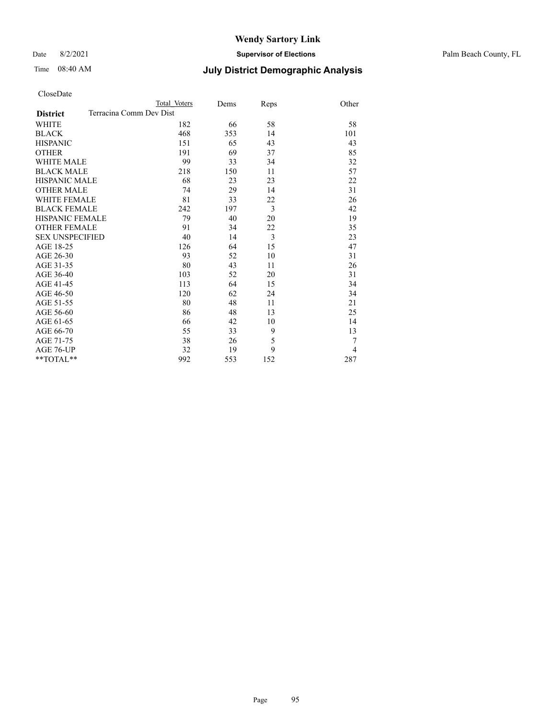Date 8/2/2021 **Supervisor of Elections** Palm Beach County, FL

|                        |                         | Total Voters | Dems | Reps           | Other |
|------------------------|-------------------------|--------------|------|----------------|-------|
| <b>District</b>        | Terracina Comm Dev Dist |              |      |                |       |
| WHITE                  |                         | 182          | 66   | 58             | 58    |
| BLACK                  |                         | 468          | 353  | 14             | 101   |
| <b>HISPANIC</b>        |                         | 151          | 65   | 43             | 43    |
| <b>OTHER</b>           |                         | 191          | 69   | 37             | 85    |
| WHITE MALE             |                         | 99           | 33   | 34             | 32    |
| <b>BLACK MALE</b>      |                         | 218          | 150  | 11             | 57    |
| HISPANIC MALE          |                         | 68           | 23   | 23             | 22    |
| OTHER MALE             |                         | 74           | 29   | 14             | 31    |
| WHITE FEMALE           |                         | 81           | 33   | 22             | 26    |
| <b>BLACK FEMALE</b>    |                         | 242          | 197  | $\overline{3}$ | 42    |
| HISPANIC FEMALE        |                         | 79           | 40   | 20             | 19    |
| <b>OTHER FEMALE</b>    |                         | 91           | 34   | 22             | 35    |
| <b>SEX UNSPECIFIED</b> |                         | 40           | 14   | 3              | 23    |
| AGE 18-25              |                         | 126          | 64   | 15             | 47    |
| AGE 26-30              |                         | 93           | 52   | 10             | 31    |
| AGE 31-35              |                         | 80           | 43   | 11             | 26    |
| AGE 36-40              |                         | 103          | 52   | 20             | 31    |
| AGE 41-45              |                         | 113          | 64   | 15             | 34    |
| AGE 46-50              |                         | 120          | 62   | 24             | 34    |
| AGE 51-55              |                         | 80           | 48   | 11             | 21    |
| AGE 56-60              |                         | 86           | 48   | 13             | 25    |
| AGE 61-65              |                         | 66           | 42   | 10             | 14    |
| AGE 66-70              |                         | 55           | 33   | 9              | 13    |
| AGE 71-75              |                         | 38           | 26   | 5              | 7     |
| AGE 76-UP              |                         | 32           | 19   | 9              | 4     |
| **TOTAL**              |                         | 992          | 553  | 152            | 287   |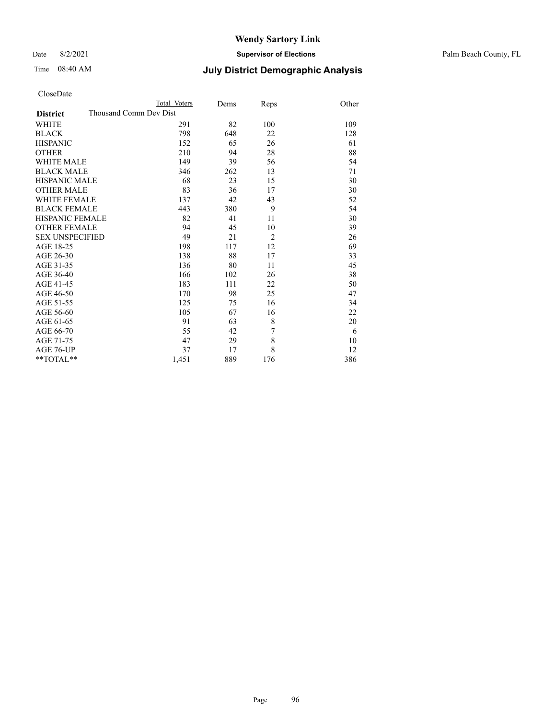Date 8/2/2021 **Supervisor of Elections** Palm Beach County, FL

| CloseDate |  |
|-----------|--|
|-----------|--|

|                     | Total Voters           | Dems | <b>Reps</b>    | Other |
|---------------------|------------------------|------|----------------|-------|
| <b>District</b>     | Thousand Comm Dev Dist |      |                |       |
| WHITE               | 291                    | 82   | 100            | 109   |
| BLACK               | 798                    | 648  | 22             | 128   |
| HISPANIC            | 152                    | 65   | 26             | 61    |
| OTHER               | 210                    | 94   | 28             | 88    |
| WHITE MALE          | 149                    | 39   | 56             | 54    |
| <b>BLACK MALE</b>   | 346                    | 262  | 13             | 71    |
| HISPANIC MALE       | 68                     | 23   | 15             | 30    |
| OTHER MALE          | 83                     | 36   | 17             | 30    |
| WHITE FEMALE        | 137                    | 42   | 43             | 52    |
| <b>BLACK FEMALE</b> | 443                    | 380  | 9              | 54    |
| HISPANIC FEMALE     | 82                     | 41   | 11             | 30    |
| <b>OTHER FEMALE</b> | 94                     | 45   | 10             | 39    |
| SEX UNSPECIFIED     | 49                     | 21   | $\overline{2}$ | 26    |
| AGE 18-25           | 198                    | 117  | 12             | 69    |
| AGE 26-30           | 138                    | 88   | 17             | 33    |
| AGE 31-35           | 136                    | 80   | 11             | 45    |
| AGE 36-40           | 166                    | 102  | 26             | 38    |
| AGE 41-45           | 183                    | 111  | 22             | 50    |
| AGE 46-50           | 170                    | 98   | 25             | 47    |
| AGE 51-55           | 125                    | 75   | 16             | 34    |
| AGE 56-60           | 105                    | 67   | 16             | 22    |
| AGE 61-65           | 91                     | 63   | 8              | 20    |
| AGE 66-70           | 55                     | 42   | 7              | 6     |
| AGE 71-75           | 47                     | 29   | 8              | 10    |
| AGE 76-UP           | 37                     | 17   | 8              | 12    |
| $*$ $TOTAL**$       | 1,451                  | 889  | 176            | 386   |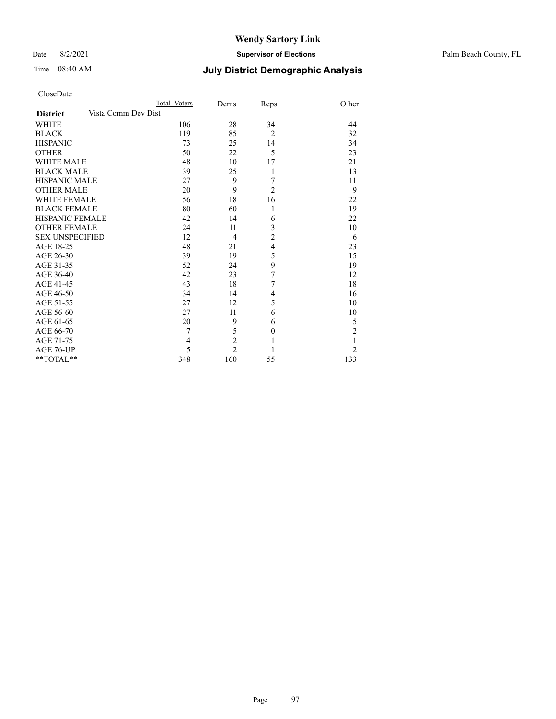Date 8/2/2021 **Supervisor of Elections** Palm Beach County, FL

## Time 08:40 AM **July District Demographic Analysis**

|                                        | Total Voters | Dems           | Reps           | Other          |
|----------------------------------------|--------------|----------------|----------------|----------------|
| Vista Comm Dev Dist<br><b>District</b> |              |                |                |                |
| <b>WHITE</b>                           | 106          | 28             | 34             | 44             |
| <b>BLACK</b>                           | 119          | 85             | $\overline{2}$ | 32             |
| <b>HISPANIC</b>                        | 73           | 25             | 14             | 34             |
| <b>OTHER</b>                           | 50           | 22             | 5              | 23             |
| <b>WHITE MALE</b>                      | 48           | 10             | 17             | 21             |
| <b>BLACK MALE</b>                      | 39           | 25             | 1              | 13             |
| <b>HISPANIC MALE</b>                   | 27           | 9              | 7              | 11             |
| <b>OTHER MALE</b>                      | 20           | 9              | $\overline{2}$ | 9              |
| <b>WHITE FEMALE</b>                    | 56           | 18             | 16             | 22             |
| <b>BLACK FEMALE</b>                    | 80           | 60             | 1              | 19             |
| <b>HISPANIC FEMALE</b>                 | 42           | 14             | 6              | 22             |
| <b>OTHER FEMALE</b>                    | 24           | 11             | 3              | 10             |
| <b>SEX UNSPECIFIED</b>                 | 12           | $\overline{4}$ | $\overline{c}$ | 6              |
| AGE 18-25                              | 48           | 21             | $\overline{4}$ | 23             |
| AGE 26-30                              | 39           | 19             | 5              | 15             |
| AGE 31-35                              | 52           | 24             | 9              | 19             |
| AGE 36-40                              | 42           | 23             | 7              | 12             |
| AGE 41-45                              | 43           | 18             | 7              | 18             |
| AGE 46-50                              | 34           | 14             | 4              | 16             |
| AGE 51-55                              | 27           | 12             | 5              | 10             |
| AGE 56-60                              | 27           | 11             | 6              | 10             |
| AGE 61-65                              | 20           | 9              | 6              | 5              |
| AGE 66-70                              | 7            | 5              | $\mathbf{0}$   | $\overline{2}$ |
| AGE 71-75                              | 4            | $\overline{c}$ | 1              | 1              |
| AGE 76-UP                              | 5            | $\overline{c}$ |                | $\overline{2}$ |
| **TOTAL**                              | 348          | 160            | 55             | 133            |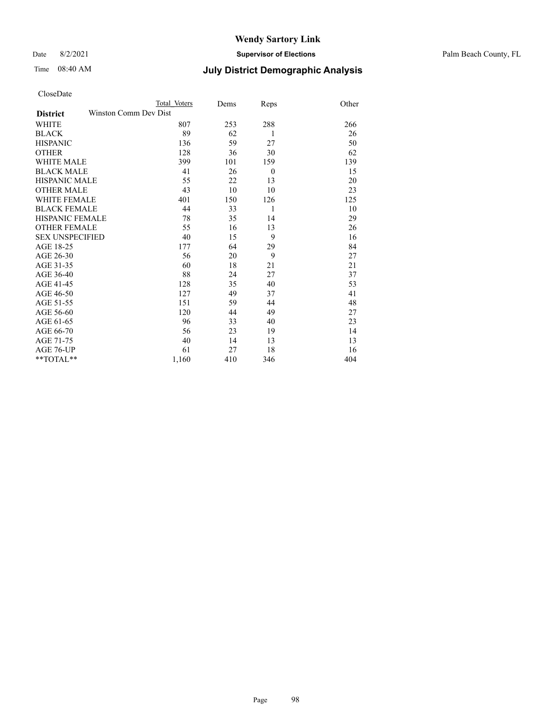Date 8/2/2021 **Supervisor of Elections** Palm Beach County, FL

|                     |                       | Total Voters | Dems | <b>Reps</b>    | Other |
|---------------------|-----------------------|--------------|------|----------------|-------|
| <b>District</b>     | Winston Comm Dev Dist |              |      |                |       |
| WHITE               |                       | 807          | 253  | 288            | 266   |
| BLACK               |                       | 89           | 62   | 1              | 26    |
| HISPANIC            |                       | 136          | 59   | 27             | 50    |
| OTHER               |                       | 128          | 36   | 30             | 62    |
| WHITE MALE          |                       | 399          | 101  | 159            | 139   |
| <b>BLACK MALE</b>   |                       | 41           | 26   | $\overline{0}$ | 15    |
| HISPANIC MALE       |                       | 55           | 22   | 13             | 20    |
| OTHER MALE          |                       | 43           | 10   | 10             | 23    |
| WHITE FEMALE        |                       | 401          | 150  | 126            | 125   |
| <b>BLACK FEMALE</b> |                       | 44           | 33   | 1              | 10    |
| HISPANIC FEMALE     |                       | 78           | 35   | 14             | 29    |
| <b>OTHER FEMALE</b> |                       | 55           | 16   | 13             | 26    |
| SEX UNSPECIFIED     |                       | 40           | 15   | 9              | 16    |
| AGE 18-25           |                       | 177          | 64   | 29             | 84    |
| AGE 26-30           |                       | 56           | 20   | 9              | 27    |
| AGE 31-35           |                       | 60           | 18   | 21             | 21    |
| AGE 36-40           |                       | 88           | 24   | 27             | 37    |
| AGE 41-45           |                       | 128          | 35   | 40             | 53    |
| AGE 46-50           |                       | 127          | 49   | 37             | 41    |
| AGE 51-55           |                       | 151          | 59   | 44             | 48    |
| AGE 56-60           |                       | 120          | 44   | 49             | 27    |
| AGE 61-65           |                       | 96           | 33   | 40             | 23    |
| AGE 66-70           |                       | 56           | 23   | 19             | 14    |
| AGE 71-75           |                       | 40           | 14   | 13             | 13    |
| AGE 76-UP           |                       | 61           | 27   | 18             | 16    |
| $*$ $TOTAL**$       |                       | 1,160        | 410  | 346            | 404   |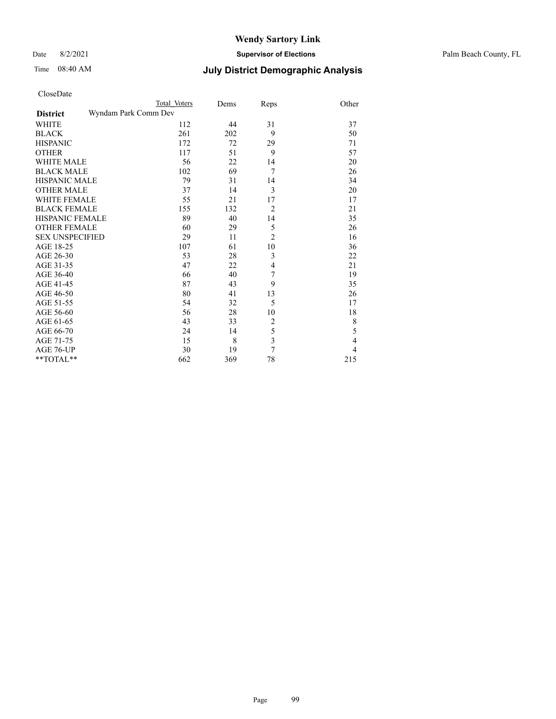#### Date 8/2/2021 **Supervisor of Elections** Palm Beach County, FL

|                        | Total Voters         | Dems | Reps           | Other |
|------------------------|----------------------|------|----------------|-------|
| <b>District</b>        | Wyndam Park Comm Dev |      |                |       |
| WHITE                  | 112                  | 44   | 31             | 37    |
| BLACK                  | 261                  | 202  | 9              | 50    |
| HISPANIC               | 172                  | 72   | 29             | 71    |
| OTHER                  | 117                  | 51   | 9              | 57    |
| WHITE MALE             | 56                   | 22   | 14             | 20    |
| <b>BLACK MALE</b>      | 102                  | 69   | 7              | 26    |
| HISPANIC MALE          | 79                   | 31   | 14             | 34    |
| OTHER MALE             | 37                   | 14   | 3              | 20    |
| WHITE FEMALE           | 55                   | 21   | 17             | 17    |
| BLACK FEMALE           | 155                  | 132  | $\overline{2}$ | 21    |
| HISPANIC FEMALE        | 89                   | 40   | 14             | 35    |
| <b>OTHER FEMALE</b>    | 60                   | 29   | 5              | 26    |
| <b>SEX UNSPECIFIED</b> | 29                   | 11   | $\overline{2}$ | 16    |
| AGE 18-25              | 107                  | 61   | 10             | 36    |
| AGE 26-30              | 53                   | 28   | 3              | 22    |
| AGE 31-35              | 47                   | 22   | $\overline{4}$ | 21    |
| AGE 36-40              | 66                   | 40   | 7              | 19    |
| AGE 41-45              | 87                   | 43   | 9              | 35    |
| AGE 46-50              | 80                   | 41   | 13             | 26    |
| AGE 51-55              | 54                   | 32   | 5              | 17    |
| AGE 56-60              | 56                   | 28   | 10             | 18    |
| AGE 61-65              | 43                   | 33   | $\overline{c}$ | 8     |
| AGE 66-70              | 24                   | 14   | 5              | 5     |
| AGE 71-75              | 15                   | 8    | 3              | 4     |
| AGE 76-UP              | 30                   | 19   | 7              | 4     |
| $*$ $TOTAL**$          | 662                  | 369  | 78             | 215   |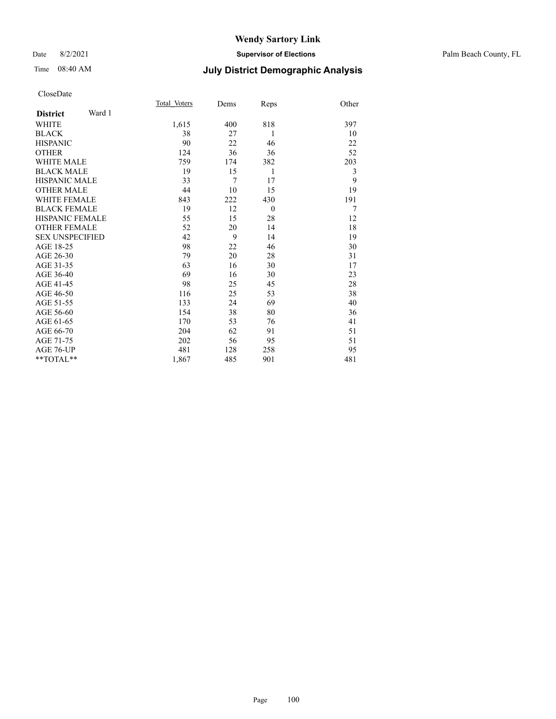#### Date 8/2/2021 **Supervisor of Elections** Palm Beach County, FL

## Time 08:40 AM **July District Demographic Analysis**

| Total Voters | Dems | Reps     | Other |
|--------------|------|----------|-------|
|              |      |          |       |
| 1,615        | 400  | 818      | 397   |
| 38           | 27   | 1        | 10    |
| 90           | 22   | 46       | 22    |
| 124          | 36   | 36       | 52    |
| 759          | 174  | 382      | 203   |
| 19           | 15   | 1        | 3     |
| 33           | 7    | 17       | 9     |
| 44           | 10   | 15       | 19    |
| 843          | 222  | 430      | 191   |
| 19           | 12   | $\theta$ | 7     |
| 55           | 15   | 28       | 12    |
| 52           | 20   | 14       | 18    |
| 42           | 9    | 14       | 19    |
| 98           | 22   | 46       | 30    |
| 79           | 20   | 28       | 31    |
| 63           | 16   | 30       | 17    |
| 69           | 16   | 30       | 23    |
| 98           | 25   | 45       | 28    |
| 116          | 25   | 53       | 38    |
| 133          | 24   | 69       | 40    |
| 154          | 38   | 80       | 36    |
| 170          | 53   | 76       | 41    |
| 204          | 62   | 91       | 51    |
| 202          | 56   | 95       | 51    |
| 481          | 128  | 258      | 95    |
| 1,867        | 485  | 901      | 481   |
|              |      |          |       |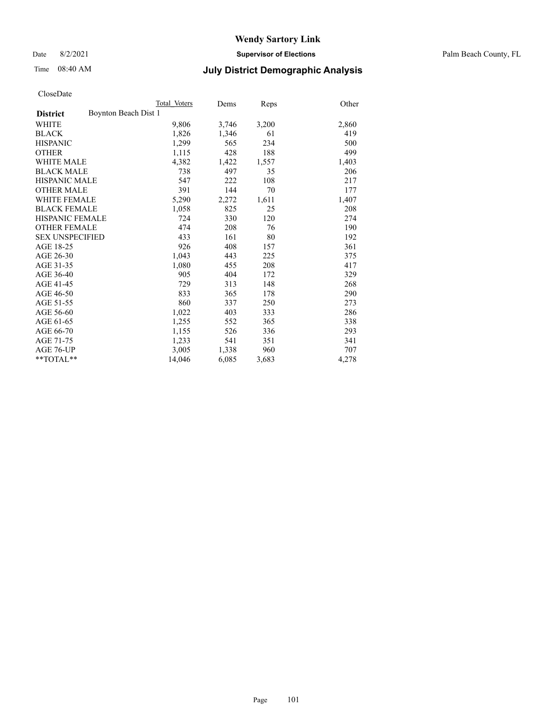Date 8/2/2021 **Supervisor of Elections** Palm Beach County, FL

## Time 08:40 AM **July District Demographic Analysis**

| Total Voters         | Dems  | Reps  | Other |
|----------------------|-------|-------|-------|
| Boynton Beach Dist 1 |       |       |       |
| 9,806                | 3,746 | 3,200 | 2,860 |
| 1,826                | 1,346 | 61    | 419   |
| 1,299                | 565   | 234   | 500   |
| 1,115                | 428   | 188   | 499   |
| 4,382                | 1,422 | 1,557 | 1,403 |
| 738                  | 497   | 35    | 206   |
| 547                  | 222   | 108   | 217   |
| 391                  | 144   | 70    | 177   |
| 5,290                | 2,272 | 1,611 | 1,407 |
| 1,058                | 825   | 25    | 208   |
| 724                  | 330   | 120   | 274   |
| 474                  | 208   | 76    | 190   |
| 433                  | 161   | 80    | 192   |
| 926                  | 408   | 157   | 361   |
| 1,043                | 443   | 225   | 375   |
| 1,080                | 455   | 208   | 417   |
| 905                  | 404   | 172   | 329   |
| 729                  | 313   | 148   | 268   |
| 833                  | 365   | 178   | 290   |
| 860                  | 337   | 250   | 273   |
| 1,022                | 403   | 333   | 286   |
| 1,255                | 552   | 365   | 338   |
| 1,155                | 526   | 336   | 293   |
| 1,233                | 541   | 351   | 341   |
| 3,005                | 1,338 | 960   | 707   |
| 14,046               | 6,085 | 3,683 | 4,278 |
|                      |       |       |       |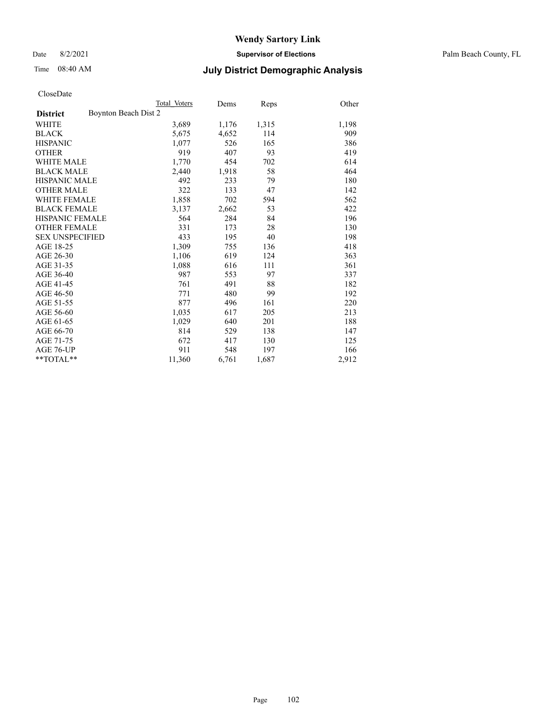Date 8/2/2021 **Supervisor of Elections** Palm Beach County, FL

## Time 08:40 AM **July District Demographic Analysis**

| Total Voters         | Dems  | Reps  | Other |
|----------------------|-------|-------|-------|
| Boynton Beach Dist 2 |       |       |       |
| 3,689                | 1,176 | 1,315 | 1,198 |
| 5,675                | 4,652 | 114   | 909   |
| 1,077                | 526   | 165   | 386   |
| 919                  | 407   | 93    | 419   |
| 1,770                | 454   | 702   | 614   |
| 2,440                | 1,918 | 58    | 464   |
| 492                  | 233   | 79    | 180   |
| 322                  | 133   | 47    | 142   |
| 1,858                | 702   | 594   | 562   |
| 3,137                | 2,662 | 53    | 422   |
| 564                  | 284   | 84    | 196   |
| 331                  | 173   | 28    | 130   |
| 433                  | 195   | 40    | 198   |
| 1,309                | 755   | 136   | 418   |
| 1,106                | 619   | 124   | 363   |
| 1,088                | 616   | 111   | 361   |
| 987                  | 553   | 97    | 337   |
| 761                  | 491   | 88    | 182   |
| 771                  | 480   | 99    | 192   |
| 877                  | 496   | 161   | 220   |
| 1,035                | 617   | 205   | 213   |
| 1,029                | 640   | 201   | 188   |
| 814                  | 529   | 138   | 147   |
| 672                  | 417   | 130   | 125   |
| 911                  | 548   | 197   | 166   |
| 11,360               | 6,761 | 1,687 | 2,912 |
|                      |       |       |       |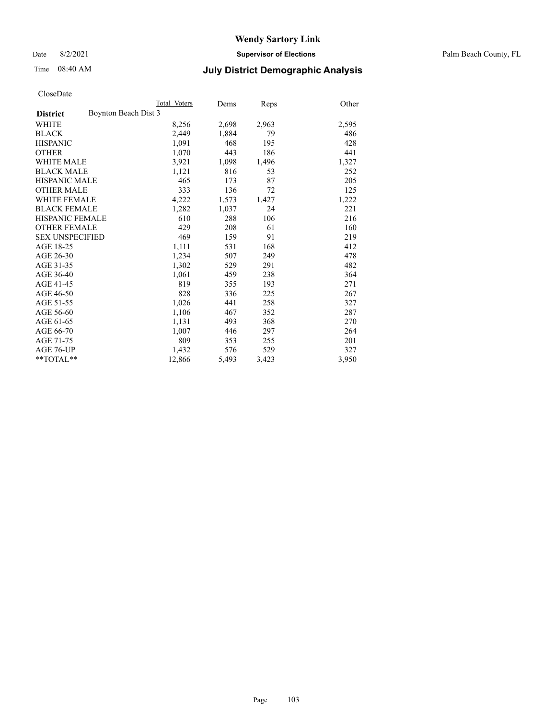Date 8/2/2021 **Supervisor of Elections** Palm Beach County, FL

## Time 08:40 AM **July District Demographic Analysis**

|                                         | Total Voters | Dems  | Reps  | Other |
|-----------------------------------------|--------------|-------|-------|-------|
| Boynton Beach Dist 3<br><b>District</b> |              |       |       |       |
| WHITE                                   | 8,256        | 2,698 | 2,963 | 2,595 |
| <b>BLACK</b>                            | 2,449        | 1,884 | 79    | 486   |
| <b>HISPANIC</b>                         | 1,091        | 468   | 195   | 428   |
| <b>OTHER</b>                            | 1,070        | 443   | 186   | 441   |
| <b>WHITE MALE</b>                       | 3,921        | 1,098 | 1,496 | 1,327 |
| <b>BLACK MALE</b>                       | 1,121        | 816   | 53    | 252   |
| <b>HISPANIC MALE</b>                    | 465          | 173   | 87    | 205   |
| <b>OTHER MALE</b>                       | 333          | 136   | 72    | 125   |
| WHITE FEMALE                            | 4,222        | 1,573 | 1,427 | 1,222 |
| <b>BLACK FEMALE</b>                     | 1,282        | 1,037 | 24    | 221   |
| <b>HISPANIC FEMALE</b>                  | 610          | 288   | 106   | 216   |
| <b>OTHER FEMALE</b>                     | 429          | 208   | 61    | 160   |
| <b>SEX UNSPECIFIED</b>                  | 469          | 159   | 91    | 219   |
| AGE 18-25                               | 1,111        | 531   | 168   | 412   |
| AGE 26-30                               | 1,234        | 507   | 249   | 478   |
| AGE 31-35                               | 1,302        | 529   | 291   | 482   |
| AGE 36-40                               | 1,061        | 459   | 238   | 364   |
| AGE 41-45                               | 819          | 355   | 193   | 271   |
| AGE 46-50                               | 828          | 336   | 225   | 267   |
| AGE 51-55                               | 1,026        | 441   | 258   | 327   |
| AGE 56-60                               | 1,106        | 467   | 352   | 287   |
| AGE 61-65                               | 1,131        | 493   | 368   | 270   |
| AGE 66-70                               | 1.007        | 446   | 297   | 264   |
| AGE 71-75                               | 809          | 353   | 255   | 201   |
| AGE 76-UP                               | 1,432        | 576   | 529   | 327   |
| $*$ $TOTAL**$                           | 12,866       | 5,493 | 3,423 | 3,950 |
|                                         |              |       |       |       |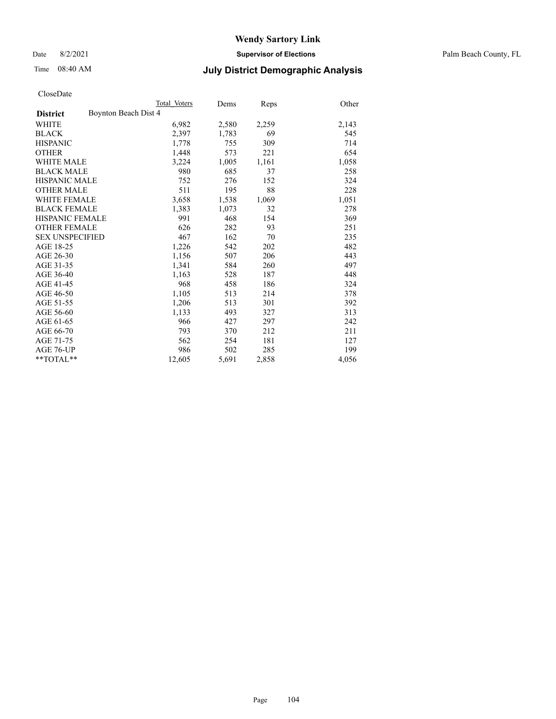Date 8/2/2021 **Supervisor of Elections** Palm Beach County, FL

## Time 08:40 AM **July District Demographic Analysis**

|                                         | Total Voters | Dems  | Reps  | Other |
|-----------------------------------------|--------------|-------|-------|-------|
| Boynton Beach Dist 4<br><b>District</b> |              |       |       |       |
| WHITE                                   | 6,982        | 2,580 | 2,259 | 2,143 |
| <b>BLACK</b>                            | 2,397        | 1,783 | 69    | 545   |
| <b>HISPANIC</b>                         | 1,778        | 755   | 309   | 714   |
| <b>OTHER</b>                            | 1,448        | 573   | 221   | 654   |
| <b>WHITE MALE</b>                       | 3,224        | 1,005 | 1,161 | 1,058 |
| <b>BLACK MALE</b>                       | 980          | 685   | 37    | 258   |
| <b>HISPANIC MALE</b>                    | 752          | 276   | 152   | 324   |
| <b>OTHER MALE</b>                       | 511          | 195   | 88    | 228   |
| <b>WHITE FEMALE</b>                     | 3,658        | 1,538 | 1,069 | 1,051 |
| <b>BLACK FEMALE</b>                     | 1,383        | 1,073 | 32    | 278   |
| <b>HISPANIC FEMALE</b>                  | 991          | 468   | 154   | 369   |
| <b>OTHER FEMALE</b>                     | 626          | 282   | 93    | 251   |
| <b>SEX UNSPECIFIED</b>                  | 467          | 162   | 70    | 235   |
| AGE 18-25                               | 1,226        | 542   | 202   | 482   |
| AGE 26-30                               | 1,156        | 507   | 206   | 443   |
| AGE 31-35                               | 1,341        | 584   | 260   | 497   |
| AGE 36-40                               | 1,163        | 528   | 187   | 448   |
| AGE 41-45                               | 968          | 458   | 186   | 324   |
| AGE 46-50                               | 1,105        | 513   | 214   | 378   |
| AGE 51-55                               | 1,206        | 513   | 301   | 392   |
| AGE 56-60                               | 1,133        | 493   | 327   | 313   |
| AGE 61-65                               | 966          | 427   | 297   | 242   |
| AGE 66-70                               | 793          | 370   | 212   | 211   |
| AGE 71-75                               | 562          | 254   | 181   | 127   |
| AGE 76-UP                               | 986          | 502   | 285   | 199   |
| $*$ $TOTAL**$                           | 12,605       | 5,691 | 2,858 | 4,056 |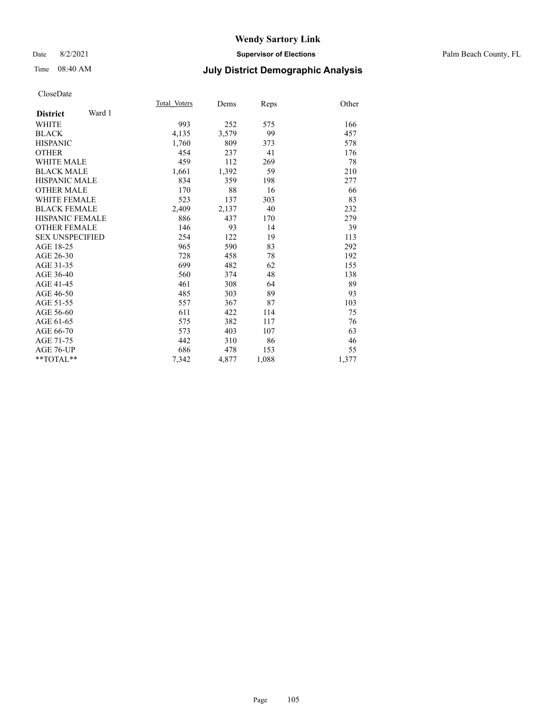### Time 08:40 AM **July District Demographic Analysis**

|                           | Total Voters | Dems  | Reps  | Other |
|---------------------------|--------------|-------|-------|-------|
| Ward 1<br><b>District</b> |              |       |       |       |
| <b>WHITE</b>              | 993          | 252   | 575   | 166   |
| <b>BLACK</b>              | 4,135        | 3,579 | 99    | 457   |
| <b>HISPANIC</b>           |              | 809   | 373   | 578   |
| <b>OTHER</b>              | 1,760<br>454 | 237   | 41    | 176   |
|                           |              |       |       |       |
| <b>WHITE MALE</b>         | 459          | 112   | 269   | 78    |
| <b>BLACK MALE</b>         | 1,661        | 1,392 | 59    | 210   |
| <b>HISPANIC MALE</b>      | 834          | 359   | 198   | 277   |
| <b>OTHER MALE</b>         | 170          | 88    | 16    | 66    |
| <b>WHITE FEMALE</b>       | 523          | 137   | 303   | 83    |
| <b>BLACK FEMALE</b>       | 2,409        | 2,137 | 40    | 232   |
| <b>HISPANIC FEMALE</b>    | 886          | 437   | 170   | 279   |
| <b>OTHER FEMALE</b>       | 146          | 93    | 14    | 39    |
| <b>SEX UNSPECIFIED</b>    | 254          | 122   | 19    | 113   |
| AGE 18-25                 | 965          | 590   | 83    | 292   |
| AGE 26-30                 | 728          | 458   | 78    | 192   |
| AGE 31-35                 | 699          | 482   | 62    | 155   |
| AGE 36-40                 | 560          | 374   | 48    | 138   |
| AGE 41-45                 | 461          | 308   | 64    | 89    |
| AGE 46-50                 | 485          | 303   | 89    | 93    |
| AGE 51-55                 | 557          | 367   | 87    | 103   |
| AGE 56-60                 | 611          | 422   | 114   | 75    |
| AGE 61-65                 | 575          | 382   | 117   | 76    |
| AGE 66-70                 | 573          | 403   | 107   | 63    |
| AGE 71-75                 | 442          | 310   | 86    | 46    |
| AGE 76-UP                 | 686          | 478   | 153   | 55    |
| **TOTAL**                 | 7,342        | 4,877 | 1,088 | 1,377 |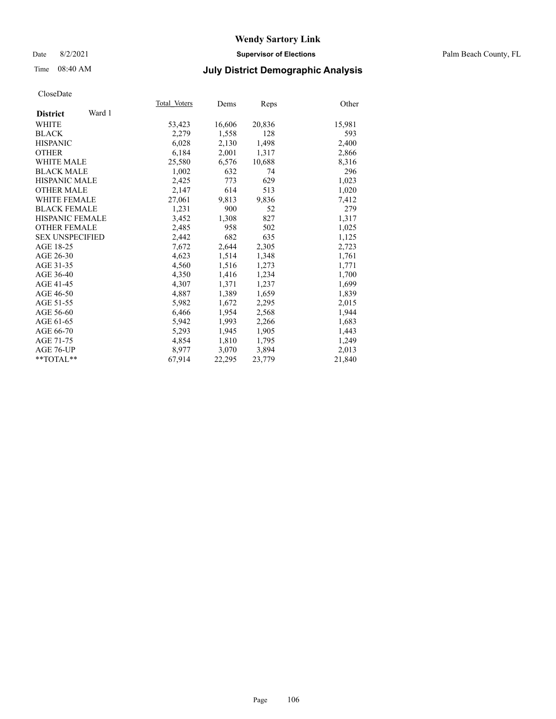Date 8/2/2021 **Supervisor of Elections** Palm Beach County, FL

#### Time 08:40 AM **July District Demographic Analysis**

|                           | Total Voters | Dems   | <b>Reps</b> | Other  |
|---------------------------|--------------|--------|-------------|--------|
| Ward 1<br><b>District</b> |              |        |             |        |
| <b>WHITE</b>              | 53,423       | 16,606 | 20,836      | 15,981 |
| <b>BLACK</b>              | 2,279        | 1,558  | 128         | 593    |
| <b>HISPANIC</b>           | 6,028        | 2,130  | 1,498       | 2,400  |
| <b>OTHER</b>              | 6,184        | 2,001  | 1,317       | 2,866  |
| <b>WHITE MALE</b>         | 25,580       | 6,576  | 10,688      | 8,316  |
| <b>BLACK MALE</b>         | 1,002        | 632    | 74          | 296    |
| <b>HISPANIC MALE</b>      | 2,425        | 773    | 629         | 1,023  |
| <b>OTHER MALE</b>         | 2,147        | 614    | 513         | 1,020  |
| <b>WHITE FEMALE</b>       | 27,061       | 9,813  | 9,836       | 7,412  |
| <b>BLACK FEMALE</b>       | 1,231        | 900    | 52          | 279    |
| <b>HISPANIC FEMALE</b>    | 3,452        | 1,308  | 827         | 1,317  |
| <b>OTHER FEMALE</b>       | 2,485        | 958    | 502         | 1,025  |
| <b>SEX UNSPECIFIED</b>    | 2,442        | 682    | 635         | 1,125  |
| AGE 18-25                 | 7,672        | 2,644  | 2,305       | 2,723  |
| AGE 26-30                 | 4,623        | 1,514  | 1,348       | 1,761  |
| AGE 31-35                 | 4,560        | 1,516  | 1,273       | 1,771  |
| AGE 36-40                 | 4,350        | 1,416  | 1,234       | 1,700  |
| AGE 41-45                 | 4,307        | 1,371  | 1,237       | 1,699  |
| AGE 46-50                 | 4,887        | 1,389  | 1,659       | 1,839  |
| AGE 51-55                 | 5,982        | 1,672  | 2,295       | 2,015  |
| AGE 56-60                 | 6,466        | 1,954  | 2,568       | 1,944  |
| AGE 61-65                 | 5,942        | 1,993  | 2,266       | 1,683  |
| AGE 66-70                 | 5,293        | 1,945  | 1,905       | 1,443  |
| AGE 71-75                 | 4,854        | 1,810  | 1,795       | 1,249  |
| AGE 76-UP                 | 8.977        | 3,070  | 3,894       | 2,013  |
| $*$ TOTAL $*$             | 67,914       | 22,295 | 23,779      | 21,840 |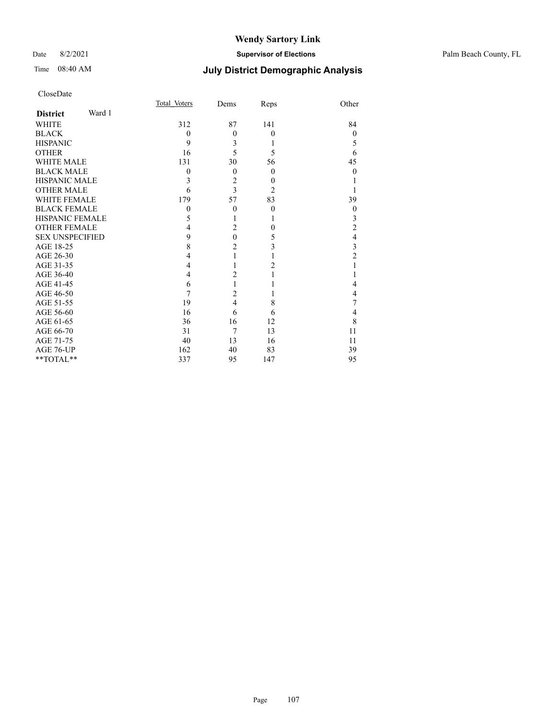#### Date 8/2/2021 **Supervisor of Elections** Palm Beach County, FL

| CloseDate |
|-----------|
|-----------|

|                        |        | Total Voters | Dems           | Reps             | Other                   |
|------------------------|--------|--------------|----------------|------------------|-------------------------|
| <b>District</b>        | Ward 1 |              |                |                  |                         |
| <b>WHITE</b>           |        | 312          | 87             | 141              | 84                      |
| <b>BLACK</b>           |        | $\theta$     | $\theta$       | $\theta$         | $\theta$                |
| <b>HISPANIC</b>        |        | 9            | 3              | 1                | 5                       |
| <b>OTHER</b>           |        | 16           | 5              | 5                | 6                       |
| <b>WHITE MALE</b>      |        | 131          | 30             | 56               | 45                      |
| <b>BLACK MALE</b>      |        | 0            | $\theta$       | $\theta$         | $\theta$                |
| <b>HISPANIC MALE</b>   |        | 3            | $\overline{c}$ | $\boldsymbol{0}$ |                         |
| <b>OTHER MALE</b>      |        | 6            | $\overline{3}$ | $\overline{c}$   |                         |
| <b>WHITE FEMALE</b>    |        | 179          | 57             | 83               | 39                      |
| <b>BLACK FEMALE</b>    |        | $\mathbf{0}$ | $\theta$       | $\theta$         | $\theta$                |
| <b>HISPANIC FEMALE</b> |        | 5            | 1              |                  | 3                       |
| <b>OTHER FEMALE</b>    |        | 4            | $\overline{2}$ | $\theta$         | $\overline{c}$          |
| <b>SEX UNSPECIFIED</b> |        | 9            | $\mathbf{0}$   | 5                | $\overline{4}$          |
| AGE 18-25              |        | 8            | $\overline{c}$ | 3                | $\overline{\mathbf{3}}$ |
| AGE 26-30              |        | 4            | $\mathbf{1}$   | 1                | $\overline{2}$          |
| AGE 31-35              |        | 4            | 1              | $\overline{2}$   |                         |
| AGE 36-40              |        | 4            | $\overline{c}$ |                  |                         |
| AGE 41-45              |        | 6            | $\mathbf{1}$   |                  | 4                       |
| AGE 46-50              |        | 7            | $\overline{c}$ |                  | $\overline{4}$          |
| AGE 51-55              |        | 19           | $\overline{4}$ | 8                | 7                       |
| AGE 56-60              |        | 16           | 6              | 6                | $\overline{4}$          |
| AGE 61-65              |        | 36           | 16             | 12               | 8                       |
| AGE 66-70              |        | 31           | 7              | 13               | 11                      |
| AGE 71-75              |        | 40           | 13             | 16               | 11                      |
| AGE 76-UP              |        | 162          | 40             | 83               | 39                      |
| **TOTAL**              |        | 337          | 95             | 147              | 95                      |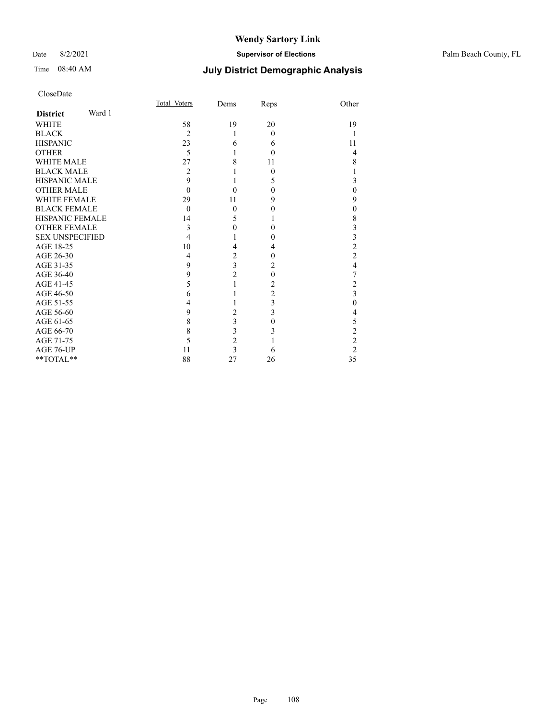#### Date 8/2/2021 **Supervisor of Elections** Palm Beach County, FL

| Total Voters   | Dems           | Reps                                                                  | Other                   |
|----------------|----------------|-----------------------------------------------------------------------|-------------------------|
|                |                |                                                                       |                         |
| 58             | 19             | 20                                                                    | 19                      |
| $\overline{c}$ | 1              | $\theta$                                                              |                         |
| 23             | 6              | 6                                                                     | 11                      |
| 5              | 1              | $\theta$                                                              | 4                       |
| 27             | 8              | 11                                                                    | 8                       |
| 2              |                | 0                                                                     |                         |
| 9              |                | 5                                                                     | 3                       |
| 0              | 0              | 0                                                                     | $\mathbf{0}$            |
| 29             | 11             | 9                                                                     | 9                       |
| $\theta$       | $\mathbf{0}$   | 0                                                                     | $\mathbf{0}$            |
| 14             | 5              |                                                                       | $\,$ $\,$               |
| 3              | $\theta$       | 0                                                                     | 3                       |
| 4              |                | 0                                                                     | 3                       |
| 10             | 4              | 4                                                                     | $\overline{c}$          |
| 4              | 2              | 0                                                                     | $\overline{c}$          |
| 9              |                | 2                                                                     | $\overline{4}$          |
| 9              |                | $\theta$                                                              | 7                       |
| 5              |                | 2                                                                     | $\overline{\mathbf{c}}$ |
| 6              |                | $\overline{c}$                                                        | $\overline{\mathbf{3}}$ |
| 4              |                | 3                                                                     | $\theta$                |
| 9              | $\overline{2}$ |                                                                       | 4                       |
| 8              |                | 0                                                                     | 5                       |
| 8              |                | 3                                                                     | $\overline{c}$          |
| 5              |                |                                                                       | $\overline{c}$          |
| 11             | 3              | 6                                                                     | $\overline{2}$          |
| 88             | 27             | 26                                                                    | 35                      |
|                |                | $\overline{\mathbf{3}}$<br>$\overline{c}$<br>3<br>3<br>$\overline{c}$ | 3                       |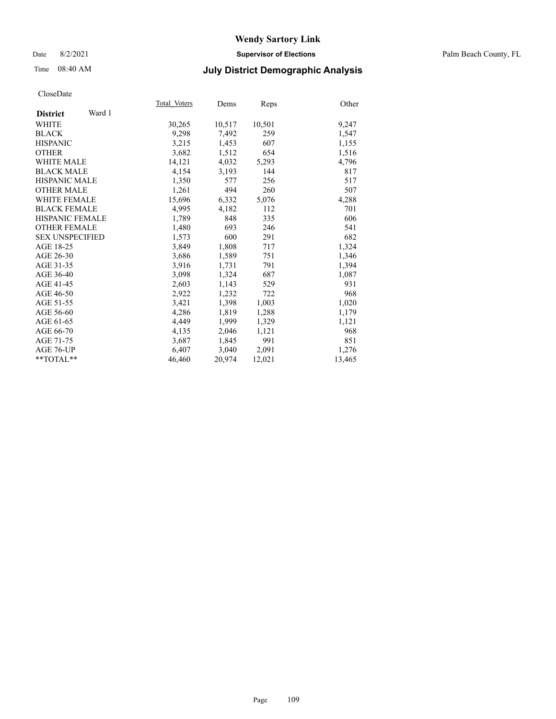### Date 8/2/2021 **Supervisor of Elections** Palm Beach County, FL

# Time 08:40 AM **July District Demographic Analysis**

|                           | Total Voters | Dems   | <b>Reps</b> | Other  |
|---------------------------|--------------|--------|-------------|--------|
| Ward 1<br><b>District</b> |              |        |             |        |
| WHITE                     | 30,265       | 10,517 | 10,501      | 9,247  |
| <b>BLACK</b>              | 9,298        | 7,492  | 259         | 1,547  |
| <b>HISPANIC</b>           | 3,215        | 1,453  | 607         | 1,155  |
| <b>OTHER</b>              | 3,682        | 1,512  | 654         | 1,516  |
| <b>WHITE MALE</b>         | 14,121       | 4,032  | 5,293       | 4,796  |
| <b>BLACK MALE</b>         | 4,154        | 3,193  | 144         | 817    |
| <b>HISPANIC MALE</b>      | 1,350        | 577    | 256         | 517    |
| <b>OTHER MALE</b>         | 1,261        | 494    | 260         | 507    |
| <b>WHITE FEMALE</b>       | 15,696       | 6,332  | 5,076       | 4,288  |
| <b>BLACK FEMALE</b>       | 4,995        | 4,182  | 112         | 701    |
| <b>HISPANIC FEMALE</b>    | 1,789        | 848    | 335         | 606    |
| <b>OTHER FEMALE</b>       | 1,480        | 693    | 246         | 541    |
| <b>SEX UNSPECIFIED</b>    | 1,573        | 600    | 291         | 682    |
| AGE 18-25                 | 3,849        | 1,808  | 717         | 1,324  |
| AGE 26-30                 | 3,686        | 1,589  | 751         | 1,346  |
| AGE 31-35                 | 3,916        | 1,731  | 791         | 1,394  |
| AGE 36-40                 | 3,098        | 1,324  | 687         | 1,087  |
| AGE 41-45                 | 2,603        | 1,143  | 529         | 931    |
| AGE 46-50                 | 2,922        | 1,232  | 722         | 968    |
| AGE 51-55                 | 3,421        | 1,398  | 1,003       | 1,020  |
| AGE 56-60                 | 4,286        | 1,819  | 1,288       | 1,179  |
| AGE 61-65                 | 4,449        | 1,999  | 1,329       | 1,121  |
| AGE 66-70                 | 4,135        | 2,046  | 1,121       | 968    |
| AGE 71-75                 | 3,687        | 1,845  | 991         | 851    |
| AGE 76-UP                 | 6,407        | 3,040  | 2,091       | 1,276  |
| $*$ TOTAL $*$             | 46,460       | 20,974 | 12,021      | 13,465 |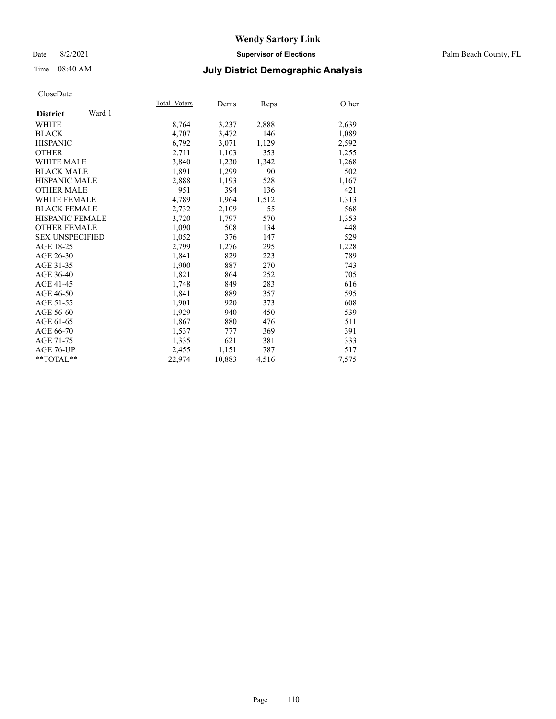### Date 8/2/2021 **Supervisor of Elections** Palm Beach County, FL

# Time 08:40 AM **July District Demographic Analysis**

|                           | Total Voters | Dems   | Reps  | Other |
|---------------------------|--------------|--------|-------|-------|
| Ward 1<br><b>District</b> |              |        |       |       |
| WHITE                     | 8,764        | 3,237  | 2,888 | 2,639 |
| <b>BLACK</b>              | 4,707        | 3,472  | 146   | 1,089 |
| <b>HISPANIC</b>           | 6,792        | 3,071  | 1,129 | 2,592 |
| <b>OTHER</b>              | 2,711        | 1,103  | 353   | 1,255 |
| <b>WHITE MALE</b>         | 3,840        | 1,230  | 1,342 | 1,268 |
| <b>BLACK MALE</b>         | 1,891        | 1,299  | 90    | 502   |
| <b>HISPANIC MALE</b>      | 2,888        | 1,193  | 528   | 1,167 |
| <b>OTHER MALE</b>         | 951          | 394    | 136   | 421   |
| <b>WHITE FEMALE</b>       | 4,789        | 1,964  | 1,512 | 1,313 |
| <b>BLACK FEMALE</b>       | 2,732        | 2,109  | 55    | 568   |
| <b>HISPANIC FEMALE</b>    | 3,720        | 1,797  | 570   | 1,353 |
| <b>OTHER FEMALE</b>       | 1,090        | 508    | 134   | 448   |
| <b>SEX UNSPECIFIED</b>    | 1.052        | 376    | 147   | 529   |
| AGE 18-25                 | 2,799        | 1,276  | 295   | 1,228 |
| AGE 26-30                 | 1,841        | 829    | 223   | 789   |
| AGE 31-35                 | 1,900        | 887    | 270   | 743   |
| AGE 36-40                 | 1,821        | 864    | 252   | 705   |
| AGE 41-45                 | 1,748        | 849    | 283   | 616   |
| AGE 46-50                 | 1,841        | 889    | 357   | 595   |
| AGE 51-55                 | 1.901        | 920    | 373   | 608   |
| AGE 56-60                 | 1,929        | 940    | 450   | 539   |
| AGE 61-65                 | 1,867        | 880    | 476   | 511   |
| AGE 66-70                 | 1,537        | 777    | 369   | 391   |
| AGE 71-75                 | 1,335        | 621    | 381   | 333   |
| AGE 76-UP                 | 2,455        | 1,151  | 787   | 517   |
| $*$ $TOTAL**$             | 22,974       | 10,883 | 4,516 | 7,575 |
|                           |              |        |       |       |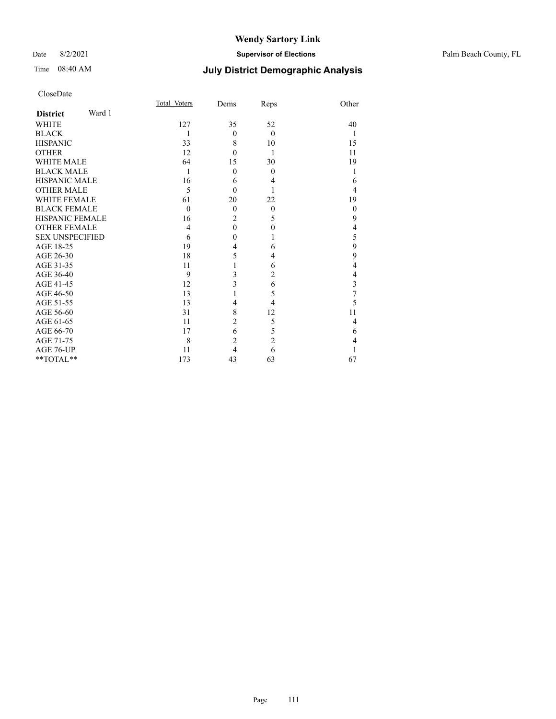### Date 8/2/2021 **Supervisor of Elections** Palm Beach County, FL

# Time 08:40 AM **July District Demographic Analysis**

| CloseDate |
|-----------|
|-----------|

|                        |        | Total Voters   | Dems           | Reps           | Other          |
|------------------------|--------|----------------|----------------|----------------|----------------|
| <b>District</b>        | Ward 1 |                |                |                |                |
| <b>WHITE</b>           |        | 127            | 35             | 52             | 40             |
| <b>BLACK</b>           |        | 1              | $\theta$       | $\theta$       | 1              |
| <b>HISPANIC</b>        |        | 33             | 8              | 10             | 15             |
| <b>OTHER</b>           |        | 12             | $\theta$       | 1              | 11             |
| <b>WHITE MALE</b>      |        | 64             | 15             | 30             | 19             |
| <b>BLACK MALE</b>      |        | 1              | $\theta$       | $\theta$       | 1              |
| <b>HISPANIC MALE</b>   |        | 16             | 6              | 4              | 6              |
| <b>OTHER MALE</b>      |        | 5              | $\theta$       |                | 4              |
| <b>WHITE FEMALE</b>    |        | 61             | 20             | 22             | 19             |
| <b>BLACK FEMALE</b>    |        | $\theta$       | $\theta$       | $\mathbf{0}$   | $\theta$       |
| <b>HISPANIC FEMALE</b> |        | 16             | $\overline{c}$ | 5              | 9              |
| <b>OTHER FEMALE</b>    |        | $\overline{4}$ | $\mathbf{0}$   | $\theta$       | $\overline{4}$ |
| <b>SEX UNSPECIFIED</b> |        | 6              | $\mathbf{0}$   |                | 5              |
| AGE 18-25              |        | 19             | $\overline{4}$ | 6              | 9              |
| AGE 26-30              |        | 18             | 5              | 4              | 9              |
| AGE 31-35              |        | 11             | $\mathbf{1}$   | 6              | 4              |
| AGE 36-40              |        | 9              | 3              | $\overline{c}$ | $\overline{4}$ |
| AGE 41-45              |        | 12             | 3              | 6              | 3              |
| AGE 46-50              |        | 13             | 1              | 5              | $\overline{7}$ |
| AGE 51-55              |        | 13             | $\overline{4}$ | $\overline{4}$ | 5              |
| AGE 56-60              |        | 31             | 8              | 12             | 11             |
| AGE 61-65              |        | 11             | $\overline{c}$ | 5              | $\overline{4}$ |
| AGE 66-70              |        | 17             | 6              | 5              | 6              |
| AGE 71-75              |        | 8              | $\overline{c}$ | $\overline{c}$ | 4              |
| AGE 76-UP              |        | 11             | $\overline{4}$ | 6              |                |
| **TOTAL**              |        | 173            | 43             | 63             | 67             |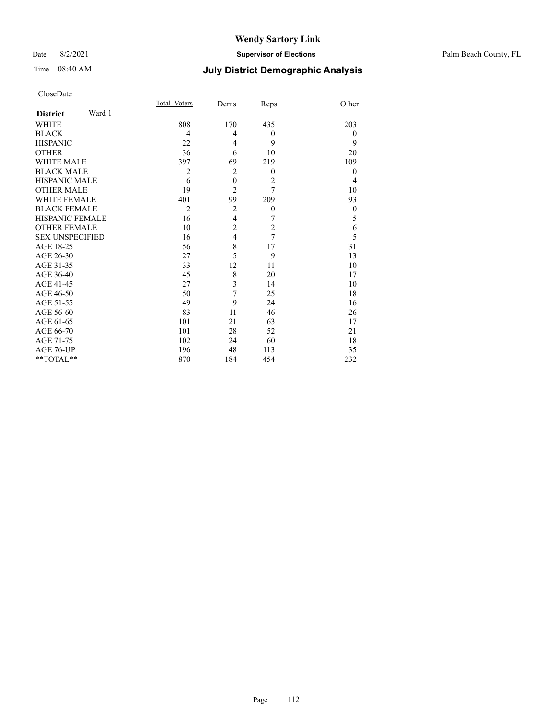### Date 8/2/2021 **Supervisor of Elections** Palm Beach County, FL

# Time 08:40 AM **July District Demographic Analysis**

|                           | Total Voters   | Dems                    | Reps             | Other            |
|---------------------------|----------------|-------------------------|------------------|------------------|
| Ward 1<br><b>District</b> |                |                         |                  |                  |
| <b>WHITE</b>              | 808            | 170                     | 435              | 203              |
| <b>BLACK</b>              | 4              | 4                       | $\boldsymbol{0}$ | $\theta$         |
| <b>HISPANIC</b>           | 22             | 4                       | 9                | 9                |
| <b>OTHER</b>              | 36             | 6                       | 10               | 20               |
| WHITE MALE                | 397            | 69                      | 219              | 109              |
| <b>BLACK MALE</b>         | $\overline{2}$ | $\overline{2}$          | $\theta$         | $\theta$         |
| <b>HISPANIC MALE</b>      | 6              | $\boldsymbol{0}$        | $\overline{2}$   | $\overline{4}$   |
| <b>OTHER MALE</b>         | 19             | $\overline{2}$          | 7                | 10               |
| WHITE FEMALE              | 401            | 99                      | 209              | 93               |
| <b>BLACK FEMALE</b>       | $\overline{2}$ | $\overline{2}$          | $\boldsymbol{0}$ | $\boldsymbol{0}$ |
| <b>HISPANIC FEMALE</b>    | 16             | $\overline{\mathbf{4}}$ | 7                | 5                |
| <b>OTHER FEMALE</b>       | 10             | $\overline{c}$          | $\overline{c}$   | 6                |
| <b>SEX UNSPECIFIED</b>    | 16             | $\overline{4}$          | 7                | 5                |
| AGE 18-25                 | 56             | 8                       | 17               | 31               |
| AGE 26-30                 | 27             | 5                       | 9                | 13               |
| AGE 31-35                 | 33             | 12                      | 11               | 10               |
| AGE 36-40                 | 45             | 8                       | 20               | 17               |
| AGE 41-45                 | 27             | 3                       | 14               | 10               |
| AGE 46-50                 | 50             | 7                       | 25               | 18               |
| AGE 51-55                 | 49             | 9                       | 24               | 16               |
| AGE 56-60                 | 83             | 11                      | 46               | 26               |
| AGE 61-65                 | 101            | 21                      | 63               | 17               |
| AGE 66-70                 | 101            | 28                      | 52               | 21               |
| AGE 71-75                 | 102            | 24                      | 60               | 18               |
| AGE 76-UP                 | 196            | 48                      | 113              | 35               |
| **TOTAL**                 | 870            | 184                     | 454              | 232              |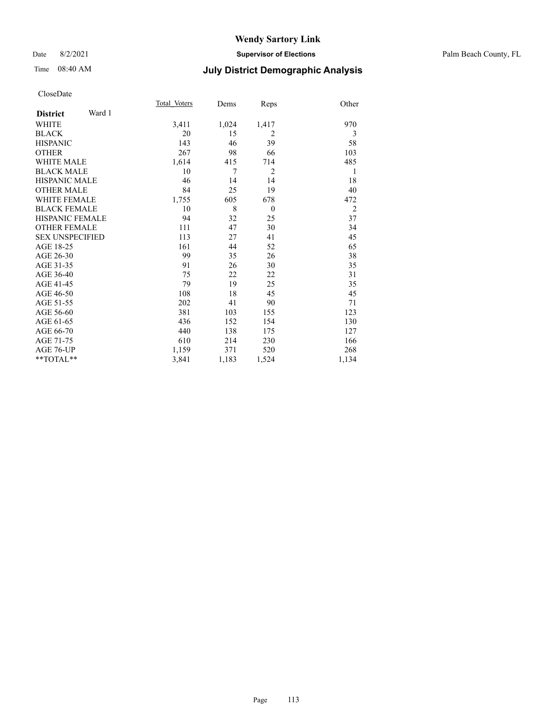### Date 8/2/2021 **Supervisor of Elections** Palm Beach County, FL

# Time 08:40 AM **July District Demographic Analysis**

|                        |        | Total Voters | Dems  | Reps           | Other          |
|------------------------|--------|--------------|-------|----------------|----------------|
| <b>District</b>        | Ward 1 |              |       |                |                |
| WHITE                  |        | 3,411        | 1,024 | 1,417          | 970            |
| <b>BLACK</b>           |        | 20           | 15    | $\overline{2}$ | 3              |
| <b>HISPANIC</b>        |        | 143          | 46    | 39             | 58             |
| <b>OTHER</b>           |        | 267          | 98    | 66             | 103            |
| <b>WHITE MALE</b>      |        | 1,614        | 415   | 714            | 485            |
| <b>BLACK MALE</b>      |        | 10           | 7     | $\overline{2}$ | 1              |
| <b>HISPANIC MALE</b>   |        | 46           | 14    | 14             | 18             |
| <b>OTHER MALE</b>      |        | 84           | 25    | 19             | 40             |
| <b>WHITE FEMALE</b>    |        | 1,755        | 605   | 678            | 472            |
| <b>BLACK FEMALE</b>    |        | 10           | 8     | $\theta$       | $\overline{2}$ |
| HISPANIC FEMALE        |        | 94           | 32    | 25             | 37             |
| <b>OTHER FEMALE</b>    |        | 111          | 47    | 30             | 34             |
| <b>SEX UNSPECIFIED</b> |        | 113          | 27    | 41             | 45             |
| AGE 18-25              |        | 161          | 44    | 52             | 65             |
| AGE 26-30              |        | 99           | 35    | 26             | 38             |
| AGE 31-35              |        | 91           | 26    | 30             | 35             |
| AGE 36-40              |        | 75           | 22    | 22             | 31             |
| AGE 41-45              |        | 79           | 19    | 25             | 35             |
| AGE 46-50              |        | 108          | 18    | 45             | 45             |
| AGE 51-55              |        | 202          | 41    | 90             | 71             |
| AGE 56-60              |        | 381          | 103   | 155            | 123            |
| AGE 61-65              |        | 436          | 152   | 154            | 130            |
| AGE 66-70              |        | 440          | 138   | 175            | 127            |
| AGE 71-75              |        | 610          | 214   | 230            | 166            |
| AGE 76-UP              |        | 1,159        | 371   | 520            | 268            |
| **TOTAL**              |        | 3,841        | 1,183 | 1,524          | 1,134          |
|                        |        |              |       |                |                |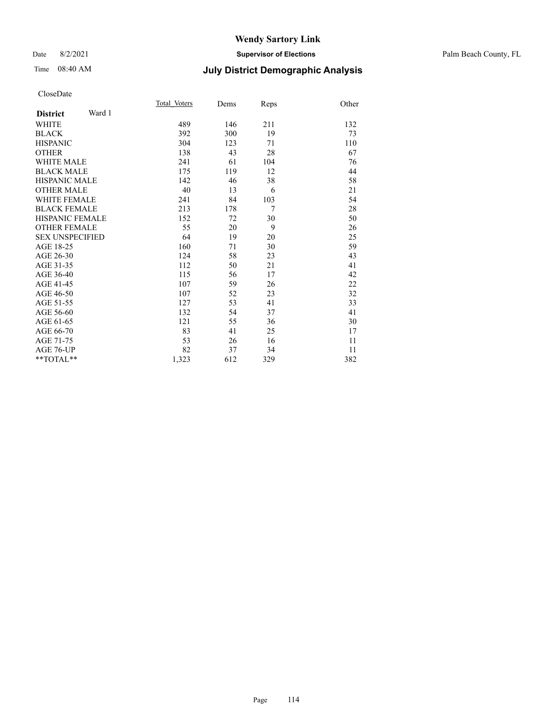### Date 8/2/2021 **Supervisor of Elections** Palm Beach County, FL

# Time 08:40 AM **July District Demographic Analysis**

|                           | Total Voters | Dems | Reps   | Other |
|---------------------------|--------------|------|--------|-------|
| Ward 1<br><b>District</b> |              |      |        |       |
| <b>WHITE</b>              | 489          | 146  | 211    | 132   |
| <b>BLACK</b>              | 392          | 300  | 19     | 73    |
| <b>HISPANIC</b>           | 304          | 123  | 71     | 110   |
| <b>OTHER</b>              | 138          | 43   | 28     | 67    |
| <b>WHITE MALE</b>         | 241          | 61   | 104    | 76    |
| <b>BLACK MALE</b>         | 175          | 119  | 12     | 44    |
| <b>HISPANIC MALE</b>      | 142          | 46   | 38     | 58    |
| <b>OTHER MALE</b>         | 40           | 13   | 6      | 21    |
| <b>WHITE FEMALE</b>       | 241          | 84   | 103    | 54    |
| <b>BLACK FEMALE</b>       | 213          | 178  | $\tau$ | 28    |
| <b>HISPANIC FEMALE</b>    | 152          | 72   | 30     | 50    |
| <b>OTHER FEMALE</b>       | 55           | 20   | 9      | 26    |
| <b>SEX UNSPECIFIED</b>    | 64           | 19   | 20     | 25    |
| AGE 18-25                 | 160          | 71   | 30     | 59    |
| AGE 26-30                 | 124          | 58   | 23     | 43    |
| AGE 31-35                 | 112          | 50   | 21     | 41    |
| AGE 36-40                 | 115          | 56   | 17     | 42    |
| AGE 41-45                 | 107          | 59   | 26     | 22    |
| AGE 46-50                 | 107          | 52   | 23     | 32    |
| AGE 51-55                 | 127          | 53   | 41     | 33    |
| AGE 56-60                 | 132          | 54   | 37     | 41    |
| AGE 61-65                 | 121          | 55   | 36     | 30    |
| AGE 66-70                 | 83           | 41   | 25     | 17    |
| AGE 71-75                 | 53           | 26   | 16     | 11    |
| AGE 76-UP                 | 82           | 37   | 34     | 11    |
| **TOTAL**                 | 1,323        | 612  | 329    | 382   |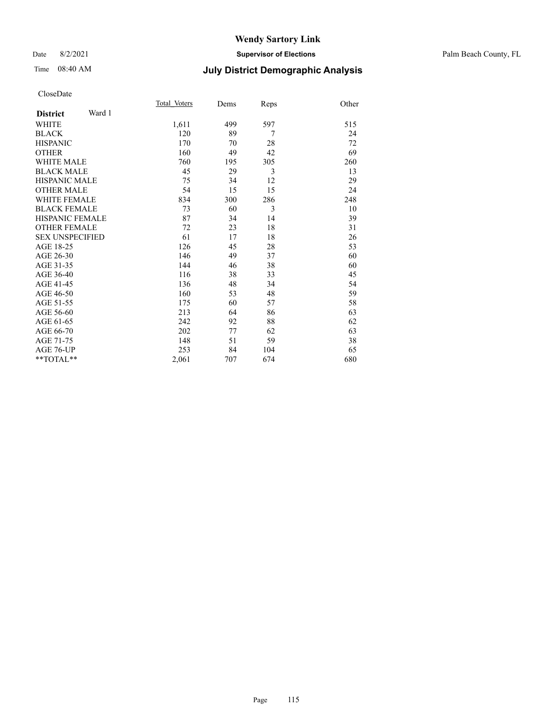### Date 8/2/2021 **Supervisor of Elections** Palm Beach County, FL

# Time 08:40 AM **July District Demographic Analysis**

|                           | Total Voters | Dems | Reps | Other |
|---------------------------|--------------|------|------|-------|
| Ward 1<br><b>District</b> |              |      |      |       |
| <b>WHITE</b>              | 1,611        | 499  | 597  | 515   |
| <b>BLACK</b>              | 120          | 89   | 7    | 24    |
| <b>HISPANIC</b>           | 170          | 70   | 28   | 72    |
| <b>OTHER</b>              | 160          | 49   | 42   | 69    |
| WHITE MALE                | 760          | 195  | 305  | 260   |
| <b>BLACK MALE</b>         | 45           | 29   | 3    | 13    |
| <b>HISPANIC MALE</b>      | 75           | 34   | 12   | 29    |
| <b>OTHER MALE</b>         | 54           | 15   | 15   | 24    |
| WHITE FEMALE              | 834          | 300  | 286  | 248   |
| <b>BLACK FEMALE</b>       | 73           | 60   | 3    | 10    |
| <b>HISPANIC FEMALE</b>    | 87           | 34   | 14   | 39    |
| <b>OTHER FEMALE</b>       | 72           | 23   | 18   | 31    |
| <b>SEX UNSPECIFIED</b>    | 61           | 17   | 18   | 26    |
| AGE 18-25                 | 126          | 45   | 28   | 53    |
| AGE 26-30                 | 146          | 49   | 37   | 60    |
| AGE 31-35                 | 144          | 46   | 38   | 60    |
| AGE 36-40                 | 116          | 38   | 33   | 45    |
| AGE 41-45                 | 136          | 48   | 34   | 54    |
| AGE 46-50                 | 160          | 53   | 48   | 59    |
| AGE 51-55                 | 175          | 60   | 57   | 58    |
| AGE 56-60                 | 213          | 64   | 86   | 63    |
| AGE 61-65                 | 242          | 92   | 88   | 62    |
| AGE 66-70                 | 202          | 77   | 62   | 63    |
| AGE 71-75                 | 148          | 51   | 59   | 38    |
| AGE 76-UP                 | 253          | 84   | 104  | 65    |
| $*$ $TOTAL**$             | 2,061        | 707  | 674  | 680   |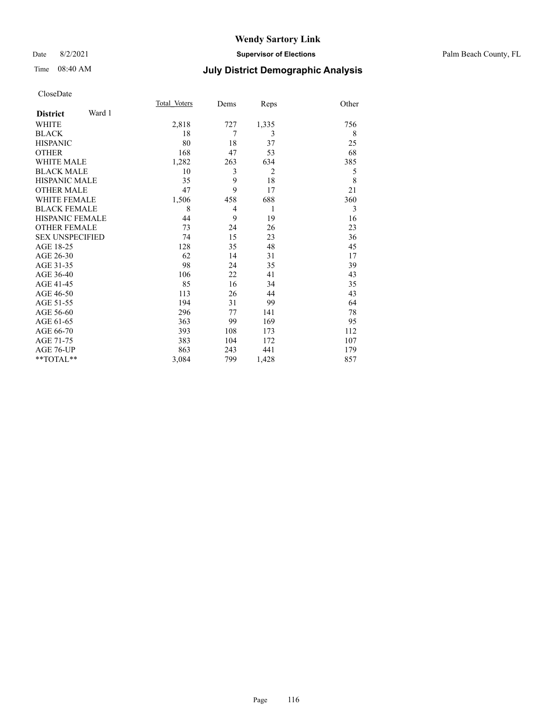# Time 08:40 AM **July District Demographic Analysis**

|                        |        | Total Voters | Dems | Reps           | Other |
|------------------------|--------|--------------|------|----------------|-------|
| <b>District</b>        | Ward 1 |              |      |                |       |
| WHITE                  |        | 2,818        | 727  | 1,335          | 756   |
| <b>BLACK</b>           |        | 18           | 7    | 3              | 8     |
| <b>HISPANIC</b>        |        | 80           | 18   | 37             | 25    |
| <b>OTHER</b>           |        | 168          | 47   | 53             | 68    |
| <b>WHITE MALE</b>      |        | 1,282        | 263  | 634            | 385   |
| <b>BLACK MALE</b>      |        | 10           | 3    | $\overline{2}$ | 5     |
| HISPANIC MALE          |        | 35           | 9    | 18             | 8     |
| <b>OTHER MALE</b>      |        | 47           | 9    | 17             | 21    |
| <b>WHITE FEMALE</b>    |        | 1,506        | 458  | 688            | 360   |
| <b>BLACK FEMALE</b>    |        | 8            | 4    | 1              | 3     |
| <b>HISPANIC FEMALE</b> |        | 44           | 9    | 19             | 16    |
| <b>OTHER FEMALE</b>    |        | 73           | 24   | 26             | 23    |
| <b>SEX UNSPECIFIED</b> |        | 74           | 15   | 23             | 36    |
| AGE 18-25              |        | 128          | 35   | 48             | 45    |
| AGE 26-30              |        | 62           | 14   | 31             | 17    |
| AGE 31-35              |        | 98           | 24   | 35             | 39    |
| AGE 36-40              |        | 106          | 22   | 41             | 43    |
| AGE 41-45              |        | 85           | 16   | 34             | 35    |
| AGE 46-50              |        | 113          | 26   | 44             | 43    |
| AGE 51-55              |        | 194          | 31   | 99             | 64    |
| AGE 56-60              |        | 296          | 77   | 141            | 78    |
| AGE 61-65              |        | 363          | 99   | 169            | 95    |
| AGE 66-70              |        | 393          | 108  | 173            | 112   |
| AGE 71-75              |        | 383          | 104  | 172            | 107   |
| AGE 76-UP              |        | 863          | 243  | 441            | 179   |
| **TOTAL**              |        | 3,084        | 799  | 1,428          | 857   |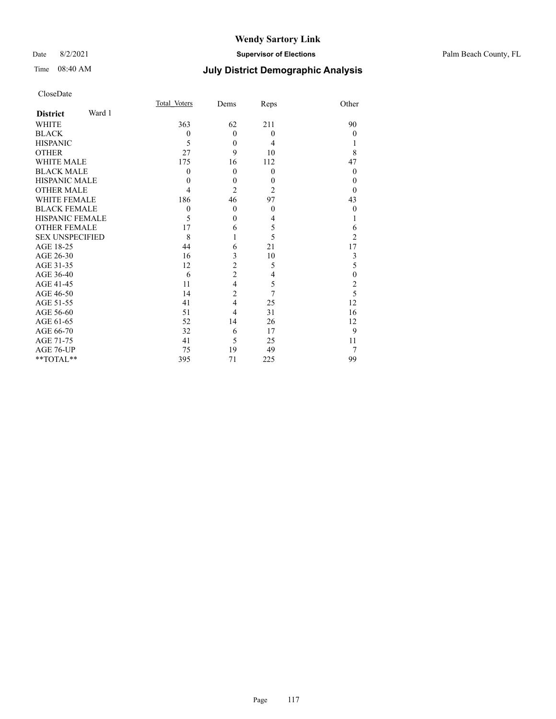### Date 8/2/2021 **Supervisor of Elections** Palm Beach County, FL

# Time 08:40 AM **July District Demographic Analysis**

| CloseDate |
|-----------|
|-----------|

|                           | Total Voters | Dems           | Reps             | Other          |
|---------------------------|--------------|----------------|------------------|----------------|
| Ward 1<br><b>District</b> |              |                |                  |                |
| <b>WHITE</b>              | 363          | 62             | 211              | 90             |
| <b>BLACK</b>              | $\mathbf{0}$ | $\theta$       | $\theta$         | $\theta$       |
| <b>HISPANIC</b>           | 5            | $\theta$       | 4                |                |
| <b>OTHER</b>              | 27           | 9              | 10               | 8              |
| <b>WHITE MALE</b>         | 175          | 16             | 112              | 47             |
| <b>BLACK MALE</b>         | $\mathbf{0}$ | $\theta$       | $\theta$         | $\theta$       |
| <b>HISPANIC MALE</b>      | 0            | $\theta$       | $\boldsymbol{0}$ | $\theta$       |
| <b>OTHER MALE</b>         | 4            | $\overline{2}$ | $\overline{2}$   | $\theta$       |
| <b>WHITE FEMALE</b>       | 186          | 46             | 97               | 43             |
| <b>BLACK FEMALE</b>       | $\mathbf{0}$ | $\overline{0}$ | $\theta$         | $\theta$       |
| <b>HISPANIC FEMALE</b>    | 5            | $\theta$       | 4                | 1              |
| <b>OTHER FEMALE</b>       | 17           | 6              | 5                | 6              |
| <b>SEX UNSPECIFIED</b>    | 8            | 1              | 5                | $\overline{2}$ |
| AGE 18-25                 | 44           | 6              | 21               | 17             |
| AGE 26-30                 | 16           | 3              | 10               | 3              |
| AGE 31-35                 | 12           | $\overline{c}$ | 5                | 5              |
| AGE 36-40                 | 6            | $\overline{c}$ | 4                | $\mathbf{0}$   |
| AGE 41-45                 | 11           | $\overline{4}$ | 5                | $\overline{c}$ |
| AGE 46-50                 | 14           | $\overline{c}$ | $\overline{7}$   | 5              |
| AGE 51-55                 | 41           | $\overline{4}$ | 25               | 12             |
| AGE 56-60                 | 51           | 4              | 31               | 16             |
| AGE 61-65                 | 52           | 14             | 26               | 12             |
| AGE 66-70                 | 32           | 6              | 17               | 9              |
| AGE 71-75                 | 41           | 5              | 25               | 11             |
| AGE 76-UP                 | 75           | 19             | 49               | 7              |
| **TOTAL**                 | 395          | 71             | 225              | 99             |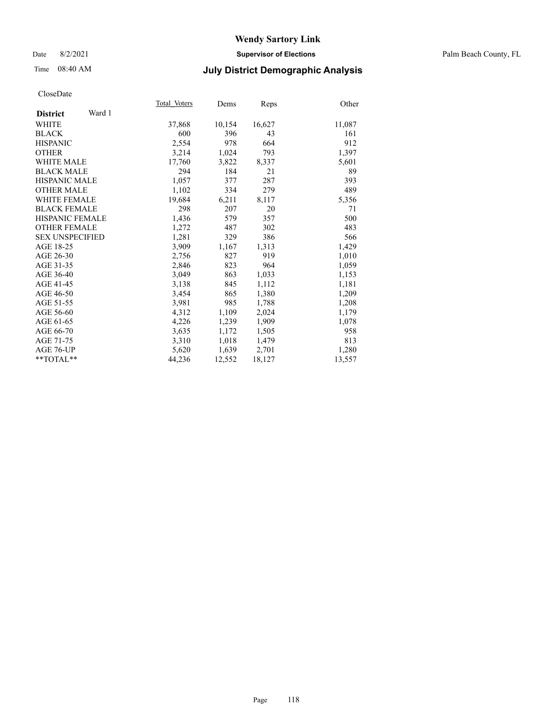### Date 8/2/2021 **Supervisor of Elections** Palm Beach County, FL

# Time 08:40 AM **July District Demographic Analysis**

|                           | Total Voters | Dems   | Reps   | Other  |
|---------------------------|--------------|--------|--------|--------|
| Ward 1<br><b>District</b> |              |        |        |        |
| WHITE                     | 37,868       | 10,154 | 16,627 | 11,087 |
| <b>BLACK</b>              | 600          | 396    | 43     | 161    |
| <b>HISPANIC</b>           | 2,554        | 978    | 664    | 912    |
| <b>OTHER</b>              | 3,214        | 1,024  | 793    | 1,397  |
| <b>WHITE MALE</b>         | 17,760       | 3,822  | 8,337  | 5,601  |
| <b>BLACK MALE</b>         | 294          | 184    | 21     | 89     |
| <b>HISPANIC MALE</b>      | 1,057        | 377    | 287    | 393    |
| <b>OTHER MALE</b>         | 1,102        | 334    | 279    | 489    |
| <b>WHITE FEMALE</b>       | 19,684       | 6,211  | 8,117  | 5,356  |
| <b>BLACK FEMALE</b>       | 298          | 207    | 20     | 71     |
| HISPANIC FEMALE           | 1,436        | 579    | 357    | 500    |
| <b>OTHER FEMALE</b>       | 1,272        | 487    | 302    | 483    |
| <b>SEX UNSPECIFIED</b>    | 1,281        | 329    | 386    | 566    |
| AGE 18-25                 | 3.909        | 1,167  | 1,313  | 1,429  |
| AGE 26-30                 | 2,756        | 827    | 919    | 1,010  |
| AGE 31-35                 | 2,846        | 823    | 964    | 1,059  |
| AGE 36-40                 | 3,049        | 863    | 1,033  | 1,153  |
| AGE 41-45                 | 3,138        | 845    | 1,112  | 1,181  |
| AGE 46-50                 | 3,454        | 865    | 1,380  | 1,209  |
| AGE 51-55                 | 3,981        | 985    | 1,788  | 1,208  |
| AGE 56-60                 | 4,312        | 1,109  | 2,024  | 1,179  |
| AGE 61-65                 | 4,226        | 1,239  | 1,909  | 1,078  |
| AGE 66-70                 | 3,635        | 1,172  | 1,505  | 958    |
| AGE 71-75                 | 3,310        | 1,018  | 1,479  | 813    |
| AGE 76-UP                 | 5,620        | 1,639  | 2,701  | 1,280  |
| $*$ $TOTAL**$             | 44,236       | 12,552 | 18,127 | 13,557 |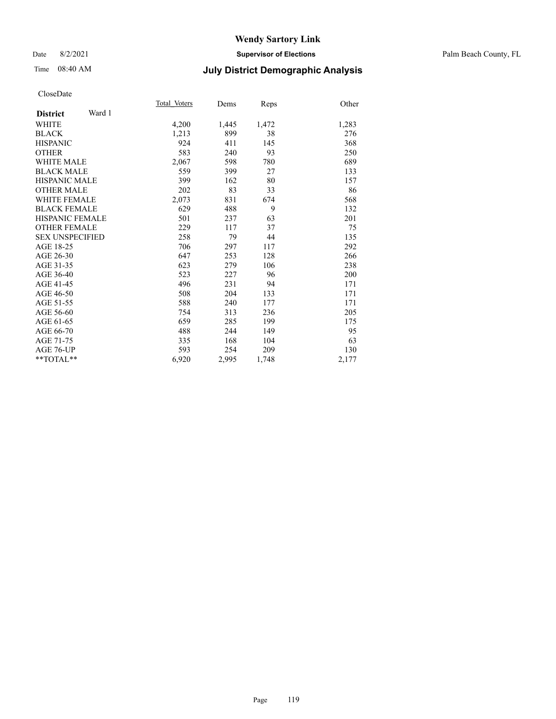### Date 8/2/2021 **Supervisor of Elections** Palm Beach County, FL

# Time 08:40 AM **July District Demographic Analysis**

|                           | Total Voters | Dems  | Reps  | Other |
|---------------------------|--------------|-------|-------|-------|
| Ward 1<br><b>District</b> |              |       |       |       |
| WHITE                     | 4,200        | 1,445 | 1,472 | 1,283 |
| <b>BLACK</b>              | 1,213        | 899   | 38    | 276   |
| <b>HISPANIC</b>           | 924          | 411   | 145   | 368   |
| <b>OTHER</b>              | 583          | 240   | 93    | 250   |
| <b>WHITE MALE</b>         | 2,067        | 598   | 780   | 689   |
| <b>BLACK MALE</b>         | 559          | 399   | 27    | 133   |
| <b>HISPANIC MALE</b>      | 399          | 162   | 80    | 157   |
| <b>OTHER MALE</b>         | 202          | 83    | 33    | 86    |
| <b>WHITE FEMALE</b>       | 2,073        | 831   | 674   | 568   |
| <b>BLACK FEMALE</b>       | 629          | 488   | 9     | 132   |
| <b>HISPANIC FEMALE</b>    | 501          | 237   | 63    | 201   |
| <b>OTHER FEMALE</b>       | 229          | 117   | 37    | 75    |
| <b>SEX UNSPECIFIED</b>    | 258          | 79    | 44    | 135   |
| AGE 18-25                 | 706          | 297   | 117   | 292   |
| AGE 26-30                 | 647          | 253   | 128   | 266   |
| AGE 31-35                 | 623          | 279   | 106   | 238   |
| AGE 36-40                 | 523          | 227   | 96    | 200   |
| AGE 41-45                 | 496          | 231   | 94    | 171   |
| AGE 46-50                 | 508          | 204   | 133   | 171   |
| AGE 51-55                 | 588          | 240   | 177   | 171   |
| AGE 56-60                 | 754          | 313   | 236   | 205   |
| AGE 61-65                 | 659          | 285   | 199   | 175   |
| AGE 66-70                 | 488          | 244   | 149   | 95    |
| AGE 71-75                 | 335          | 168   | 104   | 63    |
| AGE 76-UP                 | 593          | 254   | 209   | 130   |
| $*$ $TOTAL**$             | 6,920        | 2,995 | 1,748 | 2,177 |
|                           |              |       |       |       |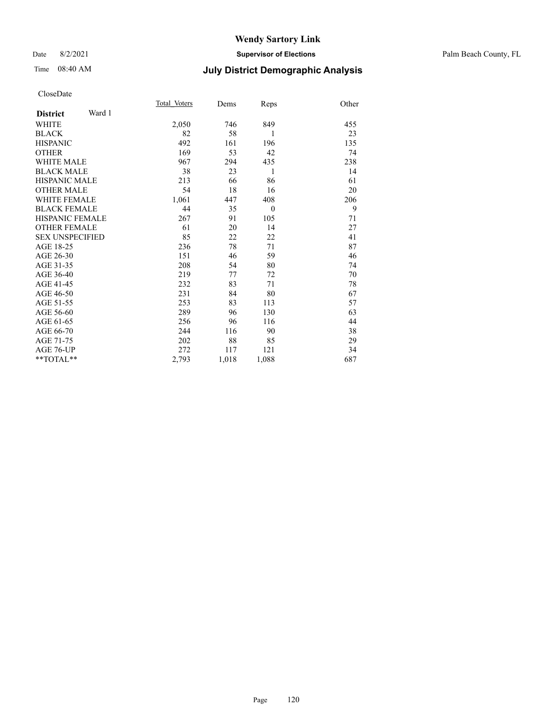### Date 8/2/2021 **Supervisor of Elections** Palm Beach County, FL

# Time 08:40 AM **July District Demographic Analysis**

|                           | Total Voters | Dems  | Reps         | Other |
|---------------------------|--------------|-------|--------------|-------|
| Ward 1<br><b>District</b> |              |       |              |       |
| WHITE                     | 2,050        | 746   | 849          | 455   |
| <b>BLACK</b>              | 82           | 58    | 1            | 23    |
| <b>HISPANIC</b>           | 492          | 161   | 196          | 135   |
| <b>OTHER</b>              | 169          | 53    | 42           | 74    |
| <b>WHITE MALE</b>         | 967          | 294   | 435          | 238   |
| <b>BLACK MALE</b>         | 38           | 23    | 1            | 14    |
| <b>HISPANIC MALE</b>      | 213          | 66    | 86           | 61    |
| <b>OTHER MALE</b>         | 54           | 18    | 16           | 20    |
| <b>WHITE FEMALE</b>       | 1,061        | 447   | 408          | 206   |
| <b>BLACK FEMALE</b>       | 44           | 35    | $\mathbf{0}$ | 9     |
| HISPANIC FEMALE           | 267          | 91    | 105          | 71    |
| <b>OTHER FEMALE</b>       | 61           | 20    | 14           | 27    |
| <b>SEX UNSPECIFIED</b>    | 85           | 22    | 22           | 41    |
| AGE 18-25                 | 236          | 78    | 71           | 87    |
| AGE 26-30                 | 151          | 46    | 59           | 46    |
| AGE 31-35                 | 208          | 54    | 80           | 74    |
| AGE 36-40                 | 219          | 77    | 72           | 70    |
| AGE 41-45                 | 232          | 83    | 71           | 78    |
| AGE 46-50                 | 231          | 84    | 80           | 67    |
| AGE 51-55                 | 253          | 83    | 113          | 57    |
| AGE 56-60                 | 289          | 96    | 130          | 63    |
| AGE 61-65                 | 256          | 96    | 116          | 44    |
| AGE 66-70                 | 244          | 116   | 90           | 38    |
| AGE 71-75                 | 202          | 88    | 85           | 29    |
| AGE 76-UP                 | 272          | 117   | 121          | 34    |
| $*$ $TOTAL**$             | 2,793        | 1,018 | 1,088        | 687   |
|                           |              |       |              |       |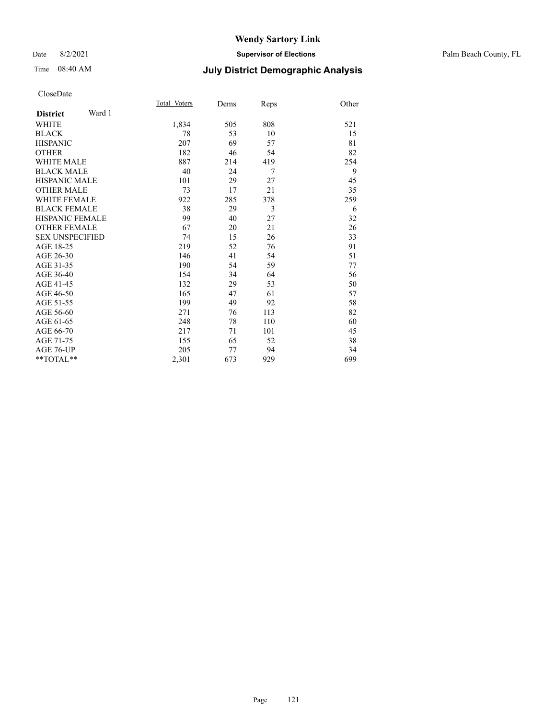### Date 8/2/2021 **Supervisor of Elections** Palm Beach County, FL

# Time 08:40 AM **July District Demographic Analysis**

|                           | Total Voters | Dems | Reps | Other |
|---------------------------|--------------|------|------|-------|
| Ward 1<br><b>District</b> |              |      |      |       |
| <b>WHITE</b>              | 1,834        | 505  | 808  | 521   |
| <b>BLACK</b>              | 78           | 53   | 10   | 15    |
| <b>HISPANIC</b>           | 207          | 69   | 57   | 81    |
| <b>OTHER</b>              | 182          | 46   | 54   | 82    |
| WHITE MALE                | 887          | 214  | 419  | 254   |
| <b>BLACK MALE</b>         | 40           | 24   | 7    | 9     |
| <b>HISPANIC MALE</b>      | 101          | 29   | 27   | 45    |
| <b>OTHER MALE</b>         | 73           | 17   | 21   | 35    |
| WHITE FEMALE              | 922          | 285  | 378  | 259   |
| <b>BLACK FEMALE</b>       | 38           | 29   | 3    | 6     |
| <b>HISPANIC FEMALE</b>    | 99           | 40   | 27   | 32    |
| <b>OTHER FEMALE</b>       | 67           | 20   | 21   | 26    |
| <b>SEX UNSPECIFIED</b>    | 74           | 15   | 26   | 33    |
| AGE 18-25                 | 219          | 52   | 76   | 91    |
| AGE 26-30                 | 146          | 41   | 54   | 51    |
| AGE 31-35                 | 190          | 54   | 59   | 77    |
| AGE 36-40                 | 154          | 34   | 64   | 56    |
| AGE 41-45                 | 132          | 29   | 53   | 50    |
| AGE 46-50                 | 165          | 47   | 61   | 57    |
| AGE 51-55                 | 199          | 49   | 92   | 58    |
| AGE 56-60                 | 271          | 76   | 113  | 82    |
| AGE 61-65                 | 248          | 78   | 110  | 60    |
| AGE 66-70                 | 217          | 71   | 101  | 45    |
| AGE 71-75                 | 155          | 65   | 52   | 38    |
| AGE 76-UP                 | 205          | 77   | 94   | 34    |
| $*$ $TOTAL**$             | 2,301        | 673  | 929  | 699   |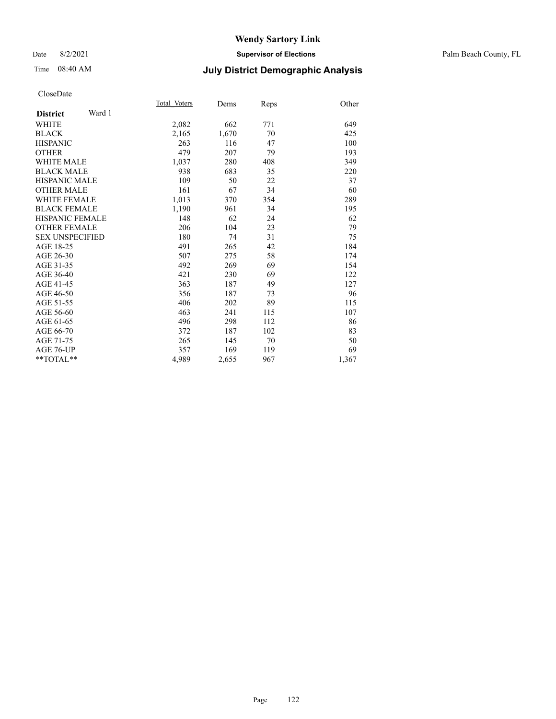### Date 8/2/2021 **Supervisor of Elections** Palm Beach County, FL

# Time 08:40 AM **July District Demographic Analysis**

|                        | Total Voters |       |      |       |
|------------------------|--------------|-------|------|-------|
| Ward 1                 |              | Dems  | Reps | Other |
| <b>District</b>        |              |       |      |       |
| WHITE                  | 2,082        | 662   | 771  | 649   |
| <b>BLACK</b>           | 2,165        | 1,670 | 70   | 425   |
| <b>HISPANIC</b>        | 263          | 116   | 47   | 100   |
| <b>OTHER</b>           | 479          | 207   | 79   | 193   |
| WHITE MALE             | 1,037        | 280   | 408  | 349   |
| <b>BLACK MALE</b>      | 938          | 683   | 35   | 220   |
| <b>HISPANIC MALE</b>   | 109          | 50    | 22   | 37    |
| <b>OTHER MALE</b>      | 161          | 67    | 34   | 60    |
| <b>WHITE FEMALE</b>    | 1,013        | 370   | 354  | 289   |
| <b>BLACK FEMALE</b>    | 1,190        | 961   | 34   | 195   |
| <b>HISPANIC FEMALE</b> | 148          | 62    | 24   | 62    |
| <b>OTHER FEMALE</b>    | 206          | 104   | 23   | 79    |
| <b>SEX UNSPECIFIED</b> | 180          | 74    | 31   | 75    |
| AGE 18-25              | 491          | 265   | 42   | 184   |
| AGE 26-30              | 507          | 275   | 58   | 174   |
| AGE 31-35              | 492          | 269   | 69   | 154   |
| AGE 36-40              | 421          | 230   | 69   | 122   |
| AGE 41-45              | 363          | 187   | 49   | 127   |
| AGE 46-50              | 356          | 187   | 73   | 96    |
| AGE 51-55              | 406          | 202   | 89   | 115   |
| AGE 56-60              | 463          | 241   | 115  | 107   |
| AGE 61-65              | 496          | 298   | 112  | 86    |
| AGE 66-70              | 372          | 187   | 102  | 83    |
| AGE 71-75              | 265          | 145   | 70   | 50    |
| AGE 76-UP              | 357          | 169   | 119  | 69    |
| $*$ $TOTAL**$          | 4,989        | 2,655 | 967  | 1,367 |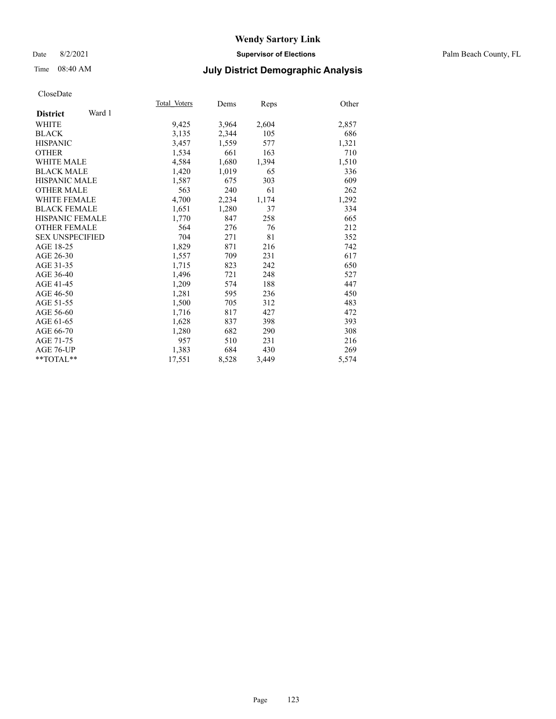### Date 8/2/2021 **Supervisor of Elections** Palm Beach County, FL

# Time 08:40 AM **July District Demographic Analysis**

|                           | Total Voters | Dems  | Reps  | Other |
|---------------------------|--------------|-------|-------|-------|
| Ward 1<br><b>District</b> |              |       |       |       |
| <b>WHITE</b>              | 9,425        | 3,964 | 2,604 | 2,857 |
| <b>BLACK</b>              | 3,135        | 2,344 | 105   | 686   |
| <b>HISPANIC</b>           | 3,457        | 1,559 | 577   | 1,321 |
| <b>OTHER</b>              | 1,534        | 661   | 163   | 710   |
| WHITE MALE                | 4,584        | 1,680 | 1,394 | 1,510 |
| <b>BLACK MALE</b>         | 1,420        | 1,019 | 65    | 336   |
| <b>HISPANIC MALE</b>      | 1,587        | 675   | 303   | 609   |
| <b>OTHER MALE</b>         | 563          | 240   | 61    | 262   |
| <b>WHITE FEMALE</b>       | 4,700        | 2,234 | 1,174 | 1,292 |
| <b>BLACK FEMALE</b>       | 1,651        | 1,280 | 37    | 334   |
| <b>HISPANIC FEMALE</b>    | 1,770        | 847   | 258   | 665   |
| <b>OTHER FEMALE</b>       | 564          | 276   | 76    | 212   |
| <b>SEX UNSPECIFIED</b>    | 704          | 271   | 81    | 352   |
| AGE 18-25                 | 1,829        | 871   | 216   | 742   |
| AGE 26-30                 | 1,557        | 709   | 231   | 617   |
| AGE 31-35                 | 1,715        | 823   | 242   | 650   |
| AGE 36-40                 | 1,496        | 721   | 248   | 527   |
| AGE 41-45                 | 1,209        | 574   | 188   | 447   |
| AGE 46-50                 | 1,281        | 595   | 236   | 450   |
| AGE 51-55                 | 1,500        | 705   | 312   | 483   |
| AGE 56-60                 | 1,716        | 817   | 427   | 472   |
| AGE 61-65                 | 1,628        | 837   | 398   | 393   |
| AGE 66-70                 | 1,280        | 682   | 290   | 308   |
| AGE 71-75                 | 957          | 510   | 231   | 216   |
| AGE 76-UP                 | 1.383        | 684   | 430   | 269   |
| $*$ $TOTAL**$             | 17,551       | 8,528 | 3,449 | 5,574 |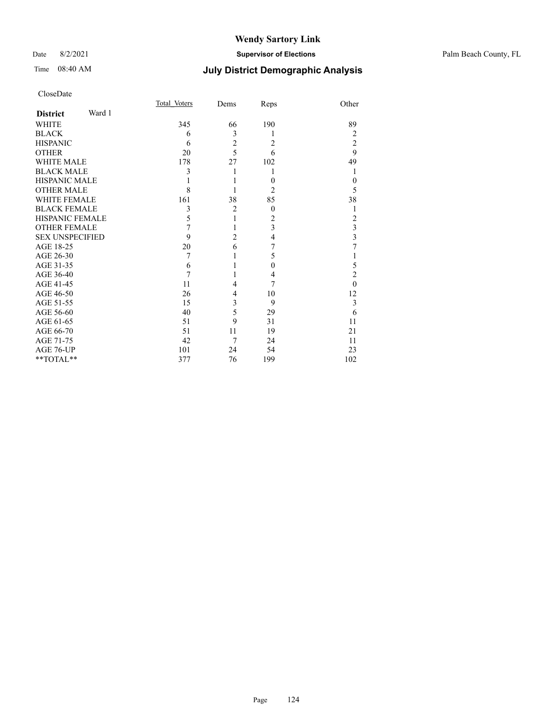### Date 8/2/2021 **Supervisor of Elections** Palm Beach County, FL

# Time 08:40 AM **July District Demographic Analysis**

| CloseDate |
|-----------|
|-----------|

|                        |        | Total Voters | Dems           | Reps           | Other                   |
|------------------------|--------|--------------|----------------|----------------|-------------------------|
| <b>District</b>        | Ward 1 |              |                |                |                         |
| <b>WHITE</b>           |        | 345          | 66             | 190            | 89                      |
| <b>BLACK</b>           |        | 6            | 3              | 1              | $\overline{2}$          |
| <b>HISPANIC</b>        |        | 6            | $\overline{c}$ | 2              | $\overline{2}$          |
| <b>OTHER</b>           |        | 20           | $\overline{5}$ | 6              | 9                       |
| <b>WHITE MALE</b>      |        | 178          | 27             | 102            | 49                      |
| <b>BLACK MALE</b>      |        | 3            | 1              | 1              | 1                       |
| <b>HISPANIC MALE</b>   |        |              |                | $\theta$       | $\theta$                |
| <b>OTHER MALE</b>      |        | 8            |                | $\overline{2}$ | 5                       |
| <b>WHITE FEMALE</b>    |        | 161          | 38             | 85             | 38                      |
| <b>BLACK FEMALE</b>    |        | 3            | $\overline{2}$ | $\theta$       | 1                       |
| <b>HISPANIC FEMALE</b> |        | 5            | 1              | 2              | 2                       |
| <b>OTHER FEMALE</b>    |        | 7            | 1              | 3              | $\overline{\mathbf{3}}$ |
| <b>SEX UNSPECIFIED</b> |        | 9            | $\overline{2}$ | 4              | $\overline{\mathbf{3}}$ |
| AGE 18-25              |        | 20           | 6              | 7              | 7                       |
| AGE 26-30              |        | 7            | 1              | 5              | 1                       |
| AGE 31-35              |        | 6            |                | $\theta$       | 5                       |
| AGE 36-40              |        | 7            | 1              | 4              | $\overline{2}$          |
| AGE 41-45              |        | 11           | 4              | 7              | $\theta$                |
| AGE 46-50              |        | 26           | 4              | 10             | 12                      |
| AGE 51-55              |        | 15           | 3              | 9              | 3                       |
| AGE 56-60              |        | 40           | 5              | 29             | 6                       |
| AGE 61-65              |        | 51           | 9              | 31             | 11                      |
| AGE 66-70              |        | 51           | 11             | 19             | 21                      |
| AGE 71-75              |        | 42           | 7              | 24             | 11                      |
| AGE 76-UP              |        | 101          | 24             | 54             | 23                      |
| **TOTAL**              |        | 377          | 76             | 199            | 102                     |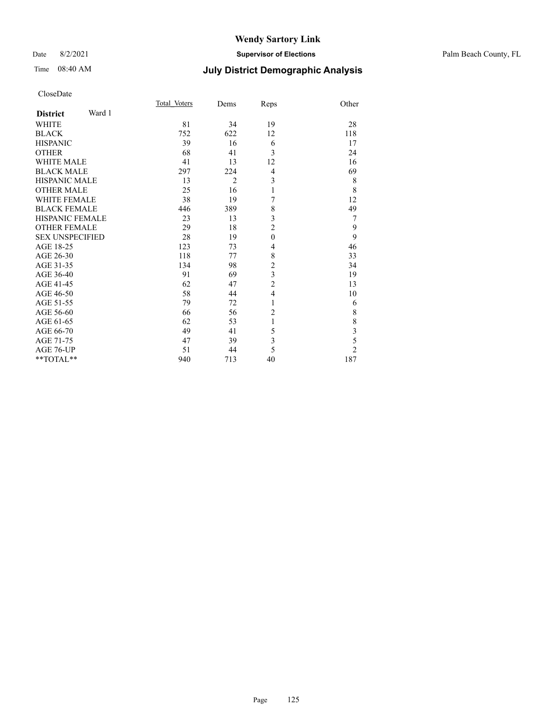### Date 8/2/2021 **Supervisor of Elections** Palm Beach County, FL

# Time 08:40 AM **July District Demographic Analysis**

| CloseDate |
|-----------|
|-----------|

|                        |        | Total Voters | Dems           | Reps           | Other          |
|------------------------|--------|--------------|----------------|----------------|----------------|
| <b>District</b>        | Ward 1 |              |                |                |                |
| <b>WHITE</b>           |        | 81           | 34             | 19             | 28             |
| <b>BLACK</b>           |        | 752          | 622            | 12             | 118            |
| <b>HISPANIC</b>        |        | 39           | 16             | 6              | 17             |
| <b>OTHER</b>           |        | 68           | 41             | 3              | 24             |
| <b>WHITE MALE</b>      |        | 41           | 13             | 12             | 16             |
| <b>BLACK MALE</b>      |        | 297          | 224            | 4              | 69             |
| <b>HISPANIC MALE</b>   |        | 13           | $\overline{2}$ | 3              | 8              |
| <b>OTHER MALE</b>      |        | 25           | 16             | $\mathbf{1}$   | $\,$ 8 $\,$    |
| <b>WHITE FEMALE</b>    |        | 38           | 19             | 7              | 12             |
| <b>BLACK FEMALE</b>    |        | 446          | 389            | 8              | 49             |
| <b>HISPANIC FEMALE</b> |        | 23           | 13             | 3              | 7              |
| <b>OTHER FEMALE</b>    |        | 29           | 18             | $\overline{2}$ | 9              |
| <b>SEX UNSPECIFIED</b> |        | 28           | 19             | $\mathbf{0}$   | 9              |
| AGE 18-25              |        | 123          | 73             | 4              | 46             |
| AGE 26-30              |        | 118          | 77             | 8              | 33             |
| AGE 31-35              |        | 134          | 98             | $\overline{c}$ | 34             |
| AGE 36-40              |        | 91           | 69             | 3              | 19             |
| AGE 41-45              |        | 62           | 47             | $\overline{c}$ | 13             |
| AGE 46-50              |        | 58           | 44             | $\overline{4}$ | 10             |
| AGE 51-55              |        | 79           | 72             | 1              | 6              |
| AGE 56-60              |        | 66           | 56             | $\overline{2}$ | $\,$ $\,$      |
| AGE 61-65              |        | 62           | 53             | 1              | $\,$ $\,$      |
| AGE 66-70              |        | 49           | 41             | 5              | $rac{3}{5}$    |
| AGE 71-75              |        | 47           | 39             | 3              |                |
| AGE 76-UP              |        | 51           | 44             | 5              | $\overline{c}$ |
| **TOTAL**              |        | 940          | 713            | 40             | 187            |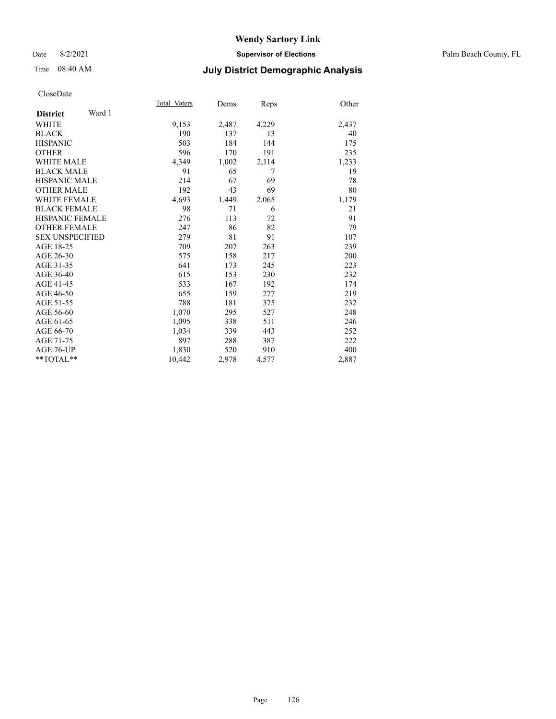### Date 8/2/2021 **Supervisor of Elections** Palm Beach County, FL

# Time 08:40 AM **July District Demographic Analysis**

|                        |        | Total Voters | Dems  | Reps  | Other |
|------------------------|--------|--------------|-------|-------|-------|
| <b>District</b>        | Ward 1 |              |       |       |       |
| <b>WHITE</b>           |        | 9,153        | 2,487 | 4,229 | 2,437 |
| <b>BLACK</b>           |        | 190          | 137   | 13    | 40    |
| <b>HISPANIC</b>        |        | 503          | 184   | 144   | 175   |
| <b>OTHER</b>           |        | 596          | 170   | 191   | 235   |
| <b>WHITE MALE</b>      |        | 4,349        | 1,002 | 2,114 | 1,233 |
| <b>BLACK MALE</b>      |        | 91           | 65    | 7     | 19    |
| <b>HISPANIC MALE</b>   |        | 214          | 67    | 69    | 78    |
| <b>OTHER MALE</b>      |        | 192          | 43    | 69    | 80    |
| <b>WHITE FEMALE</b>    |        | 4,693        | 1,449 | 2,065 | 1,179 |
| <b>BLACK FEMALE</b>    |        | 98           | 71    | 6     | 21    |
| <b>HISPANIC FEMALE</b> |        | 276          | 113   | 72    | 91    |
| <b>OTHER FEMALE</b>    |        | 247          | 86    | 82    | 79    |
| <b>SEX UNSPECIFIED</b> |        | 279          | 81    | 91    | 107   |
| AGE 18-25              |        | 709          | 207   | 263   | 239   |
| AGE 26-30              |        | 575          | 158   | 217   | 200   |
| AGE 31-35              |        | 641          | 173   | 245   | 223   |
| AGE 36-40              |        | 615          | 153   | 230   | 232   |
| AGE 41-45              |        | 533          | 167   | 192   | 174   |
| AGE 46-50              |        | 655          | 159   | 277   | 219   |
| AGE 51-55              |        | 788          | 181   | 375   | 232   |
| AGE 56-60              |        | 1,070        | 295   | 527   | 248   |
| AGE 61-65              |        | 1,095        | 338   | 511   | 246   |
| AGE 66-70              |        | 1,034        | 339   | 443   | 252   |
| AGE 71-75              |        | 897          | 288   | 387   | 222   |
| AGE 76-UP              |        | 1,830        | 520   | 910   | 400   |
| $*$ $TOTAL**$          |        | 10,442       | 2,978 | 4,577 | 2,887 |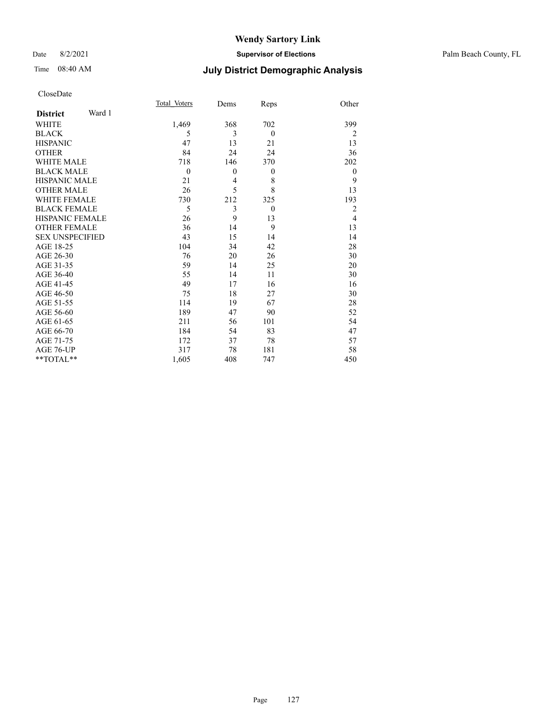### Date 8/2/2021 **Supervisor of Elections** Palm Beach County, FL

# Time 08:40 AM **July District Demographic Analysis**

| Total Voters   | Dems         | Reps           | Other          |
|----------------|--------------|----------------|----------------|
|                |              |                |                |
| 1,469          | 368          | 702            | 399            |
| 5              | 3            | $\theta$       | $\overline{2}$ |
| 47             | 13           | 21             | 13             |
| 84             | 24           | 24             | 36             |
| 718            | 146          | 370            | 202            |
| $\overline{0}$ | $\mathbf{0}$ | $\theta$       | $\mathbf{0}$   |
| 21             | 4            | 8              | 9              |
| 26             | 5            | 8              | 13             |
| 730            | 212          | 325            | 193            |
| 5              | 3            | $\overline{0}$ | $\overline{2}$ |
| 26             | 9            | 13             | $\overline{4}$ |
| 36             | 14           | 9              | 13             |
| 43             | 15           | 14             | 14             |
| 104            | 34           | 42             | 28             |
| 76             | 20           | 26             | 30             |
| 59             | 14           | 25             | 20             |
| 55             | 14           | 11             | 30             |
| 49             | 17           | 16             | 16             |
| 75             | 18           | 27             | 30             |
| 114            | 19           | 67             | 28             |
| 189            | 47           | 90             | 52             |
| 211            | 56           | 101            | 54             |
| 184            | 54           | 83             | 47             |
| 172            | 37           | 78             | 57             |
| 317            | 78           | 181            | 58             |
| 1,605          | 408          | 747            | 450            |
|                |              |                |                |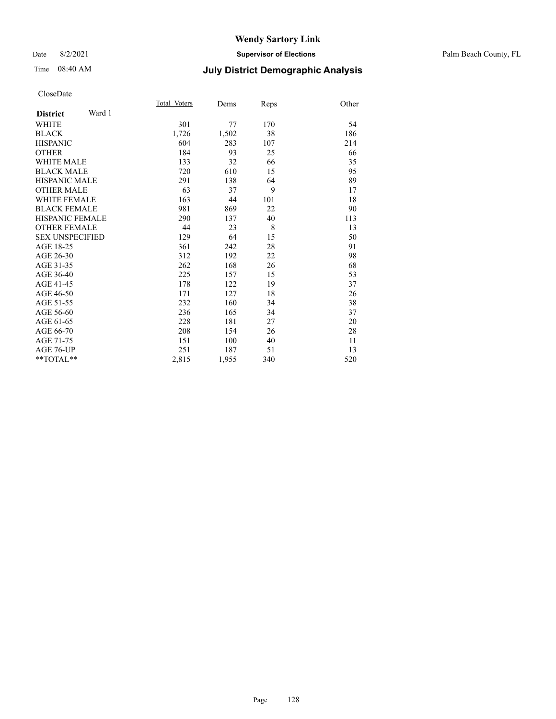### Date 8/2/2021 **Supervisor of Elections** Palm Beach County, FL

# Time 08:40 AM **July District Demographic Analysis**

|                           | Total Voters | Dems  | Reps | Other |
|---------------------------|--------------|-------|------|-------|
| Ward 1<br><b>District</b> |              |       |      |       |
| WHITE                     | 301          | 77    | 170  | 54    |
| <b>BLACK</b>              | 1,726        | 1,502 | 38   | 186   |
| <b>HISPANIC</b>           | 604          | 283   | 107  | 214   |
| <b>OTHER</b>              | 184          | 93    | 25   | 66    |
| WHITE MALE                | 133          | 32    | 66   | 35    |
| <b>BLACK MALE</b>         | 720          | 610   | 15   | 95    |
| <b>HISPANIC MALE</b>      | 291          | 138   | 64   | 89    |
| <b>OTHER MALE</b>         | 63           | 37    | 9    | 17    |
| <b>WHITE FEMALE</b>       | 163          | 44    | 101  | 18    |
| <b>BLACK FEMALE</b>       | 981          | 869   | 22   | 90    |
| <b>HISPANIC FEMALE</b>    | 290          | 137   | 40   | 113   |
| <b>OTHER FEMALE</b>       | 44           | 23    | 8    | 13    |
| <b>SEX UNSPECIFIED</b>    | 129          | 64    | 15   | 50    |
| AGE 18-25                 | 361          | 242   | 28   | 91    |
| AGE 26-30                 | 312          | 192   | 22   | 98    |
| AGE 31-35                 | 262          | 168   | 26   | 68    |
| AGE 36-40                 | 225          | 157   | 15   | 53    |
| AGE 41-45                 | 178          | 122   | 19   | 37    |
| AGE 46-50                 | 171          | 127   | 18   | 26    |
| AGE 51-55                 | 232          | 160   | 34   | 38    |
| AGE 56-60                 | 236          | 165   | 34   | 37    |
| AGE 61-65                 | 228          | 181   | 27   | 20    |
| AGE 66-70                 | 208          | 154   | 26   | 28    |
| AGE 71-75                 | 151          | 100   | 40   | 11    |
| AGE 76-UP                 | 251          | 187   | 51   | 13    |
| $*$ $TOTAL**$             | 2,815        | 1,955 | 340  | 520   |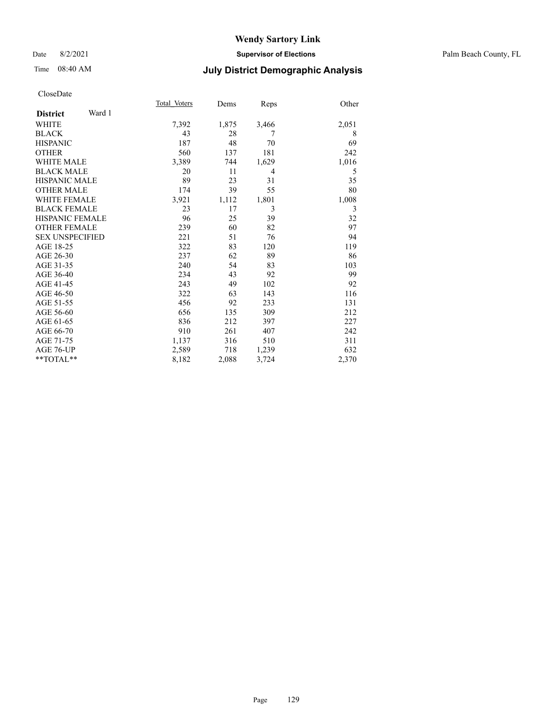# Time 08:40 AM **July District Demographic Analysis**

|                        |        | Total Voters | Dems  | Reps  | Other |
|------------------------|--------|--------------|-------|-------|-------|
| <b>District</b>        | Ward 1 |              |       |       |       |
| <b>WHITE</b>           |        | 7,392        | 1,875 | 3,466 | 2,051 |
| <b>BLACK</b>           |        | 43           | 28    | 7     | 8     |
| <b>HISPANIC</b>        |        | 187          | 48    | 70    | 69    |
| <b>OTHER</b>           |        | 560          | 137   | 181   | 242   |
| <b>WHITE MALE</b>      |        | 3,389        | 744   | 1,629 | 1,016 |
| <b>BLACK MALE</b>      |        | 20           | 11    | 4     | 5     |
| <b>HISPANIC MALE</b>   |        | 89           | 23    | 31    | 35    |
| <b>OTHER MALE</b>      |        | 174          | 39    | 55    | 80    |
| <b>WHITE FEMALE</b>    |        | 3,921        | 1,112 | 1,801 | 1,008 |
| <b>BLACK FEMALE</b>    |        | 23           | 17    | 3     | 3     |
| <b>HISPANIC FEMALE</b> |        | 96           | 25    | 39    | 32    |
| <b>OTHER FEMALE</b>    |        | 239          | 60    | 82    | 97    |
| <b>SEX UNSPECIFIED</b> |        | 221          | 51    | 76    | 94    |
| AGE 18-25              |        | 322          | 83    | 120   | 119   |
| AGE 26-30              |        | 237          | 62    | 89    | 86    |
| AGE 31-35              |        | 240          | 54    | 83    | 103   |
| AGE 36-40              |        | 234          | 43    | 92    | 99    |
| AGE 41-45              |        | 243          | 49    | 102   | 92    |
| AGE 46-50              |        | 322          | 63    | 143   | 116   |
| AGE 51-55              |        | 456          | 92    | 233   | 131   |
| AGE 56-60              |        | 656          | 135   | 309   | 212   |
| AGE 61-65              |        | 836          | 212   | 397   | 227   |
| AGE 66-70              |        | 910          | 261   | 407   | 242   |
| AGE 71-75              |        | 1,137        | 316   | 510   | 311   |
| AGE 76-UP              |        | 2,589        | 718   | 1,239 | 632   |
| **TOTAL**              |        | 8,182        | 2,088 | 3,724 | 2,370 |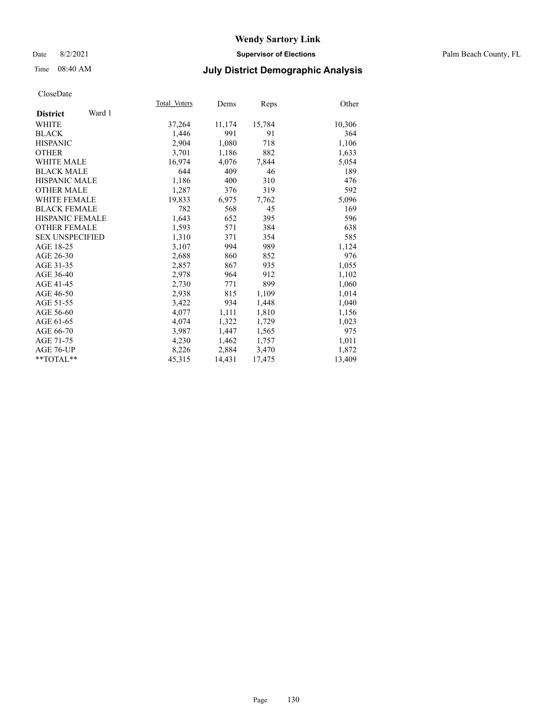Date 8/2/2021 **Supervisor of Elections** Palm Beach County, FL

# Time 08:40 AM **July District Demographic Analysis**

|                           | Total Voters | Dems   | <b>Reps</b> | Other  |
|---------------------------|--------------|--------|-------------|--------|
| Ward 1<br><b>District</b> |              |        |             |        |
| WHITE                     | 37,264       | 11,174 | 15,784      | 10,306 |
| <b>BLACK</b>              | 1,446        | 991    | 91          | 364    |
| <b>HISPANIC</b>           | 2,904        | 1,080  | 718         | 1,106  |
| <b>OTHER</b>              | 3,701        | 1,186  | 882         | 1,633  |
| <b>WHITE MALE</b>         | 16,974       | 4,076  | 7,844       | 5,054  |
| <b>BLACK MALE</b>         | 644          | 409    | 46          | 189    |
| <b>HISPANIC MALE</b>      | 1,186        | 400    | 310         | 476    |
| <b>OTHER MALE</b>         | 1,287        | 376    | 319         | 592    |
| <b>WHITE FEMALE</b>       | 19,833       | 6,975  | 7,762       | 5,096  |
| <b>BLACK FEMALE</b>       | 782          | 568    | 45          | 169    |
| <b>HISPANIC FEMALE</b>    | 1,643        | 652    | 395         | 596    |
| <b>OTHER FEMALE</b>       | 1,593        | 571    | 384         | 638    |
| <b>SEX UNSPECIFIED</b>    | 1,310        | 371    | 354         | 585    |
| AGE 18-25                 | 3,107        | 994    | 989         | 1,124  |
| AGE 26-30                 | 2,688        | 860    | 852         | 976    |
| AGE 31-35                 | 2,857        | 867    | 935         | 1,055  |
| AGE 36-40                 | 2,978        | 964    | 912         | 1,102  |
| AGE 41-45                 | 2,730        | 771    | 899         | 1,060  |
| AGE 46-50                 | 2,938        | 815    | 1,109       | 1,014  |
| AGE 51-55                 | 3,422        | 934    | 1,448       | 1,040  |
| AGE 56-60                 | 4,077        | 1,111  | 1,810       | 1,156  |
| AGE 61-65                 | 4,074        | 1,322  | 1,729       | 1,023  |
| AGE 66-70                 | 3,987        | 1,447  | 1,565       | 975    |
| AGE 71-75                 | 4,230        | 1,462  | 1,757       | 1,011  |
| AGE 76-UP                 | 8,226        | 2,884  | 3,470       | 1,872  |
| $*$ $TOTAL**$             | 45,315       | 14,431 | 17,475      | 13,409 |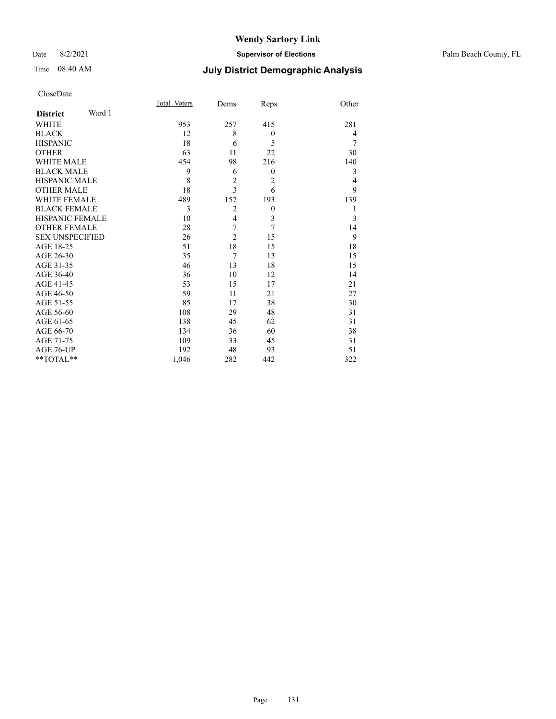### Date 8/2/2021 **Supervisor of Elections** Palm Beach County, FL

# Time 08:40 AM **July District Demographic Analysis**

|                           | Total Voters | Dems           | Reps           | Other          |
|---------------------------|--------------|----------------|----------------|----------------|
| Ward 1<br><b>District</b> |              |                |                |                |
| <b>WHITE</b>              | 953          | 257            | 415            | 281            |
| <b>BLACK</b>              | 12           | 8              | $\mathbf{0}$   | 4              |
| <b>HISPANIC</b>           | 18           | 6              | 5              | 7              |
| <b>OTHER</b>              | 63           | 11             | 22             | 30             |
| <b>WHITE MALE</b>         | 454          | 98             | 216            | 140            |
| <b>BLACK MALE</b>         | 9            | 6              | $\mathbf{0}$   | 3              |
| <b>HISPANIC MALE</b>      | 8            | $\overline{2}$ | $\overline{2}$ | $\overline{4}$ |
| <b>OTHER MALE</b>         | 18           | $\overline{3}$ | 6              | 9              |
| <b>WHITE FEMALE</b>       | 489          | 157            | 193            | 139            |
| <b>BLACK FEMALE</b>       | 3            | $\overline{2}$ | $\mathbf{0}$   | 1              |
| <b>HISPANIC FEMALE</b>    | 10           | $\overline{4}$ | $\mathfrak{Z}$ | 3              |
| <b>OTHER FEMALE</b>       | 28           | 7              | $\overline{7}$ | 14             |
| <b>SEX UNSPECIFIED</b>    | 26           | $\overline{2}$ | 15             | 9              |
| AGE 18-25                 | 51           | 18             | 15             | 18             |
| AGE 26-30                 | 35           | $\overline{7}$ | 13             | 15             |
| AGE 31-35                 | 46           | 13             | 18             | 15             |
| AGE 36-40                 | 36           | 10             | 12             | 14             |
| AGE 41-45                 | 53           | 15             | 17             | 21             |
| AGE 46-50                 | 59           | 11             | 21             | 27             |
| AGE 51-55                 | 85           | 17             | 38             | 30             |
| AGE 56-60                 | 108          | 29             | 48             | 31             |
| AGE 61-65                 | 138          | 45             | 62             | 31             |
| AGE 66-70                 | 134          | 36             | 60             | 38             |
| AGE 71-75                 | 109          | 33             | 45             | 31             |
| AGE 76-UP                 | 192          | 48             | 93             | 51             |
| **TOTAL**                 | 1,046        | 282            | 442            | 322            |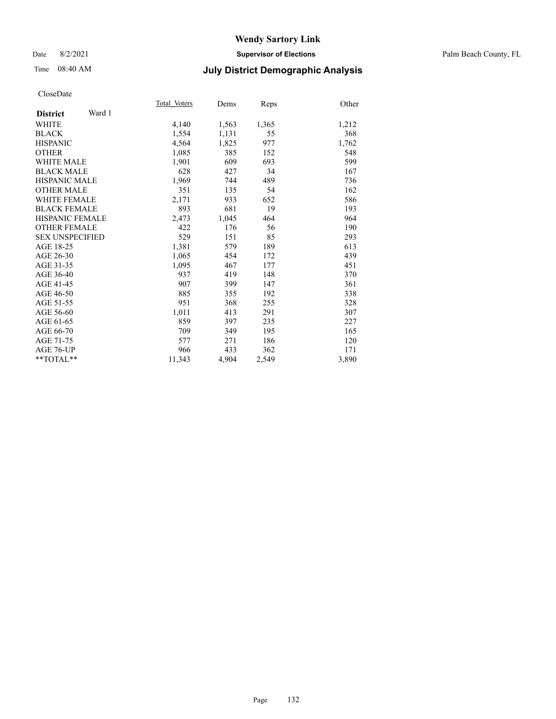Date 8/2/2021 **Supervisor of Elections** Palm Beach County, FL

# Time 08:40 AM **July District Demographic Analysis**

|                           | Total Voters | Dems  | Reps  | Other |
|---------------------------|--------------|-------|-------|-------|
| Ward 1<br><b>District</b> |              |       |       |       |
| WHITE                     | 4,140        | 1,563 | 1,365 | 1,212 |
| <b>BLACK</b>              | 1,554        | 1,131 | 55    | 368   |
| <b>HISPANIC</b>           | 4,564        | 1,825 | 977   | 1,762 |
| <b>OTHER</b>              | 1,085        | 385   | 152   | 548   |
| WHITE MALE                | 1,901        | 609   | 693   | 599   |
| <b>BLACK MALE</b>         | 628          | 427   | 34    | 167   |
| <b>HISPANIC MALE</b>      | 1,969        | 744   | 489   | 736   |
| <b>OTHER MALE</b>         | 351          | 135   | 54    | 162   |
| <b>WHITE FEMALE</b>       | 2,171        | 933   | 652   | 586   |
| <b>BLACK FEMALE</b>       | 893          | 681   | 19    | 193   |
| <b>HISPANIC FEMALE</b>    | 2,473        | 1,045 | 464   | 964   |
| <b>OTHER FEMALE</b>       | 422          | 176   | 56    | 190   |
| <b>SEX UNSPECIFIED</b>    | 529          | 151   | 85    | 293   |
| AGE 18-25                 | 1,381        | 579   | 189   | 613   |
| AGE 26-30                 | 1,065        | 454   | 172   | 439   |
| AGE 31-35                 | 1,095        | 467   | 177   | 451   |
| AGE 36-40                 | 937          | 419   | 148   | 370   |
| AGE 41-45                 | 907          | 399   | 147   | 361   |
| AGE 46-50                 | 885          | 355   | 192   | 338   |
| AGE 51-55                 | 951          | 368   | 255   | 328   |
| AGE 56-60                 | 1,011        | 413   | 291   | 307   |
| AGE 61-65                 | 859          | 397   | 235   | 227   |
| AGE 66-70                 | 709          | 349   | 195   | 165   |
| AGE 71-75                 | 577          | 271   | 186   | 120   |
| AGE 76-UP                 | 966          | 433   | 362   | 171   |
| $*$ $TOTAL**$             | 11,343       | 4,904 | 2,549 | 3,890 |
|                           |              |       |       |       |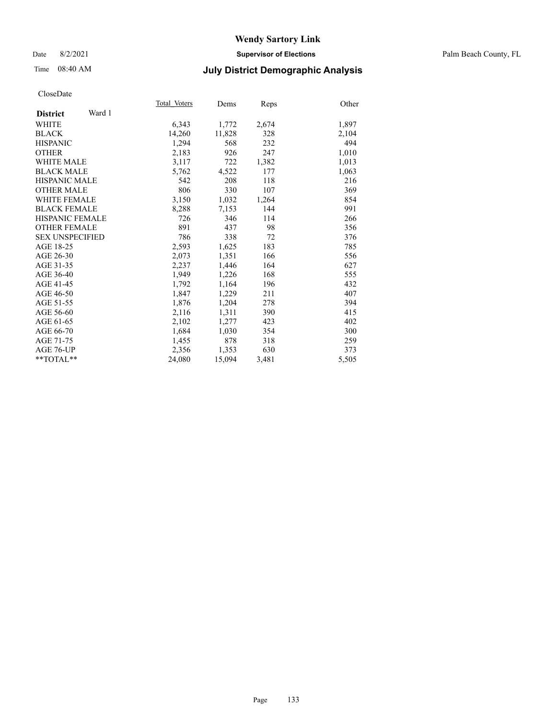### Date 8/2/2021 **Supervisor of Elections** Palm Beach County, FL

# Time 08:40 AM **July District Demographic Analysis**

|                           | Total Voters | Dems   | <b>Reps</b> | Other |
|---------------------------|--------------|--------|-------------|-------|
| Ward 1<br><b>District</b> |              |        |             |       |
| WHITE                     | 6,343        | 1,772  | 2,674       | 1,897 |
| <b>BLACK</b>              | 14,260       | 11,828 | 328         | 2,104 |
| <b>HISPANIC</b>           | 1,294        | 568    | 232         | 494   |
| <b>OTHER</b>              | 2,183        | 926    | 247         | 1,010 |
| <b>WHITE MALE</b>         | 3,117        | 722    | 1,382       | 1,013 |
| <b>BLACK MALE</b>         | 5,762        | 4,522  | 177         | 1,063 |
| <b>HISPANIC MALE</b>      | 542          | 208    | 118         | 216   |
| <b>OTHER MALE</b>         | 806          | 330    | 107         | 369   |
| <b>WHITE FEMALE</b>       | 3,150        | 1,032  | 1,264       | 854   |
| <b>BLACK FEMALE</b>       | 8,288        | 7,153  | 144         | 991   |
| <b>HISPANIC FEMALE</b>    | 726          | 346    | 114         | 266   |
| <b>OTHER FEMALE</b>       | 891          | 437    | 98          | 356   |
| <b>SEX UNSPECIFIED</b>    | 786          | 338    | 72          | 376   |
| AGE 18-25                 | 2,593        | 1,625  | 183         | 785   |
| AGE 26-30                 | 2,073        | 1,351  | 166         | 556   |
| AGE 31-35                 | 2,237        | 1,446  | 164         | 627   |
| AGE 36-40                 | 1,949        | 1,226  | 168         | 555   |
| AGE 41-45                 | 1,792        | 1,164  | 196         | 432   |
| AGE 46-50                 | 1,847        | 1,229  | 211         | 407   |
| AGE 51-55                 | 1,876        | 1,204  | 278         | 394   |
| AGE 56-60                 | 2,116        | 1,311  | 390         | 415   |
| AGE 61-65                 | 2,102        | 1,277  | 423         | 402   |
| AGE 66-70                 | 1,684        | 1,030  | 354         | 300   |
| AGE 71-75                 | 1,455        | 878    | 318         | 259   |
| AGE 76-UP                 | 2,356        | 1,353  | 630         | 373   |
| $*$ $TOTAL**$             | 24,080       | 15,094 | 3,481       | 5,505 |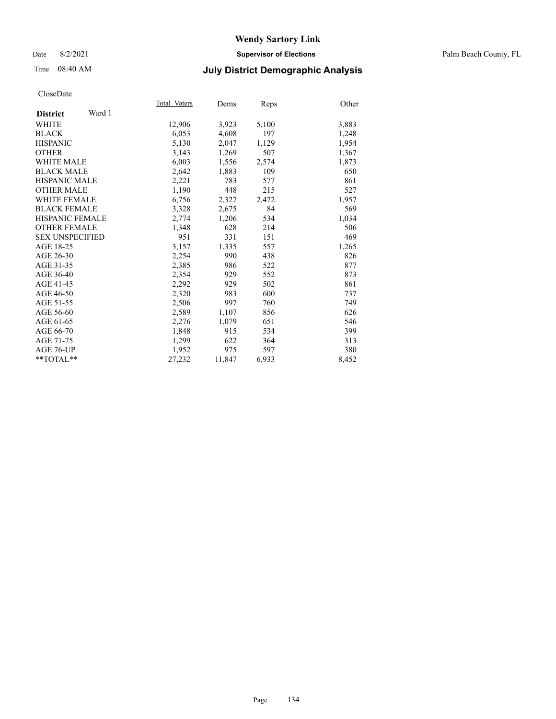Date 8/2/2021 **Supervisor of Elections** Palm Beach County, FL

# Time 08:40 AM **July District Demographic Analysis**

|                           | Total Voters | Dems   | Reps  | Other |
|---------------------------|--------------|--------|-------|-------|
| Ward 1<br><b>District</b> |              |        |       |       |
| WHITE                     | 12,906       | 3,923  | 5,100 | 3,883 |
| <b>BLACK</b>              | 6,053        | 4,608  | 197   | 1,248 |
| <b>HISPANIC</b>           | 5,130        | 2,047  | 1,129 | 1,954 |
| <b>OTHER</b>              | 3,143        | 1,269  | 507   | 1,367 |
| <b>WHITE MALE</b>         | 6,003        | 1,556  | 2,574 | 1,873 |
| <b>BLACK MALE</b>         | 2,642        | 1,883  | 109   | 650   |
| <b>HISPANIC MALE</b>      | 2,221        | 783    | 577   | 861   |
| <b>OTHER MALE</b>         | 1.190        | 448    | 215   | 527   |
| <b>WHITE FEMALE</b>       | 6,756        | 2,327  | 2,472 | 1,957 |
| <b>BLACK FEMALE</b>       | 3,328        | 2,675  | 84    | 569   |
| <b>HISPANIC FEMALE</b>    | 2,774        | 1,206  | 534   | 1,034 |
| <b>OTHER FEMALE</b>       | 1,348        | 628    | 214   | 506   |
| <b>SEX UNSPECIFIED</b>    | 951          | 331    | 151   | 469   |
| AGE 18-25                 | 3,157        | 1,335  | 557   | 1,265 |
| AGE 26-30                 | 2,254        | 990    | 438   | 826   |
| AGE 31-35                 | 2,385        | 986    | 522   | 877   |
| AGE 36-40                 | 2,354        | 929    | 552   | 873   |
| AGE 41-45                 | 2,292        | 929    | 502   | 861   |
| AGE 46-50                 | 2,320        | 983    | 600   | 737   |
| AGE 51-55                 | 2,506        | 997    | 760   | 749   |
| AGE 56-60                 | 2,589        | 1,107  | 856   | 626   |
| AGE 61-65                 | 2,276        | 1,079  | 651   | 546   |
| AGE 66-70                 | 1,848        | 915    | 534   | 399   |
| AGE 71-75                 | 1,299        | 622    | 364   | 313   |
| AGE 76-UP                 | 1.952        | 975    | 597   | 380   |
| $*$ TOTAL $*$             | 27,232       | 11,847 | 6,933 | 8,452 |
|                           |              |        |       |       |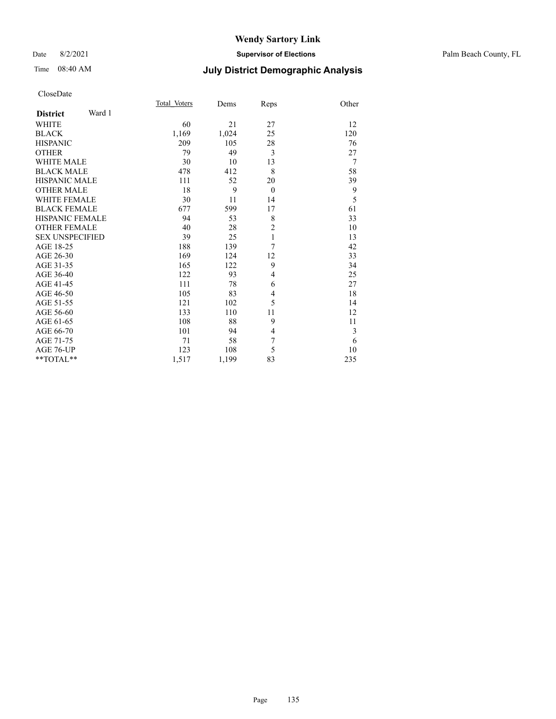### Date 8/2/2021 **Supervisor of Elections** Palm Beach County, FL

# Time 08:40 AM **July District Demographic Analysis**

|                           | Total Voters | Dems  | Reps           | Other          |
|---------------------------|--------------|-------|----------------|----------------|
| Ward 1<br><b>District</b> |              |       |                |                |
| <b>WHITE</b>              | 60           | 21    | 27             | 12             |
| <b>BLACK</b>              | 1,169        | 1,024 | 25             | 120            |
| <b>HISPANIC</b>           | 209          | 105   | 28             | 76             |
| <b>OTHER</b>              | 79           | 49    | 3              | 27             |
| <b>WHITE MALE</b>         | 30           | 10    | 13             | $\overline{7}$ |
| <b>BLACK MALE</b>         | 478          | 412   | 8              | 58             |
| <b>HISPANIC MALE</b>      | 111          | 52    | 20             | 39             |
| <b>OTHER MALE</b>         | 18           | 9     | $\theta$       | 9              |
| <b>WHITE FEMALE</b>       | 30           | 11    | 14             | 5              |
| <b>BLACK FEMALE</b>       | 677          | 599   | 17             | 61             |
| <b>HISPANIC FEMALE</b>    | 94           | 53    | 8              | 33             |
| <b>OTHER FEMALE</b>       | 40           | 28    | $\overline{c}$ | 10             |
| <b>SEX UNSPECIFIED</b>    | 39           | 25    | 1              | 13             |
| AGE 18-25                 | 188          | 139   | 7              | 42             |
| AGE 26-30                 | 169          | 124   | 12             | 33             |
| AGE 31-35                 | 165          | 122   | 9              | 34             |
| AGE 36-40                 | 122          | 93    | 4              | 25             |
| AGE 41-45                 | 111          | 78    | 6              | 27             |
| AGE 46-50                 | 105          | 83    | 4              | 18             |
| AGE 51-55                 | 121          | 102   | 5              | 14             |
| AGE 56-60                 | 133          | 110   | 11             | 12             |
| AGE 61-65                 | 108          | 88    | 9              | 11             |
| AGE 66-70                 | 101          | 94    | 4              | 3              |
| AGE 71-75                 | 71           | 58    | 7              | 6              |
| AGE 76-UP                 | 123          | 108   | 5              | 10             |
| **TOTAL**                 | 1,517        | 1,199 | 83             | 235            |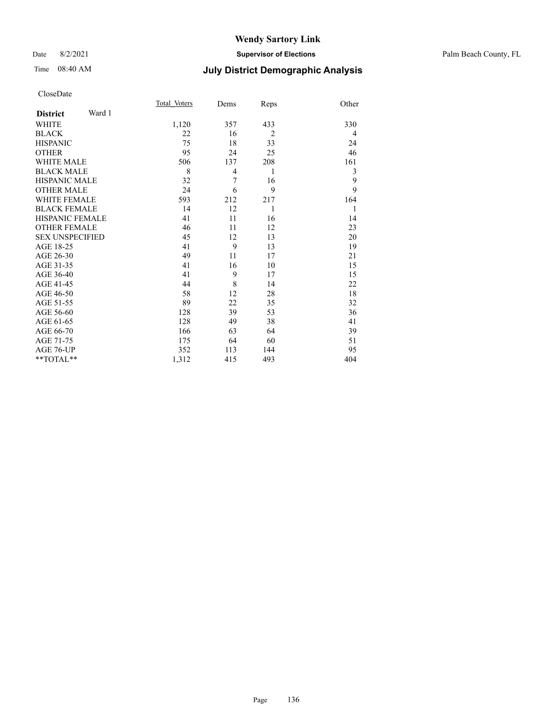### Date 8/2/2021 **Supervisor of Elections** Palm Beach County, FL

# Time 08:40 AM **July District Demographic Analysis**

|                        |        | Total Voters | Dems | Reps           | Other          |
|------------------------|--------|--------------|------|----------------|----------------|
| <b>District</b>        | Ward 1 |              |      |                |                |
| <b>WHITE</b>           |        | 1,120        | 357  | 433            | 330            |
| <b>BLACK</b>           |        | 22           | 16   | $\overline{2}$ | $\overline{4}$ |
| <b>HISPANIC</b>        |        | 75           | 18   | 33             | 24             |
| <b>OTHER</b>           |        | 95           | 24   | 25             | 46             |
| <b>WHITE MALE</b>      |        | 506          | 137  | 208            | 161            |
| <b>BLACK MALE</b>      |        | 8            | 4    | 1              | 3              |
| <b>HISPANIC MALE</b>   |        | 32           | 7    | 16             | 9              |
| <b>OTHER MALE</b>      |        | 24           | 6    | 9              | 9              |
| <b>WHITE FEMALE</b>    |        | 593          | 212  | 217            | 164            |
| <b>BLACK FEMALE</b>    |        | 14           | 12   | 1              | 1              |
| <b>HISPANIC FEMALE</b> |        | 41           | 11   | 16             | 14             |
| <b>OTHER FEMALE</b>    |        | 46           | 11   | 12             | 23             |
| <b>SEX UNSPECIFIED</b> |        | 45           | 12   | 13             | 20             |
| AGE 18-25              |        | 41           | 9    | 13             | 19             |
| AGE 26-30              |        | 49           | 11   | 17             | 21             |
| AGE 31-35              |        | 41           | 16   | 10             | 15             |
| AGE 36-40              |        | 41           | 9    | 17             | 15             |
| AGE 41-45              |        | 44           | 8    | 14             | 22             |
| AGE 46-50              |        | 58           | 12   | 28             | 18             |
| AGE 51-55              |        | 89           | 22   | 35             | 32             |
| AGE 56-60              |        | 128          | 39   | 53             | 36             |
| AGE 61-65              |        | 128          | 49   | 38             | 41             |
| AGE 66-70              |        | 166          | 63   | 64             | 39             |
| AGE 71-75              |        | 175          | 64   | 60             | 51             |
| AGE 76-UP              |        | 352          | 113  | 144            | 95             |
| **TOTAL**              |        | 1,312        | 415  | 493            | 404            |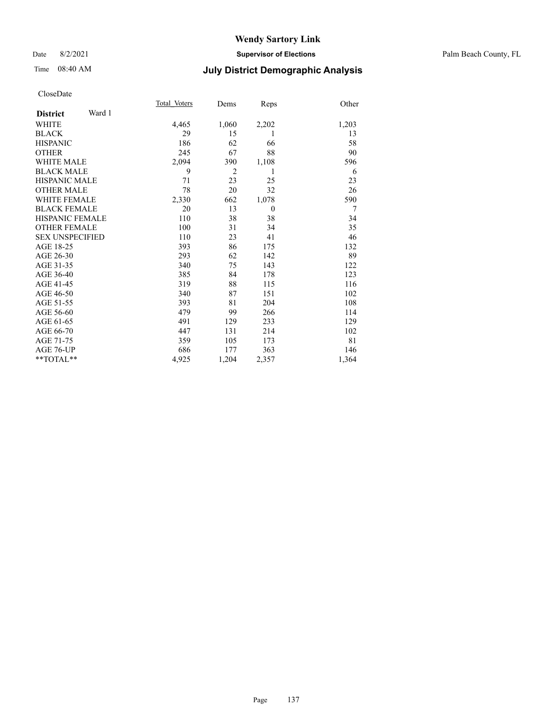Date 8/2/2021 **Supervisor of Elections** Palm Beach County, FL

# Time 08:40 AM **July District Demographic Analysis**

|                        |        | Total Voters | Dems           | Reps           | Other |
|------------------------|--------|--------------|----------------|----------------|-------|
| <b>District</b>        | Ward 1 |              |                |                |       |
| <b>WHITE</b>           |        | 4,465        | 1,060          | 2,202          | 1,203 |
| <b>BLACK</b>           |        | 29           | 15             | 1              | 13    |
| <b>HISPANIC</b>        |        | 186          | 62             | 66             | 58    |
| <b>OTHER</b>           |        | 245          | 67             | 88             | 90    |
| <b>WHITE MALE</b>      |        | 2,094        | 390            | 1,108          | 596   |
| <b>BLACK MALE</b>      |        | 9            | $\overline{2}$ | 1              | 6     |
| <b>HISPANIC MALE</b>   |        | 71           | 23             | 25             | 23    |
| <b>OTHER MALE</b>      |        | 78           | 20             | 32             | 26    |
| <b>WHITE FEMALE</b>    |        | 2,330        | 662            | 1,078          | 590   |
| <b>BLACK FEMALE</b>    |        | 20           | 13             | $\overline{0}$ | 7     |
| <b>HISPANIC FEMALE</b> |        | 110          | 38             | 38             | 34    |
| <b>OTHER FEMALE</b>    |        | 100          | 31             | 34             | 35    |
| <b>SEX UNSPECIFIED</b> |        | 110          | 23             | 41             | 46    |
| AGE 18-25              |        | 393          | 86             | 175            | 132   |
| AGE 26-30              |        | 293          | 62             | 142            | 89    |
| AGE 31-35              |        | 340          | 75             | 143            | 122   |
| AGE 36-40              |        | 385          | 84             | 178            | 123   |
| AGE 41-45              |        | 319          | 88             | 115            | 116   |
| AGE 46-50              |        | 340          | 87             | 151            | 102   |
| AGE 51-55              |        | 393          | 81             | 204            | 108   |
| AGE 56-60              |        | 479          | 99             | 266            | 114   |
| AGE 61-65              |        | 491          | 129            | 233            | 129   |
| AGE 66-70              |        | 447          | 131            | 214            | 102   |
| AGE 71-75              |        | 359          | 105            | 173            | 81    |
| AGE 76-UP              |        | 686          | 177            | 363            | 146   |
| $*$ $TOTAL**$          |        | 4,925        | 1,204          | 2,357          | 1,364 |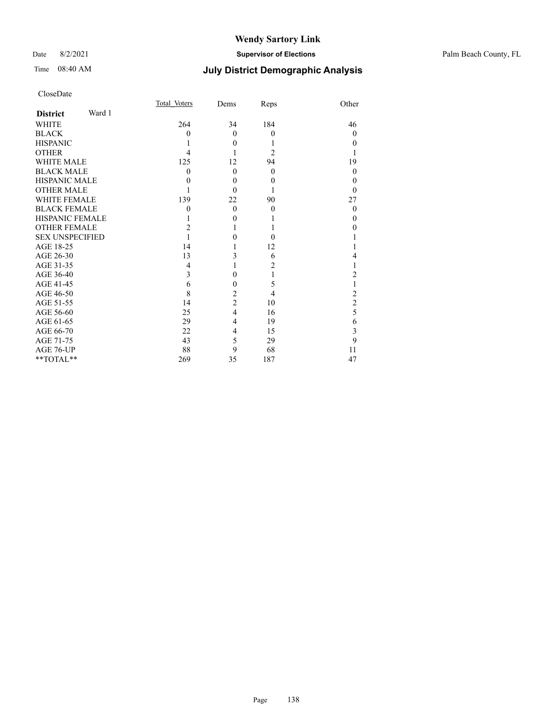### Date 8/2/2021 **Supervisor of Elections** Palm Beach County, FL

# Time 08:40 AM **July District Demographic Analysis**

| CloseDate |
|-----------|
|-----------|

|                           | Total Voters | Dems           | Reps           | Other          |
|---------------------------|--------------|----------------|----------------|----------------|
| Ward 1<br><b>District</b> |              |                |                |                |
| <b>WHITE</b>              | 264          | 34             | 184            | 46             |
| <b>BLACK</b>              | 0            | $\theta$       | $\theta$       | $\theta$       |
| <b>HISPANIC</b>           |              | $\theta$       | 1              | $\theta$       |
| <b>OTHER</b>              | 4            |                | $\overline{2}$ |                |
| <b>WHITE MALE</b>         | 125          | 12             | 94             | 19             |
| <b>BLACK MALE</b>         | 0            | $\theta$       | $\overline{0}$ | $\theta$       |
| <b>HISPANIC MALE</b>      | 0            | $\theta$       | 0              | $\theta$       |
| <b>OTHER MALE</b>         |              | $\theta$       |                | $\theta$       |
| <b>WHITE FEMALE</b>       | 139          | 22             | 90             | 27             |
| <b>BLACK FEMALE</b>       | 0            | $\theta$       | $\theta$       | $\theta$       |
| <b>HISPANIC FEMALE</b>    |              | $\theta$       |                | $\theta$       |
| <b>OTHER FEMALE</b>       | 2            | 1              |                | $\theta$       |
| <b>SEX UNSPECIFIED</b>    |              | $\theta$       | $\Omega$       |                |
| AGE 18-25                 | 14           |                | 12             |                |
| AGE 26-30                 | 13           | 3              | 6              | 4              |
| AGE 31-35                 | 4            | 1              | 2              | 1              |
| AGE 36-40                 | 3            | $\theta$       | 1              | 2              |
| AGE 41-45                 | 6            | $\theta$       | 5              |                |
| AGE 46-50                 | 8            | $\overline{c}$ | 4              | $\overline{c}$ |
| AGE 51-55                 | 14           | $\overline{c}$ | 10             | $\overline{c}$ |
| AGE 56-60                 | 25           | $\overline{4}$ | 16             | 5              |
| AGE 61-65                 | 29           | 4              | 19             | 6              |
| AGE 66-70                 | 22           | $\overline{4}$ | 15             | 3              |
| AGE 71-75                 | 43           | 5              | 29             | 9              |
| AGE 76-UP                 | 88           | 9              | 68             | 11             |
| **TOTAL**                 | 269          | 35             | 187            | 47             |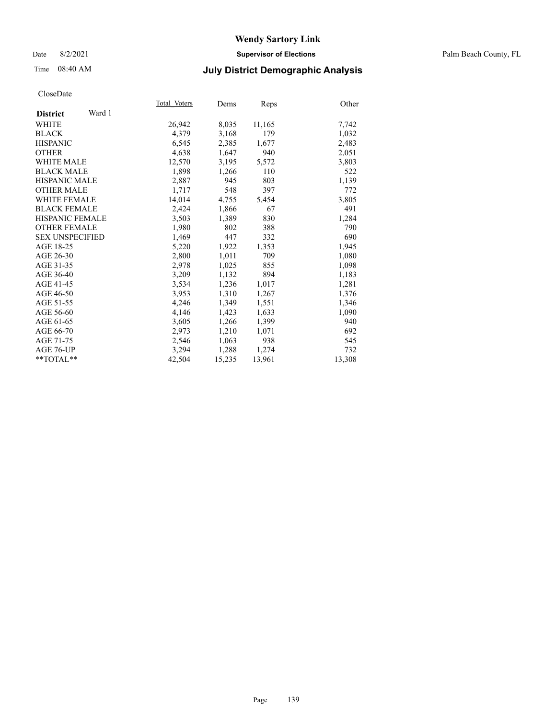### Date 8/2/2021 **Supervisor of Elections** Palm Beach County, FL

# Time 08:40 AM **July District Demographic Analysis**

| Total Voters | Dems   | Reps   | Other  |
|--------------|--------|--------|--------|
|              |        |        |        |
| 26,942       | 8,035  | 11,165 | 7,742  |
| 4,379        | 3,168  | 179    | 1,032  |
| 6,545        | 2,385  | 1,677  | 2,483  |
| 4,638        | 1,647  | 940    | 2,051  |
| 12,570       | 3,195  | 5,572  | 3,803  |
| 1,898        | 1,266  | 110    | 522    |
| 2,887        | 945    | 803    | 1,139  |
| 1,717        | 548    | 397    | 772    |
| 14,014       | 4,755  | 5,454  | 3,805  |
| 2,424        | 1,866  | 67     | 491    |
| 3,503        | 1,389  | 830    | 1,284  |
| 1,980        | 802    | 388    | 790    |
| 1.469        | 447    | 332    | 690    |
| 5,220        | 1,922  | 1,353  | 1,945  |
| 2,800        | 1,011  | 709    | 1,080  |
| 2,978        | 1,025  | 855    | 1,098  |
| 3,209        | 1,132  | 894    | 1,183  |
| 3,534        | 1,236  | 1,017  | 1,281  |
| 3,953        | 1,310  | 1,267  | 1,376  |
| 4,246        | 1,349  | 1,551  | 1,346  |
| 4,146        | 1,423  | 1,633  | 1,090  |
| 3,605        | 1,266  | 1,399  | 940    |
| 2,973        | 1,210  | 1,071  | 692    |
| 2,546        | 1,063  | 938    | 545    |
| 3,294        | 1,288  | 1,274  | 732    |
| 42,504       | 15,235 | 13,961 | 13,308 |
|              |        |        |        |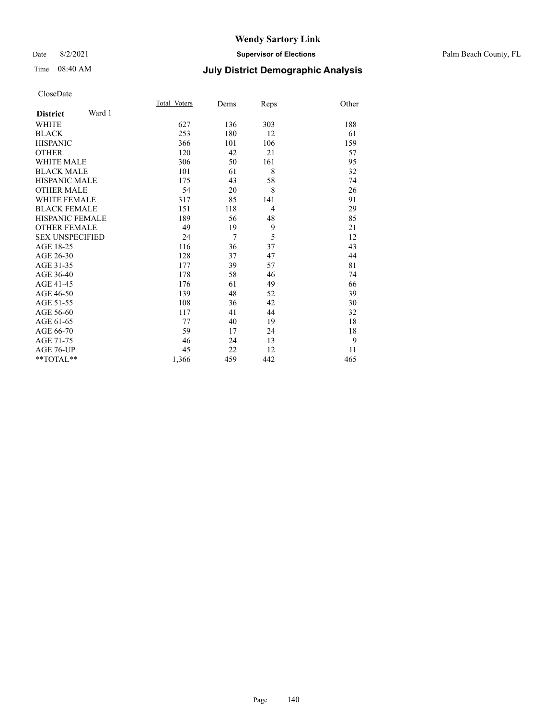### Date 8/2/2021 **Supervisor of Elections** Palm Beach County, FL

# Time 08:40 AM **July District Demographic Analysis**

|                           | Total Voters | Dems           | Reps           | Other |
|---------------------------|--------------|----------------|----------------|-------|
| Ward 1<br><b>District</b> |              |                |                |       |
| WHITE                     | 627          | 136            | 303            | 188   |
| <b>BLACK</b>              | 253          | 180            | 12             | 61    |
| <b>HISPANIC</b>           | 366          | 101            | 106            | 159   |
| <b>OTHER</b>              | 120          | 42             | 21             | 57    |
| <b>WHITE MALE</b>         | 306          | 50             | 161            | 95    |
| <b>BLACK MALE</b>         | 101          | 61             | 8              | 32    |
| <b>HISPANIC MALE</b>      | 175          | 43             | 58             | 74    |
| <b>OTHER MALE</b>         | 54           | 20             | 8              | 26    |
| <b>WHITE FEMALE</b>       | 317          | 85             | 141            | 91    |
| <b>BLACK FEMALE</b>       | 151          | 118            | $\overline{4}$ | 29    |
| HISPANIC FEMALE           | 189          | 56             | 48             | 85    |
| <b>OTHER FEMALE</b>       | 49           | 19             | 9              | 21    |
| <b>SEX UNSPECIFIED</b>    | 24           | $\overline{7}$ | 5              | 12    |
| AGE 18-25                 | 116          | 36             | 37             | 43    |
| AGE 26-30                 | 128          | 37             | 47             | 44    |
| AGE 31-35                 | 177          | 39             | 57             | 81    |
| AGE 36-40                 | 178          | 58             | 46             | 74    |
| AGE 41-45                 | 176          | 61             | 49             | 66    |
| AGE 46-50                 | 139          | 48             | 52             | 39    |
| AGE 51-55                 | 108          | 36             | 42             | 30    |
| AGE 56-60                 | 117          | 41             | 44             | 32    |
| AGE 61-65                 | 77           | 40             | 19             | 18    |
| AGE 66-70                 | 59           | 17             | 24             | 18    |
| AGE 71-75                 | 46           | 24             | 13             | 9     |
| AGE 76-UP                 | 45           | 22             | 12             | 11    |
| $*$ $TOTAL**$             | 1,366        | 459            | 442            | 465   |